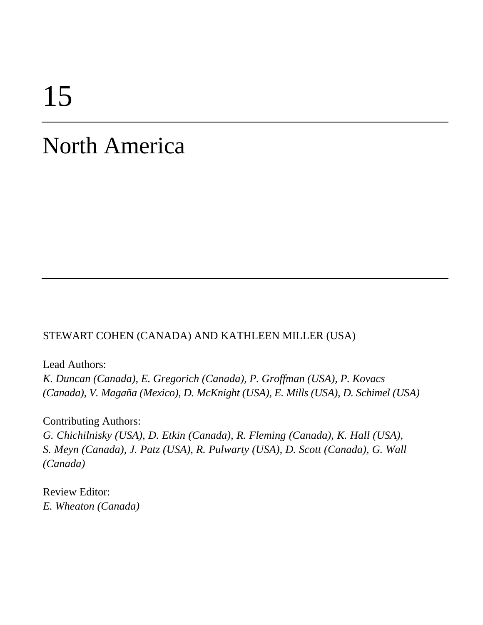# 15

## North America

### STEWART COHEN (CANADA) AND KATHLEEN MILLER (USA)

Lead Authors: *K. Duncan (Canada), E. Gregorich (Canada), P. Groffman (USA), P. Kovacs (Canada), V. Magaña (Mexico), D. McKnight (USA), E. Mills (USA), D. Schimel (USA)*

Contributing Authors:

*G. Chichilnisky (USA), D. Etkin (Canada), R. Fleming (Canada), K. Hall (USA), S. Meyn (Canada), J. Patz (USA), R. Pulwarty (USA), D. Scott (Canada), G. Wall (Canada)*

Review Editor: *E. Wheaton (Canada)*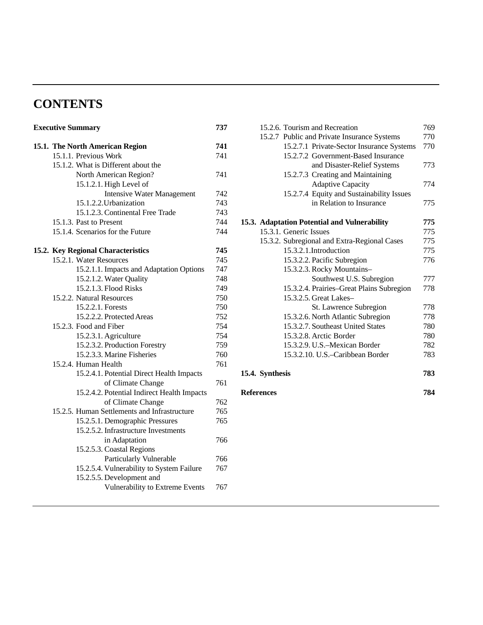## **CONTENTS**

| <b>Executive Summary</b> |                                              |     |
|--------------------------|----------------------------------------------|-----|
|                          | 15.1. The North American Region              | 741 |
|                          | 15.1.1. Previous Work                        | 741 |
|                          | 15.1.2. What is Different about the          |     |
|                          | North American Region?                       | 741 |
|                          | 15.1.2.1. High Level of                      |     |
|                          | <b>Intensive Water Management</b>            | 742 |
|                          | 15.1.2.2. Urbanization                       | 743 |
|                          | 15.1.2.3. Continental Free Trade             | 743 |
|                          | 15.1.3. Past to Present                      | 744 |
|                          | 15.1.4. Scenarios for the Future             | 744 |
|                          | 15.2. Key Regional Characteristics           | 745 |
|                          | 15.2.1. Water Resources                      | 745 |
|                          | 15.2.1.1. Impacts and Adaptation Options     | 747 |
|                          | 15.2.1.2. Water Quality                      | 748 |
|                          | 15.2.1.3. Flood Risks                        | 749 |
|                          | 15.2.2. Natural Resources                    | 750 |
|                          | 15.2.2.1. Forests                            | 750 |
|                          | 15.2.2.2. Protected Areas                    | 752 |
|                          | 15.2.3. Food and Fiber                       | 754 |
|                          | 15.2.3.1. Agriculture                        | 754 |
|                          | 15.2.3.2. Production Forestry                | 759 |
|                          | 15.2.3.3. Marine Fisheries                   | 760 |
|                          | 15.2.4. Human Health                         | 761 |
|                          | 15.2.4.1. Potential Direct Health Impacts    |     |
|                          | of Climate Change                            | 761 |
|                          | 15.2.4.2. Potential Indirect Health Impacts  |     |
|                          | of Climate Change                            | 762 |
|                          | 15.2.5. Human Settlements and Infrastructure | 765 |
|                          | 15.2.5.1. Demographic Pressures              | 765 |
|                          | 15.2.5.2. Infrastructure Investments         |     |
|                          | in Adaptation                                | 766 |
|                          | 15.2.5.3. Coastal Regions                    |     |
|                          | Particularly Vulnerable                      | 766 |
|                          | 15.2.5.4. Vulnerability to System Failure    | 767 |
|                          | 15.2.5.5. Development and                    |     |
|                          | Vulnerability to Extreme Events              | 767 |

|                   | 15.2.7.2 Government-Based Insurance<br>and Disaster-Relief Systems | 773 |
|-------------------|--------------------------------------------------------------------|-----|
|                   | 15.2.7.3 Creating and Maintaining                                  |     |
|                   | <b>Adaptive Capacity</b>                                           | 774 |
|                   | 15.2.7.4 Equity and Sustainability Issues                          |     |
|                   | in Relation to Insurance                                           | 775 |
|                   | 15.3. Adaptation Potential and Vulnerability                       | 775 |
|                   | 15.3.1. Generic Issues                                             | 775 |
|                   | 15.3.2. Subregional and Extra-Regional Cases                       | 775 |
|                   | 15.3.2.1.Introduction                                              | 775 |
|                   | 15.3.2.2. Pacific Subregion                                        | 776 |
|                   | 15.3.2.3. Rocky Mountains-                                         |     |
|                   | Southwest U.S. Subregion                                           | 777 |
|                   | 15.3.2.4. Prairies-Great Plains Subregion                          | 778 |
|                   | 15.3.2.5. Great Lakes-                                             |     |
|                   | St. Lawrence Subregion                                             | 778 |
|                   | 15.3.2.6. North Atlantic Subregion                                 | 778 |
|                   | 15.3.2.7. Southeast United States                                  | 780 |
|                   | 15.3.2.8. Arctic Border                                            | 780 |
|                   | 15.3.2.9. U.S.–Mexican Border                                      | 782 |
|                   | 15.3.2.10. U.S.-Caribbean Border                                   | 783 |
| 15.4. Synthesis   |                                                                    | 783 |
| <b>References</b> |                                                                    | 784 |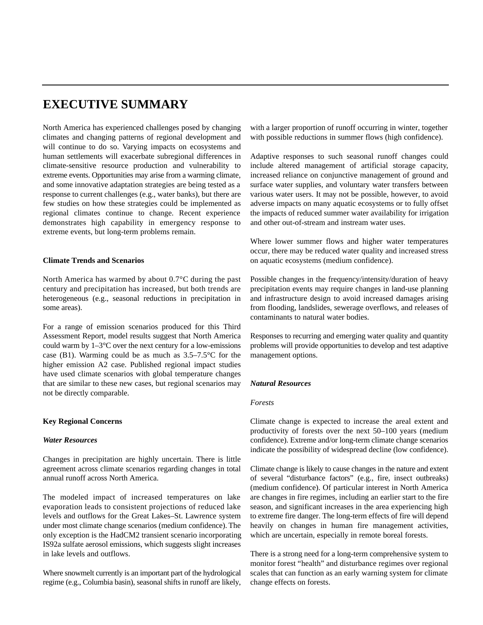## **EXECUTIVE SUMMARY**

North America has experienced challenges posed by changing climates and changing patterns of regional development and will continue to do so. Varying impacts on ecosystems and human settlements will exacerbate subregional differences in climate-sensitive resource production and vulnerability to extreme events. Opportunities may arise from a warming climate, and some innovative adaptation strategies are being tested as a response to current challenges (e.g., water banks), but there are few studies on how these strategies could be implemented as regional climates continue to change. Recent experience demonstrates high capability in emergency response to extreme events, but long-term problems remain.

#### **Climate Trends and Scenarios**

North America has warmed by about 0.7°C during the past century and precipitation has increased, but both trends are heterogeneous (e.g., seasonal reductions in precipitation in some areas).

For a range of emission scenarios produced for this Third Assessment Report, model results suggest that North America could warm by 1–3°C over the next century for a low-emissions case (B1). Warming could be as much as 3.5–7.5°C for the higher emission A2 case. Published regional impact studies have used climate scenarios with global temperature changes that are similar to these new cases, but regional scenarios may not be directly comparable.

#### **Key Regional Concerns**

#### *Water Resources*

Changes in precipitation are highly uncertain. There is little agreement across climate scenarios regarding changes in total annual runoff across North America.

The modeled impact of increased temperatures on lake evaporation leads to consistent projections of reduced lake levels and outflows for the Great Lakes–St. Lawrence system under most climate change scenarios (medium confidence). The only exception is the HadCM2 transient scenario incorporating IS92a sulfate aerosol emissions, which suggests slight increases in lake levels and outflows.

Where snowmelt currently is an important part of the hydrological regime (e.g., Columbia basin), seasonal shifts in runoff are likely, with a larger proportion of runoff occurring in winter, together with possible reductions in summer flows (high confidence).

Adaptive responses to such seasonal runoff changes could include altered management of artificial storage capacity, increased reliance on conjunctive management of ground and surface water supplies, and voluntary water transfers between various water users. It may not be possible, however, to avoid adverse impacts on many aquatic ecosystems or to fully offset the impacts of reduced summer water availability for irrigation and other out-of-stream and instream water uses.

Where lower summer flows and higher water temperatures occur, there may be reduced water quality and increased stress on aquatic ecosystems (medium confidence).

Possible changes in the frequency/intensity/duration of heavy precipitation events may require changes in land-use planning and infrastructure design to avoid increased damages arising from flooding, landslides, sewerage overflows, and releases of contaminants to natural water bodies.

Responses to recurring and emerging water quality and quantity problems will provide opportunities to develop and test adaptive management options.

#### *Natural Resources*

#### *Forests*

Climate change is expected to increase the areal extent and productivity of forests over the next 50–100 years (medium confidence). Extreme and/or long-term climate change scenarios indicate the possibility of widespread decline (low confidence).

Climate change is likely to cause changes in the nature and extent of several "disturbance factors" (e.g., fire, insect outbreaks) (medium confidence). Of particular interest in North America are changes in fire regimes, including an earlier start to the fire season, and significant increases in the area experiencing high to extreme fire danger. The long-term effects of fire will depend heavily on changes in human fire management activities, which are uncertain, especially in remote boreal forests.

There is a strong need for a long-term comprehensive system to monitor forest "health" and disturbance regimes over regional scales that can function as an early warning system for climate change effects on forests.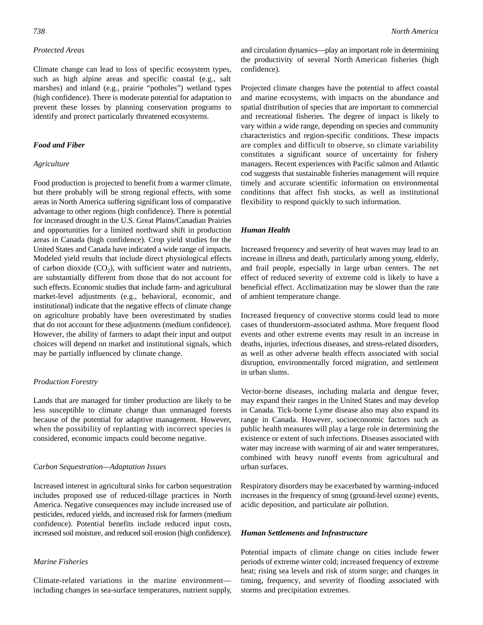#### *Protected Areas*

Climate change can lead to loss of specific ecosystem types, such as high alpine areas and specific coastal (e.g., salt marshes) and inland (e.g., prairie "potholes") wetland types (high confidence). There is moderate potential for adaptation to prevent these losses by planning conservation programs to identify and protect particularly threatened ecosystems.

#### *Food and Fiber*

#### *Agriculture*

Food production is projected to benefit from a warmer climate, but there probably will be strong regional effects, with some areas in North America suffering significant loss of comparative advantage to other regions (high confidence). There is potential for increased drought in the U.S. Great Plains/Canadian Prairies and opportunities for a limited northward shift in production areas in Canada (high confidence). Crop yield studies for the United States and Canada have indicated a wide range of impacts. Modeled yield results that include direct physiological effects of carbon dioxide  $(CO_2)$ , with sufficient water and nutrients, are substantially different from those that do not account for such effects. Economic studies that include farm- and agricultural market-level adjustments (e.g., behavioral, economic, and institutional) indicate that the negative effects of climate change on agriculture probably have been overestimated by studies that do not account for these adjustments (medium confidence). However, the ability of farmers to adapt their input and output choices will depend on market and institutional signals, which may be partially influenced by climate change.

#### *Production Forestry*

Lands that are managed for timber production are likely to be less susceptible to climate change than unmanaged forests because of the potential for adaptive management. However, when the possibility of replanting with incorrect species is considered, economic impacts could become negative.

#### *Carbon Sequestration—Adaptation Issues*

Increased interest in agricultural sinks for carbon sequestration includes proposed use of reduced-tillage practices in North America. Negative consequences may include increased use of pesticides, reduced yields, and increased risk for farmers (medium confidence). Potential benefits include reduced input costs, increased soil moisture, and reduced soil erosion (high confidence).

#### *Marine Fisheries*

Climate-related variations in the marine environment including changes in sea-surface temperatures, nutrient supply, and circulation dynamics—play an important role in determining the productivity of several North American fisheries (high confidence).

Projected climate changes have the potential to affect coastal and marine ecosystems, with impacts on the abundance and spatial distribution of species that are important to commercial and recreational fisheries. The degree of impact is likely to vary within a wide range, depending on species and community characteristics and region-specific conditions. These impacts are complex and difficult to observe, so climate variability constitutes a significant source of uncertainty for fishery managers. Recent experiences with Pacific salmon and Atlantic cod suggests that sustainable fisheries management will require timely and accurate scientific information on environmental conditions that affect fish stocks, as well as institutional flexibility to respond quickly to such information.

#### *Human Health*

Increased frequency and severity of heat waves may lead to an increase in illness and death, particularly among young, elderly, and frail people, especially in large urban centers. The net effect of reduced severity of extreme cold is likely to have a beneficial effect. Acclimatization may be slower than the rate of ambient temperature change.

Increased frequency of convective storms could lead to more cases of thunderstorm-associated asthma. More frequent flood events and other extreme events may result in an increase in deaths, injuries, infectious diseases, and stress-related disorders, as well as other adverse health effects associated with social disruption, environmentally forced migration, and settlement in urban slums.

Vector-borne diseases, including malaria and dengue fever, may expand their ranges in the United States and may develop in Canada. Tick-borne Lyme disease also may also expand its range in Canada. However, socioeconomic factors such as public health measures will play a large role in determining the existence or extent of such infections. Diseases associated with water may increase with warming of air and water temperatures, combined with heavy runoff events from agricultural and urban surfaces.

Respiratory disorders may be exacerbated by warming-induced increases in the frequency of smog (ground-level ozone) events, acidic deposition, and particulate air pollution.

#### *Human Settlements and Infrastructure*

Potential impacts of climate change on cities include fewer periods of extreme winter cold; increased frequency of extreme heat; rising sea levels and risk of storm surge; and changes in timing, frequency, and severity of flooding associated with storms and precipitation extremes.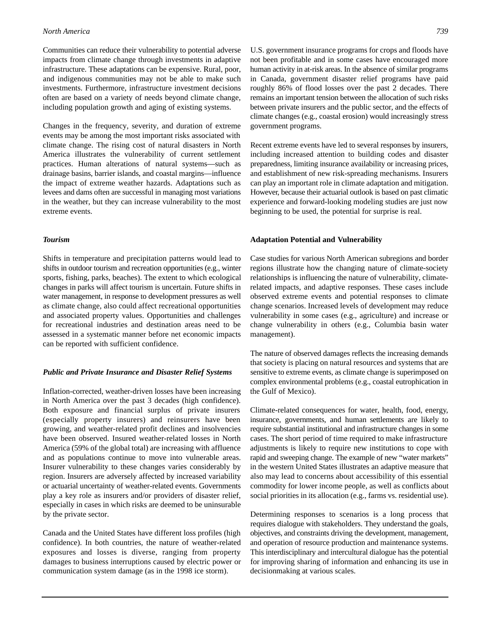Communities can reduce their vulnerability to potential adverse impacts from climate change through investments in adaptive infrastructure. These adaptations can be expensive. Rural, poor, and indigenous communities may not be able to make such investments. Furthermore, infrastructure investment decisions often are based on a variety of needs beyond climate change, including population growth and aging of existing systems.

Changes in the frequency, severity, and duration of extreme events may be among the most important risks associated with climate change. The rising cost of natural disasters in North America illustrates the vulnerability of current settlement practices. Human alterations of natural systems—such as drainage basins, barrier islands, and coastal margins—influence the impact of extreme weather hazards. Adaptations such as levees and dams often are successful in managing most variations in the weather, but they can increase vulnerability to the most extreme events.

#### *Tourism*

Shifts in temperature and precipitation patterns would lead to shifts in outdoor tourism and recreation opportunities (e.g., winter sports, fishing, parks, beaches). The extent to which ecological changes in parks will affect tourism is uncertain. Future shifts in water management, in response to development pressures as well as climate change, also could affect recreational opportunities and associated property values. Opportunities and challenges for recreational industries and destination areas need to be assessed in a systematic manner before net economic impacts can be reported with sufficient confidence.

#### *Public and Private Insurance and Disaster Relief Systems*

Inflation-corrected, weather-driven losses have been increasing in North America over the past 3 decades (high confidence). Both exposure and financial surplus of private insurers (especially property insurers) and reinsurers have been growing, and weather-related profit declines and insolvencies have been observed. Insured weather-related losses in North America (59% of the global total) are increasing with affluence and as populations continue to move into vulnerable areas. Insurer vulnerability to these changes varies considerably by region. Insurers are adversely affected by increased variability or actuarial uncertainty of weather-related events. Governments play a key role as insurers and/or providers of disaster relief, especially in cases in which risks are deemed to be uninsurable by the private sector.

Canada and the United States have different loss profiles (high confidence). In both countries, the nature of weather-related exposures and losses is diverse, ranging from property damages to business interruptions caused by electric power or communication system damage (as in the 1998 ice storm).

U.S. government insurance programs for crops and floods have not been profitable and in some cases have encouraged more human activity in at-risk areas. In the absence of similar programs in Canada, government disaster relief programs have paid roughly 86% of flood losses over the past 2 decades. There remains an important tension between the allocation of such risks between private insurers and the public sector, and the effects of climate changes (e.g., coastal erosion) would increasingly stress government programs.

Recent extreme events have led to several responses by insurers, including increased attention to building codes and disaster preparedness, limiting insurance availability or increasing prices, and establishment of new risk-spreading mechanisms. Insurers can play an important role in climate adaptation and mitigation. However, because their actuarial outlook is based on past climatic experience and forward-looking modeling studies are just now beginning to be used, the potential for surprise is real.

#### **Adaptation Potential and Vulnerability**

Case studies for various North American subregions and border regions illustrate how the changing nature of climate-society relationships is influencing the nature of vulnerability, climaterelated impacts, and adaptive responses. These cases include observed extreme events and potential responses to climate change scenarios. Increased levels of development may reduce vulnerability in some cases (e.g., agriculture) and increase or change vulnerability in others (e.g., Columbia basin water management).

The nature of observed damages reflects the increasing demands that society is placing on natural resources and systems that are sensitive to extreme events, as climate change is superimposed on complex environmental problems (e.g., coastal eutrophication in the Gulf of Mexico).

Climate-related consequences for water, health, food, energy, insurance, governments, and human settlements are likely to require substantial institutional and infrastructure changes in some cases. The short period of time required to make infrastructure adjustments is likely to require new institutions to cope with rapid and sweeping change. The example of new "water markets" in the western United States illustrates an adaptive measure that also may lead to concerns about accessibility of this essential commodity for lower income people, as well as conflicts about social priorities in its allocation (e.g., farms vs. residential use).

Determining responses to scenarios is a long process that requires dialogue with stakeholders. They understand the goals, objectives, and constraints driving the development, management, and operation of resource production and maintenance systems. This interdisciplinary and intercultural dialogue has the potential for improving sharing of information and enhancing its use in decisionmaking at various scales.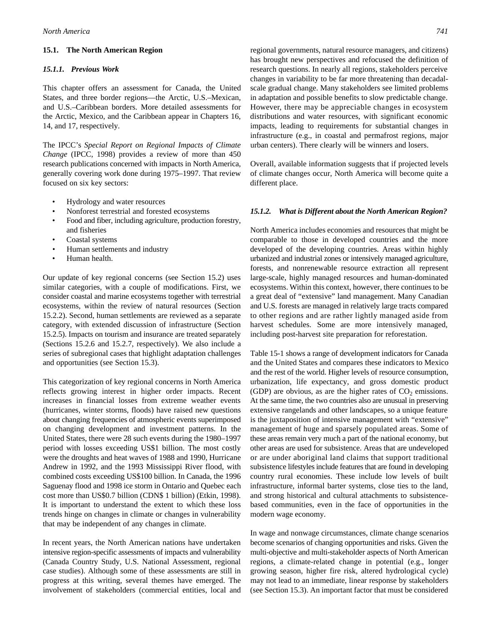#### **15.1. The North American Region**

#### *15.1.1. Previous Work*

This chapter offers an assessment for Canada, the United States, and three border regions—the Arctic, U.S.–Mexican, and U.S.–Caribbean borders. More detailed assessments for the Arctic, Mexico, and the Caribbean appear in Chapters 16, 14, and 17, respectively.

The IPCC's *Special Report on Regional Impacts of Climate Change* (IPCC, 1998) provides a review of more than 450 research publications concerned with impacts in North America, generally covering work done during 1975–1997. That review focused on six key sectors:

- Hydrology and water resources
- Nonforest terrestrial and forested ecosystems
- Food and fiber, including agriculture, production forestry, and fisheries
- Coastal systems
- Human settlements and industry
- Human health.

Our update of key regional concerns (see Section 15.2) uses similar categories, with a couple of modifications. First, we consider coastal and marine ecosystems together with terrestrial ecosystems, within the review of natural resources (Section 15.2.2). Second, human settlements are reviewed as a separate category, with extended discussion of infrastructure (Section 15.2.5). Impacts on tourism and insurance are treated separately (Sections 15.2.6 and 15.2.7, respectively). We also include a series of subregional cases that highlight adaptation challenges and opportunities (see Section 15.3).

This categorization of key regional concerns in North America reflects growing interest in higher order impacts. Recent increases in financial losses from extreme weather events (hurricanes, winter storms, floods) have raised new questions about changing frequencies of atmospheric events superimposed on changing development and investment patterns. In the United States, there were 28 such events during the 1980–1997 period with losses exceeding US\$1 billion. The most costly were the droughts and heat waves of 1988 and 1990, Hurricane Andrew in 1992, and the 1993 Mississippi River flood, with combined costs exceeding US\$100 billion. In Canada, the 1996 Saguenay flood and 1998 ice storm in Ontario and Quebec each cost more than US\$0.7 billion (CDN\$ 1 billion) (Etkin, 1998). It is important to understand the extent to which these loss trends hinge on changes in climate or changes in vulnerability that may be independent of any changes in climate.

In recent years, the North American nations have undertaken intensive region-specific assessments of impacts and vulnerability (Canada Country Study, U.S. National Assessment, regional case studies). Although some of these assessments are still in progress at this writing, several themes have emerged. The involvement of stakeholders (commercial entities, local and

regional governments, natural resource managers, and citizens) has brought new perspectives and refocused the definition of research questions. In nearly all regions, stakeholders perceive changes in variability to be far more threatening than decadalscale gradual change. Many stakeholders see limited problems in adaptation and possible benefits to slow predictable change. However, there may be appreciable changes in ecosystem distributions and water resources, with significant economic impacts, leading to requirements for substantial changes in infrastructure (e.g., in coastal and permafrost regions, major urban centers). There clearly will be winners and losers.

Overall, available information suggests that if projected levels of climate changes occur, North America will become quite a different place.

#### *1 5 . 1 . 2 . What is Different about the North American Region?*

North America includes economies and resources that might be comparable to those in developed countries and the more developed of the developing countries. Areas within highly urbanized and industrial zones or intensively managed agriculture, forests, and nonrenewable resource extraction all represent large-scale, highly managed resources and human-dominated ecosystems. Within this context, however, there continues to be a great deal of "extensive" land management. Many Canadian and U.S. forests are managed in relatively large tracts compared to other regions and are rather lightly managed aside from harvest schedules. Some are more intensively managed, including post-harvest site preparation for reforestation.

Table 15-1 shows a range of development indicators for Canada and the United States and compares these indicators to Mexico and the rest of the world. Higher levels of resource consumption, urbanization, life expectancy, and gross domestic product (GDP) are obvious, as are the higher rates of  $CO<sub>2</sub>$  emissions. At the same time, the two countries also are unusual in preserving extensive rangelands and other landscapes, so a unique feature is the juxtaposition of intensive management with "extensive" management of huge and sparsely populated areas. Some of these areas remain very much a part of the national economy, but other areas are used for subsistence. Areas that are undeveloped or are under aboriginal land claims that support traditional subsistence lifestyles include features that are found in developing country rural economies. These include low levels of built infrastructure, informal barter systems, close ties to the land, and strong historical and cultural attachments to subsistencebased communities, even in the face of opportunities in the modern wage economy.

In wage and nonwage circumstances, climate change scenarios become scenarios of changing opportunities and risks. Given the multi-objective and multi-stakeholder aspects of North American regions, a climate-related change in potential (e.g., longer growing season, higher fire risk, altered hydrological cycle) may not lead to an immediate, linear response by stakeholders (see Section 15.3). An important factor that must be considered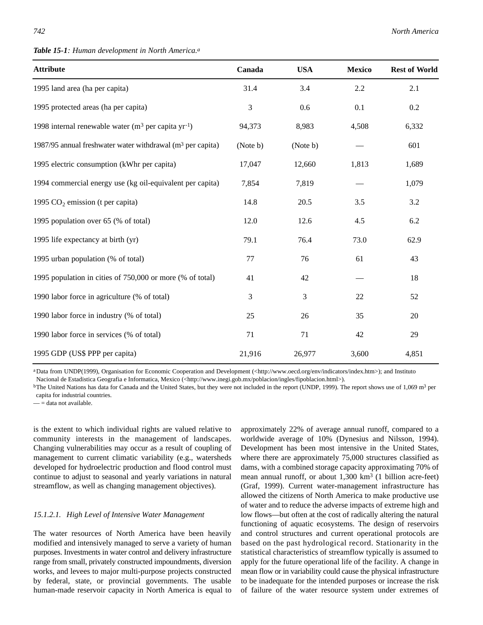| <b>Table 15-1</b> : Human development in North America. <sup>a</sup> |  |
|----------------------------------------------------------------------|--|
|----------------------------------------------------------------------|--|

| <b>Attribute</b>                                                    | Canada   | <b>USA</b> | <b>Mexico</b> | <b>Rest of World</b> |
|---------------------------------------------------------------------|----------|------------|---------------|----------------------|
| 1995 land area (ha per capita)                                      | 31.4     | 3.4        | 2.2           | 2.1                  |
| 1995 protected areas (ha per capita)                                | 3        | 0.6        | 0.1           | 0.2                  |
| 1998 internal renewable water ( $m^3$ per capita yr <sup>-1</sup> ) | 94,373   | 8,983      | 4,508         | 6,332                |
| 1987/95 annual freshwater water withdrawal ( $m3$ per capita)       | (Note b) | (Note b)   |               | 601                  |
| 1995 electric consumption (kWhr per capita)                         | 17,047   | 12,660     | 1,813         | 1,689                |
| 1994 commercial energy use (kg oil-equivalent per capita)           | 7,854    | 7,819      |               | 1,079                |
| 1995 $CO2$ emission (t per capita)                                  | 14.8     | 20.5       | 3.5           | 3.2                  |
| 1995 population over 65 (% of total)                                | 12.0     | 12.6       | 4.5           | 6.2                  |
| 1995 life expectancy at birth (yr)                                  | 79.1     | 76.4       | 73.0          | 62.9                 |
| 1995 urban population (% of total)                                  | 77       | 76         | 61            | 43                   |
| 1995 population in cities of 750,000 or more (% of total)           | 41       | 42         |               | 18                   |
| 1990 labor force in agriculture (% of total)                        | 3        | 3          | 22            | 52                   |
| 1990 labor force in industry (% of total)                           | 25       | 26         | 35            | 20                   |
| 1990 labor force in services (% of total)                           | 71       | 71         | 42            | 29                   |
| 1995 GDP (US\$ PPP per capita)                                      | 21,916   | 26,977     | 3,600         | 4,851                |

aData from UNDP(1999), Organisation for Economic Cooperation and Development (<http://www.oecd.org/env/indicators/index.htm>); and Instituto Nacional de Estadistica Geografia e Informatica, Mexico (<http://www.inegi.gob.mx/poblacion/ingles/fipoblacion.html>).

<sup>b</sup>The United Nations has data for Canada and the United States, but they were not included in the report (UNDP, 1999). The report shows use of 1,069 m<sup>3</sup> per capita for industrial countries.

 $=$  data not available.

is the extent to which individual rights are valued relative to community interests in the management of landscapes. Changing vulnerabilities may occur as a result of coupling of management to current climatic variability (e.g., watersheds developed for hydroelectric production and flood control must continue to adjust to seasonal and yearly variations in natural streamflow, as well as changing management objectives).

#### *15.1.2.1. High Level of Intensive Water Management*

The water resources of North America have been heavily modified and intensively managed to serve a variety of human purposes. Investments in water control and delivery infrastructure range from small, privately constructed impoundments, diversion works, and levees to major multi-purpose projects constructed by federal, state, or provincial governments. The usable human-made reservoir capacity in North America is equal to approximately 22% of average annual runoff, compared to a worldwide average of 10% (Dynesius and Nilsson, 1994). Development has been most intensive in the United States, where there are approximately 75,000 structures classified as dams, with a combined storage capacity approximating 70% of mean annual runoff, or about 1,300 km<sup>3</sup> (1 billion acre-feet) (Graf, 1999). Current water-management infrastructure has allowed the citizens of North America to make productive use of water and to reduce the adverse impacts of extreme high and low flows—but often at the cost of radically altering the natural functioning of aquatic ecosystems. The design of reservoirs and control structures and current operational protocols are based on the past hydrological record. Stationarity in the statistical characteristics of streamflow typically is assumed to apply for the future operational life of the facility. A change in mean flow or in variability could cause the physical infrastructure to be inadequate for the intended purposes or increase the risk of failure of the water resource system under extremes of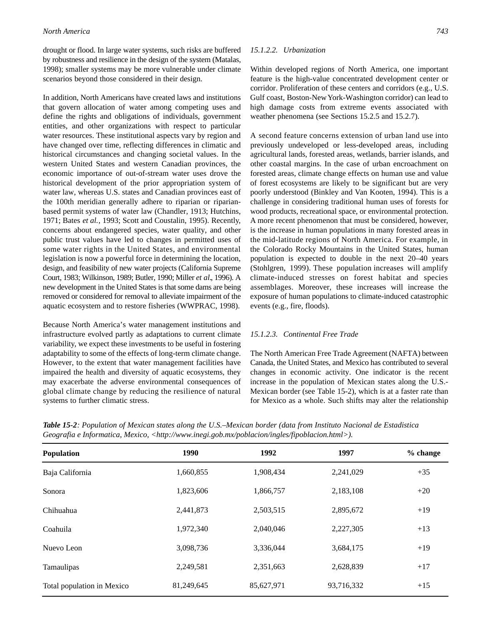drought or flood. In large water systems, such risks are buffered by robustness and resilience in the design of the system (Matalas, 1998); smaller systems may be more vulnerable under climate scenarios beyond those considered in their design.

In addition, North Americans have created laws and institutions that govern allocation of water among competing uses and define the rights and obligations of individuals, government entities, and other organizations with respect to particular water resources. These institutional aspects vary by region and have changed over time, reflecting differences in climatic and historical circumstances and changing societal values. In the western United States and western Canadian provinces, the economic importance of out-of-stream water uses drove the historical development of the prior appropriation system of water law, whereas U.S. states and Canadian provinces east of the 100th meridian generally adhere to riparian or riparianbased permit systems of water law (Chandler, 1913; Hutchins, 1971; Bates *et al.*, 1993; Scott and Coustalin, 1995). Recently, concerns about endangered species, water quality, and other public trust values have led to changes in permitted uses of some water rights in the United States, and environmental legislation is now a powerful force in determining the location, design, and feasibility of new water projects (California Supreme Court, 1983; Wilkinson, 1989; Butler, 1990; Miller *et al.*, 1996). A new development in the United States is that some dams are being removed or considered for removal to alleviate impairment of the aquatic ecosystem and to restore fisheries (WWPRAC, 1998).

Because North America's water management institutions and infrastructure evolved partly as adaptations to current climate variability, we expect these investments to be useful in fostering adaptability to some of the effects of long-term climate change. However, to the extent that water management facilities have impaired the health and diversity of aquatic ecosystems, they may exacerbate the adverse environmental consequences of global climate change by reducing the resilience of natural systems to further climatic stress.

Within developed regions of North America, one important feature is the high-value concentrated development center or corridor. Proliferation of these centers and corridors (e.g., U.S. Gulf coast, Boston-New York-Washington corridor) can lead to high damage costs from extreme events associated with weather phenomena (see Sections 15.2.5 and 15.2.7).

A second feature concerns extension of urban land use into previously undeveloped or less-developed areas, including agricultural lands, forested areas, wetlands, barrier islands, and other coastal margins. In the case of urban encroachment on forested areas, climate change effects on human use and value of forest ecosystems are likely to be significant but are very poorly understood (Binkley and Van Kooten, 1994). This is a challenge in considering traditional human uses of forests for wood products, recreational space, or environmental protection. A more recent phenomenon that must be considered, however, is the increase in human populations in many forested areas in the mid-latitude regions of North America. For example, in the Colorado Rocky Mountains in the United States, human population is expected to double in the next 20–40 years (Stohlgren, 1999). These population increases will amplify climate-induced stresses on forest habitat and species assemblages. Moreover, these increases will increase the exposure of human populations to climate-induced catastrophic events (e.g., fire, floods).

#### *15.1.2.3. Continental Free Trade*

The North American Free Trade Agreement (NAFTA) between Canada, the United States, and Mexico has contributed to several changes in economic activity. One indicator is the recent increase in the population of Mexican states along the U.S.- Mexican border (see Table 15-2), which is at a faster rate than for Mexico as a whole. Such shifts may alter the relationship

*Table 15-2: Population of Mexican states along the U.S.–Mexican border (data from Instituto Nacional de Estadistica Geografia e Informatica, Mexico, <http://www.inegi.gob.mx/poblacion/ingles/fipoblacion.html>).*

| <b>Population</b>          | 1990       | 1992       | 1997       | % change |
|----------------------------|------------|------------|------------|----------|
| Baja California            | 1,660,855  | 1,908,434  | 2,241,029  | $+35$    |
| Sonora                     | 1,823,606  | 1,866,757  | 2,183,108  | $+20$    |
| Chihuahua                  | 2,441,873  | 2,503,515  | 2,895,672  | $+19$    |
| Coahuila                   | 1,972,340  | 2,040,046  | 2,227,305  | $+13$    |
| Nuevo Leon                 | 3,098,736  | 3,336,044  | 3,684,175  | $+19$    |
| Tamaulipas                 | 2,249,581  | 2,351,663  | 2,628,839  | $+17$    |
| Total population in Mexico | 81,249,645 | 85,627,971 | 93,716,332 | $+15$    |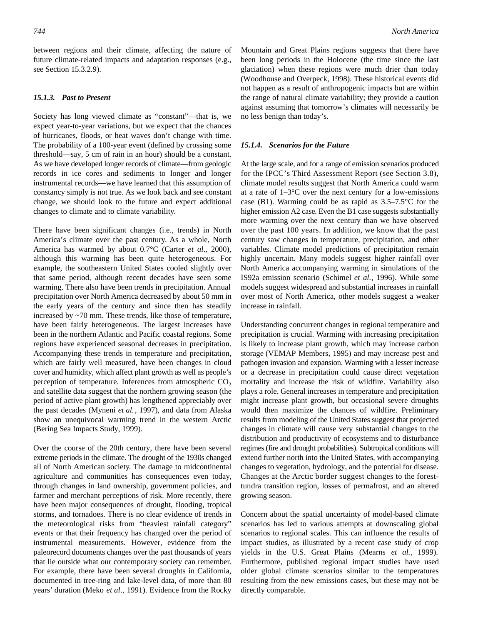between regions and their climate, affecting the nature of future climate-related impacts and adaptation responses (e.g., see Section 15.3.2.9).

#### *15.1.3. Past to Present*

Society has long viewed climate as "constant"—that is, we expect year-to-year variations, but we expect that the chances of hurricanes, floods, or heat waves don't change with time. The probability of a 100-year event (defined by crossing some threshold—say, 5 cm of rain in an hour) should be a constant. As we have developed longer records of climate—from geologic records in ice cores and sediments to longer and longer instrumental records—we have learned that this assumption of constancy simply is not true. As we look back and see constant change, we should look to the future and expect additional changes to climate and to climate variability.

There have been significant changes (i.e., trends) in North America's climate over the past century. As a whole, North America has warmed by about 0.7°C (Carter *et al*., 2000), although this warming has been quite heterogeneous. For example, the southeastern United States cooled slightly over that same period, although recent decades have seen some warming. There also have been trends in precipitation. Annual precipitation over North America decreased by about 50 mm in the early years of the century and since then has steadily increased by ~70 mm. These trends, like those of temperature, have been fairly heterogeneous. The largest increases have been in the northern Atlantic and Pacific coastal regions. Some regions have experienced seasonal decreases in precipitation. Accompanying these trends in temperature and precipitation, which are fairly well measured, have been changes in cloud cover and humidity, which affect plant growth as well as people's perception of temperature. Inferences from atmospheric  $CO<sub>2</sub>$ and satellite data suggest that the northern growing season (the period of active plant growth) has lengthened appreciably over the past decades (Myneni *et al.*, 1997), and data from Alaska show an unequivocal warming trend in the western Arctic (Bering Sea Impacts Study, 1999).

Over the course of the 20th century, there have been several extreme periods in the climate. The drought of the 1930s changed all of North American society. The damage to midcontinental agriculture and communities has consequences even today, through changes in land ownership, government policies, and farmer and merchant perceptions of risk. More recently, there have been major consequences of drought, flooding, tropical storms, and tornadoes. There is no clear evidence of trends in the meteorological risks from "heaviest rainfall category" events or that their frequency has changed over the period of instrumental measurements. However, evidence from the paleorecord documents changes over the past thousands of years that lie outside what our contemporary society can remember. For example, there have been several droughts in California, documented in tree-ring and lake-level data, of more than 80 years' duration (Meko *et al*., 1991). Evidence from the Rocky

Mountain and Great Plains regions suggests that there have been long periods in the Holocene (the time since the last glaciation) when these regions were much drier than today (Woodhouse and Overpeck, 1998). These historical events did not happen as a result of anthropogenic impacts but are within the range of natural climate variability; they provide a caution against assuming that tomorrow's climates will necessarily be no less benign than today's.

#### *15.1.4. Scenarios for the Future*

At the large scale, and for a range of emission scenarios produced for the IPCC's Third Assessment Report (see Section 3.8), climate model results suggest that North America could warm at a rate of 1–3°C over the next century for a low-emissions case (B1). Warming could be as rapid as  $3.5-7.5$ °C for the higher emission A2 case. Even the B1 case suggests substantially more warming over the next century than we have observed over the past 100 years. In addition, we know that the past century saw changes in temperature, precipitation, and other variables. Climate model predictions of precipitation remain highly uncertain. Many models suggest higher rainfall over North America accompanying warming in simulations of the IS92a emission scenario (Schimel *et al.*, 1996). While some models suggest widespread and substantial increases in rainfall over most of North America, other models suggest a weaker increase in rainfall.

Understanding concurrent changes in regional temperature and precipitation is crucial. Warming with increasing precipitation is likely to increase plant growth, which may increase carbon storage (VEMAP Members, 1995) and may increase pest and pathogen invasion and expansion. Warming with a lesser increase or a decrease in precipitation could cause direct vegetation mortality and increase the risk of wildfire. Variability also plays a role. General increases in temperature and precipitation might increase plant growth, but occasional severe droughts would then maximize the chances of wildfire. Preliminary results from modeling of the United States suggest that projected changes in climate will cause very substantial changes to the distribution and productivity of ecosystems and to disturbance regimes (fire and drought probabilities). Subtropical conditions will extend further north into the United States, with accompanying changes to vegetation, hydrology, and the potential for disease. Changes at the Arctic border suggest changes to the foresttundra transition region, losses of permafrost, and an altered growing season.

Concern about the spatial uncertainty of model-based climate scenarios has led to various attempts at downscaling global scenarios to regional scales. This can influence the results of impact studies, as illustrated by a recent case study of crop yields in the U.S. Great Plains (Mearns *et al.*, 1999). Furthermore, published regional impact studies have used older global climate scenarios similar to the temperatures resulting from the new emissions cases, but these may not be directly comparable.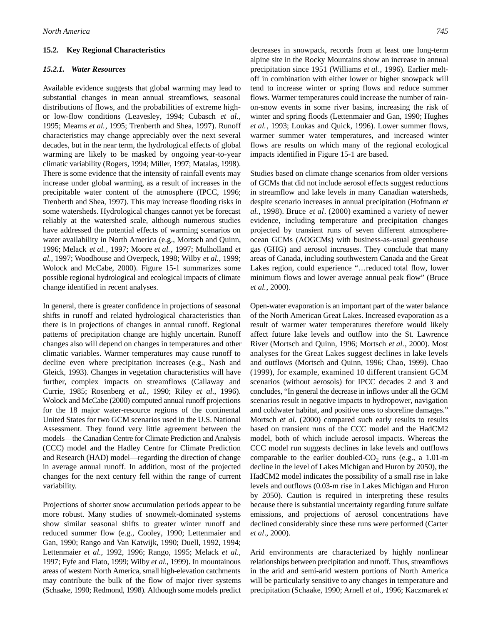#### **15.2. Key Regional Characteristics**

#### *15.2.1. Water Resources*

Available evidence suggests that global warming may lead to substantial changes in mean annual streamflows, seasonal distributions of flows, and the probabilities of extreme highor low-flow conditions (Leavesley, 1994; Cubasch *et al.*, 1995; Mearns *et al.*, 1995; Trenberth and Shea, 1997). Runoff characteristics may change appreciably over the next several decades, but in the near term, the hydrological effects of global warming are likely to be masked by ongoing year-to-year climatic variability (Rogers, 1994; Miller, 1997; Matalas, 1998). There is some evidence that the intensity of rainfall events may increase under global warming, as a result of increases in the precipitable water content of the atmosphere (IPCC, 1996; Trenberth and Shea, 1997). This may increase flooding risks in some watersheds. Hydrological changes cannot yet be forecast reliably at the watershed scale, although numerous studies have addressed the potential effects of warming scenarios on water availability in North America (e.g., Mortsch and Quinn, 1996; Melack *et al.*, 1997; Moore *et al.*, 1997; Mulholland *et al.*, 1997; Woodhouse and Overpeck, 1998; Wilby *et al.*, 1999; Wolock and McCabe, 2000). Figure 15-1 summarizes some possible regional hydrological and ecological impacts of climate change identified in recent analyses.

In general, there is greater confidence in projections of seasonal shifts in runoff and related hydrological characteristics than there is in projections of changes in annual runoff. Regional patterns of precipitation change are highly uncertain. Runoff changes also will depend on changes in temperatures and other climatic variables. Warmer temperatures may cause runoff to decline even where precipitation increases (e.g., Nash and Gleick, 1993). Changes in vegetation characteristics will have further, complex impacts on streamflows (Callaway and Currie, 1985; Rosenberg *et al.*, 1990; Riley *et al.*, 1996). Wolock and McCabe (2000) computed annual runoff projections for the 18 major water-resource regions of the continental United States for two GCM scenarios used in the U.S. National Assessment. They found very little agreement between the models—the Canadian Centre for Climate Prediction and Analysis (CCC) model and the Hadley Centre for Climate Prediction and Research (HAD) model—regarding the direction of change in average annual runoff. In addition, most of the projected changes for the next century fell within the range of current variability.

Projections of shorter snow accumulation periods appear to be more robust. Many studies of snowmelt-dominated systems show similar seasonal shifts to greater winter runoff and reduced summer flow (e.g., Cooley, 1990; Lettenmaier and Gan, 1990; Rango and Van Katwijk, 1990; Duell, 1992, 1994; Lettenmaier *et al.*, 1992, 1996; Rango, 1995; Melack *et al.*, 1997; Fyfe and Flato, 1999; Wilby et al., 1999). In mountainous areas of western North America, small high-elevation catchments may contribute the bulk of the flow of major river systems (Schaake, 1990; Redmond, 1998). Although some models predict decreases in snowpack, records from at least one long-term alpine site in the Rocky Mountains show an increase in annual precipitation since 1951 (Williams *et al.*, 1996). Earlier meltoff in combination with either lower or higher snowpack will tend to increase winter or spring flows and reduce summer flows. Warmer temperatures could increase the number of rainon-snow events in some river basins, increasing the risk of winter and spring floods (Lettenmaier and Gan, 1990; Hughes *et al.*, 1993; Loukas and Quick, 1996). Lower summer flows, warmer summer water temperatures, and increased winter flows are results on which many of the regional ecological impacts identified in Figure 15-1 are based.

Studies based on climate change scenarios from older versions of GCMs that did not include aerosol effects suggest reductions in streamflow and lake levels in many Canadian watersheds, despite scenario increases in annual precipitation (Hofmann *et al.*, 1998). Bruce *et al.* (2000) examined a variety of newer evidence, including temperature and precipitation changes projected by transient runs of seven different atmosphereocean GCMs (AOGCMs) with business-as-usual greenhouse gas (GHG) and aerosol increases. They conclude that many areas of Canada, including southwestern Canada and the Great Lakes region, could experience "…reduced total flow, lower minimum flows and lower average annual peak flow" (Bruce *et al.*, 2000).

Open-water evaporation is an important part of the water balance of the North American Great Lakes. Increased evaporation as a result of warmer water temperatures therefore would likely affect future lake levels and outflow into the St. Lawrence River (Mortsch and Quinn, 1996; Mortsch *et al.*, 2000). Most analyses for the Great Lakes suggest declines in lake levels and outflows (Mortsch and Quinn, 1996; Chao, 1999). Chao (1999), for example, examined 10 different transient GCM scenarios (without aerosols) for IPCC decades 2 and 3 and concludes, "In general the decrease in inflows under all the GCM scenarios result in negative impacts to hydropower, navigation and coldwater habitat, and positive ones to shoreline damages." Mortsch *et al*. (2000) compared such early results to results based on transient runs of the CCC model and the HadCM2 model, both of which include aerosol impacts. Whereas the CCC model run suggests declines in lake levels and outflows comparable to the earlier doubled- $CO_2$  runs (e.g., a 1.01-m decline in the level of Lakes Michigan and Huron by 2050), the HadCM2 model indicates the possibility of a small rise in lake levels and outflows (0.03-m rise in Lakes Michigan and Huron by 2050). Caution is required in interpreting these results because there is substantial uncertainty regarding future sulfate emissions, and projections of aerosol concentrations have declined considerably since these runs were performed (Carter *et al*., 2000).

Arid environments are characterized by highly nonlinear relationships between precipitation and runoff. Thus, streamflows in the arid and semi-arid western portions of North America will be particularly sensitive to any changes in temperature and precipitation (Schaake, 1990; Arnell *et al.*, 1996; Kaczmarek *et*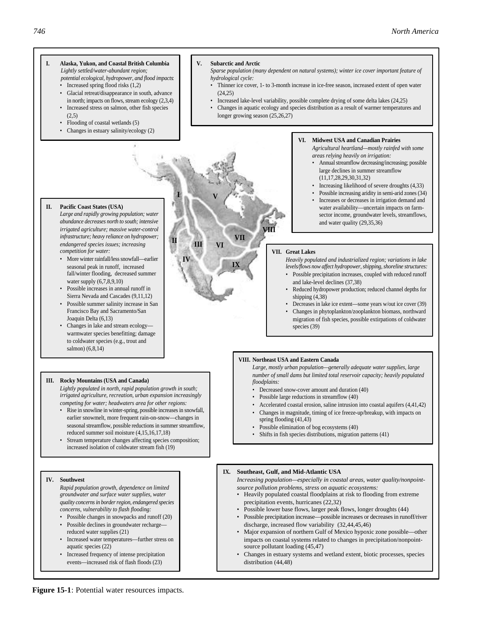

**Figure 15-1**: Potential water resources impacts.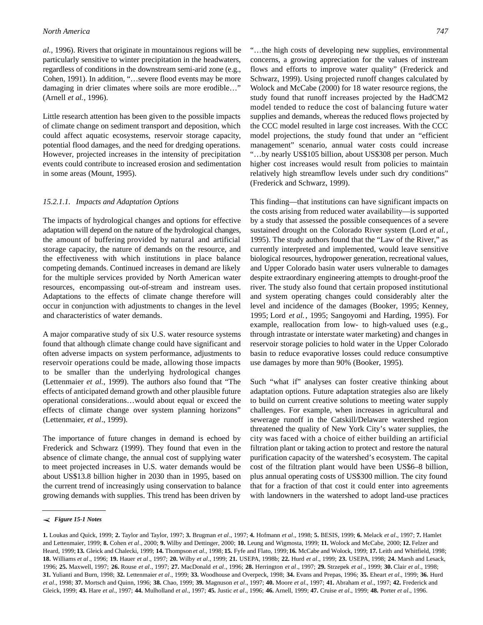#### *North America 747*

*al.*, 1996). Rivers that originate in mountainous regions will be particularly sensitive to winter precipitation in the headwaters, regardless of conditions in the downstream semi-arid zone (e.g., Cohen, 1991). In addition, "…severe flood events may be more damaging in drier climates where soils are more erodible…" (Arnell *et al.*, 1996).

Little research attention has been given to the possible impacts of climate change on sediment transport and deposition, which could affect aquatic ecosystems, reservoir storage capacity, potential flood damages, and the need for dredging operations. However, projected increases in the intensity of precipitation events could contribute to increased erosion and sedimentation in some areas (Mount, 1995).

#### *15.2.1.1. Impacts and Adaptation Options*

The impacts of hydrological changes and options for effective adaptation will depend on the nature of the hydrological changes, the amount of buffering provided by natural and artificial storage capacity, the nature of demands on the resource, and the effectiveness with which institutions in place balance competing demands. Continued increases in demand are likely for the multiple services provided by North American water resources, encompassing out-of-stream and instream uses. Adaptations to the effects of climate change therefore will occur in conjunction with adjustments to changes in the level and characteristics of water demands.

A major comparative study of six U.S. water resource systems found that although climate change could have significant and often adverse impacts on system performance, adjustments to reservoir operations could be made, allowing those impacts to be smaller than the underlying hydrological changes (Lettenmaier *et al.*, 1999). The authors also found that "The effects of anticipated demand growth and other plausible future operational considerations…would about equal or exceed the effects of climate change over system planning horizons" (Lettenmaier, *et al*., 1999).

The importance of future changes in demand is echoed by Frederick and Schwarz (1999). They found that even in the absence of climate change, the annual cost of supplying water to meet projected increases in U.S. water demands would be about US\$13.8 billion higher in 2030 than in 1995, based on the current trend of increasingly using conservation to balance growing demands with supplies. This trend has been driven by

"…the high costs of developing new supplies, environmental concerns, a growing appreciation for the values of instream flows and efforts to improve water quality" (Frederick and Schwarz, 1999). Using projected runoff changes calculated by Wolock and McCabe (2000) for 18 water resource regions, the study found that runoff increases projected by the HadCM2 model tended to reduce the cost of balancing future water supplies and demands, whereas the reduced flows projected by the CCC model resulted in large cost increases. With the CCC model projections, the study found that under an "efficient management" scenario, annual water costs could increase "…by nearly US\$105 billion, about US\$308 per person. Much higher cost increases would result from policies to maintain relatively high streamflow levels under such dry conditions" (Frederick and Schwarz, 1999).

This finding—that institutions can have significant impacts on the costs arising from reduced water availability—is supported by a study that assessed the possible consequences of a severe sustained drought on the Colorado River system (Lord *et al.*, 1995). The study authors found that the "Law of the River," as currently interpreted and implemented, would leave sensitive biological resources, hydropower generation, recreational values, and Upper Colorado basin water users vulnerable to damages despite extraordinary engineering attempts to drought-proof the river. The study also found that certain proposed institutional and system operating changes could considerably alter the level and incidence of the damages (Booker, 1995; Kenney, 1995; Lord *et al.*, 1995; Sangoyomi and Harding, 1995). For example, reallocation from low- to high-valued uses (e.g., through intrastate or interstate water marketing) and changes in reservoir storage policies to hold water in the Upper Colorado basin to reduce evaporative losses could reduce consumptive use damages by more than 90% (Booker, 1995).

Such "what if" analyses can foster creative thinking about adaptation options. Future adaptation strategies also are likely to build on current creative solutions to meeting water supply challenges. For example, when increases in agricultural and sewerage runoff in the Catskill/Delaware watershed region threatened the quality of New York City's water supplies, the city was faced with a choice of either building an artificial filtration plant or taking action to protect and restore the natural purification capacity of the watershed's ecosystem. The capital cost of the filtration plant would have been US\$6–8 billion, plus annual operating costs of US\$300 million. The city found that for a fraction of that cost it could enter into agreements with landowners in the watershed to adopt land-use practices

*Figure 15-1 Notes*

**<sup>1.</sup>** Loukas and Quick, 1999; **2.** Taylor and Taylor, 1997; **3.** Brugman *et al*., 1997; **4.** Hofmann *et al*., 1998; **5.** BESIS, 1999; **6.** Melack *et al*., 1997; **7.** Hamlet and Lettenmaier, 1999; **8.** Cohen *et al.*, 2000; **9.** Wilby and Dettinger, 2000; **10.** Leung and Wigmosta, 1999; **11.** Wolock and McCabe, 2000; **12.** Felzer and Heard, 1999; 13. Gleick and Chalecki, 1999; 14. Thompson et al., 1998; 15. Fyfe and Flato, 1999; 16. McCabe and Wolock, 1999; 17. Leith and Whitfield, 1998; 18. Williams et al., 1996; 19. Hauer et al., 1997; 20. Wilby et al., 1999; 21. USEPA, 1998b; 22. Hurd et al., 1999; 23. USEPA, 1998; 24. Marsh and Lesack, 1996; 25. Maxwell, 1997; 26. Rouse et al., 1997; 27. MacDonald et al., 1996; 28. Herrington et al., 1997; 29. Strzepek et al., 1999; 30. Clair et al., 1998; **31.** Yulianti and Burn, 1998; **32.** Lettenmaier *et al*., 1999; **33.** Woodhouse and Overpeck, 1998; **34.** Evans and Prepas, 1996; **35.** Eheart *et al*., 1999; **36.** Hurd *et al*., 1998; **37.** Mortsch and Quinn, 1996; **38.** Chao, 1999; **39.** Magnuson *et al*., 1997; **40.** Moore *et al*., 1997; **41.** Abraham *et al*., 1997; **42.** Frederick and Gleick, 1999; 43. Hare et al., 1997; 44. Mulholland et al., 1997; 45. Justic et al., 1996; 46. Arnell, 1999; 47. Cruise et al., 1999; 48. Porter et al., 1996.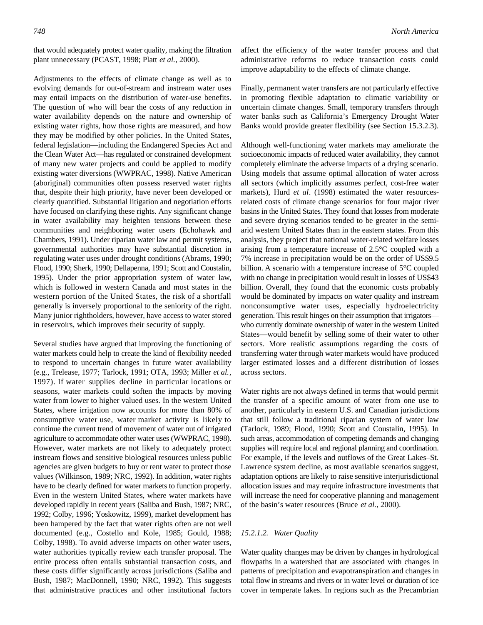that would adequately protect water quality, making the filtration plant unnecessary (PCAST, 1998; Platt *et al.*, 2000).

Adjustments to the effects of climate change as well as to evolving demands for out-of-stream and instream water uses may entail impacts on the distribution of water-use benefits. The question of who will bear the costs of any reduction in water availability depends on the nature and ownership of existing water rights, how those rights are measured, and how they may be modified by other policies. In the United States, federal legislation—including the Endangered Species Act and the Clean Water Act—has regulated or constrained development of many new water projects and could be applied to modify existing water diversions (WWPRAC, 1998). Native American (aboriginal) communities often possess reserved water rights that, despite their high priority, have never been developed or clearly quantified. Substantial litigation and negotiation efforts have focused on clarifying these rights. Any significant change in water availability may heighten tensions between these communities and neighboring water users (Echohawk and Chambers, 1991). Under riparian water law and permit systems, governmental authorities may have substantial discretion in regulating water uses under drought conditions (Abrams, 1990; Flood, 1990; Sherk, 1990; Dellapenna, 1991; Scott and Coustalin, 1995). Under the prior appropriation system of water law, which is followed in western Canada and most states in the western portion of the United States, the risk of a shortfall generally is inversely proportional to the seniority of the right. Many junior rightholders, however, have access to water stored in reservoirs, which improves their security of supply.

Several studies have argued that improving the functioning of water markets could help to create the kind of flexibility needed to respond to uncertain changes in future water availability (e.g., Trelease, 1977; Tarlock, 1991; OTA, 1993; Miller *et al.*, 1997). If water supplies decline in particular locations or seasons, water markets could soften the impacts by moving water from lower to higher valued uses. In the western United States, where irrigation now accounts for more than 80% of consumptive water use, water market activity is likely to continue the current trend of movement of water out of irrigated agriculture to accommodate other water uses (WWPRAC, 1998). However, water markets are not likely to adequately protect instream flows and sensitive biological resources unless public agencies are given budgets to buy or rent water to protect those values (Wilkinson, 1989; NRC, 1992). In addition, water rights have to be clearly defined for water markets to function properly. Even in the western United States, where water markets have developed rapidly in recent years (Saliba and Bush, 1987; NRC, 1992; Colby, 1996; Yoskowitz, 1999), market development has been hampered by the fact that water rights often are not well documented (e.g., Costello and Kole, 1985; Gould, 1988; Colby, 1998). To avoid adverse impacts on other water users, water authorities typically review each transfer proposal. The entire process often entails substantial transaction costs, and these costs differ significantly across jurisdictions (Saliba and Bush, 1987; MacDonnell, 1990; NRC, 1992). This suggests that administrative practices and other institutional factors affect the efficiency of the water transfer process and that administrative reforms to reduce transaction costs could improve adaptability to the effects of climate change.

Finally, permanent water transfers are not particularly effective in promoting flexible adaptation to climatic variability or uncertain climate changes. Small, temporary transfers through water banks such as California's Emergency Drought Water Banks would provide greater flexibility (see Section 15.3.2.3).

Although well-functioning water markets may ameliorate the socioeconomic impacts of reduced water availability, they cannot completely eliminate the adverse impacts of a drying scenario. Using models that assume optimal allocation of water across all sectors (which implicitly assumes perfect, cost-free water markets), Hurd *et al*. (1998) estimated the water resourcesrelated costs of climate change scenarios for four major river basins in the United States. They found that losses from moderate and severe drying scenarios tended to be greater in the semiarid western United States than in the eastern states. From this analysis, they project that national water-related welfare losses arising from a temperature increase of 2.5°C coupled with a 7% increase in precipitation would be on the order of US\$9.5 billion. A scenario with a temperature increase of 5°C coupled with no change in precipitation would result in losses of US\$43 billion. Overall, they found that the economic costs probably would be dominated by impacts on water quality and instream nonconsumptive water uses, especially hydroelectricity generation. This result hinges on their assumption that irrigators who currently dominate ownership of water in the western United States—would benefit by selling some of their water to other sectors. More realistic assumptions regarding the costs of transferring water through water markets would have produced larger estimated losses and a different distribution of losses across sectors.

Water rights are not always defined in terms that would permit the transfer of a specific amount of water from one use to another, particularly in eastern U.S. and Canadian jurisdictions that still follow a traditional riparian system of water law (Tarlock, 1989; Flood, 1990; Scott and Coustalin, 1995). In such areas, accommodation of competing demands and changing supplies will require local and regional planning and coordination. For example, if the levels and outflows of the Great Lakes–St. Lawrence system decline, as most available scenarios suggest, adaptation options are likely to raise sensitive interjurisdictional allocation issues and may require infrastructure investments that will increase the need for cooperative planning and management of the basin's water resources (Bruce *et al.*, 2000).

#### *15.2.1.2. Water Quality*

Water quality changes may be driven by changes in hydrological flowpaths in a watershed that are associated with changes in patterns of precipitation and evapotranspiration and changes in total flow in streams and rivers or in water level or duration of ice cover in temperate lakes. In regions such as the Precambrian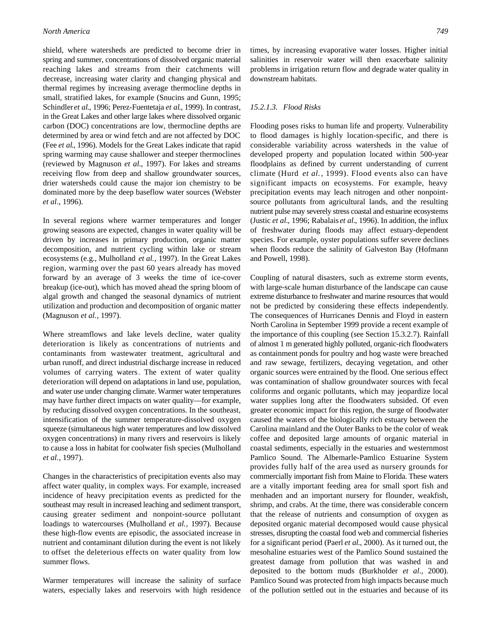shield, where watersheds are predicted to become drier in spring and summer, concentrations of dissolved organic material reaching lakes and streams from their catchments will decrease, increasing water clarity and changing physical and thermal regimes by increasing average thermocline depths in small, stratified lakes, for example (Snucins and Gunn, 1995; Schindler *et al*., 1996; Perez-Fuentetaja *et al*., 1999). In contrast, in the Great Lakes and other large lakes where dissolved organic carbon (DOC) concentrations are low, thermocline depths are determined by area or wind fetch and are not affected by DOC (Fee *et al*., 1996). Models for the Great Lakes indicate that rapid spring warming may cause shallower and steeper thermoclines (reviewed by Magnuson *et al*., 1997). For lakes and streams receiving flow from deep and shallow groundwater sources, drier watersheds could cause the major ion chemistry to be dominated more by the deep baseflow water sources (Webster *et al*., 1996).

In several regions where warmer temperatures and longer growing seasons are expected, changes in water quality will be driven by increases in primary production, organic matter decomposition, and nutrient cycling within lake or stream ecosystems (e.g., Mulholland *et al.*, 1997). In the Great Lakes region, warming over the past 60 years already has moved forward by an average of 3 weeks the time of ice-cover breakup (ice-out), which has moved ahead the spring bloom of algal growth and changed the seasonal dynamics of nutrient utilization and production and decomposition of organic matter (Magnuson *et al.*, 1997).

Where streamflows and lake levels decline, water quality deterioration is likely as concentrations of nutrients and contaminants from wastewater treatment, agricultural and urban runoff, and direct industrial discharge increase in reduced volumes of carrying waters. The extent of water quality deterioration will depend on adaptations in land use, population, and water use under changing climate. Warmer water temperatures may have further direct impacts on water quality—for example, by reducing dissolved oxygen concentrations. In the southeast, intensification of the summer temperature-dissolved oxygen squeeze (simultaneous high water temperatures and low dissolved oxygen concentrations) in many rivers and reservoirs is likely to cause a loss in habitat for coolwater fish species (Mulholland *et al.*, 1997).

Changes in the characteristics of precipitation events also may affect water quality, in complex ways. For example, increased incidence of heavy precipitation events as predicted for the southeast may result in increased leaching and sediment transport, causing greater sediment and nonpoint-source pollutant loadings to watercourses (Mulholland *et al.*, 1997). Because these high-flow events are episodic, the associated increase in nutrient and contaminant dilution during the event is not likely to offset the deleterious effects on water quality from low summer flows.

Warmer temperatures will increase the salinity of surface waters, especially lakes and reservoirs with high residence times, by increasing evaporative water losses. Higher initial salinities in reservoir water will then exacerbate salinity problems in irrigation return flow and degrade water quality in downstream habitats.

#### *15.2.1.3. Flood Risks*

Flooding poses risks to human life and property. Vulnerability to flood damages is highly location-specific, and there is considerable variability across watersheds in the value of developed property and population located within 500-year floodplains as defined by current understanding of current climate (Hurd *et al.*, 1999). Flood events also can have significant impacts on ecosystems. For example, heavy precipitation events may leach nitrogen and other nonpointsource pollutants from agricultural lands, and the resulting nutrient pulse may severely stress coastal and estuarine ecosystems (Justic et al., 1996; Rabalais et al., 1996). In addition, the influx of freshwater during floods may affect estuary-dependent species. For example, oyster populations suffer severe declines when floods reduce the salinity of Galveston Bay (Hofmann and Powell, 1998).

Coupling of natural disasters, such as extreme storm events, with large-scale human disturbance of the landscape can cause extreme disturbance to freshwater and marine resources that would not be predicted by considering these effects independently. The consequences of Hurricanes Dennis and Floyd in eastern North Carolina in September 1999 provide a recent example of the importance of this coupling (see Section 15.3.2.7). Rainfall of almost 1 m generated highly polluted, organic-rich floodwaters as containment ponds for poultry and hog waste were breached and raw sewage, fertilizers, decaying vegetation, and other organic sources were entrained by the flood. One serious effect was contamination of shallow groundwater sources with fecal coliforms and organic pollutants, which may jeopardize local water supplies long after the floodwaters subsided. Of even greater economic impact for this region, the surge of floodwater caused the waters of the biologically rich estuary between the Carolina mainland and the Outer Banks to be the color of weak coffee and deposited large amounts of organic material in coastal sediments, especially in the estuaries and westernmost Pamlico Sound. The Albemarle-Pamlico Estuarine System provides fully half of the area used as nursery grounds for commercially important fish from Maine to Florida. These waters are a vitally important feeding area for small sport fish and menhaden and an important nursery for flounder, weakfish, shrimp, and crabs. At the time, there was considerable concern that the release of nutrients and consumption of oxygen as deposited organic material decomposed would cause physical stresses, disrupting the coastal food web and commercial fisheries for a significant period (Paerl *et al*., 2000). As it turned out, the mesohaline estuaries west of the Pamlico Sound sustained the greatest damage from pollution that was washed in and deposited to the bottom muds (Burkholder *et al*., 2000). Pamlico Sound was protected from high impacts because much of the pollution settled out in the estuaries and because of its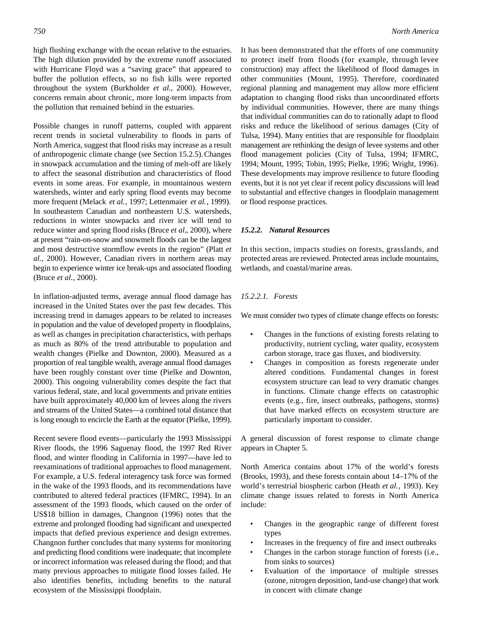high flushing exchange with the ocean relative to the estuaries. The high dilution provided by the extreme runoff associated with Hurricane Floyd was a "saving grace" that appeared to buffer the pollution effects, so no fish kills were reported throughout the system (Burkholder *et al*., 2000). However, concerns remain about chronic, more long-term impacts from the pollution that remained behind in the estuaries.

Possible changes in runoff patterns, coupled with apparent recent trends in societal vulnerability to floods in parts of North America, suggest that flood risks may increase as a result of anthropogenic climate change (see Section 15.2.5).Changes in snowpack accumulation and the timing of melt-off are likely to affect the seasonal distribution and characteristics of flood events in some areas. For example, in mountainous western watersheds, winter and early spring flood events may become more frequent (Melack *et al.*, 1997; Lettenmaier *et al.*, 1999). In southeastern Canadian and northeastern U.S. watersheds, reductions in winter snowpacks and river ice will tend to reduce winter and spring flood risks (Bruce *et al.*, 2000), where at present "rain-on-snow and snowmelt floods can be the largest and most destructive stormflow events in the region" (Platt *et al.*, 2000). However, Canadian rivers in northern areas may begin to experience winter ice break-ups and associated flooding (Bruce *et al.*, 2000).

In inflation-adjusted terms, average annual flood damage has increased in the United States over the past few decades. This increasing trend in damages appears to be related to increases in population and the value of developed property in floodplains, as well as changes in precipitation characteristics, with perhaps as much as 80% of the trend attributable to population and wealth changes (Pielke and Downton, 2000). Measured as a proportion of real tangible wealth, average annual flood damages have been roughly constant over time (Pielke and Downton, 2000). This ongoing vulnerability comes despite the fact that various federal, state, and local governments and private entities have built approximately 40,000 km of levees along the rivers and streams of the United States—a combined total distance that is long enough to encircle the Earth at the equator (Pielke, 1999).

Recent severe flood events—particularly the 1993 Mississippi River floods, the 1996 Saguenay flood, the 1997 Red River flood, and winter flooding in California in 1997—have led to reexaminations of traditional approaches to flood management. For example, a U.S. federal interagency task force was formed in the wake of the 1993 floods, and its recommendations have contributed to altered federal practices (IFMRC, 1994). In an assessment of the 1993 floods, which caused on the order of US\$18 billion in damages, Changnon (1996) notes that the extreme and prolonged flooding had significant and unexpected impacts that defied previous experience and design extremes. Changnon further concludes that many systems for monitoring and predicting flood conditions were inadequate; that incomplete or incorrect information was released during the flood; and that many previous approaches to mitigate flood losses failed. He also identifies benefits, including benefits to the natural ecosystem of the Mississippi floodplain.

It has been demonstrated that the efforts of one community to protect itself from floods (for example, through levee construction) may affect the likelihood of flood damages in other communities (Mount, 1995). Therefore, coordinated regional planning and management may allow more efficient adaptation to changing flood risks than uncoordinated efforts by individual communities. However, there are many things that individual communities can do to rationally adapt to flood risks and reduce the likelihood of serious damages (City of Tulsa, 1994). Many entities that are responsible for floodplain management are rethinking the design of levee systems and other flood management policies (City of Tulsa, 1994; IFMRC, 1994; Mount, 1995; Tobin, 1995; Pielke, 1996; Wright, 1996). These developments may improve resilience to future flooding events, but it is not yet clear if recent policy discussions will lead to substantial and effective changes in floodplain management or flood response practices.

#### *15.2.2. Natural Resources*

In this section, impacts studies on forests, grasslands, and protected areas are reviewed. Protected areas include mountains, wetlands, and coastal/marine areas.

#### *15.2.2.1. Forests*

We must consider two types of climate change effects on forests:

- Changes in the functions of existing forests relating to productivity, nutrient cycling, water quality, ecosystem carbon storage, trace gas fluxes, and biodiversity.
- Changes in composition as forests regenerate under altered conditions. Fundamental changes in forest ecosystem structure can lead to very dramatic changes in functions. Climate change effects on catastrophic events (e.g., fire, insect outbreaks, pathogens, storms) that have marked effects on ecosystem structure are particularly important to consider.

A general discussion of forest response to climate change appears in Chapter 5.

North America contains about 17% of the world's forests (Brooks, 1993), and these forests contain about 14–17% of the world's terrestrial biospheric carbon (Heath *et al.*, 1993). Key climate change issues related to forests in North America include:

- Changes in the geographic range of different forest types
- Increases in the frequency of fire and insect outbreaks
- Changes in the carbon storage function of forests (i.e., from sinks to sources)
- Evaluation of the importance of multiple stresses (ozone, nitrogen deposition, land-use change) that work in concert with climate change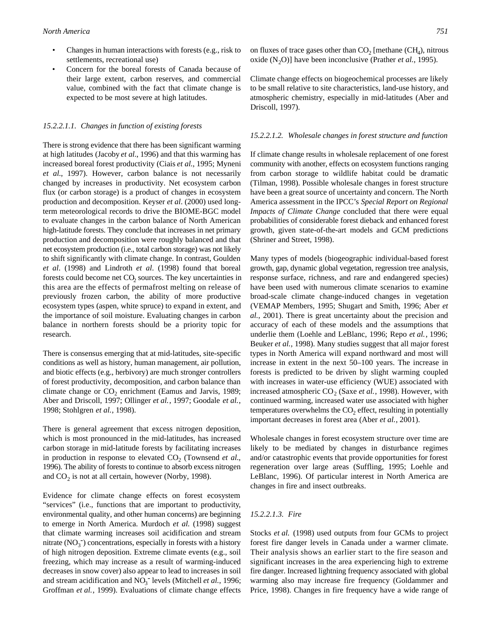- Changes in human interactions with forests (e.g., risk to settlements, recreational use)
- Concern for the boreal forests of Canada because of their large extent, carbon reserves, and commercial value, combined with the fact that climate change is expected to be most severe at high latitudes.

#### *15.2.2.1.1. Changes in function of existing forests*

There is strong evidence that there has been significant warming at high latitudes (Jacoby *et al.*, 1996) and that this warming has increased boreal forest productivity (Ciais *et al.*, 1995; Myneni *et al.*, 1997). However, carbon balance is not necessarily changed by increases in productivity. Net ecosystem carbon flux (or carbon storage) is a product of changes in ecosystem production and decomposition. Keyser *et al*. (2000) used longterm meteorological records to drive the BIOME-BGC model to evaluate changes in the carbon balance of North American high-latitude forests. They conclude that increases in net primary production and decomposition were roughly balanced and that net ecosystem production (i.e., total carbon storage) was not likely to shift significantly with climate change. In contrast, Goulden *et al*. (1998) and Lindroth *et al*. (1998) found that boreal forests could become net  $CO<sub>2</sub>$  sources. The key uncertainties in this area are the effects of permafrost melting on release of previously frozen carbon, the ability of more productive ecosystem types (aspen, white spruce) to expand in extent, and the importance of soil moisture. Evaluating changes in carbon balance in northern forests should be a priority topic for research.

There is consensus emerging that at mid-latitudes, site-specific conditions as well as history, human management, air pollution, and biotic effects (e.g., herbivory) are much stronger controllers of forest productivity, decomposition, and carbon balance than climate change or  $CO_2$  enrichment (Eamus and Jarvis, 1989; Aber and Driscoll, 1997; Ollinger *et al.*, 1997; Goodale *et al.*, 1998; Stohlgren *et al.*, 1998).

There is general agreement that excess nitrogen deposition, which is most pronounced in the mid-latitudes, has increased carbon storage in mid-latitude forests by facilitating increases in production in response to elevated  $CO<sub>2</sub>$  (Townsend *et al.*, 1996). The ability of forests to continue to absorb excess nitrogen and  $CO_2$  is not at all certain, however (Norby, 1998).

Evidence for climate change effects on forest ecosystem " services" (i.e., functions that are important to productivity, environmental quality, and other human concerns) are beginning to emerge in North America. Murdoch *et al.* (1998) suggest that climate warming increases soil acidification and stream nitrate  $(NO<sub>3</sub><sup>-</sup>)$  concentrations, especially in forests with a history of high nitrogen deposition. Extreme climate events (e.g., soil freezing, which may increase as a result of warming-induced decreases in snow cover) also appear to lead to increases in soil and stream acidification and  $\overrightarrow{NO_3}$ -levels (Mitchell *et al.*, 1996; Groffman *et al.*, 1999). Evaluations of climate change effects

on fluxes of trace gases other than  $CO<sub>2</sub>$  [methane (CH<sub>4</sub>), nitrous oxide  $(N_2O)$ ] have been inconclusive (Prather *et al.*, 1995).

Climate change effects on biogeochemical processes are likely to be small relative to site characteristics, land-use history, and atmospheric chemistry, especially in mid-latitudes (Aber and Driscoll, 1997).

#### 15.2.2.1.2. Wholesale changes in forest structure and function

If climate change results in wholesale replacement of one forest community with another, effects on ecosystem functions ranging from carbon storage to wildlife habitat could be dramatic (Tilman, 1998). Possible wholesale changes in forest structure have been a great source of uncertainty and concern. The North America assessment in the IPCC's *Special Report on Regional Impacts of Climate Change* concluded that there were equal probabilities of considerable forest dieback and enhanced forest growth, given state-of-the-art models and GCM predictions (Shriner and Street, 1998).

Many types of models (biogeographic individual-based forest growth, gap, dynamic global vegetation, regression tree analysis, response surface, richness, and rare and endangered species) have been used with numerous climate scenarios to examine broad-scale climate change-induced changes in vegetation (VEMAP Members, 1995; Shugart and Smith, 1996; Aber *et al.*, 2001). There is great uncertainty about the precision and accuracy of each of these models and the assumptions that underlie them (Loehle and LeBlanc, 1996; Repo *et al.*, 1996; Beuker *et al.*, 1998). Many studies suggest that all major forest types in North America will expand northward and most will increase in extent in the next 50–100 years. The increase in forests is predicted to be driven by slight warming coupled with increases in water-use efficiency (WUE) associated with increased atmospheric  $CO_2$  (Saxe *et al.*, 1998). However, with continued warming, increased water use associated with higher temperatures overwhelms the  $CO<sub>2</sub>$  effect, resulting in potentially important decreases in forest area (Aber *et al.*, 2001).

Wholesale changes in forest ecosystem structure over time are likely to be mediated by changes in disturbance regimes and/or catastrophic events that provide opportunities for forest regeneration over large areas (Suffling, 1995; Loehle and LeBlanc, 1996). Of particular interest in North America are changes in fire and insect outbreaks.

#### *15.2.2.1.3. Fire*

Stocks *et al.* (1998) used outputs from four GCMs to project forest fire danger levels in Canada under a warmer climate. Their analysis shows an earlier start to the fire season and significant increases in the area experiencing high to extreme fire danger. Increased lightning frequency associated with global warming also may increase fire frequency (Goldammer and Price, 1998). Changes in fire frequency have a wide range of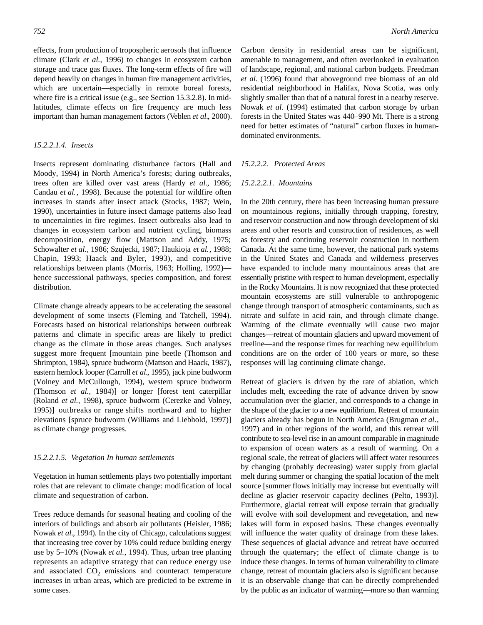effects, from production of tropospheric aerosols that influence climate (Clark *et al.*, 1996) to changes in ecosystem carbon storage and trace gas fluxes. The long-term effects of fire will depend heavily on changes in human fire management activities, which are uncertain—especially in remote boreal forests, where fire is a critical issue (e.g., see Section 15.3.2.8). In midlatitudes, climate effects on fire frequency are much less important than human management factors (Veblen et al., 2000).

#### *15.2.2.1.4. Insects*

Insects represent dominating disturbance factors (Hall and Moody, 1994) in North America's forests; during outbreaks, trees often are killed over vast areas (Hardy *et al.*, 1986; Candau *et al.*, 1998). Because the potential for wildfire often increases in stands after insect attack (Stocks, 1987; Wein, 1990), uncertainties in future insect damage patterns also lead to uncertainties in fire regimes. Insect outbreaks also lead to changes in ecosystem carbon and nutrient cycling, biomass decomposition, energy flow (Mattson and Addy, 1975; Schowalter *et al.*, 1986; Szujecki, 1987; Haukioja *et al.*, 1988; Chapin, 1993; Haack and Byler, 1993), and competitive relationships between plants (Morris, 1963; Holling, 1992) hence successional pathways, species composition, and forest distribution.

Climate change already appears to be accelerating the seasonal development of some insects (Fleming and Tatchell, 1994). Forecasts based on historical relationships between outbreak patterns and climate in specific areas are likely to predict change as the climate in those areas changes. Such analyses suggest more frequent [mountain pine beetle (Thomson and Shrimpton, 1984), spruce budworm (Mattson and Haack, 1987), eastern hemlock looper (Carroll *et al.*, 1995), jack pine budworm (Volney and McCullough, 1994), western spruce budworm (Thomson *et al.*, 1984)] or longer [forest tent caterpillar (Roland *et al.*, 1998), spruce budworm (Cerezke and Volney, 1995)] outbreaks or range shifts northward and to higher elevations [spruce budworm (Williams and Liebhold, 1997)] as climate change progresses.

#### *15.2.2.1.5. Vegetation In human settlements*

Vegetation in human settlements plays two potentially important roles that are relevant to climate change: modification of local climate and sequestration of carbon.

Trees reduce demands for seasonal heating and cooling of the interiors of buildings and absorb air pollutants (Heisler, 1986; Nowak et al., 1994). In the city of Chicago, calculations suggest that increasing tree cover by 10% could reduce building energy use by 5–10% (Nowak *et al.*, 1994). Thus, urban tree planting represents an adaptive strategy that can reduce energy use and associated  $CO<sub>2</sub>$  emissions and counteract temperature increases in urban areas, which are predicted to be extreme in some cases.

Carbon density in residential areas can be significant, amenable to management, and often overlooked in evaluation of landscape, regional, and national carbon budgets. Freedman *et al.* (1996) found that aboveground tree biomass of an old residential neighborhood in Halifax, Nova Scotia, was only slightly smaller than that of a natural forest in a nearby reserve. Nowak *et al.* (1994) estimated that carbon storage by urban forests in the United States was 440–990 Mt. There is a strong need for better estimates of "natural" carbon fluxes in humandominated environments.

#### *15.2.2.2. Protected Areas*

#### *15.2.2.2.1. Mountains*

In the 20th century, there has been increasing human pressure on mountainous regions, initially through trapping, forestry, and reservoir construction and now through development of ski areas and other resorts and construction of residences, as well as forestry and continuing reservoir construction in northern Canada. At the same time, however, the national park systems in the United States and Canada and wilderness preserves have expanded to include many mountainous areas that are essentially pristine with respect to human development, especially in the Rocky Mountains. It is now recognized that these protected mountain ecosystems are still vulnerable to anthropogenic change through transport of atmospheric contaminants, such as nitrate and sulfate in acid rain, and through climate change. Warming of the climate eventually will cause two major changes—retreat of mountain glaciers and upward movement of treeline—and the response times for reaching new equilibrium conditions are on the order of 100 years or more, so these responses will lag continuing climate change.

Retreat of glaciers is driven by the rate of ablation, which includes melt, exceeding the rate of advance driven by snow accumulation over the glacier, and corresponds to a change in the shape of the glacier to a new equilibrium. Retreat of mountain glaciers already has begun in North America (Brugman *et al.*, 1997) and in other regions of the world, and this retreat will contribute to sea-level rise in an amount comparable in magnitude to expansion of ocean waters as a result of warming. On a regional scale, the retreat of glaciers will affect water resources by changing (probably decreasing) water supply from glacial melt during summer or changing the spatial location of the melt source [summer flows initially may increase but eventually will decline as glacier reservoir capacity declines (Pelto, 1993)]. Furthermore, glacial retreat will expose terrain that gradually will evolve with soil development and revegetation, and new lakes will form in exposed basins. These changes eventually will influence the water quality of drainage from these lakes. These sequences of glacial advance and retreat have occurred through the quaternary; the effect of climate change is to induce these changes. In terms of human vulnerability to climate change, retreat of mountain glaciers also is significant because it is an observable change that can be directly comprehended by the public as an indicator of warming—more so than warming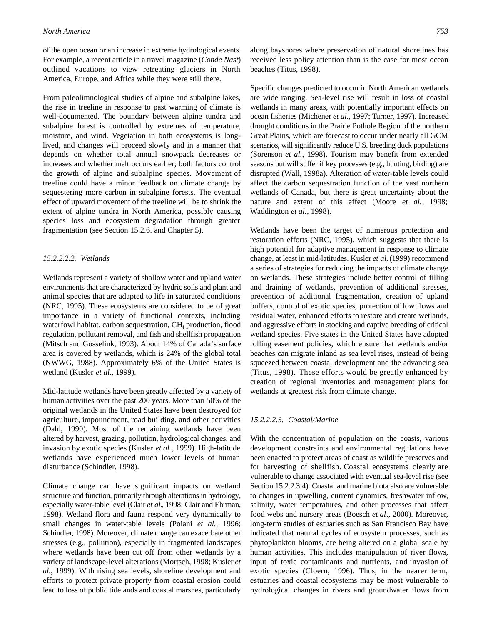of the open ocean or an increase in extreme hydrological events. For example, a recent article in a travel magazine (*Conde Nast*) outlined vacations to view retreating glaciers in North America, Europe, and Africa while they were still there.

From paleolimnological studies of alpine and subalpine lakes, the rise in treeline in response to past warming of climate is well-documented. The boundary between alpine tundra and subalpine forest is controlled by extremes of temperature, moisture, and wind. Vegetation in both ecosystems is longlived, and changes will proceed slowly and in a manner that depends on whether total annual snowpack decreases or increases and whether melt occurs earlier; both factors control the growth of alpine and subalpine species. Movement of treeline could have a minor feedback on climate change by sequestering more carbon in subalpine forests. The eventual effect of upward movement of the treeline will be to shrink the extent of alpine tundra in North America, possibly causing species loss and ecosystem degradation through greater fragmentation (see Section 15.2.6. and Chapter 5).

#### *15.2.2.2.2. Wetlands*

Wetlands represent a variety of shallow water and upland water environments that are characterized by hydric soils and plant and animal species that are adapted to life in saturated conditions (NRC, 1995). These ecosystems are considered to be of great importance in a variety of functional contexts, including waterfowl habitat, carbon sequestration, CH<sub>4</sub> production, flood regulation, pollutant removal, and fish and shellfish propagation (Mitsch and Gosselink, 1993). About 14% of Canada's surface area is covered by wetlands, which is 24% of the global total (NWWG, 1988). Approximately 6% of the United States is wetland (Kusler *et al.*, 1999).

Mid-latitude wetlands have been greatly affected by a variety of human activities over the past 200 years. More than 50% of the original wetlands in the United States have been destroyed for agriculture, impoundment, road building, and other activities (Dahl, 1990). Most of the remaining wetlands have been altered by harvest, grazing, pollution, hydrological changes, and invasion by exotic species (Kusler *et al.*, 1999). High-latitude wetlands have experienced much lower levels of human disturbance (Schindler, 1998).

Climate change can have significant impacts on wetland structure and function, primarily through alterations in hydrology, especially water-table level (Clair *et al.*, 1998; Clair and Ehrman, 1998). Wetland flora and fauna respond very dynamically to small changes in water-table levels (Poiani *et al.*, 1996; Schindler, 1998). Moreover, climate change can exacerbate other stresses (e.g., pollution), especially in fragmented landscapes where wetlands have been cut off from other wetlands by a variety of landscape-level alterations (Mortsch, 1998; Kusler *et al.*, 1999). With rising sea levels, shoreline development and efforts to protect private property from coastal erosion could lead to loss of public tidelands and coastal marshes, particularly

along bayshores where preservation of natural shorelines has received less policy attention than is the case for most ocean beaches (Titus, 1998).

Specific changes predicted to occur in North American wetlands are wide ranging. Sea-level rise will result in loss of coastal wetlands in many areas, with potentially important effects on ocean fisheries (Michener et al., 1997; Turner, 1997). Increased drought conditions in the Prairie Pothole Region of the northern Great Plains, which are forecast to occur under nearly all GCM scenarios, will significantly reduce U.S. breeding duck populations (Sorenson *et al.*, 1998). Tourism may benefit from extended seasons but will suffer if key processes (e.g., hunting, birding) are disrupted (Wall, 1998a). Alteration of water-table levels could affect the carbon sequestration function of the vast northern wetlands of Canada, but there is great uncertainty about the nature and extent of this effect (Moore *et al.*, 1998; Waddington *et al.*, 1998).

Wetlands have been the target of numerous protection and restoration efforts (NRC, 1995), which suggests that there is high potential for adaptive management in response to climate change, at least in mid-latitudes. Kusler *et al.*(1999) recommend a series of strategies for reducing the impacts of climate change on wetlands. These strategies include better control of filling and draining of wetlands, prevention of additional stresses, prevention of additional fragmentation, creation of upland buffers, control of exotic species, protection of low flows and residual water, enhanced efforts to restore and create wetlands, and aggressive efforts in stocking and captive breeding of critical wetland species. Five states in the United States have adopted rolling easement policies, which ensure that wetlands and/or beaches can migrate inland as sea level rises, instead of being squeezed between coastal development and the advancing sea ( Titus, 1998). These efforts would be greatly enhanced by creation of regional inventories and management plans for wetlands at greatest risk from climate change.

#### *15.2.2.2.3. Coastal/Marine*

With the concentration of population on the coasts, various development constraints and environmental regulations have been enacted to protect areas of coast as wildlife preserves and for harvesting of shellfish. Coastal ecosystems clearly are vulnerable to change associated with eventual sea-level rise (see Section 15.2.2.3.4). Coastal and marine biota also are vulnerable to changes in upwelling, current dynamics, freshwater inflow, salinity, water temperatures, and other processes that affect food webs and nursery areas (Boesch *et al*., 2000). Moreover, long-term studies of estuaries such as San Francisco Bay have indicated that natural cycles of ecosystem processes, such as phytoplankton blooms, are being altered on a global scale by human activities. This includes manipulation of river flows, input of toxic contaminants and nutrients, and invasion of exotic species (Cloern, 1996). Thus, in the nearer term, estuaries and coastal ecosystems may be most vulnerable to hydrological changes in rivers and groundwater flows from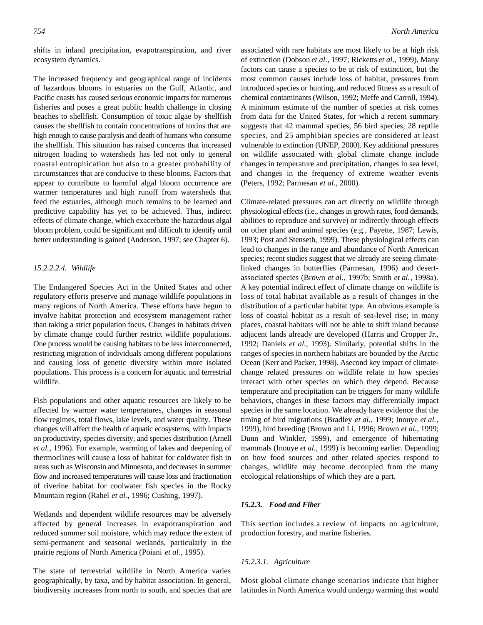shifts in inland precipitation, evapotranspiration, and river ecosystem dynamics.

The increased frequency and geographical range of incidents of hazardous blooms in estuaries on the Gulf, Atlantic, and Pacific coasts has caused serious economic impacts for numerous fisheries and poses a great public health challenge in closing beaches to shellfish. Consumption of toxic algae by shellfish causes the shellfish to contain concentrations of toxins that are high enough to cause paralysis and death of humans who consume the shellfish. This situation has raised concerns that increased nitrogen loading to watersheds has led not only to general coastal eutrophication but also to a greater probability of circumstances that are conducive to these blooms. Factors that appear to contribute to harmful algal bloom occurrence are warmer temperatures and high runoff from watersheds that feed the estuaries, although much remains to be learned and predictive capability has yet to be achieved. Thus, indirect e ffects of climate change, which exacerbate the hazardous algal bloom problem, could be significant and difficult to identify until better understanding is gained (Anderson, 1997; see Chapter 6).

#### *15.2.2.2.4. Wildlife*

The Endangered Species Act in the United States and other regulatory efforts preserve and manage wildlife populations in many regions of North America. These efforts have begun to involve habitat protection and ecosystem management rather than taking a strict population focus. Changes in habitats driven by climate change could further restrict wildlife populations. One process would be causing habitats to be less interconnected, restricting migration of individuals among different populations and causing loss of genetic diversity within more isolated populations. This process is a concern for aquatic and terrestrial wildlife.

Fish populations and other aquatic resources are likely to be affected by warmer water temperatures, changes in seasonal flow regimes, total flows, lake levels, and water quality. These changes will affect the health of aquatic ecosystems, with impacts on productivity, species diversity, and species distribution (Arnell *et al.*, 1996). For example, warming of lakes and deepening of thermoclines will cause a loss of habitat for coldwater fish in areas such as Wisconsin and Minnesota, and decreases in summer flow and increased temperatures will cause loss and fractionation of riverine habitat for coolwater fish species in the Rocky Mountain region (Rahel *et al.*, 1996; Cushing, 1997).

Wetlands and dependent wildlife resources may be adversely affected by general increases in evapotranspiration and reduced summer soil moisture, which may reduce the extent of semi-permanent and seasonal wetlands, particularly in the prairie regions of North America (Poiani *et al.*, 1995).

The state of terrestrial wildlife in North America varies geographically, by taxa, and by habitat association. In general, biodiversity increases from north to south, and species that are associated with rare habitats are most likely to be at high risk of extinction (Dobson *et al.*, 1997; Ricketts *et al.*, 1999). Many factors can cause a species to be at risk of extinction, but the most common causes include loss of habitat, pressures from introduced species or hunting, and reduced fitness as a result of chemical contaminants (Wilson, 1992; Meffe and Carroll, 1994). A minimum estimate of the number of species at risk comes from data for the United States, for which a recent summary suggests that 42 mammal species, 56 bird species, 28 reptile species, and 25 amphibian species are considered at least vulnerable to extinction (UNEP, 2000). Key additional pressures on wildlife associated with global climate change include changes in temperature and precipitation, changes in sea level, and changes in the frequency of extreme weather events (Peters, 1992; Parmesan *et al.*, 2000).

Climate-related pressures can act directly on wildlife through physiological effects (i.e., changes in growth rates, food demands, abilities to reproduce and survive) or indirectly through effects on other plant and animal species (e.g., Payette, 1987; Lewis, 1993; Post and Stenseth, 1999). These physiological effects can lead to changes in the range and abundance of North American species; recent studies suggest that we already are seeing climatelinked changes in butterflies (Parmesan, 1996) and desertassociated species (Brown *et al.*, 1997b; Smith *et al.*, 1998a). A key potential indirect effect of climate change on wildlife is loss of total habitat available as a result of changes in the distribution of a particular habitat type. An obvious example is loss of coastal habitat as a result of sea-level rise; in many places, coastal habitats will not be able to shift inland because adjacent lands already are developed (Harris and Cropper Jr., 1992; Daniels *et al.*, 1993). Similarly, potential shifts in the ranges of species in northern habitats are bounded by the Arctic Ocean (Kerr and Packer, 1998). Asecond key impact of climatechange related pressures on wildlife relate to how species interact with other species on which they depend. Because temperature and precipitation can be triggers for many wildlife behaviors, changes in these factors may differentially impact species in the same location. We already have evidence that the timing of bird migrations (Bradley *et al.*, 1999; Inouye *et al.*, 1999), bird breeding (Brown and Li, 1996; Brown *et al.*, 1999; Dunn and Winkler, 1999), and emergence of hibernating mammals (Inouye *et al.*, 1999) is becoming earlier. Depending on how food sources and other related species respond to changes, wildlife may become decoupled from the many ecological relationships of which they are a part.

#### *15.2.3. Food and Fiber*

This section includes a review of impacts on agriculture, production forestry, and marine fisheries.

#### *15.2.3.1. Agriculture*

Most global climate change scenarios indicate that higher latitudes in North America would undergo warming that would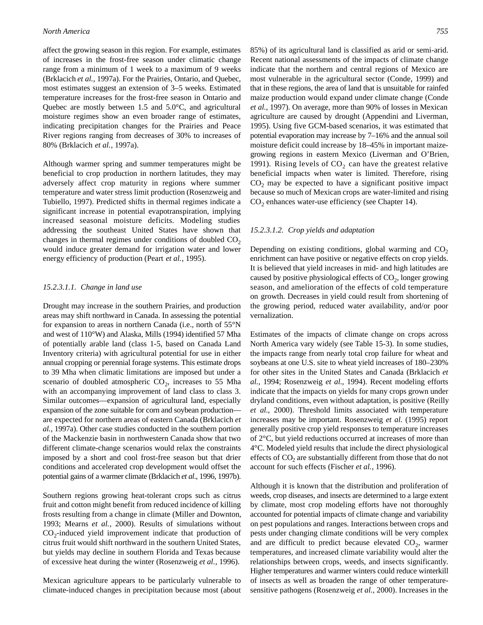a ffect the growing season in this region. For example, estimates of increases in the frost-free season under climatic change range from a minimum of 1 week to a maximum of 9 weeks (Brklacich et al., 1997a). For the Prairies, Ontario, and Quebec, most estimates suggest an extension of 3–5 weeks. Estimated temperature increases for the frost-free season in Ontario and Quebec are mostly between 1.5 and 5.0°C, and agricultural moisture regimes show an even broader range of estimates, indicating precipitation changes for the Prairies and Peace River regions ranging from decreases of 30% to increases of 80% (Brklacich *et al.*, 1997a).

Although warmer spring and summer temperatures might be beneficial to crop production in northern latitudes, they may adversely affect crop maturity in regions where summer temperature and water stress limit production (Rosenzweig and Tubiello, 1997). Predicted shifts in thermal regimes indicate a significant increase in potential evapotranspiration, implying increased seasonal moisture deficits. Modeling studies addressing the southeast United States have shown that changes in thermal regimes under conditions of doubled  $CO<sub>2</sub>$ would induce greater demand for irrigation water and lower energy efficiency of production (Peart *et al.*, 1995).

#### *15.2.3.1.1. Change in land use*

Drought may increase in the southern Prairies, and production areas may shift northward in Canada. In assessing the potential for expansion to areas in northern Canada (i.e., north of 55°N and west of 110°W) and Alaska, Mills (1994) identified 57 Mha of potentially arable land (class 1-5, based on Canada Land Inventory criteria) with agricultural potential for use in either annual cropping or perennial forage systems. This estimate drops to 39 Mha when climatic limitations are imposed but under a scenario of doubled atmospheric  $CO<sub>2</sub>$ , increases to 55 Mha with an accompanying improvement of land class to class 3. Similar outcomes—expansion of agricultural land, especially expansion of the zone suitable for corn and soybean production are expected for northern areas of eastern Canada (Brklacich *et al.*, 1997a). Other case studies conducted in the southern portion of the Mackenzie basin in northwestern Canada show that two different climate-change scenarios would relax the constraints imposed by a short and cool frost-free season but that drier conditions and accelerated crop development would offset the potential gains of a warmer climate (Brklacich *et al.*, 1996, 1997b).

Southern regions growing heat-tolerant crops such as citrus fruit and cotton might benefit from reduced incidence of killing frosts resulting from a change in climate (Miller and Downton, 1993; Mearns *et al.*, 2000). Results of simulations without  $CO<sub>2</sub>$ -induced yield improvement indicate that production of citrus fruit would shift northward in the southern United States, but yields may decline in southern Florida and Texas because of excessive heat during the winter (Rosenzweig *et al.*, 1996).

Mexican agriculture appears to be particularly vulnerable to climate-induced changes in precipitation because most (about

85%) of its agricultural land is classified as arid or semi-arid. Recent national assessments of the impacts of climate change indicate that the northern and central regions of Mexico are most vulnerable in the agricultural sector (Conde, 1999) and that in these regions, the area of land that is unsuitable for rainfed maize production would expand under climate change (Conde *et al.*, 1997). On average, more than 90% of losses in Mexican agriculture are caused by drought (Appendini and Liverman, 1995). Using five GCM-based scenarios, it was estimated that potential evaporation may increase by 7–16% and the annual soil moisture deficit could increase by 18–45% in important maizegrowing regions in eastern Mexico (Liverman and O'Brien, 1991). Rising levels of  $CO<sub>2</sub>$  can have the greatest relative beneficial impacts when water is limited. Therefore, rising  $CO<sub>2</sub>$  may be expected to have a significant positive impact because so much of Mexican crops are water-limited and rising  $CO<sub>2</sub>$  enhances water-use efficiency (see Chapter 14).

#### *15.2.3.1.2. Crop yields and adaptation*

Depending on existing conditions, global warming and  $CO<sub>2</sub>$ enrichment can have positive or negative effects on crop yields. It is believed that yield increases in mid- and high latitudes are caused by positive physiological effects of  $CO<sub>2</sub>$ , longer growing season, and amelioration of the effects of cold temperature on growth. Decreases in yield could result from shortening of the growing period, reduced water availability, and/or poor vernalization.

Estimates of the impacts of climate change on crops across North America vary widely (see Table 15-3). In some studies, the impacts range from nearly total crop failure for wheat and soybeans at one U.S. site to wheat yield increases of 180–230% for other sites in the United States and Canada (Brklacich *et al.*, 1994; Rosenzweig *et al.*, 1994). Recent modeling efforts indicate that the impacts on yields for many crops grown under dryland conditions, even without adaptation, is positive (Reilly *et al.*, 2000). Threshold limits associated with temperature increases may be important. Rosenzweig *et al.* (1995) report generally positive crop yield responses to temperature increases of 2°C, but yield reductions occurred at increases of more than 4°C. Modeled yield results that include the direct physiological effects of  $CO<sub>2</sub>$  are substantially different from those that do not account for such effects (Fischer *et al.*, 1996).

Although it is known that the distribution and proliferation of weeds, crop diseases, and insects are determined to a large extent by climate, most crop modeling efforts have not thoroughly accounted for potential impacts of climate change and variability on pest populations and ranges. Interactions between crops and pests under changing climate conditions will be very complex and are difficult to predict because elevated  $CO<sub>2</sub>$ , warmer temperatures, and increased climate variability would alter the relationships between crops, weeds, and insects significantly. Higher temperatures and warmer winters could reduce winterkill of insects as well as broaden the range of other temperaturesensitive pathogens (Rosenzweig *et al.*, 2000). Increases in the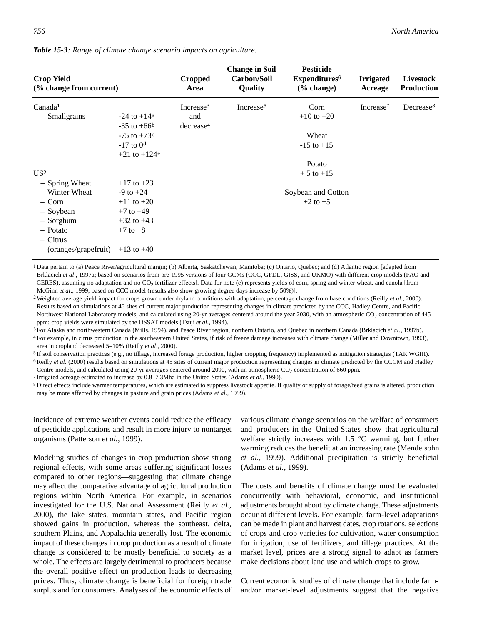| <b>Crop Yield</b><br>(% change from current) |                              | Cropped<br>Area              | <b>Change in Soil</b><br>Carbon/Soil<br>Quality | <b>Pesticide</b><br>Expenditures <sup>6</sup><br>$(\%$ change) | <b>Irrigated</b><br>Acreage | Livestock<br>Production |
|----------------------------------------------|------------------------------|------------------------------|-------------------------------------------------|----------------------------------------------------------------|-----------------------------|-------------------------|
| Canada <sup>1</sup><br>$-$ Smallgrains       | $-24$ to $+14^a$             | Increase <sup>3</sup><br>and | Increase <sup>5</sup>                           | Corn<br>$+10$ to $+20$                                         | Increase <sup>7</sup>       | Decrease <sup>8</sup>   |
|                                              | $-35$ to $+66b$              | decrease <sup>4</sup>        |                                                 |                                                                |                             |                         |
|                                              | $-75$ to $+73$ °             |                              |                                                 | Wheat                                                          |                             |                         |
|                                              | $-17$ to $0d$                |                              |                                                 | $-15$ to $+15$                                                 |                             |                         |
|                                              | $+21$ to $+124$ <sup>e</sup> |                              |                                                 |                                                                |                             |                         |
|                                              |                              |                              |                                                 | Potato                                                         |                             |                         |
| US <sup>2</sup>                              |                              |                              |                                                 | $+5$ to $+15$                                                  |                             |                         |
| - Spring Wheat                               | $+17$ to $+23$               |                              |                                                 |                                                                |                             |                         |
| - Winter Wheat                               | $-9$ to $+24$                |                              |                                                 | Soybean and Cotton                                             |                             |                         |
| $-$ Corn                                     | $+11$ to $+20$               |                              |                                                 | $+2$ to $+5$                                                   |                             |                         |
| - Soybean                                    | $+7$ to $+49$                |                              |                                                 |                                                                |                             |                         |
| $-$ Sorghum                                  | $+32$ to $+43$               |                              |                                                 |                                                                |                             |                         |
| $-$ Potato                                   | $+7$ to $+8$                 |                              |                                                 |                                                                |                             |                         |
| $-$ Citrus                                   |                              |                              |                                                 |                                                                |                             |                         |
| (oranges/grapefruit)                         | $+13$ to $+40$               |                              |                                                 |                                                                |                             |                         |

*Table 15-3: Range of climate change scenario impacts on agriculture.*

<sup>1</sup> Data pertain to (a) Peace River/agricultural margin; (b) Alberta, Saskatchewan, Manitoba; (c) Ontario, Quebec; and (d) Atlantic region [adapted from Brklacich *et al*., 1997a; based on scenarios from pre-1995 versions of four GCMs (CCC, GFDL, GISS, and UKMO) with different crop models (FAO and CERES), assuming no adaptation and no CO<sub>2</sub> fertilizer effects]. Data for note (e) represents yields of corn, spring and winter wheat, and canola [from McGinn *et al*., 1999; based on CCC model (results also show growing degree days increase by 50%)].

2Weighted average yield impact for crops grown under dryland conditions with adaptation, percentage change from base conditions (Reilly *et al*., 2000). Results based on simulations at 46 sites of current major production representing changes in climate predicted by the CCC, Hadley Centre, and Pacific Northwest National Laboratory models, and calculated using 20-yr averages centered around the year 2030, with an atmospheric CO<sub>2</sub> concentration of 445 ppm; crop yields were simulated by the DSSAT models (Tsuji *et al*., 1994).

3 For Alaska and northwestern Canada (Mills, 1994), and Peace River region, northern Ontario, and Quebec in northern Canada (Brklacich *et al*., 1997b).

4 For example, in citrus production in the southeastern United States, if risk of freeze damage increases with climate change (Miller and Downtown, 1993), area in cropland decreased 5–10% (Reilly *et al*., 2000).

5 If soil conservation practices (e.g., no tillage, increased forage production, higher cropping frequency) implemented as mitigation strategies (TAR WGIII).

<sup>6</sup>Reilly *et al.* (2000) results based on simulations at 45 sites of current major production representing changes in climate predicted by the CCCM and Hadley Centre models, and calculated using 20-yr averages centered around 2090, with an atmospheric  $CO_2$  concentration of 660 ppm.

7 Irrigated acreage estimated to increase by 0.8–7.3Mha in the United States (Adams *et al*., 1990).

8 Direct effects include warmer temperatures, which are estimated to suppress livestock appetite. If quality or supply of forage/feed grains is altered, production may be more affected by changes in pasture and grain prices (Adams *et al*., 1999).

incidence of extreme weather events could reduce the efficacy of pesticide applications and result in more injury to nontarget organisms (Patterson *et al.*, 1999).

Modeling studies of changes in crop production show strong regional effects, with some areas suffering significant losses compared to other regions—suggesting that climate change may affect the comparative advantage of agricultural production regions within North America. For example, in scenarios investigated for the U.S. National Assessment (Reilly *et al.*, 2000), the lake states, mountain states, and Pacific region showed gains in production, whereas the southeast, delta, southern Plains, and Appalachia generally lost. The economic impact of these changes in crop production as a result of climate change is considered to be mostly beneficial to society as a whole. The effects are largely detrimental to producers because the overall positive effect on production leads to decreasing prices. Thus, climate change is beneficial for foreign trade surplus and for consumers. Analyses of the economic effects of

various climate change scenarios on the welfare of consumers and producers in the United States show that agricultural welfare strictly increases with 1.5  $\degree$ C warming, but further warming reduces the benefit at an increasing rate (Mendelsohn *et al.*, 1999). Additional precipitation is strictly beneficial (Adams *et al.*, 1999).

The costs and benefits of climate change must be evaluated concurrently with behavioral, economic, and institutional adjustments brought about by climate change. These adjustments occur at different levels. For example, farm-level adaptations can be made in plant and harvest dates, crop rotations, selections of crops and crop varieties for cultivation, water consumption for irrigation, use of fertilizers, and tillage practices. At the market level, prices are a strong signal to adapt as farmers make decisions about land use and which crops to grow.

Current economic studies of climate change that include farmand/or market-level adjustments suggest that the negative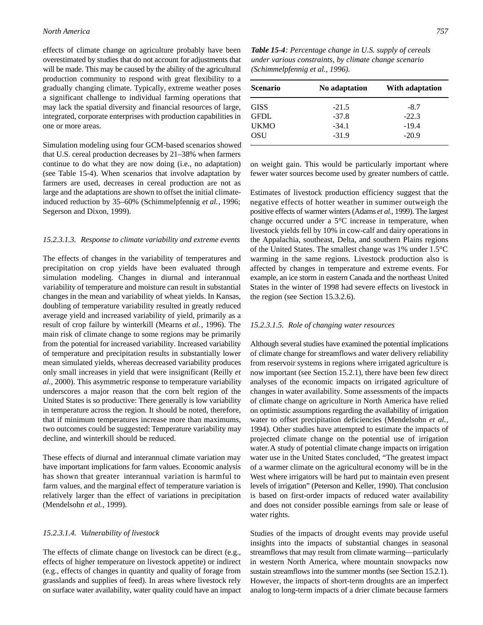effects of climate change on agriculture probably have been overestimated by studies that do not account for adjustments that will be made. This may be caused by the ability of the agricultural production community to respond with great flexibility to a gradually changing climate. Typically, extreme weather poses a significant challenge to individual farming operations that may lack the spatial diversity and financial resources of large, integrated, corporate enterprises with production capabilities in one or more areas.

Simulation modeling using four GCM-based scenarios showed that U.S. cereal production decreases by 21–38% when farmers continue to do what they are now doing (i.e., no adaptation) (see Table 15-4). When scenarios that involve adaptation by farmers are used, decreases in cereal production are not as large and the adaptations are shown to offset the initial climateinduced reduction by 35–60% (Schimmelpfennig *et al.*, 1996; Segerson and Dixon, 1999).

#### *1 5 . 2 . 3 . 1 . 3 . Response to climate variability and extreme events*

The effects of changes in the variability of temperatures and precipitation on crop yields have been evaluated through simulation modeling. Changes in diurnal and interannual variability of temperature and moisture can result in substantial changes in the mean and variability of wheat yields. In Kansas, doubling of temperature variability resulted in greatly reduced average yield and increased variability of yield, primarily as a result of crop failure by winterkill (Mearns *et al.*, 1996). The main risk of climate change to some regions may be primarily from the potential for increased variability. Increased variability of temperature and precipitation results in substantially lower mean simulated yields, whereas decreased variability produces only small increases in yield that were insignificant (Reilly *et al.*, 2000). This asymmetric response to temperature variability underscores a major reason that the corn belt region of the United States is so productive: There generally is low variability in temperature across the region. It should be noted, therefore, that if minimum temperatures increase more than maximums, two outcomes could be suggested: Temperature variability may decline, and winterkill should be reduced.

These effects of diurnal and interannual climate variation may have important implications for farm values. Economic analysis has shown that greater interannual variation is harmful to farm values, and the marginal effect of temperature variation is relatively larger than the effect of variations in precipitation (Mendelsohn *et al.*, 1999).

#### *15.2.3.1.4. Vulnerability of livestock*

The effects of climate change on livestock can be direct (e.g., effects of higher temperature on livestock appetite) or indirect (e.g., effects of changes in quantity and quality of forage from grasslands and supplies of feed). In areas where livestock rely on surface water availability, water quality could have an impact

*Table 15-4: Percentage change in U.S. supply of cereals under various constraints, by climate change scenario (Schimmelpfennig et al., 1996).*

| <b>Scenario</b> | No adaptation | With adaptation |
|-----------------|---------------|-----------------|
| <b>GISS</b>     | $-21.5$       | $-8.7$          |
| <b>GFDL</b>     | $-37.8$       | $-22.3$         |
| <b>UKMO</b>     | $-34.1$       | $-19.4$         |
| OSU             | $-31.9$       | $-20.9$         |

on weight gain. This would be particularly important where fewer water sources become used by greater numbers of cattle.

Estimates of livestock production efficiency suggest that the negative effects of hotter weather in summer outweigh the positive effects of warmer winters (Adams *et al.*, 1999). The largest change occurred under a 5°C increase in temperature, when livestock yields fell by 10% in cow-calf and dairy operations in the Appalachia, southeast, Delta, and southern Plains regions of the United States. The smallest change was 1% under 1.5°C warming in the same regions. Livestock production also is affected by changes in temperature and extreme events. For example, an ice storm in eastern Canada and the northeast United States in the winter of 1998 had severe effects on livestock in the region (see Section 15.3.2.6).

#### *15.2.3.1.5. Role of changing water resources*

Although several studies have examined the potential implications of climate change for streamflows and water delivery reliability from reservoir systems in regions where irrigated agriculture is now important (see Section 15.2.1), there have been few direct analyses of the economic impacts on irrigated agriculture of changes in water availability. Some assessments of the impacts of climate change on agriculture in North America have relied on optimistic assumptions regarding the availability of irrigation water to offset precipitation deficiencies (Mendelsohn *et al.*, 1994). Other studies have attempted to estimate the impacts of projected climate change on the potential use of irrigation water.A study of potential climate change impacts on irrigation water use in the United States concluded, "The greatest impact of a warmer climate on the agricultural economy will be in the West where irrigators will be hard put to maintain even present levels of irrigation" (Peterson and Keller, 1990). That conclusion is based on first-order impacts of reduced water availability and does not consider possible earnings from sale or lease of water rights.

Studies of the impacts of drought events may provide useful insights into the impacts of substantial changes in seasonal streamflows that may result from climate warming—particularly in western North America, where mountain snowpacks now sustain streamflows into the summer months (see Section 15.2.1). However, the impacts of short-term droughts are an imperfect analog to long-term impacts of a drier climate because farmers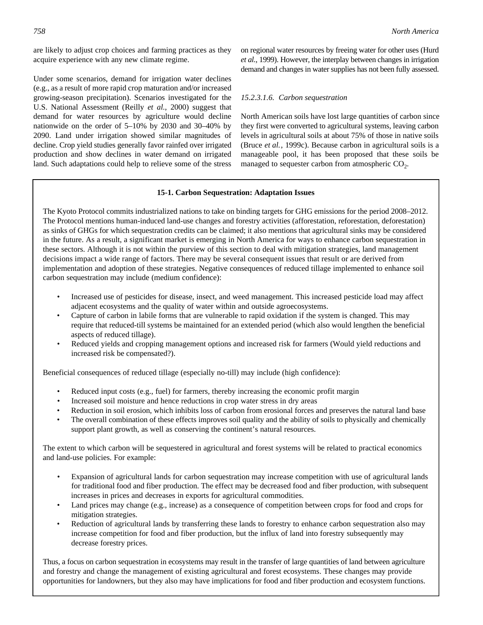are likely to adjust crop choices and farming practices as they acquire experience with any new climate regime.

Under some scenarios, demand for irrigation water declines (e.g., as a result of more rapid crop maturation and/or increased growing-season precipitation). Scenarios investigated for the U.S. National Assessment (Reilly *et al.*, 2000) suggest that demand for water resources by agriculture would decline nationwide on the order of 5–10% by 2030 and 30–40% by 2090. Land under irrigation showed similar magnitudes of decline. Crop yield studies generally favor rainfed over irrigated production and show declines in water demand on irrigated land. Such adaptations could help to relieve some of the stress on regional water resources by freeing water for other uses (Hurd *et al.*, 1999). However, the interplay between changes in irrigation demand and changes in water supplies has not been fully assessed.

#### *15.2.3.1.6. Carbon sequestration*

North American soils have lost large quantities of carbon since they first were converted to agricultural systems, leaving carbon levels in agricultural soils at about 75% of those in native soils (Bruce *et al.*, 1999c). Because carbon in agricultural soils is a manageable pool, it has been proposed that these soils be managed to sequester carbon from atmospheric  $CO<sub>2</sub>$ .

#### **15-1. Carbon Sequestration: Adaptation Issues**

The Kyoto Protocol commits industrialized nations to take on binding targets for GHG emissions for the period 2008–2012. The Protocol mentions human-induced land-use changes and forestry activities (afforestation, reforestation, deforestation) as sinks of GHGs for which sequestration credits can be claimed; it also mentions that agricultural sinks may be considered in the future. As a result, a significant market is emerging in North America for ways to enhance carbon sequestration in these sectors. Although it is not within the purview of this section to deal with mitigation strategies, land management decisions impact a wide range of factors. There may be several consequent issues that result or are derived from implementation and adoption of these strategies. Negative consequences of reduced tillage implemented to enhance soil carbon sequestration may include (medium confidence):

- Increased use of pesticides for disease, insect, and weed management. This increased pesticide load may affect adjacent ecosystems and the quality of water within and outside agroecosystems.
- Capture of carbon in labile forms that are vulnerable to rapid oxidation if the system is changed. This may require that reduced-till systems be maintained for an extended period (which also would lengthen the beneficial aspects of reduced tillage).
- Reduced yields and cropping management options and increased risk for farmers (Would yield reductions and increased risk be compensated?).

Beneficial consequences of reduced tillage (especially no-till) may include (high confidence):

- Reduced input costs (e.g., fuel) for farmers, thereby increasing the economic profit margin
- Increased soil moisture and hence reductions in crop water stress in dry areas
- Reduction in soil erosion, which inhibits loss of carbon from erosional forces and preserves the natural land base
- The overall combination of these effects improves soil quality and the ability of soils to physically and chemically support plant growth, as well as conserving the continent's natural resources.

The extent to which carbon will be sequestered in agricultural and forest systems will be related to practical economics and land-use policies. For example:

- Expansion of agricultural lands for carbon sequestration may increase competition with use of agricultural lands for traditional food and fiber production. The effect may be decreased food and fiber production, with subsequent increases in prices and decreases in exports for agricultural commodities.
- Land prices may change (e.g., increase) as a consequence of competition between crops for food and crops for mitigation strategies.
- Reduction of agricultural lands by transferring these lands to forestry to enhance carbon sequestration also may increase competition for food and fiber production, but the influx of land into forestry subsequently may decrease forestry prices.

Thus, a focus on carbon sequestration in ecosystems may result in the transfer of large quantities of land between agriculture and forestry and change the management of existing agricultural and forest ecosystems. These changes may provide opportunities for landowners, but they also may have implications for food and fiber production and ecosystem functions.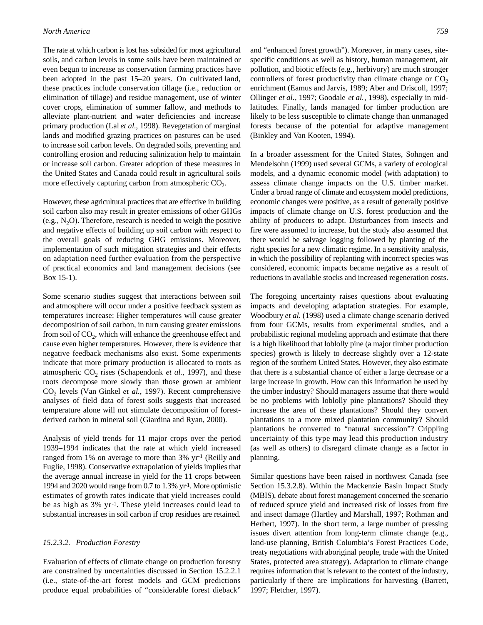The rate at which carbon is lost has subsided for most agricultural soils, and carbon levels in some soils have been maintained or even begun to increase as conservation farming practices have been adopted in the past 15–20 years. On cultivated land, these practices include conservation tillage (i.e., reduction or elimination of tillage) and residue management, use of winter cover crops, elimination of summer fallow, and methods to alleviate plant-nutrient and water deficiencies and increase primary production (Lal *et al.*, 1998). Revegetation of marginal lands and modified grazing practices on pastures can be used to increase soil carbon levels. On degraded soils, preventing and controlling erosion and reducing salinization help to maintain or increase soil carbon. Greater adoption of these measures in the United States and Canada could result in agricultural soils more effectively capturing carbon from atmospheric  $CO<sub>2</sub>$ .

However, these agricultural practices that are effective in building soil carbon also may result in greater emissions of other GHGs (e.g.,  $N_2O$ ). Therefore, research is needed to weigh the positive and negative effects of building up soil carbon with respect to the overall goals of reducing GHG emissions. Moreover, implementation of such mitigation strategies and their effects on adaptation need further evaluation from the perspective of practical economics and land management decisions (see Box 15-1).

Some scenario studies suggest that interactions between soil and atmosphere will occur under a positive feedback system as temperatures increase: Higher temperatures will cause greater decomposition of soil carbon, in turn causing greater emissions from soil of  $CO<sub>2</sub>$ , which will enhance the greenhouse effect and cause even higher temperatures. However, there is evidence that negative feedback mechanisms also exist. Some experiments indicate that more primary production is allocated to roots as atmospheric CO<sub>2</sub> rises (Schapendonk *et al.*, 1997), and these roots decompose more slowly than those grown at ambient CO<sup>2</sup> levels (Van Ginkel *et al.*, 1997). Recent comprehensive analyses of field data of forest soils suggests that increased temperature alone will not stimulate decomposition of forestderived carbon in mineral soil (Giardina and Ryan, 2000).

Analysis of yield trends for 11 major crops over the period 1939–1994 indicates that the rate at which yield increased ranged from 1% on average to more than 3% yr-1 (Reilly and Fuglie, 1998). Conservative extrapolation of yields implies that the average annual increase in yield for the 11 crops between 1994 and 2020 would range from 0.7 to 1.3% yr<sup>1</sup>. More optimistic estimates of growth rates indicate that yield increases could be as high as 3% yr-1. These yield increases could lead to substantial increases in soil carbon if crop residues are retained.

#### *15.2.3.2. Production Forestry*

Evaluation of effects of climate change on production forestry are constrained by uncertainties discussed in Section 15.2.2.1 (i.e., state-of-the-art forest models and GCM predictions produce equal probabilities of "considerable forest dieback"

and "enhanced forest growth"). Moreover, in many cases, sitespecific conditions as well as history, human management, air pollution, and biotic effects (e.g., herbivory) are much stronger controllers of forest productivity than climate change or  $CO<sub>2</sub>$ enrichment (Eamus and Jarvis, 1989; Aber and Driscoll, 1997; Ollinger *et al.*, 1997; Goodale *et al.*, 1998), especially in midlatitudes. Finally, lands managed for timber production are likely to be less susceptible to climate change than unmanaged forests because of the potential for adaptive management (Binkley and Van Kooten, 1994).

In a broader assessment for the United States, Sohngen and Mendelsohn (1999) used several GCMs, a variety of ecological models, and a dynamic economic model (with adaptation) to assess climate change impacts on the U.S. timber market. Under a broad range of climate and ecosystem model predictions, economic changes were positive, as a result of generally positive impacts of climate change on U.S. forest production and the ability of producers to adapt. Disturbances from insects and fire were assumed to increase, but the study also assumed that there would be salvage logging followed by planting of the right species for a new climatic regime. In a sensitivity analysis, in which the possibility of replanting with incorrect species was considered, economic impacts became negative as a result of reductions in available stocks and increased regeneration costs.

The foregoing uncertainty raises questions about evaluating impacts and developing adaptation strategies. For example, Woodbury *et al.* (1998) used a climate change scenario derived from four GCMs, results from experimental studies, and a probabilistic regional modeling approach and estimate that there is a high likelihood that loblolly pine (a major timber production species) growth is likely to decrease slightly over a 12-state region of the southern United States. However, they also estimate that there is a substantial chance of either a large decrease or a large increase in growth. How can this information be used by the timber industry? Should managers assume that there would be no problems with loblolly pine plantations? Should they increase the area of these plantations? Should they convert plantations to a more mixed plantation community? Should plantations be converted to "natural succession"? Crippling uncertainty of this type may lead this production industry (as well as others) to disregard climate change as a factor in planning.

Similar questions have been raised in northwest Canada (see Section 15.3.2.8). Within the Mackenzie Basin Impact Study (MBIS), debate about forest management concerned the scenario of reduced spruce yield and increased risk of losses from fire and insect damage (Hartley and Marshall, 1997; Rothman and Herbert, 1997). In the short term, a large number of pressing issues divert attention from long-term climate change (e.g., land-use planning, British Columbia's Forest Practices Code, treaty negotiations with aboriginal people, trade with the United States, protected area strategy). Adaptation to climate change requires information that is relevant to the context of the industry, particularly if there are implications for harvesting (Barrett, 1997; Fletcher, 1997).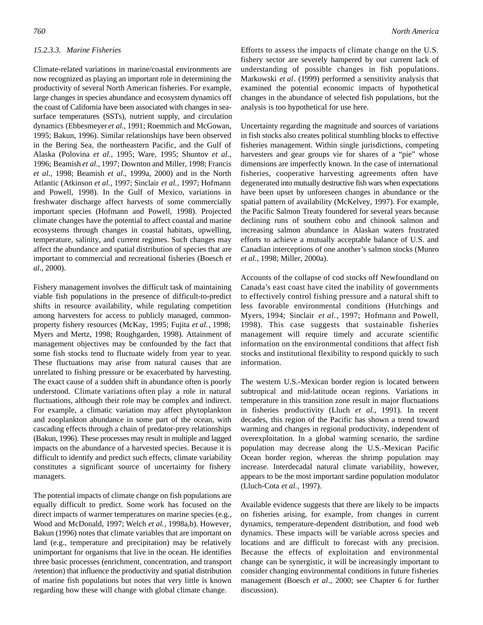#### *15.2.3.3. Marine Fisheries*

Climate-related variations in marine/coastal environments are now recognized as playing an important role in determining the productivity of several North American fisheries. For example, large changes in species abundance and ecosystem dynamics off the coast of California have been associated with changes in seasurface temperatures (SSTs), nutrient supply, and circulation dynamics (Ebbesmeyer *et al.*, 1991; Roemmich and McGowan, 1995; Bakun, 1996). Similar relationships have been observed in the Bering Sea, the northeastern Pacific, and the Gulf of Alaska (Polovina *et al.*, 1995; Ware, 1995; Shuntov *et al.*, 1996; Beamish *et al.*, 1997; Downton and Miller, 1998; Francis *et al.*, 1998; Beamish *et al*., 1999a, 2000) and in the North Atlantic (Atkinson *et al.*, 1997; Sinclair *et al.*, 1997; Hofmann and Powell, 1998). In the Gulf of Mexico, variations in freshwater discharge affect harvests of some commercially important species (Hofmann and Powell, 1998). Projected climate changes have the potential to affect coastal and marine ecosystems through changes in coastal habitats, upwelling, temperature, salinity, and current regimes. Such changes may affect the abundance and spatial distribution of species that are important to commercial and recreational fisheries (Boesch *et al*., 2000).

Fishery management involves the difficult task of maintaining viable fish populations in the presence of difficult-to-predict shifts in resource availability, while regulating competition among harvesters for access to publicly managed, commonproperty fishery resources (McKay, 1995; Fujita *et al.*, 1998; Myers and Mertz, 1998; Roughgarden, 1998). Attainment of management objectives may be confounded by the fact that some fish stocks tend to fluctuate widely from year to year. These fluctuations may arise from natural causes that are unrelated to fishing pressure or be exacerbated by harvesting. The exact cause of a sudden shift in abundance often is poorly understood. Climate variations often play a role in natural fluctuations, although their role may be complex and indirect. For example, a climatic variation may affect phytoplankton and zooplankton abundance in some part of the ocean, with cascading effects through a chain of predator-prey relationships (Bakun, 1996). These processes may result in multiple and lagged impacts on the abundance of a harvested species. Because it is difficult to identify and predict such effects, climate variability constitutes a significant source of uncertainty for fishery managers.

The potential impacts of climate change on fish populations are equally difficult to predict. Some work has focused on the direct impacts of warmer temperatures on marine species (e.g., Wood and McDonald, 1997; Welch *et al.*, 1998a,b). However, Bakun (1996) notes that climate variables that are important on land (e.g., temperature and precipitation) may be relatively unimportant for organisms that live in the ocean. He identifies three basic processes (enrichment, concentration, and transport /retention) that influence the productivity and spatial distribution of marine fish populations but notes that very little is known regarding how these will change with global climate change.

Efforts to assess the impacts of climate change on the U.S. fishery sector are severely hampered by our current lack of understanding of possible changes in fish populations. Markowski *et al*. (1999) performed a sensitivity analysis that examined the potential economic impacts of hypothetical changes in the abundance of selected fish populations, but the analysis is too hypothetical for use here.

Uncertainty regarding the magnitude and sources of variations in fish stocks also creates political stumbling blocks to effective fisheries management. Within single jurisdictions, competing harvesters and gear groups vie for shares of a "pie" whose dimensions are imperfectly known. In the case of international fisheries, cooperative harvesting agreements often have degenerated into mutually destructive fish wars when expectations have been upset by unforeseen changes in abundance or the spatial pattern of availability (McKelvey, 1997). For example, the Pacific Salmon Treaty foundered for several years because declining runs of southern coho and chinook salmon and increasing salmon abundance in Alaskan waters frustrated efforts to achieve a mutually acceptable balance of U.S. and Canadian interceptions of one another's salmon stocks (Munro *et al.*, 1998; Miller, 2000a).

Accounts of the collapse of cod stocks off Newfoundland on Canada's east coast have cited the inability of governments to effectively control fishing pressure and a natural shift to less favorable environmental conditions (Hutchings and Myers, 1994; Sinclair *et al.*, 1997; Hofmann and Powell, 1998). This case suggests that sustainable fisheries management will require timely and accurate scientific information on the environmental conditions that affect fish stocks and institutional flexibility to respond quickly to such information.

The western U.S.-Mexican border region is located between subtropical and mid-latitude ocean regions. Variations in temperature in this transition zone result in major fluctuations in fisheries productivity (Lluch *et al.*, 1991). In recent decades, this region of the Pacific has shown a trend toward warming and changes in regional productivity, independent of overexploitation. In a global warming scenario, the sardine population may decrease along the U.S.-Mexican Pacific Ocean border region, whereas the shrimp population may increase. Interdecadal natural climate variability, however, appears to be the most important sardine population modulator (Lluch-Cota *et al.*, 1997).

Available evidence suggests that there are likely to be impacts on fisheries arising, for example, from changes in current dynamics, temperature-dependent distribution, and food web dynamics. These impacts will be variable across species and locations and are difficult to forecast with any precision. Because the effects of exploitation and environmental change can be synergistic, it will be increasingly important to consider changing environmental conditions in future fisheries management (Boesch *et al*., 2000; see Chapter 6 for further discussion).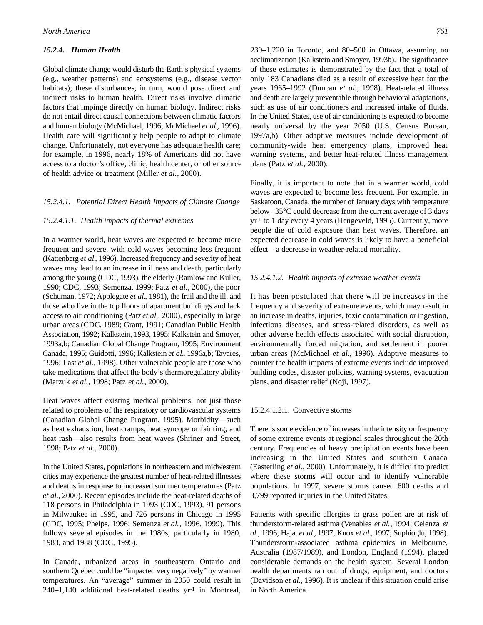#### *15.2.4. Human Health*

Global climate change would disturb the Earth's physical systems (e.g., weather patterns) and ecosystems (e.g., disease vector habitats); these disturbances, in turn, would pose direct and indirect risks to human health. Direct risks involve climatic factors that impinge directly on human biology. Indirect risks do not entail direct causal connections between climatic factors and human biology (McMichael, 1996; McMichael *et al.*, 1996). Health care will significantly help people to adapt to climate change. Unfortunately, not everyone has adequate health care; for example, in 1996, nearly 18% of Americans did not have access to a doctor's office, clinic, health center, or other source of health advice or treatment (Miller *et al.*, 2000).

#### *15.2.4.1. Potential Direct Health Impacts of Climate Change*

#### *15.2.4.1.1. Health impacts of thermal extremes*

In a warmer world, heat waves are expected to become more frequent and severe, with cold waves becoming less frequent (Kattenberg *et al.*, 1996). Increased frequency and severity of heat waves may lead to an increase in illness and death, particularly among the young (CDC, 1993), the elderly (Ramlow and Kuller, 1990; CDC, 1993; Semenza, 1999; Patz *et al.*, 2000), the poor (Schuman, 1972; Applegate et al., 1981), the frail and the ill, and those who live in the top floors of apartment buildings and lack access to air conditioning (Patz *et al.*, 2000), especially in large urban areas (CDC, 1989; Grant, 1991; Canadian Public Health Association, 1992; Kalkstein, 1993, 1995; Kalkstein and Smoyer, 1993a,b; Canadian Global Change Program, 1995; Environment Canada, 1995; Guidotti, 1996; Kalkstein et al., 1996a,b; Tavares, 1996; Last *et al.*, 1998). Other vulnerable people are those who take medications that affect the body's thermoregulatory ability (Marzuk *et al.*, 1998; Patz *et al.*, 2000).

Heat waves affect existing medical problems, not just those related to problems of the respiratory or cardiovascular systems (Canadian Global Change Program, 1995). Morbidity—such as heat exhaustion, heat cramps, heat syncope or fainting, and heat rash—also results from heat waves (Shriner and Street, 1998; Patz *et al.*, 2000).

In the United States, populations in northeastern and midwestern cities may experience the greatest number of heat-related illnesses and deaths in response to increased summer temperatures (Patz *et al.*, 2000). Recent episodes include the heat-related deaths of 118 persons in Philadelphia in 1993 (CDC, 1993), 91 persons in Milwaukee in 1995, and 726 persons in Chicago in 1995 (CDC, 1995; Phelps, 1996; Semenza *et al.*, 1996, 1999). This follows several episodes in the 1980s, particularly in 1980, 1983, and 1988 (CDC, 1995).

In Canada, urbanized areas in southeastern Ontario and southern Quebec could be "impacted very negatively" by warmer temperatures. An "average" summer in 2050 could result in 240–1,140 additional heat-related deaths yr-1 in Montreal,

230–1,220 in Toronto, and 80–500 in Ottawa, assuming no acclimatization (Kalkstein and Smoyer, 1993b). The significance of these estimates is demonstrated by the fact that a total of only 183 Canadians died as a result of excessive heat for the years 1965–1992 (Duncan *et al.*, 1998). Heat-related illness and death are largely preventable through behavioral adaptations, such as use of air conditioners and increased intake of fluids. In the United States, use of air conditioning is expected to become nearly universal by the year 2050 (U.S. Census Bureau, 1997a,b). Other adaptive measures include development of community-wide heat emergency plans, improved heat warning systems, and better heat-related illness management plans (Patz *et al.*, 2000).

Finally, it is important to note that in a warmer world, cold waves are expected to become less frequent. For example, in Saskatoon, Canada, the number of January days with temperature below –35°C could decrease from the current average of 3 days yr-1 to 1 day every 4 years (Hengeveld, 1995). Currently, more people die of cold exposure than heat waves. Therefore, an expected decrease in cold waves is likely to have a beneficial effect—a decrease in weather-related mortality.

#### *15.2.4.1.2. Health impacts of extreme weather events*

It has been postulated that there will be increases in the frequency and severity of extreme events, which may result in an increase in deaths, injuries, toxic contamination or ingestion, infectious diseases, and stress-related disorders, as well as other adverse health effects associated with social disruption, environmentally forced migration, and settlement in poorer urban areas (McMichael *et al.*, 1996). Adaptive measures to counter the health impacts of extreme events include improved building codes, disaster policies, warning systems, evacuation plans, and disaster relief (Noji, 1997).

#### 15.2.4.1.2.1. Convective storms

There is some evidence of increases in the intensity or frequency of some extreme events at regional scales throughout the 20th century. Frequencies of heavy precipitation events have been increasing in the United States and southern Canada (Easterling *et al.,* 2000). Unfortunately, it is difficult to predict where these storms will occur and to identify vulnerable populations. In 1997, severe storms caused 600 deaths and 3,799 reported injuries in the United States.

Patients with specific allergies to grass pollen are at risk of thunderstorm-related asthma (Venables et al., 1994; Celenza et *a l .*, 1996; Hajat *et al.*, 1997; Knox *et al.*, 1997; Suphioglu, 1998). Thunderstorm-associated asthma epidemics in Melbourne, Australia (1987/1989), and London, England (1994), placed considerable demands on the health system. Several London health departments ran out of drugs, equipment, and doctors (Davidson *et al.*, 1996). It is unclear if this situation could arise in North America.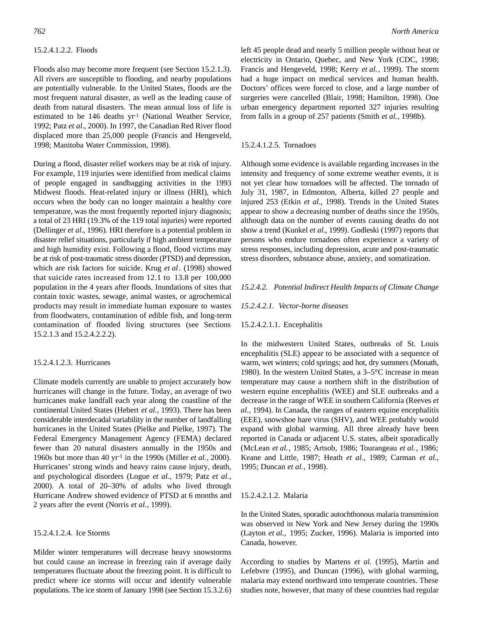#### 15.2.4.1.2.2. Floods

Floods also may become more frequent (see Section 15.2.1.3). All rivers are susceptible to flooding, and nearby populations are potentially vulnerable. In the United States, floods are the most frequent natural disaster, as well as the leading cause of death from natural disasters. The mean annual loss of life is estimated to be 146 deaths yr-1 (National Weather Service, 1992; Patz *et al.*, 2000). In 1997, the Canadian Red River flood displaced more than 25,000 people (Francis and Hengeveld, 1998; Manitoba Water Commission, 1998).

During a flood, disaster relief workers may be at risk of injury. For example, 119 injuries were identified from medical claims of people engaged in sandbagging activities in the 1993 Midwest floods. Heat-related injury or illness (HRI), which occurs when the body can no longer maintain a healthy core temperature, was the most frequently reported injury diagnosis; a total of 23 HRI (19.3% of the 119 total injuries) were reported (Dellinger *et al.*, 1996). HRI therefore is a potential problem in disaster relief situations, particularly if high ambient temperature and high humidity exist. Following a flood, flood victims may be at risk of post-traumatic stress disorder (PTSD) and depression, which are risk factors for suicide. Krug *et al*. (1998) showed that suicide rates increased from 12.1 to 13.8 per 100,000 population in the 4 years after floods. Inundations of sites that contain toxic wastes, sewage, animal wastes, or agrochemical products may result in immediate human exposure to wastes from floodwaters, contamination of edible fish, and long-term contamination of flooded living structures (see Sections 15.2.1.3 and 15.2.4.2.2.2).

#### 15.2.4.1.2.3. Hurricanes

Climate models currently are unable to project accurately how hurricanes will change in the future. Today, an average of two hurricanes make landfall each year along the coastline of the continental United States (Hebert *et al.,* 1993). There has been considerable interdecadal variability in the number of landfalling hurricanes in the United States (Pielke and Pielke, 1997). The Federal Emergency Management Agency (FEMA) declared fewer than 20 natural disasters annually in the 1950s and 1960s but more than 40 yr-1 in the 1990s (Miller *et al.*, 2000). Hurricanes' strong winds and heavy rains cause injury, death, and psychological disorders (Logue *et al.*, 1979; Patz *et al.*, 2000). A total of 20–30% of adults who lived through Hurricane Andrew showed evidence of PTSD at 6 months and 2 years after the event (Norris *et al.*, 1999).

#### 15.2.4.1.2.4. Ice Storms

Milder winter temperatures will decrease heavy snowstorms but could cause an increase in freezing rain if average daily temperatures fluctuate about the freezing point. It is difficult to predict where ice storms will occur and identify vulnerable populations. The ice storm of January 1998 (see Section 15.3.2.6) left 45 people dead and nearly 5 million people without heat or electricity in Ontario, Quebec, and New York (CDC, 1998; Francis and Hengeveld, 1998; Kerry *et al.*, 1999). The storm had a huge impact on medical services and human health. Doctors' offices were forced to close, and a large number of surgeries were cancelled (Blair, 1998; Hamilton, 1998). One urban emergency department reported 327 injuries resulting from falls in a group of 257 patients (Smith *et al.*, 1998b).

#### 15.2.4.1.2.5. Tornadoes

Although some evidence is available regarding increases in the intensity and frequency of some extreme weather events, it is not yet clear how tornadoes will be affected. The tornado of July 31, 1987, in Edmonton, Alberta, killed 27 people and injured 253 (Etkin *et al.*, 1998). Trends in the United States appear to show a decreasing number of deaths since the 1950s, although data on the number of events causing deaths do not show a trend (Kunkel *et al.*, 1999). Godleski (1997) reports that persons who endure tornadoes often experience a variety of stress responses, including depression, acute and post-traumatic stress disorders, substance abuse, anxiety, and somatization.

#### *1 5 . 2 . 4 . 2 . Potential Indirect Health Impacts of Climate Change*

#### *15.2.4.2.1. Vector-borne diseases*

#### 15.2.4.2.1.1. Encephalitis

In the midwestern United States, outbreaks of St. Louis encephalitis (SLE) appear to be associated with a sequence of warm, wet winters; cold springs; and hot, dry summers (Monath, 1980). In the western United States, a 3–5°C increase in mean temperature may cause a northern shift in the distribution of western equine encephalitis (WEE) and SLE outbreaks and a decrease in the range of WEE in southern California (Reeves *et al.*, 1994). In Canada, the ranges of eastern equine encephalitis (EEE), snowshoe hare virus (SHV), and WEE probably would expand with global warming. All three already have been reported in Canada or adjacent U.S. states, albeit sporadically (McLean *et al.*, 1985; Artsob, 1986; Tourangeau *et al.*, 1986; Keane and Little, 1987; Heath *et al.*, 1989; Carman *et al.*, 1995; Duncan *et al.*, 1998).

#### 15.2.4.2.1.2. Malaria

In the United States, sporadic autochthonous malaria transmission was observed in New York and New Jersey during the 1990s (Layton *et al.,* 1995; Zucker, 1996). Malaria is imported into Canada, however.

According to studies by Martens *et al.* (1995), Martin and Lefebvre (1995), and Duncan (1996), with global warming, malaria may extend northward into temperate countries. These studies note, however, that many of these countries had regular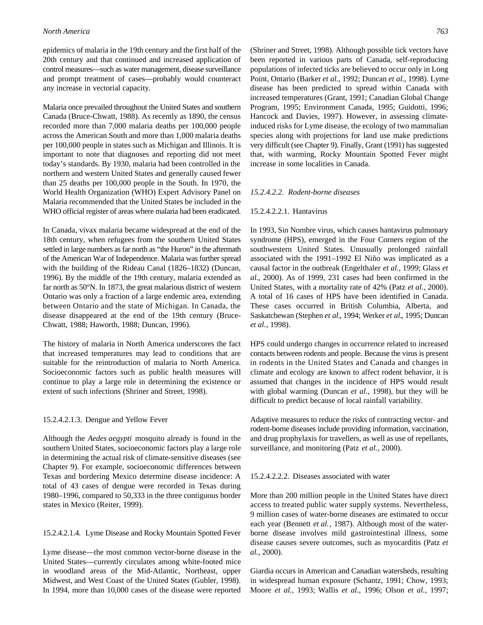epidemics of malaria in the 19th century and the first half of the 20th century and that continued and increased application of control measures—such as water management, disease surveillance and prompt treatment of cases—probably would counteract any increase in vectorial capacity.

Malaria once prevailed throughout the United States and southern Canada (Bruce-Chwatt, 1988). As recently as 1890, the census recorded more than 7,000 malaria deaths per 100,000 people across the American South and more than 1,000 malaria deaths per 100,000 people in states such as Michigan and Illinois. It is important to note that diagnoses and reporting did not meet today's standards. By 1930, malaria had been controlled in the northern and western United States and generally caused fewer than 25 deaths per 100,000 people in the South. In 1970, the World Health Organization (WHO) Expert Advisory Panel on Malaria recommended that the United States be included in the WHO official register of areas where malaria had been eradicated.

In Canada, vivax malaria became widespread at the end of the 18th century, when refugees from the southern United States settled in large numbers as far north as "the Huron" in the aftermath of the American War of Independence. Malaria was further spread with the building of the Rideau Canal (1826–1832) (Duncan, 1996). By the middle of the 19th century, malaria extended as far north as 50°N. In 1873, the great malarious district of western Ontario was only a fraction of a large endemic area, extending between Ontario and the state of Michigan. In Canada, the disease disappeared at the end of the 19th century (Bruce-Chwatt, 1988; Haworth, 1988; Duncan, 1996).

The history of malaria in North America underscores the fact that increased temperatures may lead to conditions that are suitable for the reintroduction of malaria to North America. Socioeconomic factors such as public health measures will continue to play a large role in determining the existence or extent of such infections (Shriner and Street, 1998).

#### 15.2.4.2.1.3. Dengue and Yellow Fever

Although the *Aedes aegypti* mosquito already is found in the southern United States, socioeconomic factors play a large role in determining the actual risk of climate-sensitive diseases (see Chapter 9). For example, socioeconomic differences between Texas and bordering Mexico determine disease incidence: A total of 43 cases of dengue were recorded in Texas during 1980–1996, compared to 50,333 in the three contiguous border states in Mexico (Reiter, 1999).

#### 15.2.4.2.1.4. Lyme Disease and Rocky Mountain Spotted Fever

Lyme disease—the most common vector-borne disease in the United States—currently circulates among white-footed mice in woodland areas of the Mid-Atlantic, Northeast, upper Midwest, and West Coast of the United States (Gubler, 1998). In 1994, more than 10,000 cases of the disease were reported

(Shriner and Street, 1998). Although possible tick vectors have been reported in various parts of Canada, self-reproducing populations of infected ticks are believed to occur only in Long Point, Ontario (Barker *et al.*, 1992; Duncan *et al.*, 1998). Lyme disease has been predicted to spread within Canada with increased temperatures (Grant, 1991; Canadian Global Change Program, 1995; Environment Canada, 1995; Guidotti, 1996; Hancock and Davies, 1997). However, in assessing climateinduced risks for Lyme disease, the ecology of two mammalian species along with projections for land use make predictions very difficult (see Chapter 9). Finally, Grant (1991) has suggested that, with warming, Rocky Mountain Spotted Fever might increase in some localities in Canada.

#### *15.2.4.2.2. Rodent-borne diseases*

#### 15.2.4.2.2.1. Hantavirus

In 1993, Sin Nombre virus, which causes hantavirus pulmonary syndrome (HPS), emerged in the Four Corners region of the southwestern United States. Unusually prolonged rainfall associated with the 1991–1992 El Niño was implicated as a causal factor in the outbreak (Engelthaler *et al.*, 1999; Glass *et al.*, 2000). As of 1999, 231 cases had been confirmed in the United States, with a mortality rate of 42% (Patz *et al.*, 2000). A total of 16 cases of HPS have been identified in Canada. These cases occurred in British Columbia, Alberta, and Saskatchewan (Stephen et al., 1994; Werker et al., 1995; Duncan *et al.*, 1998).

HPS could undergo changes in occurrence related to increased contacts between rodents and people. Because the virus is present in rodents in the United States and Canada and changes in climate and ecology are known to affect rodent behavior, it is assumed that changes in the incidence of HPS would result with global warming (Duncan *et al.*, 1998), but they will be difficult to predict because of local rainfall variability.

Adaptive measures to reduce the risks of contracting vector- and rodent-borne diseases include providing information, vaccination, and drug prophylaxis for travellers, as well as use of repellants, surveillance, and monitoring (Patz *et al.*, 2000).

#### 15.2.4.2.2.2. Diseases associated with water

More than 200 million people in the United States have direct access to treated public water supply systems. Nevertheless, 9 million cases of water-borne diseases are estimated to occur each year (Bennett *et al.*, 1987). Although most of the waterborne disease involves mild gastrointestinal illness, some disease causes severe outcomes, such as myocarditis (Patz et *al.*, 2000).

Giardia occurs in American and Canadian watersheds, resulting in widespread human exposure (Schantz, 1991; Chow, 1993; Moore *et al.*, 1993; Wallis *et al.*, 1996; Olson *et al.*, 1997;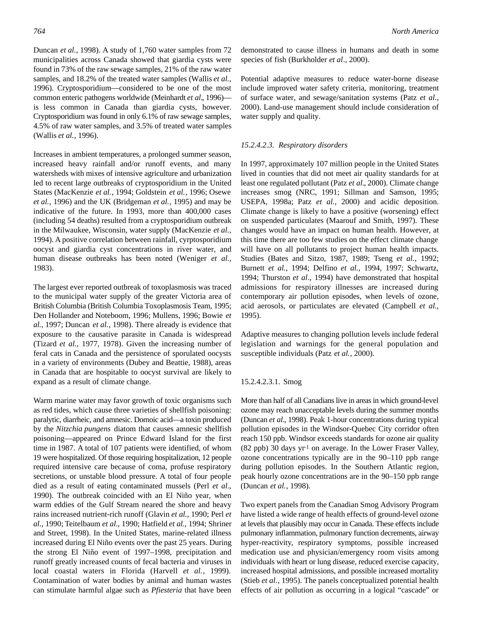Duncan *et al.*, 1998). A study of 1,760 water samples from 72 municipalities across Canada showed that giardia cysts were found in 73% of the raw sewage samples, 21% of the raw water samples, and 18.2% of the treated water samples (Wallis *et al.*, 1996). Cryptosporidium—considered to be one of the most common enteric pathogens worldwide (Meinhardt *et al.*, 1996) is less common in Canada than giardia cysts, however. Cryptosporidium was found in only 6.1% of raw sewage samples, 4.5% of raw water samples, and 3.5% of treated water samples (Wallis *et al.*, 1996).

Increases in ambient temperatures, a prolonged summer season, increased heavy rainfall and/or runoff events, and many watersheds with mixes of intensive agriculture and urbanization led to recent large outbreaks of cryptosporidium in the United States (MacKenzie *et al.*, 1994; Goldstein *et al.*, 1996; Osewe *et al.*, 1996) and the UK (Bridgeman *et al.*, 1995) and may be indicative of the future. In 1993, more than 400,000 cases (including 54 deaths) resulted from a cryptosporidium outbreak in the Milwaukee, Wisconsin, water supply (MacKenzie *et al.*, 1994). A positive correlation between rainfall, cyrptosporidium oocyst and giardia cyst concentrations in river water, and human disease outbreaks has been noted (Weniger *et al.*, 1983).

The largest ever reported outbreak of toxoplasmosis was traced to the municipal water supply of the greater Victoria area of British Columbia (British Columbia Toxoplasmosis Team, 1995; Den Hollander and Noteboom, 1996; Mullens, 1996; Bowie et *al.*, 1997; Duncan *et al.*, 1998). There already is evidence that exposure to the causative parasite in Canada is widespread (Tizard *et al.*, 1977, 1978). Given the increasing number of feral cats in Canada and the persistence of sporulated oocysts in a variety of environments (Dubey and Beattie, 1988), areas in Canada that are hospitable to oocyst survival are likely to expand as a result of climate change.

Warm marine water may favor growth of toxic organisms such as red tides, which cause three varieties of shellfish poisoning: paralytic, diarrheic, and amnesic. Domoic acid—a toxin produced by the *Nitzchia pungens* diatom that causes amnesic shellfish poisoning—appeared on Prince Edward Island for the first time in 1987. A total of 107 patients were identified, of whom 19 were hospitalized. Of those requiring hospitalization, 12 people required intensive care because of coma, profuse respiratory secretions, or unstable blood pressure. A total of four people died as a result of eating contaminated mussels (Perl *et al.*, 1990). The outbreak coincided with an El Niño year, when warm eddies of the Gulf Stream neared the shore and heavy rains increased nutrient-rich runoff (Glavin *et al.*, 1990; Perl *et al.*, 1990; Teitelbaum *et al.*, 1990; Hatfield *et al.*, 1994; Shriner and Street, 1998). In the United States, marine-related illness increased during El Niño events over the past 25 years. During the strong El Niño event of 1997–1998, precipitation and runoff greatly increased counts of fecal bacteria and viruses in local coastal waters in Florida (Harvell *et al.*, 1999). Contamination of water bodies by animal and human wastes can stimulate harmful algae such as *Pfiesteria* that have been demonstrated to cause illness in humans and death in some species of fish (Burkholder *et al*., 2000).

Potential adaptive measures to reduce water-borne disease include improved water safety criteria, monitoring, treatment of surface water, and sewage/sanitation systems (Patz *et al.*, 2000). Land-use management should include consideration of water supply and quality.

#### *15.2.4.2.3. Respiratory disorders*

In 1997, approximately 107 million people in the United States lived in counties that did not meet air quality standards for at least one regulated pollutant (Patz *et al.*, 2000). Climate change increases smog (NRC, 1991; Sillman and Samson, 1995; USEPA, 1998a; Patz *et al.*, 2000) and acidic deposition. Climate change is likely to have a positive (worsening) effect on suspended particulates (Maarouf and Smith, 1997). These changes would have an impact on human health. However, at this time there are too few studies on the effect climate change will have on all pollutants to project human health impacts. Studies (Bates and Sitzo, 1987, 1989; Tseng *et al.*, 1992; Burnett *et al.*, 1994; Delfino *et al.*, 1994, 1997; Schwartz, 1994; Thurston *et al*., 1994) have demonstrated that hospital admissions for respiratory illnesses are increased during contemporary air pollution episodes, when levels of ozone, acid aerosols, or particulates are elevated (Campbell *et al.*, 1995).

Adaptive measures to changing pollution levels include federal legislation and warnings for the general population and susceptible individuals (Patz et al., 2000).

#### 15.2.4.2.3.1. Smog

More than half of all Canadians live in areas in which ground-level ozone may reach unacceptable levels during the summer months (Duncan et al., 1998). Peak 1-hour concentrations during typical pollution episodes in the Windsor-Quebec City corridor often reach 150 ppb. Windsor exceeds standards for ozone air quality  $(82 \text{ pb})$  30 days yr<sup>-1</sup> on average. In the Lower Fraser Valley, ozone concentrations typically are in the 90–110 ppb range during pollution episodes. In the Southern Atlantic region, peak hourly ozone concentrations are in the 90–150 ppb range (Duncan *et al.*, 1998).

Two expert panels from the Canadian Smog Advisory Program have listed a wide range of health effects of ground-level ozone at levels that plausibly may occur in Canada. These effects include pulmonary inflammation, pulmonary function decrements, airway hy per-reactivity, respiratory symptoms, possible increased medication use and physician/emergency room visits among individuals with heart or lung disease, reduced exercise capacity, increased hospital admissions, and possible increased mortality (Stieb *et al.*, 1995). The panels conceptualized potential health effects of air pollution as occurring in a logical "cascade" or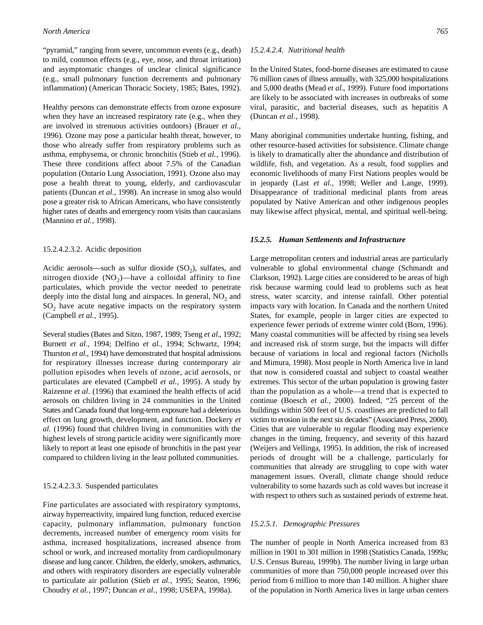"pyramid," ranging from severe, uncommon events (e.g., death) to mild, common effects (e.g., eye, nose, and throat irritation) and asymptomatic changes of unclear clinical significance (e.g., small pulmonary function decrements and pulmonary inflammation) (American Thoracic Society, 1985; Bates, 1992).

Healthy persons can demonstrate effects from ozone exposure when they have an increased respiratory rate (e.g., when they are involved in strenuous activities outdoors) (Brauer *et al.*, 1996). Ozone may pose a particular health threat, however, to those who already suffer from respiratory problems such as asthma, emphysema, or chronic bronchitis (Stieb *et al.*, 1996). These three conditions affect about 7.5% of the Canadian population (Ontario Lung Association, 1991). Ozone also may pose a health threat to young, elderly, and cardiovascular patients (Duncan *et al.*, 1998). An increase in smog also would pose a greater risk to African Americans, who have consistently higher rates of deaths and emergency room visits than caucasians (Mannino *et al.*, 1998).

#### 15.2.4.2.3.2. Acidic deposition

Acidic aerosols—such as sulfur dioxide  $(SO_2)$ , sulfates, and nitrogen dioxide  $(NO<sub>2</sub>)$ —have a colloidal affinity to fine particulates, which provide the vector needed to penetrate deeply into the distal lung and airspaces. In general,  $NO<sub>2</sub>$  and  $SO<sub>2</sub>$  have acute negative impacts on the respiratory system (Campbell *et al.*, 1995).

Several studies (Bates and Sitzo, 1987, 1989; Tseng et al., 1992; Burnett *et al.*, 1994; Delfino *et al.*, 1994; Schwartz, 1994; Thurston et al., 1994) have demonstrated that hospital admissions for respiratory illnesses increase during contemporary air pollution episodes when levels of ozone, acid aerosols, or particulates are elevated (Campbell *et al.*, 1995). A study by Raizenne *et al*. (1996) that examined the health effects of acid aerosols on children living in 24 communities in the United States and Canada found that long-term exposure had a deleterious effect on lung growth, development, and function. Dockery *et al.* (1996) found that children living in communities with the highest levels of strong particle acidity were significantly more likely to report at least one episode of bronchitis in the past year compared to children living in the least polluted communities.

#### 15.2.4.2.3.3. Suspended particulates

Fine particulates are associated with respiratory symptoms, a irway hyperreactivity, impaired lung function, reduced exercise capacity, pulmonary inflammation, pulmonary function decrements, increased number of emergency room visits for asthma, increased hospitalizations, increased absence from school or work, and increased mortality from cardiopulmonary disease and lung cancer. Children, the elderly, smokers, asthmatics, and others with respiratory disorders are especially vulnerable to particulate air pollution (Stieb *et al.*, 1995; Seaton, 1996; Choudry *et al.*, 1997; Duncan *et al.*, 1998; USEPA, 1998a).

#### *15.2.4.2.4. Nutritional health*

In the United States, food-borne diseases are estimated to cause 76 million cases of illness annually, with 325,000 hospitalizations and 5,000 deaths (Mead *et al.*, 1999). Future food importations are likely to be associated with increases in outbreaks of some viral, parasitic, and bacterial diseases, such as hepatitis A (Duncan *et al.*, 1998).

Many aboriginal communities undertake hunting, fishing, and other resource-based activities for subsistence. Climate change is likely to dramatically alter the abundance and distribution of wildlife, fish, and vegetation. As a result, food supplies and economic livelihoods of many First Nations peoples would be in jeopardy (Last *et al.*, 1998; Weller and Lange, 1999). Disappearance of traditional medicinal plants from areas populated by Native American and other indigenous peoples may likewise affect physical, mental, and spiritual well-being.

#### *15.2.5. Human Settlements and Infrastructure*

Large metropolitan centers and industrial areas are particularly vulnerable to global environmental change (Schmandt and Clarkson, 1992). Large cities are considered to be areas of high risk because warming could lead to problems such as heat stress, water scarcity, and intense rainfall. Other potential impacts vary with location. In Canada and the northern United States, for example, people in larger cities are expected to experience fewer periods of extreme winter cold (Born, 1996). Many coastal communities will be affected by rising sea levels and increased risk of storm surge, but the impacts will differ because of variations in local and regional factors (Nicholls and Mimura, 1998). Most people in North America live in land that now is considered coastal and subject to coastal weather extremes. This sector of the urban population is growing faster than the population as a whole—a trend that is expected to continue (Boesch *et al.*, 2000). Indeed, "25 percent of the buildings within 500 feet of U.S. coastlines are predicted to fall victim to erosion in the next six decades" (Associated Press, 2000). Cities that are vulnerable to regular flooding may experience changes in the timing, frequency, and severity of this hazard (Weijers and Vellinga, 1995). In addition, the risk of increased periods of drought will be a challenge, particularly for communities that already are struggling to cope with water management issues. Overall, climate change should reduce vulnerability to some hazards such as cold waves but increase it with respect to others such as sustained periods of extreme heat.

#### *15.2.5.1. Demographic Pressures*

The number of people in North America increased from 83 million in 1901 to 301 million in 1998 (Statistics Canada, 1999a; U.S. Census Bureau, 1999b). The number living in large urban communities of more than 750,000 people increased over this period from 6 million to more than 140 million. A higher share of the population in North America lives in large urban centers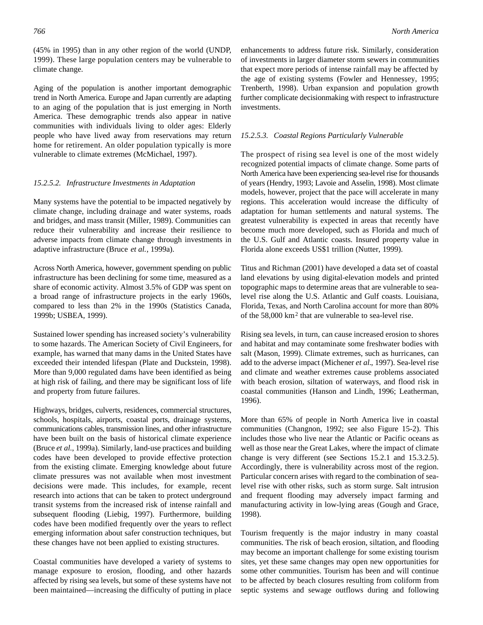(45% in 1995) than in any other region of the world (UNDP, 1999). These large population centers may be vulnerable to climate change.

Aging of the population is another important demographic trend in North America. Europe and Japan currently are adapting to an aging of the population that is just emerging in North America. These demographic trends also appear in native communities with individuals living to older ages: Elderly people who have lived away from reservations may return home for retirement. An older population typically is more vulnerable to climate extremes (McMichael, 1997).

#### *15.2.5.2. Infrastructure Investments in Adaptation*

Many systems have the potential to be impacted negatively by climate change, including drainage and water systems, roads and bridges, and mass transit (Miller, 1989). Communities can reduce their vulnerability and increase their resilience to adverse impacts from climate change through investments in adaptive infrastructure (Bruce *et al.*, 1999a).

Across North America, however, government spending on public infrastructure has been declining for some time, measured as a share of economic activity. Almost 3.5% of GDP was spent on a broad range of infrastructure projects in the early 1960s, compared to less than 2% in the 1990s (Statistics Canada, 1999b; USBEA, 1999).

Sustained lower spending has increased society's vulnerability to some hazards. The American Society of Civil Engineers, for example, has warned that many dams in the United States have exceeded their intended lifespan (Plate and Duckstein, 1998). More than 9,000 regulated dams have been identified as being at high risk of failing, and there may be significant loss of life and property from future failures.

Highways, bridges, culverts, residences, commercial structures, schools, hospitals, airports, coastal ports, drainage systems, communications cables, transmission lines, and other infrastructure have been built on the basis of historical climate experience (Bruce *et al.*, 1999a). Similarly, land-use practices and building codes have been developed to provide effective protection from the existing climate. Emerging knowledge about future climate pressures was not available when most investment decisions were made. This includes, for example, recent research into actions that can be taken to protect underground transit systems from the increased risk of intense rainfall and subsequent flooding (Liebig, 1997). Furthermore, building codes have been modified frequently over the years to reflect emerging information about safer construction techniques, but these changes have not been applied to existing structures.

Coastal communities have developed a variety of systems to manage exposure to erosion, flooding, and other hazards affected by rising sea levels, but some of these systems have not been maintained—increasing the difficulty of putting in place enhancements to address future risk. Similarly, consideration of investments in larger diameter storm sewers in communities that expect more periods of intense rainfall may be affected by the age of existing systems (Fowler and Hennessey, 1995; Trenberth, 1998). Urban expansion and population growth further complicate decisionmaking with respect to infrastructure investments.

#### *15.2.5.3. Coastal Regions Particularly Vulnerable*

The prospect of rising sea level is one of the most widely recognized potential impacts of climate change. Some parts of North America have been experiencing sea-level rise for thousands of years (Hendry, 1993; Lavoie and Asselin, 1998). Most climate models, however, project that the pace will accelerate in many regions. This acceleration would increase the difficulty of adaptation for human settlements and natural systems. The greatest vulnerability is expected in areas that recently have become much more developed, such as Florida and much of the U.S. Gulf and Atlantic coasts. Insured property value in Florida alone exceeds US\$1 trillion (Nutter, 1999).

Titus and Richman (2001) have developed a data set of coastal land elevations by using digital-elevation models and printed topographic maps to determine areas that are vulnerable to sealevel rise along the U.S. Atlantic and Gulf coasts. Louisiana, Florida, Texas, and North Carolina account for more than 80% of the 58,000 km<sup>2</sup> that are vulnerable to sea-level rise.

Rising sea levels, in turn, can cause increased erosion to shores and habitat and may contaminate some freshwater bodies with salt (Mason, 1999). Climate extremes, such as hurricanes, can add to the adverse impact (Michener *et al.*, 1997). Sea-level rise and climate and weather extremes cause problems associated with beach erosion, siltation of waterways, and flood risk in coastal communities (Hanson and Lindh, 1996; Leatherman, 1996).

More than 65% of people in North America live in coastal communities (Changnon, 1992; see also Figure 15-2). This includes those who live near the Atlantic or Pacific oceans as well as those near the Great Lakes, where the impact of climate change is very different (see Sections 15.2.1 and 15.3.2.5). Accordingly, there is vulnerability across most of the region. Particular concern arises with regard to the combination of sealevel rise with other risks, such as storm surge. Salt intrusion and frequent flooding may adversely impact farming and manufacturing activity in low-lying areas (Gough and Grace, 1998).

Tourism frequently is the major industry in many coastal communities. The risk of beach erosion, siltation, and flooding may become an important challenge for some existing tourism sites, yet these same changes may open new opportunities for some other communities. Tourism has been and will continue to be affected by beach closures resulting from coliform from septic systems and sewage outflows during and following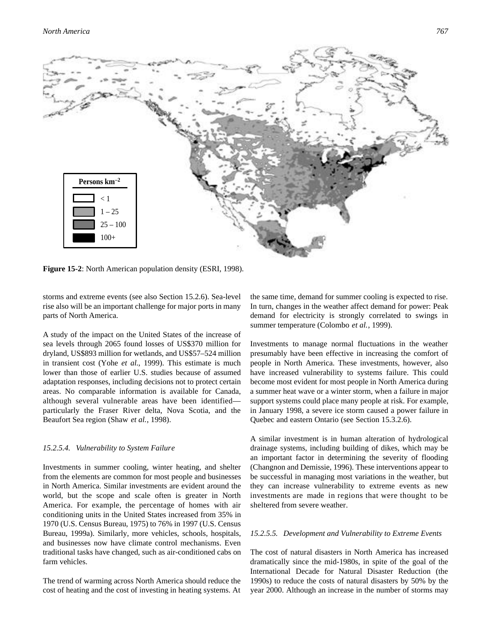

**Figure 15-2**: North American population density (ESRI, 1998).

storms and extreme events (see also Section 15.2.6). Sea-level rise also will be an important challenge for major ports in many parts of North America.

A study of the impact on the United States of the increase of sea levels through 2065 found losses of US\$370 million for dryland, US\$893 million for wetlands, and US\$57–524 million in transient cost (Yohe *et al*., 1999). This estimate is much lower than those of earlier U.S. studies because of assumed adaptation responses, including decisions not to protect certain areas. No comparable information is available for Canada, although several vulnerable areas have been identified particularly the Fraser River delta, Nova Scotia, and the Beaufort Sea region (Shaw *et al.*, 1998).

#### *15.2.5.4. Vulnerability to System Failure*

Investments in summer cooling, winter heating, and shelter from the elements are common for most people and businesses in North America. Similar investments are evident around the world, but the scope and scale often is greater in North America. For example, the percentage of homes with air conditioning units in the United States increased from 35% in 1970 (U.S. Census Bureau, 1975) to 76% in 1997 (U.S. Census Bureau, 1999a). Similarly, more vehicles, schools, hospitals, and businesses now have climate control mechanisms. Even traditional tasks have changed, such as air-conditioned cabs on farm vehicles.

The trend of warming across North America should reduce the cost of heating and the cost of investing in heating systems. At

the same time, demand for summer cooling is expected to rise. In turn, changes in the weather affect demand for power: Peak demand for electricity is strongly correlated to swings in summer temperature (Colombo *et al.*, 1999).

Investments to manage normal fluctuations in the weather presumably have been effective in increasing the comfort of people in North America. These investments, however, also have increased vulnerability to systems failure. This could become most evident for most people in North America during a summer heat wave or a winter storm, when a failure in major support systems could place many people at risk. For example, in January 1998, a severe ice storm caused a power failure in Quebec and eastern Ontario (see Section 15.3.2.6).

A similar investment is in human alteration of hydrological drainage systems, including building of dikes, which may be an important factor in determining the severity of flooding (Changnon and Demissie, 1996). These interventions appear to be successful in managing most variations in the weather, but they can increase vulnerability to extreme events as new investments are made in regions that were thought to be sheltered from severe weather.

#### *15.2.5.5. Development and Vulnerability to Extreme Events*

The cost of natural disasters in North America has increased dramatically since the mid-1980s, in spite of the goal of the International Decade for Natural Disaster Reduction (the 1990s) to reduce the costs of natural disasters by 50% by the year 2000. Although an increase in the number of storms may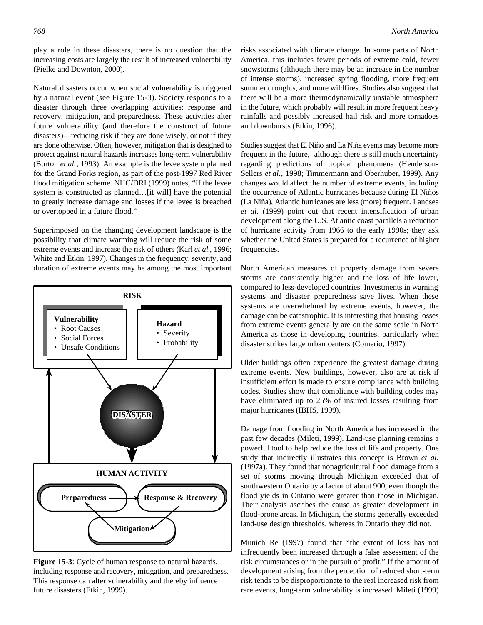play a role in these disasters, there is no question that the increasing costs are largely the result of increased vulnerability (Pielke and Downton, 2000).

Natural disasters occur when social vulnerability is triggered by a natural event (see Figure 15-3). Society responds to a disaster through three overlapping activities: response and recovery, mitigation, and preparedness. These activities alter future vulnerability (and therefore the construct of future disasters)—reducing risk if they are done wisely, or not if they are done otherwise. Often, however, mitigation that is designed to protect against natural hazards increases long-term vulnerability (Burton *et al.*, 1993). An example is the levee system planned for the Grand Forks region, as part of the post-1997 Red River flood mitigation scheme. NHC/DRI (1999) notes, "If the levee system is constructed as planned…[it will] have the potential to greatly increase damage and losses if the levee is breached or overtopped in a future flood."

Superimposed on the changing development landscape is the possibility that climate warming will reduce the risk of some extreme events and increase the risk of others (Karl *et al.*, 1996; White and Etkin, 1997). Changes in the frequency, severity, and duration of extreme events may be among the most important



**Figure 15-3**: Cycle of human response to natural hazards, including response and recovery, mitigation, and preparedness. This response can alter vulnerability and thereby influence future disasters (Etkin, 1999).

risks associated with climate change. In some parts of North America, this includes fewer periods of extreme cold, fewer snowstorms (although there may be an increase in the number of intense storms), increased spring flooding, more frequent summer droughts, and more wildfires. Studies also suggest that there will be a more thermodynamically unstable atmosphere in the future, which probably will result in more frequent heavy rainfalls and possibly increased hail risk and more tornadoes and downbursts (Etkin, 1996).

Studies suggest that El Niño and La Niña events may become more frequent in the future, although there is still much uncertainty regarding predictions of tropical phenomena (Henderson-Sellers *et al.*, 1998; Timmermann and Oberhuber, 1999). Any changes would affect the number of extreme events, including the occurrence of Atlantic hurricanes because during El Niños (La Niña), Atlantic hurricanes are less (more) frequent. Landsea *et al*. (1999) point out that recent intensification of urban development along the U.S. Atlantic coast parallels a reduction of hurricane activity from 1966 to the early 1990s; they ask whether the United States is prepared for a recurrence of higher frequencies.

North American measures of property damage from severe storms are consistently higher and the loss of life lower, compared to less-developed countries. Investments in warning systems and disaster preparedness save lives. When these systems are overwhelmed by extreme events, however, the damage can be catastrophic. It is interesting that housing losses from extreme events generally are on the same scale in North America as those in developing countries, particularly when disaster strikes large urban centers (Comerio, 1997).

Older buildings often experience the greatest damage during extreme events. New buildings, however, also are at risk if insufficient effort is made to ensure compliance with building codes. Studies show that compliance with building codes may have eliminated up to 25% of insured losses resulting from major hurricanes (IBHS, 1999).

Damage from flooding in North America has increased in the past few decades (Mileti, 1999). Land-use planning remains a powerful tool to help reduce the loss of life and property. One study that indirectly illustrates this concept is Brown *et al.* (1997a). They found that nonagricultural flood damage from a set of storms moving through Michigan exceeded that of southwestern Ontario by a factor of about 900, even though the flood yields in Ontario were greater than those in Michigan. Their analysis ascribes the cause as greater development in flood-prone areas. In Michigan, the storms generally exceeded land-use design thresholds, whereas in Ontario they did not.

Munich Re (1997) found that "the extent of loss has not infrequently been increased through a false assessment of the risk circumstances or in the pursuit of profit." If the amount of development arising from the perception of reduced short-term risk tends to be disproportionate to the real increased risk from rare events, long-term vulnerability is increased. Mileti (1999)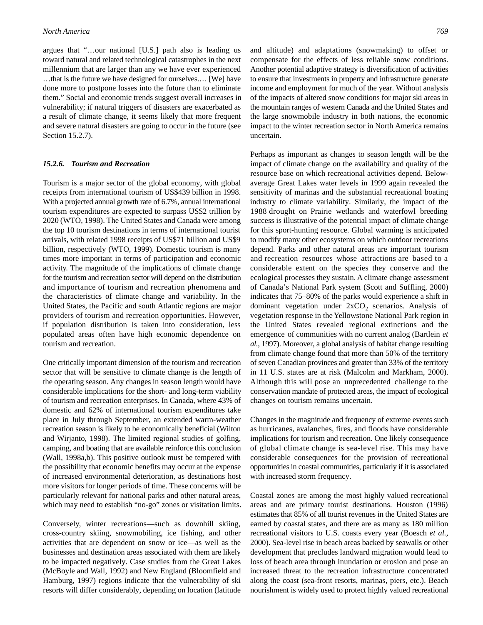argues that "…our national [U.S.] path also is leading us toward natural and related technological catastrophes in the next millennium that are larger than any we have ever experienced …that is the future we have designed for ourselves.… [We] have done more to postpone losses into the future than to eliminate them." Social and economic trends suggest overall increases in vulnerability; if natural triggers of disasters are exacerbated as a result of climate change, it seems likely that more frequent and severe natural disasters are going to occur in the future (see Section 15.2.7).

#### *15.2.6. Tourism and Recreation*

Tourism is a major sector of the global economy, with global receipts from international tourism of US\$439 billion in 1998. With a projected annual growth rate of 6.7%, annual international tourism expenditures are expected to surpass US\$2 trillion by 2020 (WTO, 1998). The United States and Canada were among the top 10 tourism destinations in terms of international tourist arrivals, with related 1998 receipts of US\$71 billion and US\$9 billion, respectively (WTO, 1999). Domestic tourism is many times more important in terms of participation and economic activity. The magnitude of the implications of climate change for the tourism and recreation sector will depend on the distribution and importance of tourism and recreation phenomena and the characteristics of climate change and variability. In the United States, the Pacific and south Atlantic regions are major providers of tourism and recreation opportunities. However, if population distribution is taken into consideration, less populated areas often have high economic dependence on tourism and recreation.

One critically important dimension of the tourism and recreation sector that will be sensitive to climate change is the length of the operating season. Any changes in season length would have considerable implications for the short- and long-term viability of tourism and recreation enterprises. In Canada, where 43% of domestic and 62% of international tourism expenditures take place in July through September, an extended warm-weather recreation season is likely to be economically beneficial (Wilton and Wirjanto, 1998). The limited regional studies of golfing, camping, and boating that are available reinforce this conclusion (Wall, 1998a,b). This positive outlook must be tempered with the possibility that economic benefits may occur at the expense of increased environmental deterioration, as destinations host more visitors for longer periods of time. These concerns will be particularly relevant for national parks and other natural areas, which may need to establish "no-go" zones or visitation limits.

Conversely, winter recreations—such as downhill skiing, cross-country skiing, snowmobiling, ice fishing, and other activities that are dependent on snow or ice—as well as the businesses and destination areas associated with them are likely to be impacted negatively. Case studies from the Great Lakes (McBoyle and Wall, 1992) and New England (Bloomfield and Hamburg, 1997) regions indicate that the vulnerability of ski resorts will differ considerably, depending on location (latitude

and altitude) and adaptations (snowmaking) to offset or compensate for the effects of less reliable snow conditions. Another potential adaptive strategy is diversification of activities to ensure that investments in property and infrastructure generate income and employment for much of the year. Without analysis of the impacts of altered snow conditions for major ski areas in the mountain ranges of western Canada and the United States and the large snowmobile industry in both nations, the economic impact to the winter recreation sector in North America remains uncertain.

Perhaps as important as changes to season length will be the impact of climate change on the availability and quality of the resource base on which recreational activities depend. Belowaverage Great Lakes water levels in 1999 again revealed the sensitivity of marinas and the substantial recreational boating industry to climate variability. Similarly, the impact of the 1988 drought on Prairie wetlands and waterfowl breeding success is illustrative of the potential impact of climate change for this sport-hunting resource. Global warming is anticipated to modify many other ecosystems on which outdoor recreations depend. Parks and other natural areas are important tourism and recreation resources whose attractions are based to a considerable extent on the species they conserve and the ecological processes they sustain. A climate change assessment of Canada's National Park system (Scott and Suffling, 2000) indicates that 75–80% of the parks would experience a shift in dominant vegetation under  $2xCO_2$  scenarios. Analysis of vegetation response in the Yellowstone National Park region in the United States revealed regional extinctions and the emergence of communities with no current analog (Bartlein *et al.*, 1997). Moreover, a global analysis of habitat change resulting from climate change found that more than 50% of the territory of seven Canadian provinces and greater than 33% of the territory in 11 U.S. states are at risk (Malcolm and Markham, 2000). Although this will pose an unprecedented challenge to the conservation mandate of protected areas, the impact of ecological changes on tourism remains uncertain.

Changes in the magnitude and frequency of extreme events such as hurricanes, avalanches, fires, and floods have considerable implications for tourism and recreation. One likely consequence of global climate change is sea-level rise. This may have considerable consequences for the provision of recreational opportunities in coastal communities, particularly if it is associated with increased storm frequency.

Coastal zones are among the most highly valued recreational areas and are primary tourist destinations. Houston (1996) estimates that 85% of all tourist revenues in the United States are earned by coastal states, and there are as many as 180 million recreational visitors to U.S. coasts every year (Boesch *et al.,* 2000). Sea-level rise in beach areas backed by seawalls or other development that precludes landward migration would lead to loss of beach area through inundation or erosion and pose an increased threat to the recreation infrastructure concentrated along the coast (sea-front resorts, marinas, piers, etc.). Beach nourishment is widely used to protect highly valued recreational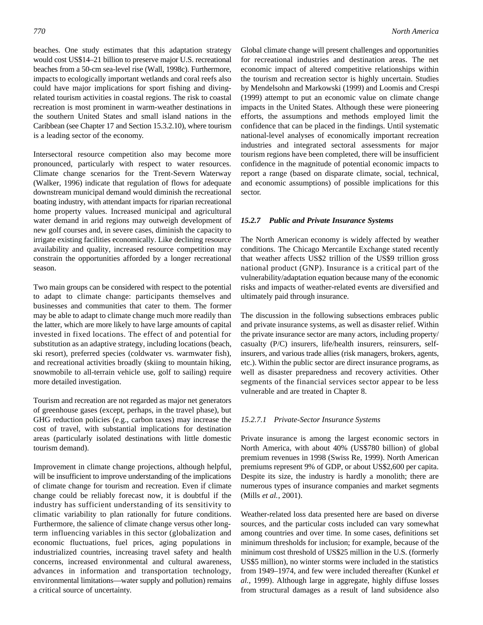beaches. One study estimates that this adaptation strategy would cost US\$14–21 billion to preserve major U.S. recreational beaches from a 50-cm sea-level rise (Wall, 1998c). Furthermore, impacts to ecologically important wetlands and coral reefs also could have major implications for sport fishing and divingrelated tourism activities in coastal regions. The risk to coastal recreation is most prominent in warm-weather destinations in the southern United States and small island nations in the Caribbean (see Chapter 17 and Section 15.3.2.10), where tourism is a leading sector of the economy.

Intersectoral resource competition also may become more pronounced, particularly with respect to water resources. Climate change scenarios for the Trent-Severn Waterway (Walker, 1996) indicate that regulation of flows for adequate downstream municipal demand would diminish the recreational boating industry, with attendant impacts for riparian recreational home property values. Increased municipal and agricultural water demand in arid regions may outweigh development of new golf courses and, in severe cases, diminish the capacity to irrigate existing facilities economically. Like declining resource availability and quality, increased resource competition may constrain the opportunities afforded by a longer recreational season.

Two main groups can be considered with respect to the potential to adapt to climate change: participants themselves and businesses and communities that cater to them. The former may be able to adapt to climate change much more readily than the latter, which are more likely to have large amounts of capital invested in fixed locations. The effect of and potential for substitution as an adaptive strategy, including locations (beach, ski resort), preferred species (coldwater vs. warmwater fish), and recreational activities broadly (skiing to mountain hiking, snowmobile to all-terrain vehicle use, golf to sailing) require more detailed investigation.

Tourism and recreation are not regarded as major net generators of greenhouse gases (except, perhaps, in the travel phase), but GHG reduction policies (e.g., carbon taxes) may increase the cost of travel, with substantial implications for destination areas (particularly isolated destinations with little domestic tourism demand).

Improvement in climate change projections, although helpful, will be insufficient to improve understanding of the implications of climate change for tourism and recreation. Even if climate change could be reliably forecast now, it is doubtful if the industry has sufficient understanding of its sensitivity to climatic variability to plan rationally for future conditions. Furthermore, the salience of climate change versus other longterm influencing variables in this sector (globalization and economic fluctuations, fuel prices, aging populations in industrialized countries, increasing travel safety and health concerns, increased environmental and cultural awareness, advances in information and transportation technology, environmental limitations—water supply and pollution) remains a critical source of uncertainty.

Global climate change will present challenges and opportunities for recreational industries and destination areas. The net economic impact of altered competitive relationships within the tourism and recreation sector is highly uncertain. Studies by Mendelsohn and Markowski (1999) and Loomis and Crespi (1999) attempt to put an economic value on climate change impacts in the United States. Although these were pioneering e fforts, the assumptions and methods employed limit the confidence that can be placed in the findings. Until systematic national-level analyses of economically important recreation industries and integrated sectoral assessments for major tourism regions have been completed, there will be insufficient confidence in the magnitude of potential economic impacts to report a range (based on disparate climate, social, technical, and economic assumptions) of possible implications for this sector.

#### *15.2.7 Public and Private Insurance Systems*

The North American economy is widely affected by weather conditions. The Chicago Mercantile Exchange stated recently that weather affects US\$2 trillion of the US\$9 trillion gross national product (GNP). Insurance is a critical part of the vulnerability/adaptation equation because many of the economic risks and impacts of weather-related events are diversified and ultimately paid through insurance.

The discussion in the following subsections embraces public and private insurance systems, as well as disaster relief. Within the private insurance sector are many actors, including property/ casualty (P/C) insurers, life/health insurers, reinsurers, selfinsurers, and various trade allies (risk managers, brokers, agents, etc.). Within the public sector are direct insurance programs, as well as disaster preparedness and recovery activities. Other segments of the financial services sector appear to be less vulnerable and are treated in Chapter 8.

#### *15.2.7.1 Private-Sector Insurance Systems*

Private insurance is among the largest economic sectors in North America, with about 40% (US\$780 billion) of global premium revenues in 1998 (Swiss Re, 1999). North American premiums represent 9% of GDP, or about US\$2,600 per capita. Despite its size, the industry is hardly a monolith; there are numerous types of insurance companies and market segments (Mills *et al.*, 2001).

Weather-related loss data presented here are based on diverse sources, and the particular costs included can vary somewhat among countries and over time. In some cases, definitions set minimum thresholds for inclusion; for example, because of the minimum cost threshold of US\$25 million in the U.S. (formerly US\$5 million), no winter storms were included in the statistics from 1949–1974, and few were included thereafter (Kunkel *et al.*, 1999). Although large in aggregate, highly diffuse losses from structural damages as a result of land subsidence also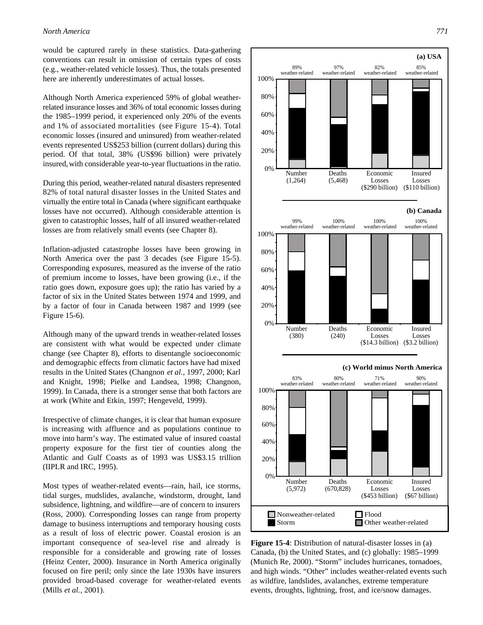would be captured rarely in these statistics. Data-gathering conventions can result in omission of certain types of costs (e.g., weather-related vehicle losses). Thus, the totals presented here are inherently underestimates of actual losses.

Although North America experienced 59% of global weatherrelated insurance losses and 36% of total economic losses during the 1985–1999 period, it experienced only 20% of the events and 1% of associated mortalities (see Figure 15-4). Total economic losses (insured and uninsured) from weather-related events represented US\$253 billion (current dollars) during this period. Of that total, 38% (US\$96 billion) were privately insured, with considerable year-to-year fluctuations in the ratio.

During this period, weather-related natural disasters represented 82% of total natural disaster losses in the United States and virtually the entire total in Canada (where significant earthquake losses have not occurred). Although considerable attention is given to catastrophic losses, half of all insured weather-related losses are from relatively small events (see Chapter 8).

Inflation-adjusted catastrophe losses have been growing in North America over the past 3 decades (see Figure 15-5). Corresponding exposures, measured as the inverse of the ratio of premium income to losses, have been growing (i.e., if the ratio goes down, exposure goes up); the ratio has varied by a factor of six in the United States between 1974 and 1999, and by a factor of four in Canada between 1987 and 1999 (see Figure 15-6).

Although many of the upward trends in weather-related losses are consistent with what would be expected under climate change (see Chapter 8), efforts to disentangle socioeconomic and demographic effects from climatic factors have had mixed results in the United States (Changnon *et al.*, 1997, 2000; Karl and Knight, 1998; Pielke and Landsea, 1998; Changnon, 1999). In Canada, there is a stronger sense that both factors are at work (White and Etkin, 1997; Hengeveld, 1999).

Irrespective of climate changes, it is clear that human exposure is increasing with affluence and as populations continue to move into harm's way. The estimated value of insured coastal property exposure for the first tier of counties along the Atlantic and Gulf Coasts as of 1993 was US\$3.15 trillion (IIPLR and IRC, 1995).

Most types of weather-related events—rain, hail, ice storms, tidal surges, mudslides, avalanche, windstorm, drought, land subsidence, lightning, and wildfire—are of concern to insurers (Ross, 2000). Corresponding losses can range from property damage to business interruptions and temporary housing costs as a result of loss of electric power. Coastal erosion is an important consequence of sea-level rise and already is responsible for a considerable and growing rate of losses (Heinz Center, 2000). Insurance in North America originally focused on fire peril; only since the late 1930s have insurers provided broad-based coverage for weather-related events (Mills *et al.*, 2001).



**Figure 15-4**: Distribution of natural-disaster losses in (a) Canada, (b) the United States, and (c) globally: 1985–1999 (Munich Re, 2000). "Storm" includes hurricanes, tornadoes, and high winds. "Other" includes weather-related events such as wildfire, landslides, avalanches, extreme temperature events, droughts, lightning, frost, and ice/snow damages.

Deaths (670,828)

Economic Losses (\$453 billion)

Other weather-related

 $\Box$  Flood

Insured Losses (\$67 billion)

0%

**Storm** 

Number (5,972)

Nonweather-related

20%

40%

60%

80%

100%

0%

20%

40%

60%

80%

100%

0%

20%

40%

60%

80%

100%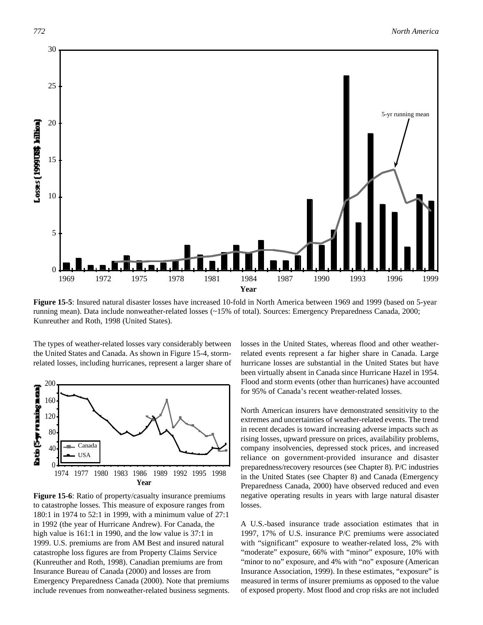

**Figure 15-5**: Insured natural disaster losses have increased 10-fold in North America between 1969 and 1999 (based on 5-year running mean). Data include nonweather-related losses (~15% of total). Sources: Emergency Preparedness Canada, 2000; Kunreuther and Roth, 1998 (United States).

The types of weather-related losses vary considerably between the United States and Canada. As shown in Figure 15-4, stormrelated losses, including hurricanes, represent a larger share of



**Figure 15-6**: Ratio of property/casualty insurance premiums to catastrophe losses. This measure of exposure ranges from 180:1 in 1974 to 52:1 in 1999, with a minimum value of 27:1 in 1992 (the year of Hurricane Andrew). For Canada, the high value is 161:1 in 1990, and the low value is 37:1 in 1999. U.S. premiums are from AM Best and insured natural catastrophe loss figures are from Property Claims Service (Kunreuther and Roth, 1998). Canadian premiums are from Insurance Bureau of Canada (2000) and losses are from Emergency Preparedness Canada (2000). Note that premiums include revenues from nonweather-related business segments.

losses in the United States, whereas flood and other weatherrelated events represent a far higher share in Canada. Large hurricane losses are substantial in the United States but have been virtually absent in Canada since Hurricane Hazel in 1954. Flood and storm events (other than hurricanes) have accounted for 95% of Canada's recent weather-related losses.

North American insurers have demonstrated sensitivity to the extremes and uncertainties of weather-related events. The trend in recent decades is toward increasing adverse impacts such as rising losses, upward pressure on prices, availability problems, company insolvencies, depressed stock prices, and increased reliance on government-provided insurance and disaster preparedness/recovery resources (see Chapter 8). P/C industries in the United States (see Chapter 8) and Canada (Emergency Preparedness Canada, 2000) have observed reduced and even negative operating results in years with large natural disaster losses.

A U.S.-based insurance trade association estimates that in 1997, 17% of U.S. insurance P/C premiums were associated with "significant" exposure to weather-related loss, 2% with "moderate" exposure, 66% with "minor" exposure, 10% with "minor to no" exposure, and 4% with "no" exposure (American Insurance Association, 1999). In these estimates, "exposure" is measured in terms of insurer premiums as opposed to the value of exposed property. Most flood and crop risks are not included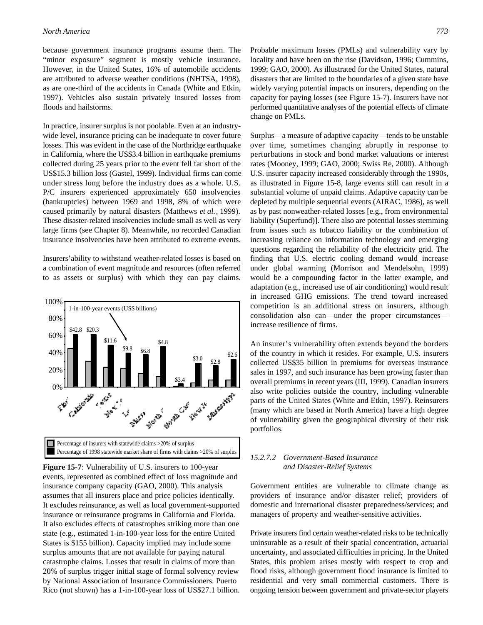because government insurance programs assume them. The "minor exposure" segment is mostly vehicle insurance. However, in the United States, 16% of automobile accidents are attributed to adverse weather conditions (NHTSA, 1998), as are one-third of the accidents in Canada (White and Etkin, 1997). Vehicles also sustain privately insured losses from floods and hailstorms.

In practice, insurer surplus is not poolable. Even at an industrywide level, insurance pricing can be inadequate to cover future losses. This was evident in the case of the Northridge earthquake in California, where the US\$3.4 billion in earthquake premiums collected during 25 years prior to the event fell far short of the US\$15.3 billion loss (Gastel, 1999). Individual firms can come under stress long before the industry does as a whole. U.S. P/C insurers experienced approximately 650 insolvencies (bankruptcies) between 1969 and 1998, 8% of which were caused primarily by natural disasters (Matthews *et al.*, 1999). These disaster-related insolvencies include small as well as very large firms (see Chapter 8). Meanwhile, no recorded Canadian insurance insolvencies have been attributed to extreme events.

Insurers'ability to withstand weather-related losses is based on a combination of event magnitude and resources (often referred to as assets or surplus) with which they can pay claims.



**Figure 15-7**: Vulnerability of U.S. insurers to 100-year events, represented as combined effect of loss magnitude and insurance company capacity (GAO, 2000). This analysis assumes that all insurers place and price policies identically. It excludes reinsurance, as well as local government-supported insurance or reinsurance programs in California and Florida. It also excludes effects of catastrophes striking more than one state (e.g., estimated 1-in-100-year loss for the entire United States is \$155 billion). Capacity implied may include some surplus amounts that are not available for paying natural catastrophe claims. Losses that result in claims of more than 20% of surplus trigger initial stage of formal solvency review by National Association of Insurance Commissioners. Puerto Rico (not shown) has a 1-in-100-year loss of US\$27.1 billion.

1999; GAO, 2000). As illustrated for the United States, natural disasters that are limited to the boundaries of a given state have widely varying potential impacts on insurers, depending on the capacity for paying losses (see Figure 15-7). Insurers have not performed quantitative analyses of the potential effects of climate change on PMLs.

Surplus—a measure of adaptive capacity—tends to be unstable over time, sometimes changing abruptly in response to perturbations in stock and bond market valuations or interest rates (Mooney, 1999; GAO, 2000; Swiss Re, 2000). Although U.S. insurer capacity increased considerably through the 1990s, as illustrated in Figure 15-8, large events still can result in a substantial volume of unpaid claims. Adaptive capacity can be depleted by multiple sequential events (AIRAC, 1986), as well as by past nonweather-related losses [e.g., from environmental liability (Superfund)]. There also are potential losses stemming from issues such as tobacco liability or the combination of increasing reliance on information technology and emerging questions regarding the reliability of the electricity grid. The finding that U.S. electric cooling demand would increase under global warming (Morrison and Mendelsohn, 1999) would be a compounding factor in the latter example, and adaptation (e.g., increased use of air conditioning) would result in increased GHG emissions. The trend toward increased competition is an additional stress on insurers, although consolidation also can—under the proper circumstancesincrease resilience of firms.

An insurer's vulnerability often extends beyond the borders of the country in which it resides. For example, U.S. insurers collected US\$35 billion in premiums for overseas insurance sales in 1997, and such insurance has been growing faster than overall premiums in recent years (III, 1999). Canadian insurers also write policies outside the country, including vulnerable parts of the United States (White and Etkin, 1997). Reinsurers (many which are based in North America) have a high degree of vulnerability given the geographical diversity of their risk portfolios.

#### *15.2.7.2 Government-Based Insurance and Disaster-Relief Systems*

Government entities are vulnerable to climate change as providers of insurance and/or disaster relief; providers of domestic and international disaster preparedness/services; and managers of property and weather-sensitive activities.

Private insurers find certain weather-related risks to be technically uninsurable as a result of their spatial concentration, actuarial uncertainty, and associated difficulties in pricing. In the United States, this problem arises mostly with respect to crop and flood risks, although government flood insurance is limited to residential and very small commercial customers. There is ongoing tension between government and private-sector players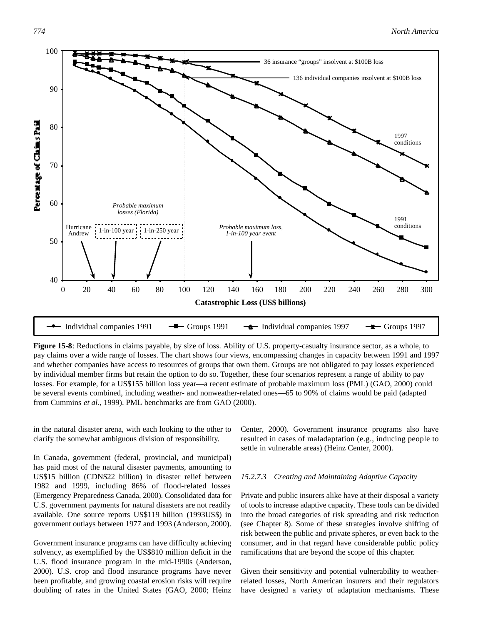

**Figure 15-8**: Reductions in claims payable, by size of loss. Ability of U.S. property-casualty insurance sector, as a whole, to pay claims over a wide range of losses. The chart shows four views, encompassing changes in capacity between 1991 and 1997 and whether companies have access to resources of groups that own them. Groups are not obligated to pay losses experienced by individual member firms but retain the option to do so. Together, these four scenarios represent a range of ability to pay losses. For example, for a US\$155 billion loss year—a recent estimate of probable maximum loss (PML) (GAO, 2000) could be several events combined, including weather- and nonweather-related ones—65 to 90% of claims would be paid (adapted from Cummins *et al*., 1999). PML benchmarks are from GAO (2000).

in the natural disaster arena, with each looking to the other to clarify the somewhat ambiguous division of responsibility.

In Canada, government (federal, provincial, and municipal) has paid most of the natural disaster payments, amounting to US\$15 billion (CDN\$22 billion) in disaster relief between 1982 and 1999, including 86% of flood-related losses (Emergency Preparedness Canada, 2000). Consolidated data for U.S. government payments for natural disasters are not readily available. One source reports US\$119 billion (1993US\$) in government outlays between 1977 and 1993 (Anderson, 2000).

Government insurance programs can have difficulty achieving solvency, as exemplified by the US\$810 million deficit in the U.S. flood insurance program in the mid-1990s (Anderson, 2000). U.S. crop and flood insurance programs have never been profitable, and growing coastal erosion risks will require doubling of rates in the United States (GAO, 2000; Heinz Center, 2000). Government insurance programs also have resulted in cases of maladaptation (e.g., inducing people to settle in vulnerable areas) (Heinz Center, 2000).

#### *15.2.7.3 Creating and Maintaining Adaptive Capacity*

Private and public insurers alike have at their disposal a variety of tools to increase adaptive capacity. These tools can be divided into the broad categories of risk spreading and risk reduction (see Chapter 8). Some of these strategies involve shifting of risk between the public and private spheres, or even back to the consumer, and in that regard have considerable public policy ramifications that are beyond the scope of this chapter.

Given their sensitivity and potential vulnerability to weatherrelated losses, North American insurers and their regulators have designed a variety of adaptation mechanisms. These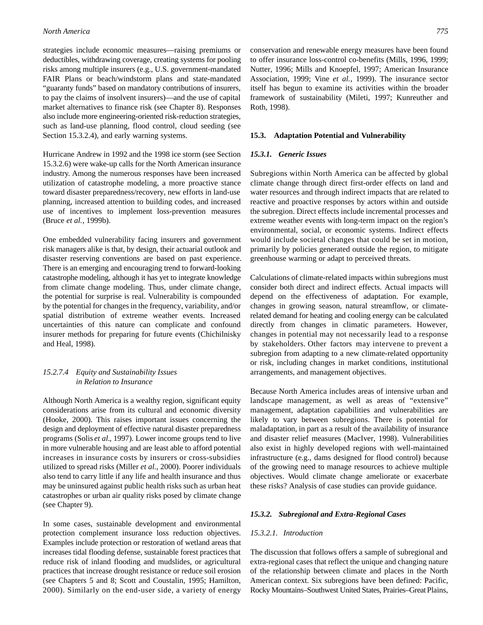strategies include economic measures—raising premiums or deductibles, withdrawing coverage, creating systems for pooling risks among multiple insurers (e.g., U.S. government-mandated FAIR Plans or beach/windstorm plans and state-mandated "guaranty funds" based on mandatory contributions of insurers, to pay the claims of insolvent insurers)—and the use of capital market alternatives to finance risk (see Chapter 8). Responses also include more engineering-oriented risk-reduction strategies, such as land-use planning, flood control, cloud seeding (see Section 15.3.2.4), and early warning systems.

Hurricane Andrew in 1992 and the 1998 ice storm (see Section 15.3.2.6) were wake-up calls for the North American insurance industry. Among the numerous responses have been increased utilization of catastrophe modeling, a more proactive stance toward disaster preparedness/recovery, new efforts in land-use planning, increased attention to building codes, and increased use of incentives to implement loss-prevention measures (Bruce *et al.*, 1999b).

One embedded vulnerability facing insurers and government risk managers alike is that, by design, their actuarial outlook and disaster reserving conventions are based on past experience. There is an emerging and encouraging trend to forward-looking catastrophe modeling, although it has yet to integrate knowledge from climate change modeling. Thus, under climate change, the potential for surprise is real. Vulnerability is compounded by the potential for changes in the frequency, variability, and/or spatial distribution of extreme weather events. Increased uncertainties of this nature can complicate and confound insurer methods for preparing for future events (Chichilnisky and Heal, 1998).

#### *15.2.7.4 Equity and Sustainability Issues in Relation to Insurance*

Although North America is a wealthy region, significant equity considerations arise from its cultural and economic diversity (Hooke, 2000). This raises important issues concerning the design and deployment of effective natural disaster preparedness programs (Solis *et al.*, 1997). Lower income groups tend to live in more vulnerable housing and are least able to afford potential increases in insurance costs by insurers or cross-subsidies utilized to spread risks (Miller *et al.*, 2000). Poorer individuals also tend to carry little if any life and health insurance and thus may be uninsured against public health risks such as urban heat catastrophes or urban air quality risks posed by climate change (see Chapter 9).

In some cases, sustainable development and environmental protection complement insurance loss reduction objectives. Examples include protection or restoration of wetland areas that increases tidal flooding defense, sustainable forest practices that reduce risk of inland flooding and mudslides, or agricultural practices that increase drought resistance or reduce soil erosion (see Chapters 5 and 8; Scott and Coustalin, 1995; Hamilton, 2000). Similarly on the end-user side, a variety of energy

conservation and renewable energy measures have been found to offer insurance loss-control co-benefits (Mills, 1996, 1999; Nutter, 1996; Mills and Knoepfel, 1997; American Insurance Association, 1999; Vine *et al.*, 1999). The insurance sector itself has begun to examine its activities within the broader framework of sustainability (Mileti, 1997; Kunreuther and Roth, 1998).

#### **15.3. Adaptation Potential and Vulnerability**

#### *15.3.1. Generic Issues*

Subregions within North America can be affected by global climate change through direct first-order effects on land and water resources and through indirect impacts that are related to reactive and proactive responses by actors within and outside the subregion. Direct effects include incremental processes and extreme weather events with long-term impact on the region's environmental, social, or economic systems. Indirect effects would include societal changes that could be set in motion, primarily by policies generated outside the region, to mitigate greenhouse warming or adapt to perceived threats.

Calculations of climate-related impacts within subregions must consider both direct and indirect effects. Actual impacts will depend on the effectiveness of adaptation. For example, changes in growing season, natural streamflow, or climaterelated demand for heating and cooling energy can be calculated directly from changes in climatic parameters. However, changes in potential may not necessarily lead to a response by stakeholders. Other factors may intervene to prevent a subregion from adapting to a new climate-related opportunity or risk, including changes in market conditions, institutional arrangements, and management objectives.

Because North America includes areas of intensive urban and landscape management, as well as areas of "extensive" management, adaptation capabilities and vulnerabilities are likely to vary between subregions. There is potential for maladaptation, in part as a result of the availability of insurance and disaster relief measures (MacIver, 1998). Vulnerabilities also exist in highly developed regions with well-maintained infrastructure (e.g., dams designed for flood control) because of the growing need to manage resources to achieve multiple objectives. Would climate change ameliorate or exacerbate these risks? Analysis of case studies can provide guidance.

#### *15.3.2. Subregional and Extra-Regional Cases*

#### *15.3.2.1. Introduction*

The discussion that follows offers a sample of subregional and extra-regional cases that reflect the unique and changing nature of the relationship between climate and places in the North American context. Six subregions have been defined: Pacific, Rocky Mountains–Southwest United States, Prairies–Great Plains,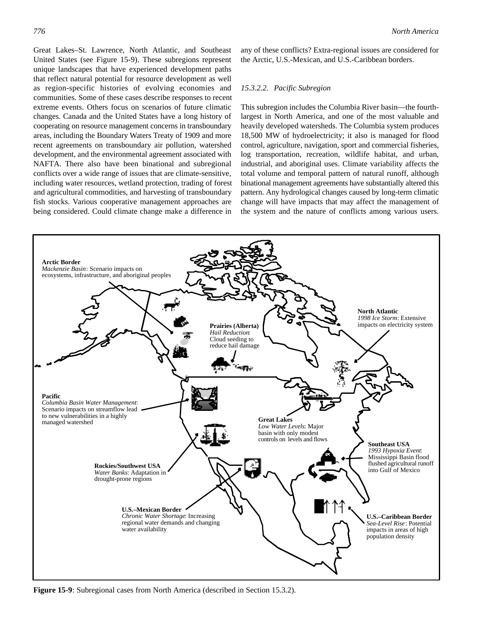Great Lakes–St. Lawrence, North Atlantic, and Southeast United States (see Figure 15-9). These subregions represent unique landscapes that have experienced development paths that reflect natural potential for resource development as well as region-specific histories of evolving economies and communities. Some of these cases describe responses to recent extreme events. Others focus on scenarios of future climatic changes*.* Canada and the United States have a long history of cooperating on resource management concerns in transboundary areas, including the Boundary Waters Treaty of 1909 and more recent agreements on transboundary air pollution, watershed development, and the environmental agreement associated with NAFTA. There also have been binational and subregional conflicts over a wide range of issues that are climate-sensitive, including water resources, wetland protection, trading of forest and agricultural commodities, and harvesting of transboundary fish stocks. Various cooperative management approaches are being considered. Could climate change make a difference in

any of these conflicts? Extra-regional issues are considered for the Arctic, U.S.-Mexican, and U.S.-Caribbean borders.

#### *15.3.2.2. Pacific Subregion*

This subregion includes the Columbia River basin—the fourthlargest in North America, and one of the most valuable and heavily developed watersheds. The Columbia system produces 18,500 MW of hydroelectricity; it also is managed for flood control, agriculture, navigation, sport and commercial fisheries, log transportation, recreation, wildlife habitat, and urban, industrial, and aboriginal uses. Climate variability affects the total volume and temporal pattern of natural runoff, although binational management agreements have substantially altered this pattern. Any hydrological changes caused by long-term climatic change will have impacts that may affect the management of the system and the nature of conflicts among various users.



**Figure 15-9**: Subregional cases from North America (described in Section 15.3.2).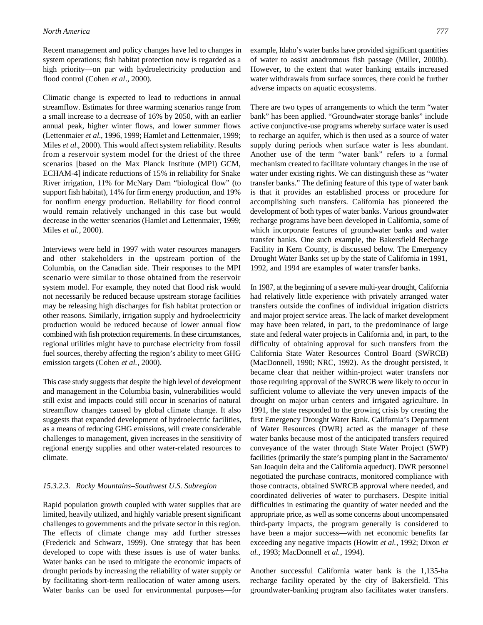Recent management and policy changes have led to changes in system operations; fish habitat protection now is regarded as a high priority—on par with hydroelectricity production and flood control (Cohen *et al*., 2000).

Climatic change is expected to lead to reductions in annual streamflow. Estimates for three warming scenarios range from a small increase to a decrease of 16% by 2050, with an earlier annual peak, higher winter flows, and lower summer flows (Lettenmaier *et al.*, 1996, 1999; Hamlet and Lettenmaier, 1999; Miles *et al.*, 2000). This would affect system reliability. Results from a reservoir system model for the driest of the three scenarios [based on the Max Planck Institute (MPI) GCM, ECHAM-4] indicate reductions of 15% in reliability for Snake River irrigation, 11% for McNary Dam "biological flow" (to support fish habitat), 14% for firm energy production, and 19% for nonfirm energy production. Reliability for flood control would remain relatively unchanged in this case but would decrease in the wetter scenarios (Hamlet and Lettenmaier, 1999; Miles *et al.*, 2000).

Interviews were held in 1997 with water resources managers and other stakeholders in the upstream portion of the Columbia, on the Canadian side. Their responses to the MPI scenario were similar to those obtained from the reservoir system model. For example, they noted that flood risk would not necessarily be reduced because upstream storage facilities may be releasing high discharges for fish habitat protection or other reasons. Similarly, irrigation supply and hydroelectricity production would be reduced because of lower annual flow combined with fish protection requirements. In these circumstances, regional utilities might have to purchase electricity from fossil fuel sources, thereby affecting the region's ability to meet GHG emission targets (Cohen *et al.*, 2000).

This case study suggests that despite the high level of development and management in the Columbia basin, vulnerabilities would still exist and impacts could still occur in scenarios of natural streamflow changes caused by global climate change. It also suggests that expanded development of hydroelectric facilities, as a means of reducing GHG emissions, will create considerable challenges to management, given increases in the sensitivity of regional energy supplies and other water-related resources to climate.

#### *15.3.2.3. Rocky Mountains–Southwest U.S. Subregion*

Rapid population growth coupled with water supplies that are limited, heavily utilized, and highly variable present significant challenges to governments and the private sector in this region. The effects of climate change may add further stresses (Frederick and Schwarz, 1999). One strategy that has been developed to cope with these issues is use of water banks. Water banks can be used to mitigate the economic impacts of drought periods by increasing the reliability of water supply or by facilitating short-term reallocation of water among users. Water banks can be used for environmental purposes—for example, Idaho's water banks have provided significant quantities of water to assist anadromous fish passage (Miller, 2000b). However, to the extent that water banking entails increased water withdrawals from surface sources, there could be further adverse impacts on aquatic ecosystems.

There are two types of arrangements to which the term "water bank" has been applied. "Groundwater storage banks" include active conjunctive-use programs whereby surface water is used to recharge an aquifer, which is then used as a source of water supply during periods when surface water is less abundant. Another use of the term "water bank" refers to a formal mechanism created to facilitate voluntary changes in the use of water under existing rights. We can distinguish these as "water transfer banks." The defining feature of this type of water bank is that it provides an established process or procedure for accomplishing such transfers. California has pioneered the development of both types of water banks. Various groundwater recharge programs have been developed in California, some of which incorporate features of groundwater banks and water transfer banks. One such example, the Bakersfield Recharge Facility in Kern County, is discussed below. The Emergency Drought Water Banks set up by the state of California in 1991, 1992, and 1994 are examples of water transfer banks.

In 1987, at the beginning of a severe multi-year drought, California had relatively little experience with privately arranged water transfers outside the confines of individual irrigation districts and major project service areas. The lack of market development may have been related, in part, to the predominance of large state and federal water projects in California and, in part, to the difficulty of obtaining approval for such transfers from the California State Water Resources Control Board (SWRCB) (MacDonnell, 1990; NRC, 1992). As the drought persisted, it became clear that neither within-project water transfers nor those requiring approval of the SWRCB were likely to occur in sufficient volume to alleviate the very uneven impacts of the drought on major urban centers and irrigated agriculture. In 1991, the state responded to the growing crisis by creating the first Emergency Drought Water Bank. California's Department of Water Resources (DWR) acted as the manager of these water banks because most of the anticipated transfers required conveyance of the water through State Water Project (SWP) facilities (primarily the state's pumping plant in the Sacramento/ San Joaquin delta and the California aqueduct). DWR personnel negotiated the purchase contracts, monitored compliance with those contracts, obtained SWRCB approval where needed, and coordinated deliveries of water to purchasers. Despite initial difficulties in estimating the quantity of water needed and the appropriate price, as well as some concerns about uncompensated third-party impacts, the program generally is considered to have been a major success—with net economic benefits far exceeding any negative impacts (Howitt *et al.*, 1992; Dixon *et al.*, 1993; MacDonnell *et al.*, 1994).

Another successful California water bank is the 1,135-ha recharge facility operated by the city of Bakersfield. This groundwater-banking program also facilitates water transfers.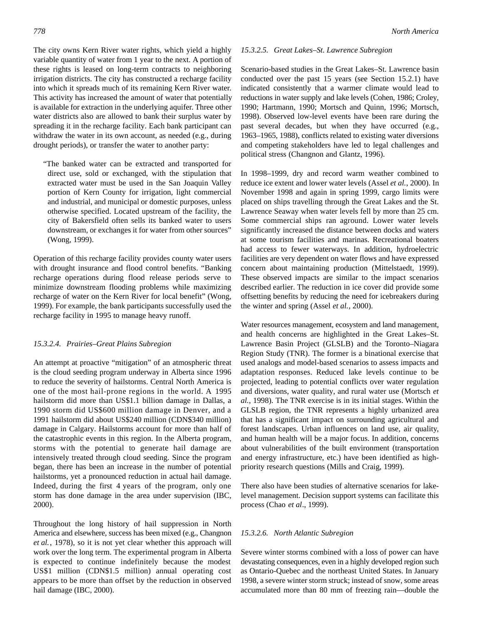The city owns Kern River water rights, which yield a highly variable quantity of water from 1 year to the next. A portion of these rights is leased on long-term contracts to neighboring irrigation districts. The city has constructed a recharge facility into which it spreads much of its remaining Kern River water. This activity has increased the amount of water that potentially is available for extraction in the underlying aquifer. Three other water districts also are allowed to bank their surplus water by spreading it in the recharge facility. Each bank participant can withdraw the water in its own account, as needed (e.g., during drought periods), or transfer the water to another party:

"The banked water can be extracted and transported for direct use, sold or exchanged, with the stipulation that extracted water must be used in the San Joaquin Valley portion of Kern County for irrigation, light commercial and industrial, and municipal or domestic purposes, unless otherwise specified. Located upstream of the facility, the city of Bakersfield often sells its banked water to users downstream, or exchanges it for water from other sources" (Wong, 1999).

Operation of this recharge facility provides county water users with drought insurance and flood control benefits. "Banking recharge operations during flood release periods serve to minimize downstream flooding problems while maximizing recharge of water on the Kern River for local benefit" (Wong, 1999). For example, the bank participants successfully used the recharge facility in 1995 to manage heavy runoff.

#### *15.3.2.4. Prairies–Great Plains Subregion*

An attempt at proactive "mitigation" of an atmospheric threat is the cloud seeding program underway in Alberta since 1996 to reduce the severity of hailstorms. Central North America is one of the most hail-prone regions in the world. A 1995 hailstorm did more than US\$1.1 billion damage in Dallas, a 1990 storm did US\$600 million damage in Denver, and a 1991 hailstorm did about US\$240 million (CDN\$340 million) damage in Calgary. Hailstorms account for more than half of the catastrophic events in this region. In the Alberta program, storms with the potential to generate hail damage are intensively treated through cloud seeding. Since the program began, there has been an increase in the number of potential hailstorms, yet a pronounced reduction in actual hail damage. Indeed, during the first 4 years of the program, only one storm has done damage in the area under supervision (IBC, 2000).

Throughout the long history of hail suppression in North America and elsewhere, success has been mixed (e.g., Changnon *et al.*, 1978), so it is not yet clear whether this approach will work over the long term. The experimental program in Alberta is expected to continue indefinitely because the modest US\$1 million (CDN\$1.5 million) annual operating cost appears to be more than offset by the reduction in observed hail damage (IBC, 2000).

#### *15.3.2.5. Great Lakes–St. Lawrence Subregion*

Scenario-based studies in the Great Lakes–St. Lawrence basin conducted over the past 15 years (see Section 15.2.1) have indicated consistently that a warmer climate would lead to reductions in water supply and lake levels (Cohen, 1986; Croley, 1990; Hartmann, 1990; Mortsch and Quinn, 1996; Mortsch, 1998). Observed low-level events have been rare during the past several decades, but when they have occurred (e.g., 1963–1965, 1988), conflicts related to existing water diversions and competing stakeholders have led to legal challenges and political stress (Changnon and Glantz, 1996).

In 1998–1999, dry and record warm weather combined to reduce ice extent and lower water levels (Assel *et al.*, 2000). In November 1998 and again in spring 1999, cargo limits were placed on ships travelling through the Great Lakes and the St. Lawrence Seaway when water levels fell by more than 25 cm. Some commercial ships ran aground. Lower water levels significantly increased the distance between docks and waters at some tourism facilities and marinas. Recreational boaters had access to fewer waterways. In addition, hydroelectric facilities are very dependent on water flows and have expressed concern about maintaining production (Mittelstaedt, 1999). These observed impacts are similar to the impact scenarios described earlier. The reduction in ice cover did provide some offsetting benefits by reducing the need for icebreakers during the winter and spring (Assel *et al.*, 2000).

Water resources management, ecosystem and land management, and health concerns are highlighted in the Great Lakes–St. Lawrence Basin Project (GLSLB) and the Toronto–Niagara Region Study (TNR). The former is a binational exercise that used analogs and model-based scenarios to assess impacts and adaptation responses. Reduced lake levels continue to be projected, leading to potential conflicts over water regulation and diversions, water quality, and rural water use (Mortsch *et al.*, 1998). The TNR exercise is in its initial stages. Within the GLSLB region, the TNR represents a highly urbanized area that has a significant impact on surrounding agricultural and forest landscapes. Urban influences on land use, air quality, and human health will be a major focus. In addition, concerns about vulnerabilities of the built environment (transportation and energy infrastructure, etc.) have been identified as highpriority research questions (Mills and Craig, 1999).

There also have been studies of alternative scenarios for lakelevel management. Decision support systems can facilitate this process (Chao *et al*., 1999).

#### *15.3.2.6. North Atlantic Subregion*

Severe winter storms combined with a loss of power can have devastating consequences, even in a highly developed region such as Ontario-Quebec and the northeast United States. In January 1998, a severe winter storm struck; instead of snow, some areas accumulated more than 80 mm of freezing rain—double the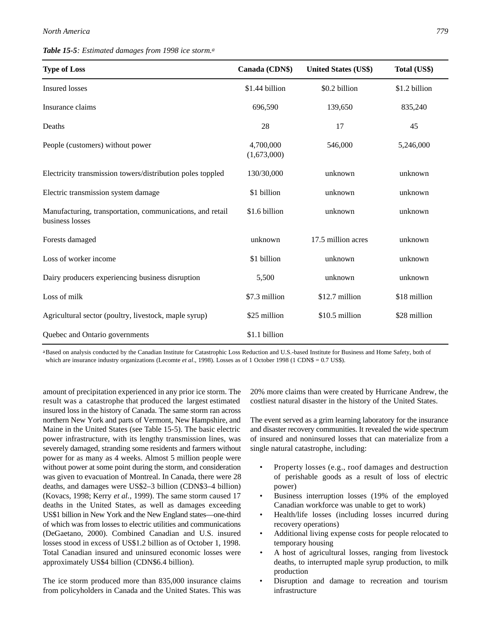*Table 15-5: Estimated damages from 1998 ice storm.<sup>a</sup>*

| <b>Type of Loss</b>                                                          | Canada (CDN\$)           | <b>United States (US\$)</b> | Total (US\$)  |
|------------------------------------------------------------------------------|--------------------------|-----------------------------|---------------|
| <b>Insured losses</b>                                                        | \$1.44 billion           | \$0.2 billion               | \$1.2 billion |
| Insurance claims                                                             | 696,590                  | 139,650                     | 835,240       |
| Deaths                                                                       | 28                       | 17                          | 45            |
| People (customers) without power                                             | 4,700,000<br>(1,673,000) | 546,000                     | 5,246,000     |
| Electricity transmission towers/distribution poles toppled                   | 130/30,000               | unknown                     | unknown       |
| Electric transmission system damage                                          | \$1 billion              | unknown                     | unknown       |
| Manufacturing, transportation, communications, and retail<br>business losses | \$1.6 billion            | unknown                     | unknown       |
| Forests damaged                                                              | unknown                  | 17.5 million acres          | unknown       |
| Loss of worker income                                                        | \$1 billion              | unknown                     | unknown       |
| Dairy producers experiencing business disruption                             | 5,500                    | unknown                     | unknown       |
| Loss of milk                                                                 | \$7.3 million            | \$12.7 million              | \$18 million  |
| Agricultural sector (poultry, livestock, maple syrup)                        | \$25 million             | \$10.5 million              | \$28 million  |
| Quebec and Ontario governments                                               | \$1.1 billion            |                             |               |

aBased on analysis conducted by the Canadian Institute for Catastrophic Loss Reduction and U.S.-based Institute for Business and Home Safety, both of which are insurance industry organizations (Lecomte *et al.*, 1998). Losses as of 1 October 1998 (1 CDN\$ = 0.7 US\$).

amount of precipitation experienced in any prior ice storm. The result was a catastrophe that produced the largest estimated insured loss in the history of Canada. The same storm ran across northern New York and parts of Vermont, New Hampshire, and Maine in the United States (see Table 15-5). The basic electric power infrastructure, with its lengthy transmission lines, was severely damaged, stranding some residents and farmers without power for as many as 4 weeks. Almost 5 million people were without power at some point during the storm, and consideration was given to evacuation of Montreal. In Canada, there were 28 deaths, and damages were US\$2–3 billion (CDN\$3–4 billion) (Kovacs, 1998; Kerry *et al.*, 1999). The same storm caused 17 deaths in the United States, as well as damages exceeding US\$1 billion in New York and the New England states—one-third of which was from losses to electric utilities and communications (DeGaetano, 2000). Combined Canadian and U.S. insured losses stood in excess of US\$1.2 billion as of October 1, 1998. Total Canadian insured and uninsured economic losses were approximately US\$4 billion (CDN\$6.4 billion).

The ice storm produced more than 835,000 insurance claims from policyholders in Canada and the United States. This was 20% more claims than were created by Hurricane Andrew, the costliest natural disaster in the history of the United States.

The event served as a grim learning laboratory for the insurance and disaster recovery communities. It revealed the wide spectrum of insured and noninsured losses that can materialize from a single natural catastrophe, including:

- Property losses (e.g., roof damages and destruction of perishable goods as a result of loss of electric power)
- Business interruption losses (19% of the employed Canadian workforce was unable to get to work)
- Health/life losses (including losses incurred during recovery operations)
- Additional living expense costs for people relocated to temporary housing
- A host of agricultural losses, ranging from livestock deaths, to interrupted maple syrup production, to milk production
- Disruption and damage to recreation and tourism infrastructure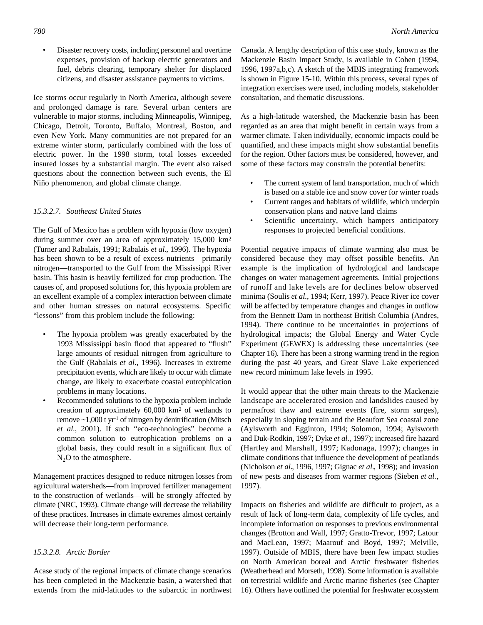• Disaster recovery costs, including personnel and overtime expenses, provision of backup electric generators and fuel, debris clearing, temporary shelter for displaced citizens, and disaster assistance payments to victims.

Ice storms occur regularly in North America, although severe and prolonged damage is rare. Several urban centers are vulnerable to major storms, including Minneapolis, Winnipeg, Chicago, Detroit, Toronto, Buffalo, Montreal, Boston, and even New York. Many communities are not prepared for an extreme winter storm, particularly combined with the loss of electric power. In the 1998 storm, total losses exceeded insured losses by a substantial margin. The event also raised questions about the connection between such events, the El Niño phenomenon, and global climate change.

#### *15.3.2.7. Southeast United States*

The Gulf of Mexico has a problem with hypoxia (low oxygen) during summer over an area of approximately 15,000 km<sup>2</sup> ( Turner and Rabalais, 1991; Rabalais *et al.*, 1996). The hypoxia has been shown to be a result of excess nutrients—primarily nitrogen—transported to the Gulf from the Mississippi River basin. This basin is heavily fertilized for crop production. The causes of, and proposed solutions for, this hypoxia problem are an excellent example of a complex interaction between climate and other human stresses on natural ecosystems. Specific "lessons" from this problem include the following:

- The hypoxia problem was greatly exacerbated by the 1993 Mississippi basin flood that appeared to "flush" large amounts of residual nitrogen from agriculture to the Gulf (Rabalais *et al*., 1996). Increases in extreme precipitation events, which are likely to occur with climate change, are likely to exacerbate coastal eutrophication problems in many locations.
- Recommended solutions to the hypoxia problem include creation of approximately 60,000 km<sup>2</sup> of wetlands to remove  $\sim$ 1,000 t yr<sup>-1</sup> of nitrogen by denitrification (Mitsch *et al*., 2001). If such "eco-technologies" become a common solution to eutrophication problems on a global basis, they could result in a significant flux of  $N<sub>2</sub>O$  to the atmosphere.

Management practices designed to reduce nitrogen losses from agricultural watersheds—from improved fertilizer management to the construction of wetlands—will be strongly affected by climate (NRC, 1993). Climate change will decrease the reliability of these practices. Increases in climate extremes almost certainly will decrease their long-term performance.

#### *15.3.2.8. Arctic Border*

Acase study of the regional impacts of climate change scenarios has been completed in the Mackenzie basin, a watershed that extends from the mid-latitudes to the subarctic in northwest Canada. A lengthy description of this case study, known as the Mackenzie Basin Impact Study, is available in Cohen (1994, 1996, 1997a,b,c). A sketch of the MBIS integrating framework is shown in Figure 15-10. Within this process, several types of integration exercises were used, including models, stakeholder consultation, and thematic discussions.

As a high-latitude watershed, the Mackenzie basin has been regarded as an area that might benefit in certain ways from a warmer climate. Taken individually, economic impacts could be quantified, and these impacts might show substantial benefits for the region. Other factors must be considered, however, and some of these factors may constrain the potential benefits:

- The current system of land transportation, much of which is based on a stable ice and snow cover for winter roads
- Current ranges and habitats of wildlife, which underpin conservation plans and native land claims
- Scientific uncertainty, which hampers anticipatory responses to projected beneficial conditions.

Potential negative impacts of climate warming also must be considered because they may offset possible benefits. An example is the implication of hydrological and landscape changes on water management agreements. Initial projections of runoff and lake levels are for declines below observed minima (Soulis et al., 1994; Kerr, 1997). Peace River ice cover will be affected by temperature changes and changes in outflow from the Bennett Dam in northeast British Columbia (Andres, 1994). There continue to be uncertainties in projections of hydrological impacts; the Global Energy and Water Cycle Experiment (GEWEX) is addressing these uncertainties (see Chapter 16). There has been a strong warming trend in the region during the past 40 years, and Great Slave Lake experienced new record minimum lake levels in 1995.

It would appear that the other main threats to the Mackenzie landscape are accelerated erosion and landslides caused by permafrost thaw and extreme events (fire, storm surges), especially in sloping terrain and the Beaufort Sea coastal zone (Aylsworth and Egginton, 1994; Solomon, 1994; Aylsworth and Duk-Rodkin, 1997; Dyke *et al.*, 1997); increased fire hazard (Hartley and Marshall, 1997; Kadonaga, 1997); changes in climate conditions that influence the development of peatlands (Nicholson *et al.*, 1996, 1997; Gignac *et al.*, 1998); and invasion of new pests and diseases from warmer regions (Sieben *et al.*, 1997).

Impacts on fisheries and wildlife are difficult to project, as a result of lack of long-term data, complexity of life cycles, and incomplete information on responses to previous environmental changes (Brotton and Wall, 1997; Gratto-Trevor, 1997; Latour and MacLean, 1997; Maarouf and Boyd, 1997; Melville, 1997). Outside of MBIS, there have been few impact studies on North American boreal and Arctic freshwater fisheries ( Weatherhead and Morseth, 1998). Some information is available on terrestrial wildlife and Arctic marine fisheries (see Chapter 16). Others have outlined the potential for freshwater ecosystem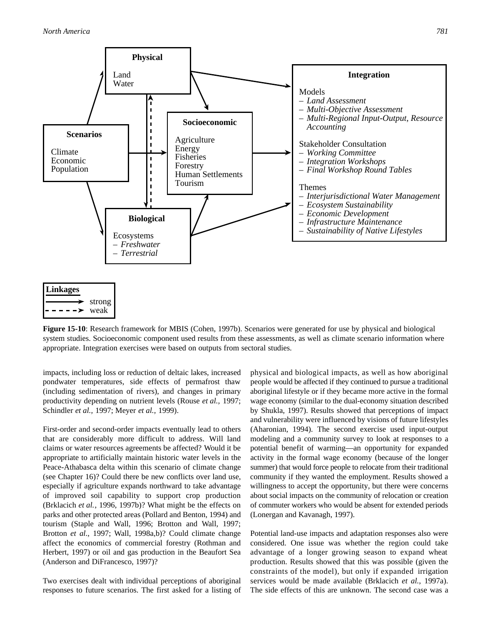

**Figure 15-10**: Research framework for MBIS (Cohen, 1997b). Scenarios were generated for use by physical and biological system studies. Socioeconomic component used results from these assessments, as well as climate scenario information where appropriate. Integration exercises were based on outputs from sectoral studies.

impacts, including loss or reduction of deltaic lakes, increased pondwater temperatures, side effects of permafrost thaw (including sedimentation of rivers), and changes in primary productivity depending on nutrient levels (Rouse *et al.,* 1997; Schindler *et al.,* 1997; Meyer *et al.,* 1999).

First-order and second-order impacts eventually lead to others that are considerably more difficult to address. Will land claims or water resources agreements be affected? Would it be appropriate to artificially maintain historic water levels in the Peace-Athabasca delta within this scenario of climate change (see Chapter 16)? Could there be new conflicts over land use, especially if agriculture expands northward to take advantage of improved soil capability to support crop production (Brklacich *et al.*, 1996, 1997b)? What might be the effects on parks and other protected areas (Pollard and Benton, 1994) and tourism (Staple and Wall, 1996; Brotton and Wall, 1997; Brotton *et al.*, 1997; Wall, 1998a,b)? Could climate change affect the economics of commercial forestry (Rothman and Herbert, 1997) or oil and gas production in the Beaufort Sea (Anderson and DiFrancesco, 1997)?

Two exercises dealt with individual perceptions of aboriginal responses to future scenarios. The first asked for a listing of

physical and biological impacts, as well as how aboriginal people would be affected if they continued to pursue a traditional aboriginal lifestyle or if they became more active in the formal wage economy (similar to the dual-economy situation described by Shukla, 1997). Results showed that perceptions of impact and vulnerability were influenced by visions of future lifestyles (Aharonian, 1994). The second exercise used input-output modeling and a community survey to look at responses to a potential benefit of warming—an opportunity for expanded activity in the formal wage economy (because of the longer summer) that would force people to relocate from their traditional community if they wanted the employment. Results showed a willingness to accept the opportunity, but there were concerns about social impacts on the community of relocation or creation of commuter workers who would be absent for extended periods (Lonergan and Kavanagh, 1997).

Potential land-use impacts and adaptation responses also were considered. One issue was whether the region could take advantage of a longer growing season to expand wheat production. Results showed that this was possible (given the constraints of the model), but only if expanded irrigation services would be made available (Brklacich *et al.*, 1997a). The side effects of this are unknown. The second case was a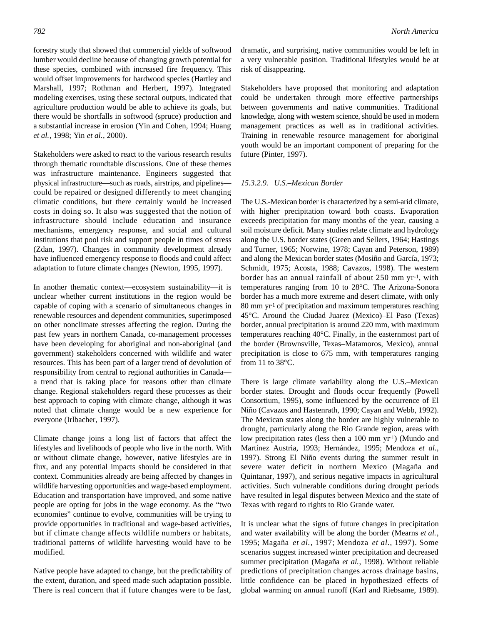forestry study that showed that commercial yields of softwood lumber would decline because of changing growth potential for these species, combined with increased fire frequency. This would offset improvements for hardwood species (Hartley and Marshall, 1997; Rothman and Herbert, 1997). Integrated modeling exercises, using these sectoral outputs, indicated that agriculture production would be able to achieve its goals, but there would be shortfalls in softwood (spruce) production and a substantial increase in erosion (Yin and Cohen, 1994; Huang *et al.*, 1998; Yin *et al.*, 2000).

Stakeholders were asked to react to the various research results through thematic roundtable discussions. One of these themes was infrastructure maintenance. Engineers suggested that physical infrastructure—such as roads, airstrips, and pipelines could be repaired or designed differently to meet changing climatic conditions, but there certainly would be increased costs in doing so. It also was suggested that the notion of infrastructure should include education and insurance mechanisms, emergency response, and social and cultural institutions that pool risk and support people in times of stress (Zdan, 1997). Changes in community development already have influenced emergency response to floods and could affect adaptation to future climate changes (Newton, 1995, 1997).

In another thematic context—ecosystem sustainability—it is unclear whether current institutions in the region would be capable of coping with a scenario of simultaneous changes in renewable resources and dependent communities, superimposed on other nonclimate stresses affecting the region. During the past few years in northern Canada, co-management processes have been developing for aboriginal and non-aboriginal (and government) stakeholders concerned with wildlife and water resources. This has been part of a larger trend of devolution of responsibility from central to regional authorities in Canada a trend that is taking place for reasons other than climate change. Regional stakeholders regard these processes as their best approach to coping with climate change, although it was noted that climate change would be a new experience for everyone (Irlbacher, 1997).

Climate change joins a long list of factors that affect the lifestyles and livelihoods of people who live in the north. With or without climate change, however, native lifestyles are in flux, and any potential impacts should be considered in that context. Communities already are being affected by changes in wildlife harvesting opportunities and wage-based employment. Education and transportation have improved, and some native people are opting for jobs in the wage economy. As the "two economies" continue to evolve, communities will be trying to provide opportunities in traditional and wage-based activities, but if climate change affects wildlife numbers or habitats, traditional patterns of wildlife harvesting would have to be modified.

Native people have adapted to change, but the predictability of the extent, duration, and speed made such adaptation possible. There is real concern that if future changes were to be fast,

dramatic, and surprising, native communities would be left in a very vulnerable position. Traditional lifestyles would be at risk of disappearing.

Stakeholders have proposed that monitoring and adaptation could be undertaken through more effective partnerships between governments and native communities. Traditional knowledge, along with western science, should be used in modern management practices as well as in traditional activities. Training in renewable resource management for aboriginal youth would be an important component of preparing for the future (Pinter, 1997).

#### *15.3.2.9. U.S.–Mexican Border*

The U.S.-Mexican border is characterized by a semi-arid climate, with higher precipitation toward both coasts. Evaporation exceeds precipitation for many months of the year, causing a soil moisture deficit. Many studies relate climate and hydrology along the U.S. border states (Green and Sellers, 1964; Hastings and Turner, 1965; Norwine, 1978; Cayan and Peterson, 1989) and along the Mexican border states (Mosiño and García, 1973; Schmidt, 1975; Acosta, 1988; Cavazos, 1998). The western border has an annual rainfall of about  $250$  mm yr<sup>-1</sup>, with temperatures ranging from 10 to 28°C. The Arizona-Sonora border has a much more extreme and desert climate, with only  $80 \text{ mm yr}$ <sup>1</sup> of precipitation and maximum temperatures reaching 45°C. Around the Ciudad Juarez (Mexico)–El Paso (Texas) border, annual precipitation is around 220 mm, with maximum temperatures reaching 40°C. Finally, in the easternmost part of the border (Brownsville, Texas–Matamoros, Mexico), annual precipitation is close to 675 mm, with temperatures ranging from 11 to  $38^{\circ}$ C.

There is large climate variability along the U.S.–Mexican border states. Drought and floods occur frequently (Powell Consortium, 1995), some influenced by the occurrence of El Niño (Cavazos and Hastenrath, 1990; Cayan and Webb, 1992). The Mexican states along the border are highly vulnerable to drought, particularly along the Rio Grande region, areas with low precipitation rates (less then a 100 mm yr-1) (Mundo and Martínez Austria, 1993; Hernández, 1995; Mendoza *et al.*, 1997). Strong El Niño events during the summer result in severe water deficit in northern Mexico (Magaña and Quintanar, 1997), and serious negative impacts in agricultural activities. Such vulnerable conditions during drought periods have resulted in legal disputes between Mexico and the state of Texas with regard to rights to Rio Grande water.

It is unclear what the signs of future changes in precipitation and water availability will be along the border (Mearns *et al.*, 1995; Magaña *et al.*, 1997; Mendoza *et al.*, 1997). Some scenarios suggest increased winter precipitation and decreased summer precipitation (Magaña *et al.*, 1998). Without reliable predictions of precipitation changes across drainage basins, little confidence can be placed in hypothesized effects of global warming on annual runoff (Karl and Riebsame, 1989).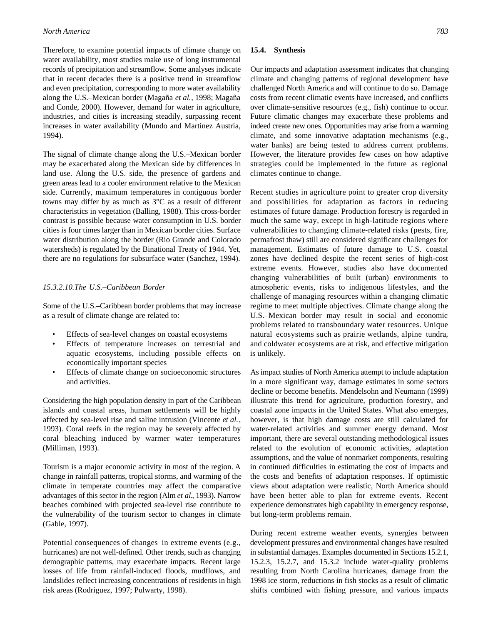Therefore, to examine potential impacts of climate change on water availability, most studies make use of long instrumental records of precipitation and streamflow. Some analyses indicate that in recent decades there is a positive trend in streamflow and even precipitation, corresponding to more water availability along the U.S.–Mexican border (Magaña *et al.*, 1998; Magaña and Conde, 2000). However, demand for water in agriculture, industries, and cities is increasing steadily, surpassing recent increases in water availability (Mundo and Martínez Austria, 1994).

The signal of climate change along the U.S.–Mexican border may be exacerbated along the Mexican side by differences in land use. Along the U.S. side, the presence of gardens and green areas lead to a cooler environment relative to the Mexican side. Currently, maximum temperatures in contiguous border towns may differ by as much as 3°C as a result of different characteristics in vegetation (Balling, 1988). This cross-border contrast is possible because water consumption in U.S. border cities is four times larger than in Mexican border cities. Surface water distribution along the border (Rio Grande and Colorado watersheds) is regulated by the Binational Treaty of 1944. Yet, there are no regulations for subsurface water (Sanchez, 1994).

#### *15.3.2.10.The U.S.–Caribbean Border*

Some of the U.S.–Caribbean border problems that may increase as a result of climate change are related to:

- Effects of sea-level changes on coastal ecosystems
- Effects of temperature increases on terrestrial and aquatic ecosystems, including possible effects on e conomically important species
- Effects of climate change on socioeconomic structures and activities.

Considering the high population density in part of the Caribbean islands and coastal areas, human settlements will be highly affected by sea-level rise and saline intrusion (Vincente *et al.*, 1993). Coral reefs in the region may be severely affected by coral bleaching induced by warmer water temperatures (Milliman, 1993).

Tourism is a major economic activity in most of the region. A change in rainfall patterns, tropical storms, and warming of the climate in temperate countries may affect the comparative advantages of this sector in the region (Alm *et al.*, 1993). Narrow beaches combined with projected sea-level rise contribute to the vulnerability of the tourism sector to changes in climate (Gable, 1997).

Potential consequences of changes in extreme events (e.g., hurricanes) are not well-defined. Other trends, such as changing demographic patterns, may exacerbate impacts. Recent large losses of life from rainfall-induced floods, mudflows, and landslides reflect increasing concentrations of residents in high risk areas (Rodriguez, 1997; Pulwarty, 1998).

#### **15.4. Synthesis**

Our impacts and adaptation assessment indicates that changing climate and changing patterns of regional development have challenged North America and will continue to do so. Damage costs from recent climatic events have increased, and conflicts over climate-sensitive resources (e.g., fish) continue to occur. Future climatic changes may exacerbate these problems and indeed create new ones. Opportunities may arise from a warming climate, and some innovative adaptation mechanisms (e.g., water banks) are being tested to address current problems. However, the literature provides few cases on how adaptive strategies could be implemented in the future as regional climates continue to change.

Recent studies in agriculture point to greater crop diversity and possibilities for adaptation as factors in reducing estimates of future damage. Production forestry is regarded in much the same way, except in high-latitude regions where vulnerabilities to changing climate-related risks (pests, fire, permafrost thaw) still are considered significant challenges for management. Estimates of future damage to U.S. coastal zones have declined despite the recent series of high-cost extreme events. However, studies also have documented changing vulnerabilities of built (urban) environments to atmospheric events, risks to indigenous lifestyles, and the challenge of managing resources within a changing climatic regime to meet multiple objectives. Climate change along the U.S.–Mexican border may result in social and economic problems related to transboundary water resources. Unique natural ecosystems such as prairie wetlands, alpine tundra, and coldwater ecosystems are at risk, and effective mitigation is unlikely.

As impact studies of North America attempt to include adaptation in a more significant way, damage estimates in some sectors decline or become benefits. Mendelsohn and Neumann (1999) illustrate this trend for agriculture, production forestry, and coastal zone impacts in the United States. What also emerges, however, is that high damage costs are still calculated for water-related activities and summer energy demand. Most important, there are several outstanding methodological issues related to the evolution of economic activities, adaptation assumptions, and the value of nonmarket components, resulting in continued difficulties in estimating the cost of impacts and the costs and benefits of adaptation responses. If optimistic views about adaptation were realistic, North America should have been better able to plan for extreme events. Recent experience demonstrates high capability in emergency response, but long-term problems remain.

During recent extreme weather events, synergies between development pressures and environmental changes have resulted in substantial damages. Examples documented in Sections 15.2.1, 15.2.3, 15.2.7, and 15.3.2 include water-quality problems resulting from North Carolina hurricanes, damage from the 1998 ice storm, reductions in fish stocks as a result of climatic shifts combined with fishing pressure, and various impacts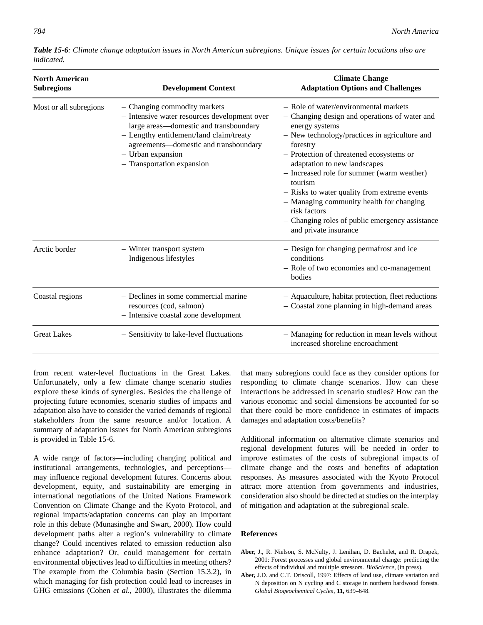| <b>North American</b><br><b>Subregions</b> | <b>Development Context</b>                                                                                                                                                                                                                                    | <b>Climate Change</b><br><b>Adaptation Options and Challenges</b>                                                                                                                                                                                                                                                                                                                                                                                                                                  |
|--------------------------------------------|---------------------------------------------------------------------------------------------------------------------------------------------------------------------------------------------------------------------------------------------------------------|----------------------------------------------------------------------------------------------------------------------------------------------------------------------------------------------------------------------------------------------------------------------------------------------------------------------------------------------------------------------------------------------------------------------------------------------------------------------------------------------------|
| Most or all subregions                     | - Changing commodity markets<br>- Intensive water resources development over<br>large areas-domestic and transboundary<br>- Lengthy entitlement/land claim/treaty<br>agreements-domestic and transboundary<br>- Urban expansion<br>- Transportation expansion | - Role of water/environmental markets<br>- Changing design and operations of water and<br>energy systems<br>- New technology/practices in agriculture and<br>forestry<br>- Protection of threatened ecosystems or<br>adaptation to new landscapes<br>- Increased role for summer (warm weather)<br>tourism<br>- Risks to water quality from extreme events<br>- Managing community health for changing<br>risk factors<br>- Changing roles of public emergency assistance<br>and private insurance |
| Arctic border                              | - Winter transport system<br>- Indigenous lifestyles                                                                                                                                                                                                          | - Design for changing permafrost and ice<br>conditions<br>- Role of two economies and co-management<br>bodies                                                                                                                                                                                                                                                                                                                                                                                      |
| Coastal regions                            | - Declines in some commercial marine<br>resources (cod, salmon)<br>- Intensive coastal zone development                                                                                                                                                       | - Aquaculture, habitat protection, fleet reductions<br>- Coastal zone planning in high-demand areas                                                                                                                                                                                                                                                                                                                                                                                                |
| <b>Great Lakes</b>                         | - Sensitivity to lake-level fluctuations                                                                                                                                                                                                                      | - Managing for reduction in mean levels without<br>increased shoreline encroachment                                                                                                                                                                                                                                                                                                                                                                                                                |

*Table 15-6: Climate change adaptation issues in North American subregions. Unique issues for certain locations also are i n d icated.*

from recent water-level fluctuations in the Great Lakes. Unfortunately, only a few climate change scenario studies explore these kinds of synergies. Besides the challenge of projecting future economies, scenario studies of impacts and adaptation also have to consider the varied demands of regional stakeholders from the same resource and/or location. A summary of adaptation issues for North American subregions is provided in Table 15-6.

A wide range of factors—including changing political and institutional arrangements, technologies, and perceptions may influence regional development futures. Concerns about development, equity, and sustainability are emerging in international negotiations of the United Nations Framework Convention on Climate Change and the Kyoto Protocol, and regional impacts/adaptation concerns can play an important role in this debate (Munasinghe and Swart, 2000). How could development paths alter a region's vulnerability to climate change? Could incentives related to emission reduction also enhance adaptation? Or, could management for certain environmental objectives lead to difficulties in meeting others? The example from the Columbia basin (Section 15.3.2), in which managing for fish protection could lead to increases in GHG emissions (Cohen *et al.*, 2000), illustrates the dilemma that many subregions could face as they consider options for responding to climate change scenarios. How can these interactions be addressed in scenario studies? How can the various economic and social dimensions be accounted for so that there could be more confidence in estimates of impacts damages and adaptation costs/benefits?

Additional information on alternative climate scenarios and regional development futures will be needed in order to improve estimates of the costs of subregional impacts of climate change and the costs and benefits of adaptation responses. As measures associated with the Kyoto Protocol attract more attention from governments and industries, consideration also should be directed at studies on the interplay of mitigation and adaptation at the subregional scale.

#### **References**

- **Aber,** J., R. Nielson, S. McNulty, J. Lenihan, D. Bachelet, and R. Drapek, 2001: Forest processes and global environmental change: predicting the effects of individual and multiple stressors. *BioScience*, (in press).
- **Aber,** J.D. and C.T. Driscoll, 1997: Effects of land use, climate variation and N deposition on N cycling and C storage in northern hardwood forests. *Global Biogeochemical Cycles*, **11,** 639–648.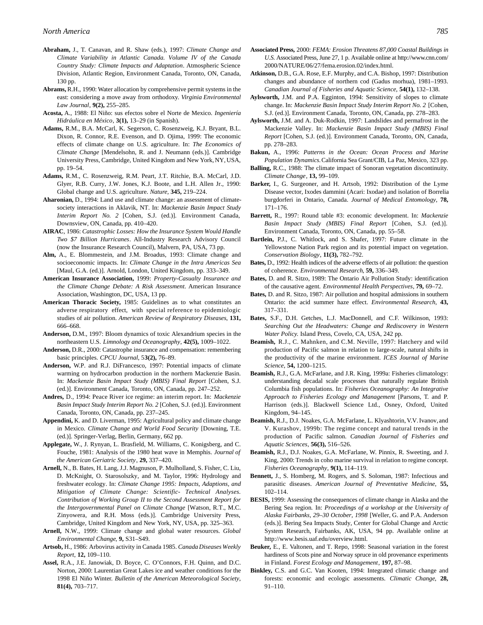- **Abraham,** J., T. Canavan, and R. Shaw (eds.), 1997: *Climate Change and Climate Variability in Atlantic Canada. Volume IV of the Canada Country Study: Climate Impacts and Adaptation*. Atmospheric Science Division, Atlantic Region, Environment Canada, Toronto, ON, Canada, 130 pp.
- **Abrams,** R.H., 1990: Water allocation by comprehensive permit systems in the east: considering a move away from orthodoxy. *Virginia Environmental Law Journal*, **9(2),** 255–285.
- **Acosta,** A., 1988: El Niño: sus efectos sobre el Norte de Mexico. *Ingeniería Hidráulica en México*, **3(1),** 13–29 (in Spanish).
- **Adams,** R.M., B.A. McCarl, K. Segerson, C. Rosenzweig, K.J. Bryant, B.L. Dixon, R. Connor, R.E. Evenson, and D. Ojima, 1999: The economic effects of climate change on U.S. agriculture. In: *The Economics of Climate Change* [Mendelsohn, R. and J. Neumann (eds.)]. Cambridge University Press, Cambridge, United Kingdom and New York, NY, USA, pp. 19–54.
- **Adams,** R.M., C. Rosenzweig, R.M. Peart, J.T. Ritchie, B.A. McCarl, J.D. Glyer, R.B. Curry, J.W. Jones, K.J. Boote, and L.H. Allen Jr., 1990: Global change and U.S. agriculture. *Nature*, **345,** 219–224.
- **Aharonian,** D., 1994: Land use and climate change: an assessment of climatesociety interactions in Aklavik, NT. In: *Mackenzie Basin Impact Study Interim Report No. 2* [Cohen, S.J. (ed.)]. Environment Canada, Downsview, ON, Canada, pp. 410–420.
- **AIRAC**, 1986: *Catastrophic Losses: How the Insurance System Would Handle Two \$7 Billion Hurricanes*. All-Industry Research Advisory Council (now the Insurance Research Council), Malvern, PA, USA, 73 pp.
- **Alm,** A., E. Blommestein, and J.M. Broadus, 1993: Climate change and socioeconomic impacts. In: *Climate Change in the Intra Americas Sea* [Maul, G.A. (ed.)]. Arnold, London, United Kingdom, pp. 333–349.
- **American Insurance Association,** 1999: *Property-Casualty Insurance and the Climate Change Debate: A Risk Assessment*. American Insurance Association, Washington, DC, USA, 13 pp.
- **American Thoracic Society,** 1985: Guidelines as to what constitutes an adverse respiratory effect, with special reference to epidemiologic studies of air pollution. American Review of Respiratory Diseases, 131, 666–668.
- **Anderson,** D.M., 1997: Bloom dynamics of toxic Alexandrium species in the northeastern U.S. *Limnology and Oceanography*, **42(5),** 1009–1022.
- Anderson, D.R., 2000: Catastrophe insurance and compensation: remembering basic principles. *CPCU Journal*, 5**3(2),** 76–89.
- **Anderson,** W.P. and R.J. DiFrancesco, 1997: Potential impacts of climate warming on hydrocarbon production in the northern Mackenzie Basin. In: *Mackenzie Basin Impact Study (MBIS) Final Report* [Cohen, S.J. (ed.)]. Environment Canada, Toronto, ON, Canada, pp. 247–252.
- Andres, D., 1994: Peace River ice regime: an interim report. In: *Mackenzie Basin Impact Study Interim Report No. 2* [Cohen, S.J. (ed.)]. Environment Canada, Toronto, ON, Canada, pp. 237–245.
- **Appendini,** K. and D. Liverman, 1995: Agricultural policy and climate change in Mexico. *Climate Change and World Food Security* [Downing, T.E. (ed.)]. Springer-Verlag, Berlin, Germany, 662 pp.
- **Applegate,** W., J. Rynyan, L. Brasfield, M. Williams, C. Konigsberg, and C. Fouche, 1981: Analysis of the 1980 heat wave in Memphis. *Journal of the American Geriatric Society*, **29,** 337–420.
- **Arnell,** N., B. Bates, H. Lang, J.J. Magnuson, P. Mulholland, S. Fisher, C. Liu, D. McKnight, O. Starosolszky, and M. Taylor, 1996: Hydrology and freshwater ecology. In: *Climate Change 1995: Impacts, Adaptions, and Mitigation of Climate Change: Scientific- Technical Analyses. Contribution of Working Group II to the Second Assessment Report for the Intergovernmental Panel on Climate Change* [Watson, R.T., M.C. Zinyowera, and R.H. Moss (eds.)]. Cambridge University Press, Cambridge, United Kingdom and New York, NY, USA, pp. 325–363.
- **Arnell,** N.W., 1999: Climate change and global water resources. *Global Environmental Change*, **9,** S31–S49.
- **Artsob,** H., 1986: Arbovirus activity in Canada 1985. *Canada Diseases Weekly Report*, **12,** 109–110.
- **Assel,** R.A., J.E. Janowiak, D. Boyce, C. O'Connors, F.H. Quinn, and D.C. Norton, 2000: Laurentian Great Lakes ice and weather conditions for the 1998 El Niño Winter. *Bulletin of the American Meteorological Society*, **81(4),** 703–717.
- Associated Press, 2000: *FEMA: Erosion Threatens 87,000 Coastal Buildings in U.S.* Associated Press, June 27, 1 p. Available online at http://www.cnn.com/ 2000/NATURE/06/27/fema.erosion.02/index.html.
- **Atkinson,** D.B., G.A. Rose, E.F. Murphy, and C.A. Bishop, 1997: Distribution changes and abundance of northern cod (Gadus morhua), 1981–1993. *Canadian Journal of Fisheries and Aquatic Science*, **54(1),** 132–138.
- **Aylsworth,** J.M. and P.A. Egginton, 1994: Sensitivity of slopes to climate change. In: *Mackenzie Basin Impact Study Interim Report No. 2* [Cohen, S.J. (ed.)]. Environment Canada, Toronto, ON, Canada, pp. 278–283.
- **Aylsworth,** J.M. and A. Duk-Rodkin, 1997: Landslides and permafrost in the Mackenzie Valley. In: *Mackenzie Basin Impact Study (MBIS) Final Report* [Cohen, S.J. (ed.)]. Environment Canada, Toronto, ON, Canada, pp. 278–283.
- **Bakun, A., 1996: Patterns in the Ocean: Ocean Process and Marine** *Population Dynamics.*California Sea Grant/CIB, La Paz, Mexico, 323 pp.
- **Balling,** R.C., 1988: The climate impact of Sonoran vegetation discontinuity. *Climate Change*, **13,** 99–109.
- **Barker,** I., G. Surgeoner, and H. Artsob, 1992: Distribution of the Lyme Disease vector, Ixodes dammini (Acari: Ixodae) and isolation of Borrelia burgdorferi in Ontario, Canada. *Journal of Medical Entomology*, **78,** 171–176.
- **Barrett,** R., 1997: Round table #3: economic development. In: *Mackenzie Basin Impact Study (MBIS) Final Report* [Cohen, S.J. (ed.)]. Environment Canada, Toronto, ON, Canada, pp. 55–58.
- **Bartlein,** P.J., C. Whitlock, and S. Shafer, 1997: Future climate in the Yellowstone Nation Park region and its potential impact on vegetation. *Conservation Biology*, **11(3),** 782–792.
- **Bates,** D., 1992: Health indices of the adverse effects of air pollution: the question of coherence. *Environmental Research*, **59,** 336–349.
- **Bates,** D. and R. Sitzo, 1989: The Ontario Air Pollution Study: identification of the causative agent. *Environmental Health Perspectives*, **79,** 69–72.
- Bates, D. and R. Sitzo, 1987: Air pollution and hospital admissions in southern Ontario: the acid summer haze effect. *Environmental Research*, **43,** 317–331.
- **Bates,** S.F., D.H. Getches, L.J. MacDonnell, and C.F. Wilkinson, 1993: *Searching Out the Headwaters: Change and Rediscovery in Western Water Policy.* Island Press, Covelo, CA, USA, 242 pp.
- Beamish, R.J., C. Mahnken, and C.M. Neville, 1997: Hatchery and wild production of Pacific salmon in relation to large-scale, natural shifts in the productivity of the marine environment. *ICES Journal of Marine Science*, **54,** 1200–1215.
- **Beamish,** R.J., G.A. McFarlane, and J.R. King, 1999a: Fisheries climatology: understanding decadal scale processes that naturally regulate British Columbia fish populations. In: *Fisheries Oceanography: An Integrative Approach to Fisheries Ecology and Management* [Parsons, T. and P. Harrison (eds.)]. Blackwell Science Ltd., Osney, Oxford, United Kingdom, 94–145.
- **Beamish,** R.J., D.J. Noakes, G.A. McFarlane, L. Klyashtorin, V.V. Ivanov, and V. Kurashov, 1999b: The regime concept and natural trends in the production of Pacific salmon. *Canadian Journal of Fisheries and Aquatic Sciences*, **56(3),** 516–526.
- **Beamish,** R.J., D.J. Noakes, G.A. McFarlane, W. Pinnix, R. Sweeting, and J. King, 2000: Trends in coho marine survival in relation to regime concept. *Fisheries Oceanography*, **9(1),** 114–119.
- **Bennett,** J., S. Homberg, M. Rogers, and S. Soloman, 1987: Infectious and parasitic diseases. *American Journal of Preventative Medicine*, **55,** 102–114.
- **BESIS,** 1999: Assessing the consequences of climate change in Alaska and the Bering Sea region*.* In: *Proceedings of a workshop at the University of Alaska Fairbanks, 29–30 October, 1998* [Weller, G. and P.A. Anderson (eds.)]. Bering Sea Impacts Study, Center for Global Change and Arctic System Research, Fairbanks, AK, USA, 94 pp. Available online at http://www.besis.uaf.edu/overview.html.
- **Beuker,** E., E. Valtonen, and T. Repo, 1998: Seasonal variation in the forest hardiness of Scots pine and Norway spruce in old provenance experiments in Finland. *Forest Ecology and Management*, **197,** 87–98.
- **Binkley,** C.S. and G.C. Van Kooten, 1994: Integrated climatic change and forests: economic and ecologic assessments. *Climatic Change*, **28,** 91–110.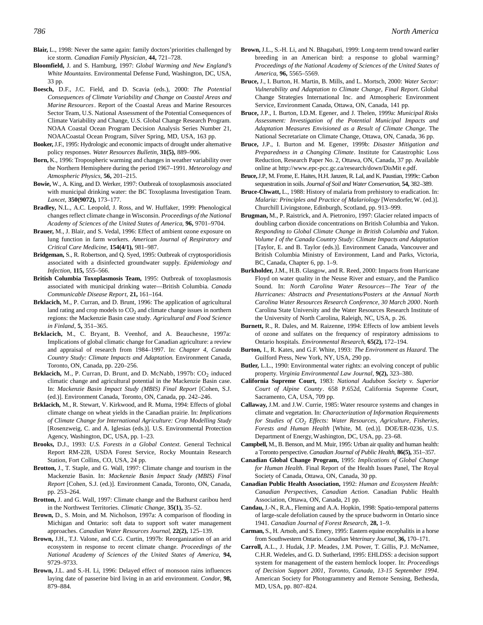- **Blair,** L., 1998: Never the same again: family doctors'priorities challenged by ice storm. *Canadian Family Physician*, **44,** 721–728.
- **Bloomfield,** J. and S. Hamburg, 1997: *Global Warming and New England's White Mountains*. Environmental Defense Fund, Washington, DC, USA, 33 pp.
- Boesch, D.F., J.C. Field, and D. Scavia (eds.), 2000: The Potential *Consequences of Climate Variability and Change on Coastal Areas and Marine Resources*. Report of the Coastal Areas and Marine Resources Sector Team, U.S. National Assessment of the Potential Consequences of Climate Variability and Change, U.S. Global Change Research Program. NOAA Coastal Ocean Program Decision Analysis Series Number 21, NOAACoastal Ocean Program, Silver Spring, MD, USA, 163 pp.
- **Booker, J.F., 1995: Hydrologic and economic impacts of drought under alternative** policy responses. *Water Resources Bulletin*, **31(5),** 889–906.
- **Born,** K., 1996: Tropospheric warming and changes in weather variability over the Northern Hemisphere during the period 1967–1991. *Meteorology and Atmospheric Physics*, **56,** 201–215.
- **Bowie,** W., A. King, and D. Werker, 1997: Outbreak of toxoplasmosis associated with municipal drinking water: the BC Toxoplasma Investigation Team. *Lancet*, **350(9072),** 173–177.
- **Bradley,** N.L., A.C. Leopold, J. Ross, and W. Huffaker, 1999: Phenological changes reflect climate change in Wisconsin. *Proceedings of the National Academy of Sciences of the United States of America*, **96,** 9701–9704.
- **Brauer,** M., J. Blair, and S. Vedal, 1996: Effect of ambient ozone exposure on lung function in farm workers. *American Journal of Respiratory and Critical Care Medicine*, **154(4/1),** 981–987.
- Bridgeman, S., R. Robertson, and Q. Syed, 1995: Outbreak of cryptosporidiosis associated with a disinfected groundwater supply. *Epidemiology and Infection*, **115,** 555–566.
- **British Columbia Toxoplasmosis Team,** 1995: Outbreak of toxoplasmosis associated with municipal drinking water—British Columbia. *Canada Communicable Disease Report*, **21,** 161–164.
- **Brklacich,** M., P. Curran, and D. Brunt, 1996: The application of agricultural land rating and crop models to  $\mathrm{CO}_2$  and climate change issues in northern regions: the Mackenzie Basin case study. *Agricultural and Food Science in Finland*, **5,** 351–365.
- Brklacich, M., C. Bryant, B. Veenhof, and A. Beauchesne, 1997a: Implications of global climatic change for Canadian agriculture: a review and appraisal of research from 1984–1997. In: *Chapter 4, Canada Country Study: Climate Impacts and Adaptation*. Environment Canada, Toronto, ON, Canada, pp. 220–256.
- **Brklacich,** M., P. Curran, D. Brunt, and D. McNabb, 1997b:  $CO_2$  induced climatic change and agricultural potential in the Mackenzie Basin case. In: *Mackenzie Basin Impact Study (MBIS) Final Report* [Cohen, S.J. (ed.)]. Environment Canada, Toronto, ON, Canada, pp. 242–246.
- Brklacich, M., R. Stewart, V. Kirkwood, and R. Muma, 1994: Effects of global climate change on wheat yields in the Canadian prairie. In: *Implications of Climate Change for International Agriculture: Crop Modelling Study* [Rosenzweig, C. and A. Iglesias (eds.)]. U.S. Environmental Protection Agency, Washington, DC, USA, pp. 1–23.
- **Brooks,** D.J., 1993: *U.S. Forests in a Global Context*. General Technical Report RM-228, USDA Forest Service, Rocky Mountain Research Station, Fort Collins, CO, USA, 24 pp.
- **Brotton,** J., T. Staple, and G. Wall, 1997: Climate change and tourism in the Mackenzie Basin. In: *Mackenzie Basin Impact Study (MBIS) Final Report* [Cohen, S.J. (ed.)]. Environment Canada, Toronto, ON, Canada, pp. 253–264.
- **Brotton,** J. and G. Wall, 1997: Climate change and the Bathurst caribou herd in the Northwest Territories. *Climatic Change*, **35(1),** 35–52.
- **Brown,** D., S. Moin, and M. Nicholson, 1997a: A comparison of flooding in Michigan and Ontario: soft data to support soft water management approaches. *Canadian Water Resources Journal*, **22(2),** 125–139.
- **Brown,** J.H., T.J. Valone, and C.G. Curtin, 1997b: Reorganization of an arid ecosystem in response to recent climate change. *Proceedings of the National Academy of Sciences of the United States of America*, **94,** 9729–9733.
- **Brown,** J.L. and S.-H. Li, 1996: Delayed effect of monsoon rains influences laying date of passerine bird living in an arid environment. *Condor*, **98,** 879–884.
- Brown, J.L., S.-H. Li, and N. Bhagabati, 1999: Long-term trend toward earlier breeding in an American bird: a response to global warming? *Proceedings of the National Academy of Sciences of the United States of America*, **96,** 5565–5569.
- **Bruce,** J., I. Burton, H. Martin, B. Mills, and L. Mortsch, 2000: *Water Sector: Vulnerability and Adaptation to Climate Change, Final Report*. Global Change Strategies International Inc. and Atmospheric Environment Service, Environment Canada, Ottawa, ON, Canada, 141 pp.
- **Bruce,** J.P., I. Burton, I.D.M. Egener, and J. Thelen, 1999a: *Municipal Risks Assessment: Investigation of the Potential Municipal Impacts and Adaptation Measures Envisioned as a Result of Climate Change*. The National Secretariate on Climate Change, Ottawa, ON, Canada, 36 pp.
- **Bruce,** J.P., I. Burton and M. Egener, 1999b: *Disaster Mitigation and Preparedness in a Changing Climate*. Institute for Catastrophic Loss Reduction, Research Paper No. 2, Ottawa, ON, Canada, 37 pp. Available online at http://www.epc-pcc.gc.ca/research/down/DisMit e.pdf.
- Bruce, J.P., M. Frome, E. Haites, H.H. Janzen, R. Lal, and K. Paustian, 1999c: Carbon sequestration in soils. *Journal of Soil and Water Conservation*, **54**, 382–389.
- **Bruce-Chwatt,** L., 1988: History of malaria from prehistory to eradication. In: *Malaria: Principles and Practice of Malariology* [Wersdorfer, W. (ed.)]. Churchill Livingstone, Edinburgh, Scotland, pp. 913–999.
- **Brugman,** M., P. Raistrick, and A. Pietroniro, 1997: Glacier related impacts of doubling carbon dioxide concentrations on British Columbia and Yukon. *Responding to Global Climate Change in British Columbia and Yukon. Volume I of the Canada Country Study: Climate Impacts and Adaptation* [Taylor, E. and B. Taylor (eds.)]. Environment Canada, Vancouver and British Columbia Ministry of Environment, Land and Parks, Victoria, BC, Canada, Chapter 6, pp. 1–9.
- **Burkholder,** J.M., H.B. Glasgow, and R. Reed, 2000: Impacts from Hurricane Floyd on water quality in the Neuse River and estuary, and the Pamlico Sound. In: *North Carolina Water Resources—The Year of the Hurricanes: Abstracts and Presentations/Posters at the Annual North Carolina Water Resources Research Conference, 30 March 2000*. North Carolina State University and the Water Resources Research Institute of the University of North Carolina, Raleigh, NC, USA, p. 26.
- **Burnett,** R., R. Dales, and M. Raizenne, 1994: Effects of low ambient levels of ozone and sulfates on the frequency of respiratory admissions to Ontario hospitals. *Environmental Research*, **65(2),** 172–194.
- **Burton,** I., R. Kates, and G.F. White, 1993: *The Environment as Hazard.* The Guilford Press, New York, NY, USA, 290 pp.
- **Butler,** L.L., 1990: Environmental water rights: an evolving concept of public property. *Virginia Environmental Law Journal*, **9(2),** 323–380.
- **California Supreme Court,** 1983: *National Audubon Society v. Superior* Court of Alpine County. 658 P.652d, California Supreme Court, Sacramento, CA, USA, 709 pp.
- **Callaway,** J.M. and J.W. Currie, 1985: Water resource systems and changes in climate and vegetation. In: *Characterization of Information Requirements for Studies of CO<sup>2</sup> Effects: Water Resources, Agriculture, Fisheries, Forests and Human Health* [White, M. (ed.)]. DOE/ER-0236, U.S. Department of Energy, Washington, DC, USA, pp. 23–68.
- **Campbell, M., B. Benson, and M. Muir, 1995: Urban air quality and human health:** a Toronto perspective. *Canadian Journal of Public Health*, 86(5), 351-357.
- **Canadian Global Change Program,** 1995: *Implications of Global Change for Human Health.* Final Report of the Health Issues Panel, The Royal Society of Canada, Ottawa, ON, Canada, 30 pp.
- **Canadian Public Health Association,** 1992: *Human and Ecosystem Health:* Canadian Perspectives, Canadian Action. Canadian Public Health Association, Ottawa, ON, Canada, 21 pp.
- Candau, J.-N., R.A., Fleming and A.A. Hopkin, 1998: Spatio-temporal patterns of large-scale defoliation caused by the spruce budworm in Ontario since 1941. *Canadian Journal of Forest Research*, **28,** 1–9.
- **Carman, S., H. Artsob, and S. Emery, 1995: Eastern equine encephalitis in a horse** from Southwestern Ontario. *Canadian Veterinary Journal*, 36, 170-171.
- **Carroll,** A.L., J. Hudak, J.P. Meades, J.M. Power, T. Gillis, P.J. McNamee, C.H.R. Wedeles, and G. D. Sutherland, 1995: EHLDSS: a decision support system for management of the eastern hemlock looper. In: *Proceedings of Decision Support 2001, Toronto, Canada, 13-15 September 1994*. American Society for Photogrammetry and Remote Sensing, Bethesda, MD, USA, pp. 807–824.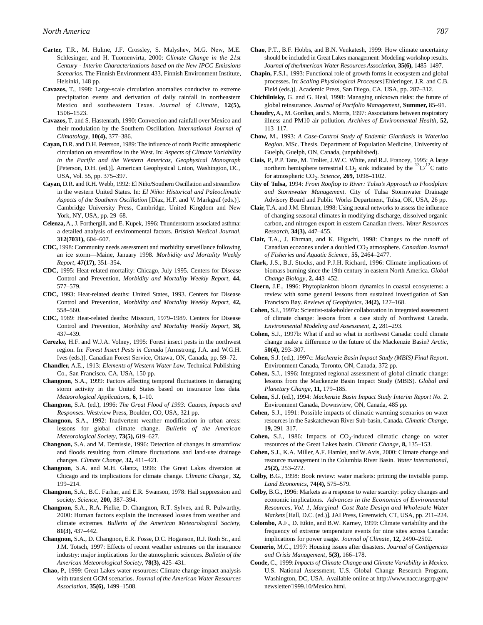- **Carter,** T.R., M. Hulme, J.F. Crossley, S. Malyshev, M.G. New, M.E. Schlesinger, and H. Tuomenvirta, 2000: *Climate Change in the 21st Century - Interim Characterizations based on the New IPCC Emissions Scenarios*. The Finnish Environment 433, Finnish Environment Institute, Helsinki, 148 pp.
- **Cavazos,** T., 1998: Large-scale circulation anomalies conducive to extreme precipitation events and derivation of daily rainfall in northeastern Mexico and southeastern Texas. *Journal of Climate*, 12(5),  $1506 - 1523.$
- **Cavazos,** T. and S. Hastenrath, 1990: Convection and rainfall over Mexico and their modulation by the Southern Oscillation. *International Journal of Climatology*, **10(4),** 377–386.
- **Cayan, D.R.** and D.H. Peterson, 1989: The influence of north Pacific atmospheric circulation on streamflow in the West. In: *Aspects of Climate Variability in the Pacific and the Western Americas, Geophysical Monograph* [Peterson, D.H. (ed.)]. American Geophysical Union, Washington, DC, USA, Vol. 55, pp. 375–397.
- Cayan, D.R. and R.H. Webb, 1992: El Niño/Southern Oscillation and streamflow in the western United States. In: *El Niño: Historical and Paleoclimatic Aspects of the Southern Oscillation* [Diaz, H.F. and V. Markgraf (eds.)]. Cambridge University Press, Cambridge, United Kingdom and New York, NY, USA, pp. 29–68.
- Celenza, A., J. Forthergill, and E. Kupek, 1996: Thunderstorm associated asthma: a detailed analysis of environmental factors. *Bristish Medical Journal*, **312(7031),** 604–607.
- **C D C ,** 1998: Community needs assessment and morbidity surveillance following an ice storm—Maine, January 1998. *Morbidity and Mortality Weekly Report*, **47(17),** 351–354.
- **CDC,** 1995: Heat-related mortality: Chicago, July 1995. Centers for Disease Control and Prevention, *Morbidity and Mortality Weekly Report*, **44,** 577–579.
- **CDC,** 1993: Heat-related deaths: United States, 1993. Centers for Disease Control and Prevention, *Morbidity and Mortality Weekly Report*, **42,** 558–560.
- **CDC,** 1989: Heat-related deaths: Missouri, 1979–1989. Centers for Disease Control and Prevention, *Morbidity and Mortality Weekly Report*, **38,** 437–439.
- **Cerezke,** H.F. and W.J.A. Volney, 1995: Forest insect pests in the northwest region. In: *Forest Insect Pests in Canada* [Armstrong, J.A. and W.G.H. Ives (eds.)]. Canadian Forest Service, Ottawa, ON, Canada, pp. 59–72.
- **Chandler,** A.E., 1913: *Elements of Western Water Law.* Technical Publishing Co., San Francisco, CA, USA, 150 pp.
- **Changnon**, S.A., 1999: Factors affecting temporal fluctuations in damaging storm activity in the United States based on insurance loss data. *Meteorological Applications*, **6**, 1–10.
- **Changnon,** S.A. (ed.), 1996: *The Great Flood of 1993: Causes, Impacts and Responses*. Westview Press, Boulder, CO, USA, 321 pp.
- **Changnon,** S.A., 1992: Inadvertent weather modification in urban areas: lessons for global climate change. *Bulletin of the American Meteorological Society*, **73(5),** 619–627.
- **Changnon,** S.A. and M. Demissie, 1996: Detection of changes in streamflow and floods resulting from climate fluctuations and land-use drainage changes. *Climate Change*, **32,** 411–421.
- **Changnon**, S.A. and M.H. Glantz, 1996: The Great Lakes diversion at Chicago and its implications for climate change. *Climatic Change* , **32,** 199–214.
- **Changnon,** S.A., B.C. Farhar, and E.R. Swanson, 1978: Hail suppression and society. *Science*, **200,** 387–394.
- **Changnon**, S.A., R.A. Pielke, D. Changnon, R.T. Sylves, and R. Pulwarthy, 2000: Human factors explain the increased losses from weather and climate extremes. *Bulletin of the American Meteorological Society*, **81(3),** 437–442.
- **Changnon,** S.A., D. Changnon, E.R. Fosse, D.C. Hoganson, R.J. Roth Sr., and J.M. Totsch, 1997: Effects of recent weather extremes on the insurance industry: major implications for the atmospheric sciences. *Bulletin of the American Meteorological Society*, **78(3),** 425–431.
- **Chao,** P., 1999: Great Lakes water resources: Climate change impact analysis with transient GCM scenarios. *Journal of the American Water Resources Association*, **35(6),** 1499–1508.
- **Chao**, P.T., B.F. Hobbs, and B.N. Venkatesh, 1999: How climate uncertainty should be included in Great Lakes management: Modeling workshop results. *Journal of theAmerican Water Resources Association*, 35(6), 1485-1497.
- **Chapin, F.S.I., 1993: Functional role of growth forms in ecosystem and global** processes. In: *Scaling Physiological Processes*[Ehleringer, J.R. and C.B. Field (eds.)]. Academic Press, San Diego, CA, USA, pp. 287–312.
- **Chichilnisky,** G. and G. Heal, 1998: Managing unknown risks: the future of global reinsurance. *Journal of Portfolio Management*, **Summer,** 85–91.
- Choudry, A., M. Gordian, and S. Morris, 1997: Associations between respiratory illness and PM10 air pollution. *Archives of Environmental Health*, **52,** 113–117.
- **Chow,** M., 1993: *A Case-Control Study of Endemic Giardiasis in Waterloo Region*. MSc. Thesis. Department of Population Medicine, University of Guelph, Guelph, ON, Canada, (unpublished).
- **Ciais,** P., P.P. Tans, M. Trolier, J.W.C. White, and R.J. Francey, 1995: A large northern hemisphere terrestrial CO<sub>2</sub> sink indicated by the  $^{13}$ C/<sup>12</sup>C ratio for atmospheric CO<sup>2</sup> . *Science*, **269,** 1098–1102.
- **City of Tulsa,** 1994: *From Rooftop to River: Tulsa's Approach to Floodplain and Stormwater Management*. City of Tulsa Stormwater Drainage Advisory Board and Public Works Department, Tulsa, OK, USA, 26 pp.
- **Clair,** T.A. and J.M. Ehrman, 1998: Using neural networks to assess the influence of changing seasonal climates in modifying discharge, dissolved organic carbon, and nitrogen export in eastern Canadian rivers. *Water Resources Research*, **34(3),** 447–455.
- **Clair,** T.A., J. Ehrman, and K. Higuchi, 1998: Changes to the runoff of Canadian ecozones under a doubled CO<sub>2</sub> atmosphere. *Canadian Journal of Fisheries and Aquatic Science*, **55,** 2464–2477.
- **Clark, J.S., B.J. Stocks, and P.J.H. Richard, 1996: Climate implications of** biomass burning since the 19th century in eastern North America. *Global Change Biology*, **2,** 443–452.
- **Cloern,** J.E., 1996: Phytoplankton bloom dynamics in coastal ecosystems: a review with some general lessons from sustained investigation of San Francisco Bay. *Reviews of Geophysics*, **34(2),** 127–168.
- **Cohen, S.J., 1997a: Scientist-stakeholder collaboration in integrated assessment** of climate change: lessons from a case study of Northwest Canada. *Environmental Modeling and Assessment*, **2,** 281–293.
- **Cohen,** S.J., 1997b: What if and so what in northwest Canada: could climate change make a difference to the future of the Mackenzie Basin? *Arctic*, **50(4),** 293–307.
- **Cohen,** S.J. (ed.), 1997c: *Mackenzie Basin Impact Study (MBIS) Final Report*. Environment Canada, Toronto, ON, Canada, 372 pp.
- **Cohen,** S.J., 1996: Integrated regional assessment of global climatic change: lessons from the Mackenzie Basin Impact Study (MBIS). *Global and Planetary Change*, **11,** 179–185.
- **Cohen,** S.J. (ed.), 1994: *Mackenzie Basin Impact Study Interim Report No. 2*. Environment Canada, Downsview, ON, Canada, 485 pp.
- **Cohen, S.J., 1991: Possible impacts of climatic warming scenarios on water** resources in the Saskatchewan River Sub-basin, Canada. *Climatic Change*, **19,** 291-317.
- **Cohen, S.J., 1986:** Impacts of  $CO_2$ -induced climatic change on water resources of the Great Lakes basin. *Climatic Change*, **8,** 135–153.
- **Cohen,** S.J., K.A. Miller, A.F. Hamlet, and W.Avis, 2000: Climate change and resource management in the Columbia River Basin. *Water International*, **25(2),** 253–272.
- **Colby,** B.G., 1998: Book review: water markets: priming the invisible pump. *Land Economics*, **74(4),** 575–579.
- Colby, B.G., 1996: Markets as a response to water scarcity: policy changes and economic implications. Advances in the Economics of Environmental *Resources, Vol. 1, Marginal Cost Rate Design and Wholesale Water Markets* [Hall, D.C. (ed.)]. JAI Press, Greenwich, CT, USA, pp. 211-224.
- **Colombo,** A.F., D. Etkin, and B.W. Karney, 1999: Climate variability and the frequency of extreme temperature events for nine sites across Canada: implications for power usage. *Journal of Climate*, **12,** 2490–2502.
- **Comerio,** M.C., 1997: Housing issues after disasters. *Journal of Contigencies and Crisis Management*, **5(3),** 166–178.
- **Conde, C., 1999: Impacts of Climate Change and Climate Variability in Mexico.** U.S. National Assessment, U.S. Global Change Research Program, Washington, DC, USA. Available online at http://www.nacc.usgcrp.gov/ newsletter/1999.10/Mexico.html.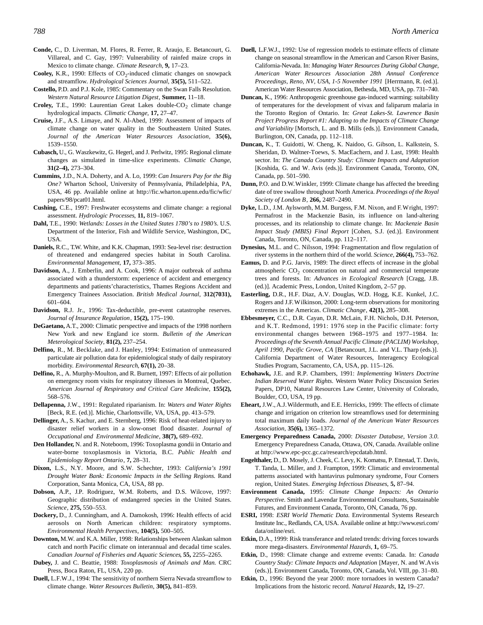- **Conde,** C., D. Liverman, M. Flores, R. Ferrer, R. Araujo, E. Betancourt, G. Villareal, and C. Gay, 1997: Vulnerability of rainfed maize crops in Mexico to climate change. *Climate Research*, **9,** 17–23.
- **Cooley, K.R., 1990: Effects of CO<sub>2</sub>-induced climatic changes on snowpack** and streamflow. *Hydrological Sciences Journal*, **35(5),** 511–522.
- **Costello,** P.D. and P.J. Kole, 1985: Commentary on the Swan Falls Resolution. *Western Natural Resource Litigation Digest*, **Summer,** 11–18.
- Croley, T.E., 1990: Laurentian Great Lakes double-CO<sub>2</sub> climate change hy drological impacts. *Climatic Change*, 17, 27-47.
- **Cruise,** J.F., A.S. Limaye, and N. Al-Abed, 1999: Assessment of impacts of climate change on water quality in the Southeastern United States. *Journal of the American Water Resources Association*, 35(6), 1539–1550.
- Cubasch, U., G. Waszkewitz, G. Hegerl, and J. Perlwitz, 1995: Regional climate changes as simulated in time-slice experiments. *Climatic Change*, **31(2–4),** 273–304.
- **Cummins,** J.D., N.A. Doherty, and A. Lo, 1999: *Can Insurers Pay for the Big One?* Wharton School, University of Pennsylvania, Philadelphia, PA, USA, 46 pp. Available online at http://fic.wharton.upenn.edu/fic/wfic/ papers/98/pcat01.html.
- **Cushing,** C.E., 1997: Freshwater ecosystems and climate change: a regional assessment. *Hydrologic Processes*, **11,** 819–1067.
- **Dahl,** T.E., 1990: *Wetlands: Losses in the United States 1780's to 1980's*. U.S. Department of the Interior, Fish and Wildlife Service, Washington, DC, USA.
- Daniels, R.C., T.W. White, and K.K. Chapman, 1993: Sea-level rise: destruction of threatened and endangered species habitat in South Carolina. *Environmental Management*, **17,** 373–385.
- **Davidson,** A., J. Emberlin, and A. Cook, 1996: A major outbreak of asthma associated with a thunderstorm: experience of accident and emergency departments and patients'characteristics, Thames Regions Accident and Emergency Trainees Association. *British Medical Journal*, **312(7031),** 601–604.
- **Davidson,** R.J. Jr., 1996: Tax-deductible, pre-event catastrophe reserves. *Journal of Insurance Regulation*, **15(2),** 175–190.
- DeGaetano, A.T., 2000: Climatic perspective and impacts of the 1998 northern New York and new England ice storm. *Bulletin of the American Meterological Society*, **81(2),** 237–254.
- Delfino, R., M. Becklake, and J. Hanley, 1994: Estimation of unmeasured particulate air pollution data for epidemiological study of daily respiratory morbidity. *Environmental Research*, **67(1),** 20–38.
- **Delfino,** R., A. Murphy-Moulton, and R. Burnett, 1997: Effects of air pollution on emergency room visits for respiratory illnesses in Montreal, Quebec. *American Journal of Respiratory and Critical Care Medicine*, **155(2),** 568–576.
- **Dellapenna,** J.W., 1991: Regulated riparianism. In: *Waters and Water Rights* [Beck, R.E. (ed.)]. Michie, Charlottsville, VA, USA, pp. 413–579.
- **Dellinger,** A., S. Kachur, and E. Sternberg, 1996: Risk of heat-related injury to disaster relief workers in a slow-onset flood disaster. *Journal of Occupational and Environmental Medicine*, **38(7),** 689–692.
- **Den Hollander,** N. and R. Noteboom, 1996: Toxoplasma gondii in Ontario and water-borne toxoplasmosis in Victoria, B.C. Public Health and *Epidemiology Report Ontario*, **7,** 28–31.
- **Dixon,** L.S., N.Y. Moore, and S.W. Schechter, 1993: *California's 1991 Drought Water Bank: Economic Impacts in the Selling Regions.* Rand Corporation, Santa Monica, CA, USA, 88 pp.
- Dobson, A.P., J.P. Rodriguez, W.M. Roberts, and D.S. Wilcove, 1997: Geographic distribution of endangered species in the United States. *Science*, **275,** 550–553.
- **Dockery,** D., J. Cunningham, and A. Damokosh, 1996: Health effects of acid aerosols on North American children: respiratory symptoms. *Environmental Health Perspectives*, **104(5),** 500–505.
- **Downton, M.W.** and K.A. Miller, 1998: Relationships between Alaskan salmon catch and north Pacific climate on interannual and decadal time scales. *Canadian Journal of Fisheries and Aquatic Sciences*, **55,** 2255–2265.
- **Dubey,** J. and C. Beattie, 1988: *Toxoplasmosis of Animals and Man.* CRC Press, Boca Raton, FL, USA, 220 pp.
- **Duell,** L.F.W.J., 1994: The sensitivity of northern Sierra Nevada streamflow to climate change. *Water Resources Bulletin*, **30(5),** 841–859.
- **Duell,** L.F.W.J., 1992: Use of regression models to estimate effects of climate change on seasonal streamflow in the American and Carson River Basins, California-Nevada. In: *Managing Water Resources During Global Change, American Water Resources Association 28th Annual Conference P roceedings, Reno, NV, USA, 1-5 November 1991* [Herrmann, R. (ed.)]. American Water Resources Association, Bethesda, MD, USA, pp. 731–740.
- **Duncan, K., 1996: Anthropogenic greenhouse gas-induced warming: suitability** of temperatures for the development of vivax and faliparum malaria in the Toronto Region of Ontario. In: *Great Lakes-St. Lawrence Basin Project Progress Report #1: Adapting to the Impacts of Climate Change and Variability* [Mortsch, L. and B. Mills (eds.)]. Environment Canada, Burlington, ON, Canada, pp. 112–118.
- **Duncan,** K., T. Guidotti, W. Cheng, K. Naidoo, G. Gibson, L. Kalkstein, S. Sheridan, D. Waltner-Toews, S. MacEachern, and J. Last, 1998: Health sector. In: *The Canada Country Study: Climate Impacts and Adaptation* [Koshida, G. and W. Avis (eds.)]. Environment Canada, Toronto, ON, Canada, pp. 501–590.
- **Dunn,** P.O. and D.W.Winkler, 1999: Climate change has affected the breeding date of tree swallow throughout North America. *Proceedings of the Royal Society of London B*, **266,** 2487–2490.
- **Dyke,** L.D., J.M. Aylsworth, M.M. Burgess, F.M. Nixon, and F. Wright, 1997: Permafrost in the Mackenzie Basin, its influence on land-altering processes, and its relationship to climate change. In: *Mackenzie Basin Impact Study (MBIS) Final Report* [Cohen, S.J. (ed.)]. Environment Canada, Toronto, ON, Canada, pp. 112–117.
- **Dynesius, M.L.** and C. Nilsson, 1994: Fragmentation and flow regulation of river systems in the northern third of the world. *Science*, 266(4), 753-762.
- **Eamus,** D. and P.G. Jarvis, 1989: The direct effects of increase in the global atmospheric  $CO<sub>2</sub>$  concentration on natural and commercial temperate trees and forests. In: *Advances in Ecological Research* [Cragg, J.B. (ed.)]. Academic Press, London, United Kingdom, 2–57 pp.
- **Easterling,** D.R., H.F. Diaz, A.V. Douglas, W.D. Hogg, K.E. Kunkel, J.C. Rogers and J.F.Wilkinson, 2000: Long-term observations for monitoring extremes in the Americas. *Climatic Change*, **42(1),** 285–308.
- **Ebbesmeyer,** C.C., D.R. Cayan, D.R. McLain, F.H. Nichols, D.H. Peterson, and K.T. Redmond, 1991: 1976 step in the Pacific climate: forty environmental changes between 1968-1975 and 1977-1984. In: *Proceedings of the Seventh Annual Pacific Climate (PACLIM) Workshop, April 1990, Pacific Grove, CA* [Betancourt, J.L. and V.L. Tharp (eds.)]. California Department of Water Resources, Interagency Ecological Studies Program, Sacramento, CA, USA, pp. 115–126.
- **Echohawk,** J.E. and R.P. Chambers, 1991: *Implementing Winters Doctrine Indian Reserved Water Rights.* Western Water Policy Discussion Series Papers, DP10, Natural Resources Law Center, University of Colorado, Boulder, CO, USA, 19 pp.
- **Eheart,** J.W., A.J. Wildermuth, and E.E. Herricks, 1999: The effects of climate change and irrigation on criterion low streamflows used for determining total maximum daily loads. *Journal of the American Water Resources Association*, **35(6),** 1365–1372.
- **Emergency Preparedness Canada,** 2000: *Disaster Database, Version 3.0*. Emergency Preparedness Canada, Ottawa, ON, Canada. Available online at http://www.epc-pcc.gc.ca/research/epcdatab.html.
- Engelthaler, D., D. Mosely, J. Cheek, C. Levy, K. Komatsu, P. Ettestad, T. Davis, T. Tanda, L. Miller, and J. Frampton, 1999: Climatic and environmental patterns associated with hantavirus pulmonary syndrome, Four Corners region, United States. *Emerging Infectious Diseases*, **5,** 87–94.
- Environment Canada, 1995: *Climate Change Impacts: An Ontario Perspective*. Smith and Lavendar Environmental Consultants, Sustainable Futures, and Environment Canada, Toronto, ON, Canada, 76 pp.
- **ESRI,** 1998: *ESRI World Thematic Data*. Environmental Systems Research Institute Inc., Redlands, CA, USA. Available online at http://www.esri.com/ data/online/esri.
- **Etkin,** D.A., 1999: Risk transferance and related trends: driving forces towards more mega-disasters. *Environmental Hazards*, **1,** 69–75.
- **Etkin,** D., 1998: Climate change and extreme events: Canada. In: *Canada Country Study: Climate Impacts and Adaptation* [Mayer, N. and W.Avis (eds.)]. Environment Canada, Toronto, ON, Canada, Vol. VIII, pp. 31–80.
- **Etkin,** D., 1996: Beyond the year 2000: more tornadoes in western Canada? Implications from the historic record. *Natural Hazards*, **12,** 19–27.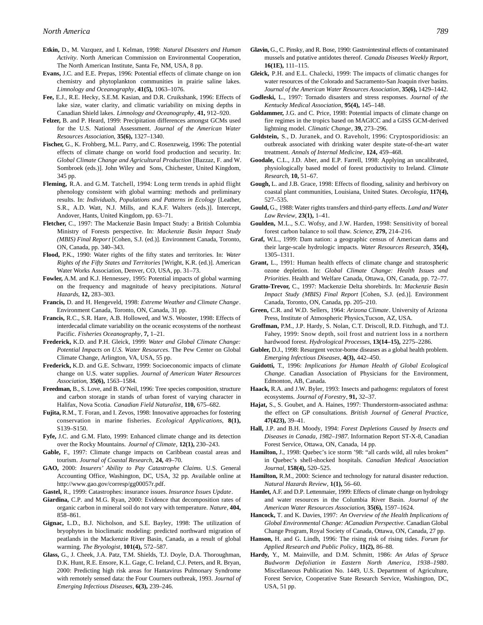- **Etkin,** D., M. Vazquez, and I. Kelman, 1998: *Natural Disasters and Human Activity*. North American Commission on Environmental Cooperation, The North American Institute, Santa Fe, NM, USA, 8 pp.
- **Evans,** J.C. and E.E. Prepas, 1996: Potential effects of climate change on ion chemistry and phytoplankton communities in prairie saline lakes. *Limnology and Oceanography*, **41(5),** 1063–1076.
- **Fee,** E.J., R.E. Hecky, S.E.M. Kasian, and D.R. Cruikshank, 1996: Effects of lake size, water clarity, and climatic variability on mixing depths in Canadian Shield lakes. *Limnology and Oceanography*, **41,** 912–920.
- **Felzer,** B. and P. Heard, 1999: Precipitation differences amongst GCMs used for the U.S. National Assessment. *Journal of the American Water Resources Association*, **35(6),** 1327–1340.
- **Fischer,** G., K. Frohberg, M.L. Parry, and C. Rosenzweig, 1996: The potential effects of climate change on world food production and security. In: *Global Climate Change and Agricultural Production* [Bazzaz, F. and W. Sombroek (eds.)]. John Wiley and Sons, Chichester, United Kingdom, 345 pp.
- **Fleming, R.A.** and G.M. Tatchell, 1994: Long term trends in aphid flight phenology consistent with global warming: methods and preliminary results. In: *Individuals, Populations and Patterns in Ecology* [Leather, S.R., A.D. Watt, N.J. Mills, and K.A.F. Walters (eds.)]. Intercept, Andover, Hants, United Kingdom, pp. 63–71.
- **Fletcher,** C., 1997: The Mackenzie Basin Impact Study: a British Columbia Ministry of Forests perspective. In: *Mackenzie Basin Impact Study (MBIS) Final Report* [Cohen, S.J. (ed.)]. Environment Canada, Toronto, ON, Canada, pp. 340–343.
- **Flood,** P.K., 1990: Water rights of the fifty states and territories. In: *Water Rights of the Fifty States and Territories* [Wright, K.R. (ed.)]. American Water Works Association, Denver, CO, USA, pp. 31–73.
- **Fowler,** A.M. and K.J. Hennessey, 1995: Potential impacts of global warming on the frequency and magnitude of heavy precipitations. Natural *Hazards*, **12,** 283–303.
- **Francis,** D. and H. Hengeveld, 1998: *Extreme Weather and Climate Change*. Environment Canada, Toronto, ON, Canada, 31 pp.
- **Francis,** R.C., S.R. Hare, A.B. Hollowed, and W.S. Wooster, 1998: Effects of interdecadal climate variability on the oceanic ecosystems of the northeast Pacific. *Fisheries Oceanography*, **7,** 1–21.
- **Frederick,** K.D. and P.H. Gleick, 1999: *Water and Global Climate Change: Potential Impacts on U.S. Water Resources*. The Pew Center on Global Climate Change, Arlington, VA, USA, 55 pp.
- **Frederick,** K.D. and G.E. Schwarz, 1999: Socioeconomic impacts of climate change on U.S. water supplies. *Journal of American Water Resources Association*, **35(6),** 1563–1584.
- Freedman, B., S. Love, and B. O'Neil, 1996: Tree species composition, structure and carbon storage in stands of urban forest of varying character in Halifax, Nova Scotia. *Canadian Field Naturalist*, **110,** 675–682.
- Fujita, R.M., T. Foran, and I. Zevos, 1998: Innovative approaches for fostering conservation in marine fisheries. *Ecological Applications*, 8(1), S139–S150.
- **Fyfe,** J.C. and G.M. Flato, 1999: Enhanced climate change and its detection over the Rocky Mountains. *Journal of Climate*, **12(1),** 230–243.
- **Gable,** F., 1997: Climate change impacts on Caribbean coastal areas and tourism. *Journal of Coastal Research*, **24,** 49–70.
- **GAO,** 2000: *Insurers' Ability to Pay Catastrophe Claims*. U.S. General Accounting Office, Washington, DC, USA, 32 pp. Available online at http://www.gao.gov/corresp/gg00057r.pdf.

**Gastel,** R., 1999: Catastrophes: insurance issues. *Insurance Issues Update*.

- **Giardina,** C.P. and M.G. Ryan, 2000: Evidence that decomposition rates of organic carbon in mineral soil do not vary with temperature. *Nature*, **404,** 858–861.
- **Gignac,** L.D., B.J. Nicholson, and S.E. Bayley, 1998: The utilization of bryophytes in bioclimatic modeling: predicted northward migration of peatlands in the Mackenzie River Basin, Canada, as a result of global warming. *The Bryologist*, **101(4),** 572–587.
- **Glass,** G., J. Cheek, J.A. Patz, T.M. Shields, T.J. Doyle, D.A. Thoroughman, D.K. Hunt, R.E. Ensore, K.L. Gage, C. Ireland, C.J. Peters, and R. Bryan, 2000: Predicting high risk areas for Hantavirus Pulmonary Syndrome with remotely sensed data: the Four Courners outbreak, 1993. *Journal of Emerging Infectious Diseases*, **6(3),** 239–246.
- **Glavin, G., C. Pinsky, and R. Bose, 1990: Gastrointestinal effects of contaminated** mussels and putative antidotes thereof. *Canada Diseases Weekly Report*, **16(1E),** 111–115.
- **Gleick, P.H.** and E.L. Chalecki, 1999: The impacts of climatic changes for water resources of the Colorado and Sacramento-San Joaquin river basins. *Journal of the American Water Resources Association*, 35(6), 1429-1442.
- **Godleski,** L., 1997: Tornado disasters and stress responses. *Journal of the Kentucky Medical Association*, **95(4),** 145–148.
- **Goldammer,** J.G. and C. Price, 1998: Potential impacts of climate change on fire regimes in the tropics based on MAGICC and a GISS GCM-derived lightning model. *Climatic Change*, **39,** 273–296.
- Goldstein, S., D. Juranek, and O. Raveholt, 1996: Cryptosporidiosis: an outbreak associated with drinking water despite state-of-the-art water treatment. *Annals of Internal Medicine*, **124,** 459–468.
- **Goodale,** C.L., J.D. Aber, and E.P. Farrell, 1998: Applying an uncalibrated, physiologically based model of forest productivity to Ireland. *Climate Research*, **10,** 51–67.
- **Gough,** L. and J.B. Grace, 1998: Effects of flooding, salinity and herbivory on coastal plant communities, Louisiana, United States. *Oecologia*, **117(4),** 527–535.
- **Gould,** G., 1988: Water rights transfers and third-party effects. *Land and Water Law Review*, **23(1),** 1–41.
- **Goulden, M.L., S.C. Wofsy, and J.W. Harden, 1998: Sensitivity of boreal** forest carbon balance to soil thaw. *Science*, 279, 214-216.
- **Graf,** W.L., 1999: Dam nation: a geographic census of American dams and their large-scale hydrologic impacts. *Water Resources Research*, **35(4),** 1305–1311.
- **Grant,** L., 1991: Human health effects of climate change and stratospheric ozone depletion. In: *Global Climate Change: Health Issues and Priorities*. Health and Welfare Canada, Ottawa, ON, Canada, pp. 72–77.
- **Gratto-Trevor,** C., 1997: Mackenzie Delta shorebirds. In: *Mackenzie Basin Impact Study (MBIS) Final Report* [Cohen, S.J. (ed.)]. Environment Canada, Toronto, ON, Canada, pp. 205–210.
- **Green,** C.R. and W.D. Sellers, 1964: *Arizona Climate*. University of Arizona Press, Institute of Atmospheric Physics,Tucson, AZ, USA.
- **Groffman,** P.M., J.P. Hardy, S. Nolan, C.T. Driscoll, R.D. Fitzhugh, and T.J. Fahey, 1999: Snow depth, soil frost and nutrient loss in a northern hardwood forest. *Hydrological Processes*, 13(14-15), 2275-2286.
- Gubler, D.J., 1998: Resurgent vector-borne diseases as a global health problem. *Emerging Infectious Diseases*, **4(3),** 442–450.
- **Guidotti,** T., 1996: *Implications for Human Health of Global Ecological Change*. Canadian Association of Physicians for the Environment, Edmonton, AB, Canada.
- **Haack,** R.A. and J.W. Byler, 1993: Insects and pathogens: regulators of forest ecosystems. *Journal of Forestry*, **91,** 32–37.
- **Hajat,** S., S. Goubet, and A. Haines, 1997: Thunderstorm-associated asthma: the effect on GP consultations. *British Journal of General Practice*, **47(423),** 39–41.
- **Hall,** J.P. and B.H. Moody, 1994: *Forest Depletions Caused by Insects and Diseases in Canada, 1982–1987*. Information Report ST-X-8, Canadian Forest Service, Ottawa, ON, Canada, 14 pp.
- **Hamilton,** J., 1998: Quebec's ice storm '98: "all cards wild, all rules broken" in Quebec's shell-shocked hospitals. *Canadian Medical Association Journal*, **158(4),** 520–525.
- **Hamilton,** R.M., 2000: Science and technology for natural disaster reduction. *Natural Hazards Review*, **1(1),** 56–60.
- Hamlet, A.F. and D.P. Lettenmaier, 1999: Effects of climate change on hydrology and water resources in the Columbia River Basin. *Journal of the American Water Resources Association*, **35(6),** 1597–1624.
- Hancock, T. and K. Davies, 1997: An Overview of the Health Implications of *Global Environmental Change: ACanadian Perspective*. Canadian Global Change Program, Royal Society of Canada, Ottawa, ON, Canada, 27 pp.
- **Hanson,** H. and G. Lindh, 1996: The rising risk of rising tides. *Forum for Applied Research and Public Policy*, **11(2),** 86–88.
- **Hardy,** Y., M. Mainville, and D.M. Schmitt, 1986: *An Atlas of Spruce Budworm Defoliation in Eastern North America, 1938–1980*. Miscellaneous Publication No. 1449, U.S. Department of Agriculture, Forest Service, Cooperative State Research Service, Washington, DC, USA, 51 pp.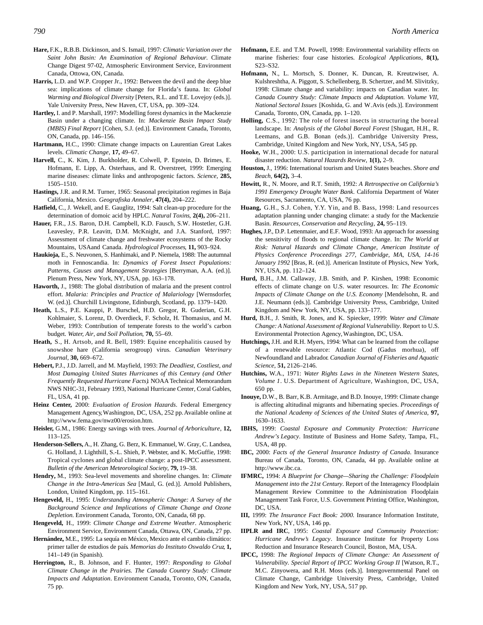- **Hare,** F.K., R.B.B. Dickinson, and S. Ismail, 1997: *Climatic Variation over the Saint John Basin: An Examination of Regional Behaviour*. Climate Change Digest 97-02, Atmospheric Environment Service, Environment Canada, Ottowa, ON, Canada.
- **Harris,** L.D. and W.P. Cropper Jr., 1992: Between the devil and the deep blue sea: implications of climate change for Florida's fauna. In: *Global Warming and Biological Diversity* [Peters, R.L. and T.E. Lovejoy (eds.)]. Yale University Press, New Haven, CT, USA, pp. 309–324.
- **Hartley,** I. and P. Marshall, 1997: Modelling forest dynamics in the Mackenzie Basin under a changing climate. In: *Mackenzie Basin Impact Study (MBIS) Final Report* [Cohen, S.J. (ed.)]. Environment Canada, Toronto, ON, Canada, pp. 146–156.
- **Hartmann,** H.C., 1990: Climate change impacts on Laurentian Great Lakes levels. *Climatic Change*, **17,** 49–67.
- **Harvell,** C., K. Kim, J. Burkholder, R. Colwell, P. Epstein, D. Brimes, E. Hofmann, E. Lipp, A. Osterhaus, and R. Overstreet, 1999: Emerging marine diseases: climate links and anthropogenic factors. *Science*, **285,** 1505–1510.
- **Hastings,** J.R. and R.M. Turner, 1965: Seasonal precipitation regimes in Baja California, Mexico. *Geografiska Annaler*, **47(4),** 204–222.
- **Hatfield,** C., J. Wekell, and E. Gauglitz, 1994: Salt clean-up procedure for the determination of domoic acid by HPLC. *Natural Toxins*, **2(4),** 206–211.
- **Hauer,** F.R., J.S. Baron, D.H. Campbell, K.D. Fausch, S.W. Hostetler, G.H. Leavesley, P.R. Leavitt, D.M. McKnight, and J.A. Stanford, 1997: Assessment of climate change and freshwater ecosystems of the Rocky Mountains, USAand Canada. *Hydrological Processes*, **11,** 903–924.
- Haukioja, E., S. Neuvonen, S. Hanhimaki, and P. Niemela, 1988: The autumnal moth in Fennoscandia. In: *Dynamics of Forest Insect Populations: Patterns, Causes and Management Strategies* [Berryman, A.A. (ed.)]. Plenum Press, New York, NY, USA, pp. 163–178.
- **Haworth,** J., 1988: The global distribution of malaria and the present control effort. *Malaria: Principles and Practice of Malariology* [Wernsdorfer, W. (ed.)]. Churchill Livingstone, Edinburgh, Scotland, pp. 1379–1420.
- **Heath,** L.S., P.E. Kauppi, P. Burschel, H.D. Gregor, R. Guderian, G.H. Kohlmaier, S. Lorenz, D. Overdieck, F. Scholz, H. Thomasius, and M. Weber, 1993: Contribution of temperate forests to the world's carbon budget. *Water, Air, and Soil Pollution*, **70,** 55–69.
- Heath, S., H. Artsob, and R. Bell, 1989: Equine encephalitis caused by snowshoe hare (California serogroup) virus. *Canadian Veterinary Journal*, **30,** 669–672.
- **Hebert,** P.J., J.D. Jarrell, and M. Mayfield, 1993: *The Deadliest, Costliest, and Most Damaging United States Hurricanes of this Century (and Other Frequently Requested Hurricane Facts)*. NOAA Technical Memorandum NWS NHC-31, February 1993, National Hurricane Center, Coral Gables, FL, USA, 41 pp.
- **Heinz Center,** 2000: *Evaluation of Erosion Hazards*. Federal Emergency Management Agency,Washington, DC, USA, 252 pp. Available online at http://www.fema.gov/nwz00/erosion.htm.
- **Heisler,** G.M., 1986: Energy savings with trees. *Journal of Arboriculture*, **12,** 113–125.
- Henderson-Sellers, A., H. Zhang, G. Berz, K. Emmanuel, W. Gray, C. Landsea, G. Holland, J. Lighthill, S.-L. Shieh, P. Webster, and K. McGuffie, 1998: Tropical cyclones and global climate change: a post-IPCC assessment. *Bulletin of the American Meteorological Society*, **79**, 19-38.
- **Hendry,** M., 1993: Sea-level movements and shoreline changes. In: *Climate Change in the Intra-Americas Sea* [Maul, G. (ed.)]. Arnold Publishers, London, United Kingdom, pp. 115–161.
- **Hengeveld,** H., 1995: *Understanding Atmospheric Change: A Survey of the Background Science and Implications of Climate Change and Ozone Depletion*. Environment Canada, Toronto, ON, Canada, 68 pp.
- **Hengeveld,** H., 1999: *Climate Change and Extreme Weather*. Atmospheric Environment Service, Environment Canada, Ottawa, ON, Canada, 27 pp.
- Hernández, M.E., 1995: La sequía en México, Mexico ante el cambio climático: primer taller de estudios de país*. Memorias do Instituto Oswaldo Cruz*, **1,** 141–149 (in Spanish).
- **Herrington,** R., B. Johnson, and F. Hunter, 1997: *Responding to Global Climate Change in the Prairies. The Canada Country Study: Climate Impacts and Adaptation*. Environment Canada, Toronto, ON, Canada, 75 pp.
- **Hofmann,** E.E. and T.M. Powell, 1998: Environmental variability effects on marine fisheries: four case histories. *Ecological Applications*, **8(1),** S23–S32.
- **Hofmann,** N., L. Mortsch, S. Donner, K. Duncan, R. Kreutzwiser, A. Kulshreshtha, A. Piggott, S. Schellenberg, B. Schertzer, and M. Slivitzky, 1998: Climate change and variability: impacts on Canadian water. In: *Canada Country Study: Climate Impacts and Adaptation. Volume VII, National Sectoral Issues* [Koshida, G. and W.Avis (eds.)]. Environment Canada, Toronto, ON, Canada, pp. 1–120.
- Holling, C.S., 1992: The role of forest insects in structuring the boreal landscape. In: *Analysis of the Global Boreal Forest* [Shugart, H.H., R. Leemans, and G.B. Bonan (eds.)]. Cambridge University Press, Cambridge, United Kingdom and New York, NY, USA, 545 pp.
- Hooke, W.H., 2000: U.S. participation in international decade for natural disaster reduction. *Natural Hazards Review*, 1(1), 2-9.
- **Houston,** J., 1996: International tourism and United States beaches. *Shore and Beach*, **64(2),** 3–4.
- **Howitt,** R., N. Moore, and R.T. Smith, 1992: *A Retrospective on California's 1991 Emergency Drought Water Bank*. California Department of Water Resources, Sacramento, CA, USA, 76 pp.
- Huang, G.H., S.J. Cohen, Y.Y. Yin, and B. Bass, 1998: Land resources adaptation planning under changing climate: a study for the Mackenzie Basin. *Resources, Conservation and Recycling*, **24,** 95–119.
- Hughes, J.P., D.P. Lettenmaier, and E.F. Wood, 1993: An approach for assessing the sensitivity of floods to regional climate change. In: *The World at Risk: Natural Hazards and Climate Change, American Institute of Physics Conference Proceedings 277, Cambridge, MA, USA, 14-16 January 1992* [Bras, R. (ed.)]. American Institute of Physics, New York, NY, USA, pp. 112–124.
- **Hurd,** B.H., J.M. Callaway, J.B. Smith, and P. Kirshen, 1998: Economic effects of climate change on U.S. water resources. In: *The Economic Impacts of Climate Change on the U.S. Economy* [Mendelsohn, R. and J.E. Neumann (eds.)]. Cambridge University Press, Cambridge, United Kingdom and New York, NY, USA, pp. 133–177.
- **Hurd,** B.H., J. Smith, R. Jones, and K. Spiecker, 1999: *Water and Climate Change: A National Assessment of Regional Vulnerability*. Report to U.S. Environmental Protection Agency, Washington, DC, USA.
- **Hutchings,** J.H. and R.H. Myers, 1994: What can be learned from the collapse of a renewable resource: Atlantic Cod (Gadus morhua), off Newfoundland and Labrador. *Canadian Journal of Fisheries and Aquatic Science*, **51,** 2126–2146.
- **Hutchins,** W.A., 1971: *Water Rights Laws in the Nineteen Western States, Volume 1*. U.S. Department of Agriculture, Washington, DC, USA, 650 pp.
- **Inouye,** D.W., B. Barr, K.B. Armitage, and B.D. Inouye, 1999: Climate change is affecting altitudinal migrants and hibernating species. *Proceedings of the National Academy of Sciences of the United States of America*, **97,** 1630–1633.
- **IBHS,** 1999: *Coastal Exposure and Community Protection: Hurricane Andrew's Legacy*. Institute of Business and Home Safety, Tampa, FL, USA, 48 pp.
- **IBC,** 2000: *Facts of the General Insurance Industry of Canada*. Insurance Bureau of Canada, Toronto, ON, Canada, 44 pp. Available online at http://www.ibc.ca.
- **IFMRC,** 1994: *A Blueprint for Change—Sharing the Challenge: Floodplain Management into the 21st Century*. Report of the Interagency Floodplain Management Review Committee to the Administration Floodplain Management Task Force, U.S. Government Printing Office, Washington, DC, USA.
- **III,** 1999: *The Insurance Fact Book: 2000*. Insurance Information Institute, New York, NY, USA, 146 pp.
- **IIPLR and IRC**, 1995: *Coastal Exposure and Community Protection: Hurricane Andrew's Legacy*. Insurance Institute for Property Loss Reduction and Insurance Research Council, Boston, MA, USA.
- **IPCC,** 1998: *The Regional Impacts of Climate Change: An Assessment of Vulnerability. Special Report of IPCC Working Group II* [Watson, R.T., M.C. Zinyowera, and R.H. Moss (eds.)]. Intergovernmental Panel on Climate Change, Cambridge University Press, Cambridge, United Kingdom and New York, NY, USA, 517 pp.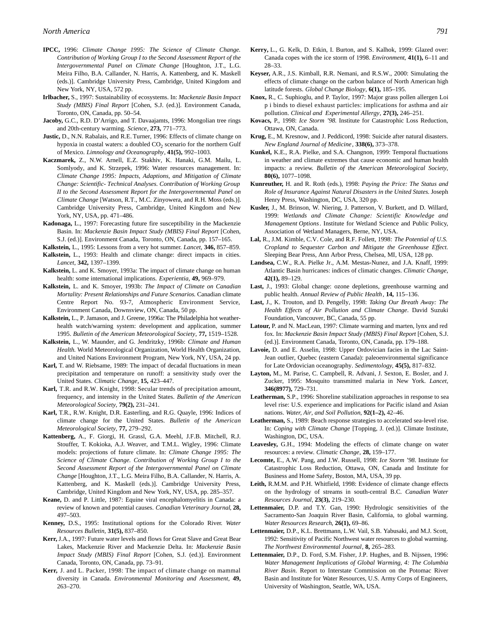- **I P C C ,** 1996: *Climate Change 1995: The Science of Climate Change. Contribution of Working Group I to the Second Assessment Report of the Intergovernmental Panel on Climate Change* [Houghton, J.T., L.G. Meira Filho, B.A. Callander, N. Harris, A. Kattenberg, and K. Maskell (eds.)]. Cambridge University Press, Cambridge, United Kingdom and New York, NY, USA, 572 pp.
- **Irlbacher,** S., 1997: Sustainability of ecosystems. In: *Mackenzie Basin Impact Study (MBIS) Final Report* [Cohen, S.J. (ed.)]. Environment Canada, Toronto, ON, Canada, pp. 50–54.
- **Jacoby,** G.C., R.D. D'Arrigo, and T. Davaajamts, 1996: Mongolian tree rings and 20th-century warming. *Science*, **273,** 771–773.
- **Justic,** D., N.N. Rabalais, and R.E. Turner, 1996: Effects of climate change on hypoxia in coastal waters: a doubled  $\mathrm{CO}_2$  scenario for the northern Gulf of Mexico. *Limnology and Oceanography*, **41(5),** 992–1003.
- **Kaczmarek,** Z., N.W. Arnell, E.Z. Stakhiv, K. Hanaki, G.M. Mailu, L. Somlyody, and K. Strzepek, 1996: Water resources management. In: *Climate Change 1995: Impacts, Adaptions, and Mitigation of Climate Change: Scientific- Technical Analyses. Contribution of Working Group II to the Second Assessment Report for the Intergovernmental Panel on Climate Change* [Watson, R.T., M.C. Zinyowera, and R.H. Moss (eds.)]. Cambridge University Press, Cambridge, United Kingdom and New York, NY, USA, pp. 471–486.
- **Kadonaga,** L., 1997: Forecasting future fire susceptibility in the Mackenzie Basin. In: *Mackenzie Basin Impact Study (MBIS) Final Report* [Cohen, S.J. (ed.)]. Environment Canada, Toronto, ON, Canada, pp. 157–165.
- **Kalkstein,** L., 1995: Lessons from a very hot summer. *Lancet*, **346,** 857–859.
- **Kalkstein,** L., 1993: Health and climate change: direct impacts in cities. *Lancet*, **342,** 1397–1399.
- **Kalkstein,** L. and K. Smoyer, 1993a: The impact of climate change on human health: some international implications. *Experientia*, **49,** 969–979.
- **Kalkstein,** L. and K. Smoyer, 1993b: *The Impact of Climate on Canadian Mortality: Present Relationships and Future Scenarios.* Canadian climate Centre Report No. 93-7, Atmospheric Environment Service, Environment Canada, Downsview, ON, Canada, 50 pp.
- Kalkstein, L., P. Jamason, and J. Greene, 1996a: The Philadelphia hot weatherhealth watch/warning system: development and application, summer 1995. *Bulletin of the American Meteorological Society*, **77,** 1519–1528.
- **Kalkstein,** L., W. Maunder, and G. Jendritzky, 1996b: *Climate and Human Health.* World Meteorological Organization, World Health Organization, and United Nations Environment Program, New York, NY, USA, 24 pp.
- **Karl,** T. and W. Riebsame, 1989: The impact of decadal fluctuations in mean precipitation and temperature on runoff: a sensitivity study over the United States. *Climatic Change*, **15,** 423–447.
- Karl, T.R. and R.W. Knight, 1998: Secular trends of precipitation amount, frequency, and intensity in the United States. *Bulletin of the American Meteorological Society*, **79(2),** 231–241.
- **Karl,** T.R., R.W. Knight, D.R. Easterling, and R.G. Quayle, 1996: Indices of climate change for the United States. *Bulletin of the American Meteorological Society*, **77,** 279–292.
- **Kattenberg,** A., F. Giorgi, H. Grassl, G.A. Meehl, J.F.B. Mitchell, R.J. Stouffer, T. Kokioka, A.J. Weaver, and T.M.L. Wigley, 1996: Climate models: projections of future climate. In: *Climate Change 1995: The Science of Climate Change. Contribution of Working Group I to the Second Assessment Report of the Intergovernmental Panel on Climate Change* [Houghton, J.T., L.G. Meira Filho, B.A. Callander, N. Harris, A. Kattenberg, and K. Maskell (eds.)]. Cambridge University Press, Cambridge, United Kingdom and New York, NY, USA, pp. 285–357.
- **Keane,** D. and P. Little, 1987: Equine viral encephalomyelitis in Canada: a review of known and potential causes. *Canadian Veterinary Journal*, **28,** 497–503.
- **Kenney,** D.S., 1995: Institutional options for the Colorado River. *Water Resources Bulletin*, **31(5),** 837–850.
- **Kerr,** J.A., 1997: Future water levels and flows for Great Slave and Great Bear Lakes, Mackenzie River and Mackenzie Delta. In: *Mackenzie Basin Impact Study (MBIS) Final Report* [Cohen, S.J. (ed.)]. Environment Canada, Toronto, ON, Canada, pp. 73–91.
- **Kerr,** J. and L. Packer, 1998: The impact of climate change on mammal diversity in Canada. *Environmental Monitoring and Assessment*, 49, 263–270.
- **Kerry,** L., G. Kelk, D. Etkin, I. Burton, and S. Kalhok, 1999: Glazed over: Canada copes with the ice storm of 1998. *Environment*, **41(1),** 6–11 and 28–33.
- **Keyser,** A.R., J.S. Kimball, R.R. Nemani, and R.S.W., 2000: Simulating the effects of climate change on the carbon balance of North American high latitude forests. *Global Change Biology*, **6(1),** 185–195.
- **Knox,** R., C. Suphioglu, and P. Taylor, 1997: Major grass pollen allergen Loi p i binds to diesel exhaust particles: implications for asthma and air pollution. *Clinical and Experimental Allergy*, 27(3), 246-251.
- **Kovacs,** P., 1998: *Ice Storm '98*. Institute for Catastrophic Loss Reduction, Ottawa, ON, Canada.
- **Krug,** E., M. Kresnow, and J. Peddicord, 1998: Suicide after natural disasters. *New England Journal of Medicine*, **338(6),** 373–378.
- **Kunkel,** K.E., R.A. Pielke, and S.A. Changnon, 1999: Temporal fluctuations in weather and climate extremes that cause economic and human health impacts: a review. *Bulletin of the American Meteorological Society*, **80(6),** 1077–1098.
- **Kunreuther,** H. and R. Roth (eds.), 1998: *Paying the Price: The Status and Role of Insurance Against Natural Disasters in the United States*. Joseph Henry Press, Washington, DC, USA, 320 pp.
- **Kusler,** J., M. Brinson, W. Niering, J. Patterson, V. Burkett, and D. Willard, 1999: *Wetlands and Climate Change: Scientific Knowledge and Management Options*. Institute for Wetland Science and Public Policy, Association of Wetland Managers, Berne, NY, USA.
- **Lal,** R., J.M. Kimble, C.V. Cole, and R.F. Follett, 1998: *The Potential of U.S. Cropland to Sequester Carbon and Mitigate the Greenhouse Effect.* Sleeping Bear Press, Ann Arbor Press, Chelsea, MI, USA, 128 pp.
- **Landsea,** C.W., R.A. Pielke Jr., A.M. Mestas-Nunez, and J.A. Knaff, 1999: Atlantic Basin hurricanes: indices of climatic changes. *Climatic Change*, **42(1),** 89–129.
- **Last,** J., 1993: Global change: ozone depletions, greenhouse warming and public health. *Annual Review of Public Health*, **14,** 115–136.
- **Last,** J., K. Trouton, and D. Pengelly, 1998: *Taking Our Breath Away: The Health Effects of Air Pollution and Climate Change*. David Suzuki Foundation, Vancouver, BC, Canada, 55 pp.
- **Latour,** P. and N. MacLean, 1997: Climate warming and marten, lynx and red fox. In: *Mackenzie Basin Impact Study (MBIS) Final Report* [Cohen, S.J. (ed.)]. Environment Canada, Toronto, ON, Canada, pp. 179–188.
- **Lavoie,** D. and E. Asselin, 1998: Upper Ordovician facies in the Lac Saint-Jean outlier, Quebec (eastern Canada): paleoenvironmental significance for Late Ordovician oceanography. *Sedimentology*, **45(5),** 817–832.
- **Layton,** M., M. Parise, C. Campbell, R. Advani, J. Sexton, E. Bosler, and J. Zucker, 1995: Mosquito transmitted malaria in New York. *Lancet*, **346(8977),** 729–731.
- **Leatherman,** S.P., 1996: Shoreline stabilization approaches in response to sea level rise: U.S. experience and implications for Pacific island and Asian nations. *Water, Air, and Soil Pollution*, **92(1–2),** 42–46.
- **Leatherman,** S., 1989: Beach response strategies to accelerated sea-level rise. In: *Coping with Climate Change* [Topping, J. (ed.)]. Climate Institute, Washington, DC, USA.
- **Leavesley,** G.H., 1994: Modeling the effects of climate change on water resources: a review. *Climatic Change*, **28,** 159–177.
- **Lecomte,** E., A.W. Pang, and J.W. Russell, 1998: *Ice Storm '98*. Institute for Catastrophic Loss Reduction, Ottawa, ON, Canada and Institute for Business and Home Safety, Boston, MA, USA, 39 pp.
- **Leith,** R.M.M. and P.H. Whitfield, 1998: Evidence of climate change effects on the hydrology of streams in south-central B.C. *Canadian Water Resources Journal*, **23(3),** 219–230.
- Lettenmaier, D.P. and T.Y. Gan, 1990: Hydrologic sensitivities of the Sacramento-San Joaquin River Basin, California, to global warming. *Water Resources Research*, **26(1),** 69–86.
- **Lettenmaier,** D.P., K.L. Brettmann, L.W. Vail, S.B. Yabusaki, and M.J. Scott, 1992: Sensitivity of Pacific Northwest water resources to global warming. *The Northwest Environmental Journal*, **8,** 265–283.
- **Lettenmaier,** D.P., D. Ford, S.M. Fisher, J.P. Hughes, and B. Nijssen, 1996: *Water Management Implications of Global Warming, 4: The Columbia River Basin*. Report to Interstate Commission on the Potomac River Basin and Institute for Water Resources, U.S. Army Corps of Engineers, University of Washington, Seattle, WA, USA.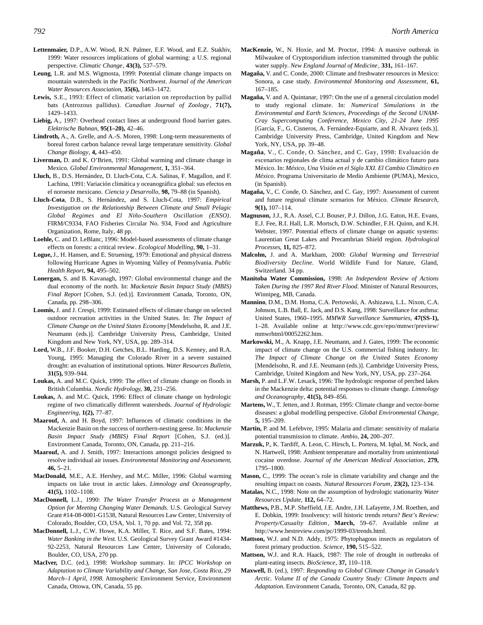- **Lettenmaier,** D.P., A.W. Wood, R.N. Palmer, E.F. Wood, and E.Z. Stakhiv, 1999: Water resources implications of global warming: a U.S. regional perspective. *Climatic Change*, **43(3),** 537–579.
- **Leung**, L.R. and M.S. Wigmosta, 1999: Potential climate change impacts on mountain watersheds in the Pacific Northwest. *Journal of the American Water Resources Association*, **35(6),** 1463–1472.
- Lewis, S.E., 1993: Effect of climatic variation on reproduction by pallid bats (Antrozous pallidus). *Canadian Journal of Zoology*, 71(7), 1429–1433.
- **Liebig,** A., 1997: Overhead contact lines at underground flood barrier gates. *Elektrische Bahnan*, **95(1–20),** 42–46.
- **Lindroth,** A., A. Grelle, and A.-S. Moren, 1998: Long-term measurements of boreal forest carbon balance reveal large temperature sensitivity. *Global Change Biology*, **4,** 443–450.
- **Liverman,** D. and K. O'Brien, 1991: Global warming and climate change in Mexico. *Global Environmental Management*, **1,** 351–364.
- **Lluch,** B., D.S. Hernández, D. Lluch-Cota, C.A. Salinas, F. Magallon, and F. Lachina, 1991: Variación climática y oceanográfica global: sus efectos en el noroeste mexicano. *Ciencia y Desarrollo*, **98,** 79–88 (in Spanish).
- Lluch-Cota, D.B., S. Hernández, and S. Lluch-Cota, 1997: *Empirical Investigation on the Relationship Between Climate and Small Pelagic Global Regimes and El Niño-Southern Oscillation (ENSO)*. FIRM/C9334, FAO Fisheries Circular No. 934, Food and Agriculture Organization, Rome, Italy, 48 pp.
- **Loehle,** C. and D. LeBlanc, 1996: Model-based assessments of climate change effects on forests: a critical review. *Ecological Modelling*, **90,** 1–31.
- **Logue,** J., H. Hansen, and E. Struening, 1979: Emotional and physical distress following Hurricane Agnes in Wyoming Valley of Pennsylvania. *Public Health Report*, **94,** 495–502.
- **Lonergan,** S. and B. Kavanagh, 1997: Global environmental change and the dual economy of the north. In: *Mackenzie Basin Impact Study (MBIS) Final Report* [Cohen, S.J. (ed.)]. Environment Canada, Toronto, ON, Canada, pp. 298–306.
- Loomis, J. and J. Crespi, 1999: Estimated effects of climate change on selected outdoor recreation activities in the United States. In: *The Impact of Climate Change on the United States Economy* [Mendelsohn, R. and J.E. Neumann (eds.)]. Cambridge University Press, Cambridge, United Kingdom and New York, NY, USA, pp. 289–314.
- **Lord,** W.B., J.F. Booker, D.H. Getches, B.L. Harding, D.S. Kenney, and R.A. Young, 1995: Managing the Colorado River in a severe sustained drought: an evaluation of institutional options. *Water Resources Bulletin*, **31(5),** 939–944.
- **Loukas,** A. and M.C. Quick, 1999: The effect of climate change on floods in British Columbia. *Nordic Hydrology*, **30,** 231–256.
- **Loukas,** A. and M.C. Quick, 1996: Effect of climate change on hydrologic regime of two climatically different watersheds. *Journal of Hydrologic Engineering*, **1(2),** 77–87.
- **Maarouf,** A. and H. Boyd, 1997: Influences of climatic conditions in the Mackenzie Basin on the success of northern-nesting geese. In: *Mackenzie Basin Impact Study (MBIS) Final Report* [Cohen, S.J. (ed.)]. Environment Canada, Toronto, ON, Canada, pp. 211–216.
- **Maarouf,** A. and J. Smith, 1997: Interactions amongst policies designed to resolve individual air issues. *Environmental Monitoring and Assessment*, **46,** 5–21.
- **MacDonald,** M.E., A.E. Hershey, and M.C. Miller, 1996: Global warming impacts on lake trout in arctic lakes. *Limnology and Oceanography*, **41(5),** 1102–1108.
- **MacDonnell,** L.J., 1990: *The Water Transfer Process as a Management Option for Meeting Changing Water Demands*. U.S. Geological Survey Grant #14-08-0001-G1538, Natural Resources Law Center, University of Colorado, Boulder, CO, USA, Vol. 1, 70 pp. and Vol. 72, 358 pp.
- **MacDonnell,** L.J., C.W. Howe, K.A. Miller, T. Rice, and S.F. Bates, 1994: *Water Banking in the West*. U.S. Geological Survey Grant Award #1434- 92-2253, Natural Resources Law Center, University of Colorado, Boulder, CO, USA, 270 pp.
- **MacIver,** D.C. (ed.), 1998: Workshop summary. In: *IPCC Workshop on Adaptation to Climate Variability and Change, San Jose, Costa Rica, 29 March–1 April, 1998*. Atmospheric Environment Service, Environment Canada, Ottowa, ON, Canada, 55 pp.
- **MacKenzie,** W., N. Hoxie, and M. Proctor, 1994: A massive outbreak in Milwaukee of Cryptosporidium infection transmitted through the public water supply. *New England Journal of Medicine*, **331,** 161–167.
- **Magaña,** V. and C. Conde, 2000: Climate and freshwater resources in Mexico: Sonora, a case study. *Environmental Monitoring and Assessment*, **61,** 167–185.
- **Magaña,** V. and A. Quintanar, 1997: On the use of a general circulation model to study regional climate. In: *Numerical Simulations in the Environmental and Earth Sciences, Proceedings of the Second UNAM-Cray Supercomputing Conference, Mexico City, 21-24 June 1995* [García, F., G. Cisneros, A. Fernández-Equiarte, and R. Alvarez (eds.)]. Cambridge University Press, Cambridge, United Kingdom and New York, NY, USA, pp. 39–48.
- Magaña, V., C. Conde, O. Sánchez, and C. Gay, 1998: Evaluación de escenarios regionales de clima actual y de cambio climático futuro para México. In: *México, Una Visión en el Siglo XXI. El Cambio Climático en México*. Programa Universitario de Medio Ambiente (PUMA), Mexico, (in Spanish).
- **Magaña,** V., C. Conde, O. Sánchez, and C. Gay, 1997: Assessment of current and future regional climate scenarios for México. *Climate Research*, **9(1),** 107–114.
- **Magnuson,** J.J., R.A. Assel, C.J. Bouser, P.J. Dillon, J.G. Eaton, H.E. Evans, E.J. Fee, R.I. Hall, L.R. Mortsch, D.W. Schindler, F.H. Quinn, and K.H. Webster, 1997. Potential effects of climate change on aquatic systems: Laurentian Great Lakes and Precambrian Shield region. *Hydrological Processes*, **11,** 825–872.
- Malcolm, J. and A. Markham, 2000: *Global Warming and Terrestrial Biodiversity Decline*. World Wildlife Fund for Nature, Gland, Switzerland. 34 pp.
- **Manitoba Water Commission,** 1998: *An Independent Review of Actions Taken During the 1997 Red River Flood*. Minister of Natural Resources, Winnipeg, MB, Canada.
- **Mannino**, D.M., D.M. Homa, C.A. Pertowski, A. Ashizawa, L.L. Nixon, C.A. Johnson, L.B. Ball, E. Jack, and D.S. Kang, 1998: Surveillance for asthma: United States, 1960–1995. *MMWR Surveillance Summaries*, **47(SS-1),** 1–28. Available online at http://www.cdc.gov/epo/mmwr/preview/ mmwrhtml/00052262.htm.
- **Markowski,** M., A. Knapp, J.E. Neumann, and J. Gates, 1999: The economic impact of climate change on the U.S. commercial fishing industry. In: *The Impact of Climate Change on the United States Economy* [Mendelsohn, R. and J.E. Neumann (eds.)]. Cambridge University Press, Cambridge, United Kingdom and New York, NY, USA, pp. 237–264.
- **Marsh,** P. and L.F.W. Lesack, 1996: The hydrologic response of perched lakes in the Mackenzie delta: potential responses to climate change. *Limnology and Oceanography*, **41(5),** 849–856.
- **Martens,** W., T. Jetten, and J. Rotman, 1995: Climate change and vector-borne diseases: a global modelling perspective. *Global Environmental Change*, **5,** 195–209.
- **Martin,** P. and M. Lefebvre, 1995: Malaria and climate: sensitivity of malaria potential transmission to climate. *Ambio*, **24,** 200–207.
- **Marzuk,** P., K. Tardiff, A. Leon, C. Hirsch, L. Portera, M. Iqbal, M. Nock, and N. Hartwell, 1998: Ambient temperature and mortality from unintentional cocaine overdose. *Journal of the American Medical Association*, **279,** 1795–1800.
- **Mason,** C., 1999: The ocean's role in climate variability and change and the resulting impact on coasts. *Natural Resources Forum*, **23(2),** 123–134.
- **Matalas,** N.C., 1998: Note on the assumption of hydrologic stationarity. *Water Resources Update*, **112,** 64–72.
- **Matthews,** P.B., M.P. Sheffield, J.E. Andre, J.H. Lafayette, J.M. Roethen, and E. Dobkin, 1999: Insolvency: will historic trends return? *Best's Review: Property/Casualty Edition*, March, 59-67. Available online at http://www.bestreview.com/pc/1999-03/trends.html.
- **Mattson,** W.J. and N.D. Addy, 1975: Phytophagous insects as regulators of forest primary production. *Science*, **190,** 515–522.
- **Mattson,** W.J. and R.A. Haack, 1987: The role of drought in outbreaks of plant-eating insects. *BioScience*, **37,** 110–118.
- **Maxwell,** B. (ed.), 1997: *Responding to Global Climate Change in Canada's Arctic. Volume II of the Canada Country Study: Climate Impacts and Adaptation*. Environment Canada, Toronto, ON, Canada, 82 pp.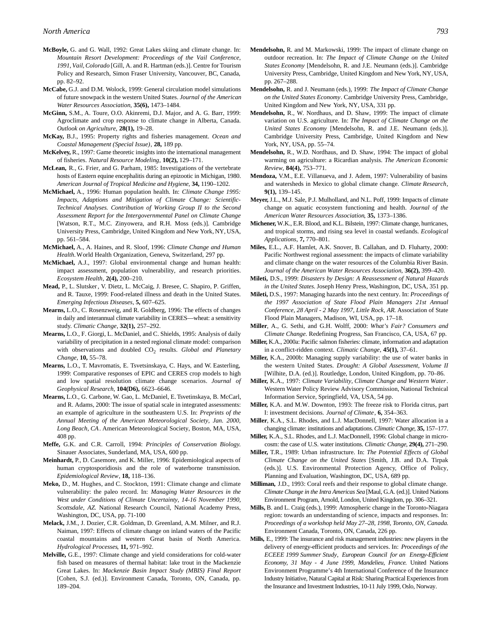- **McBoyle,** G. and G. Wall, 1992: Great Lakes skiing and climate change. In: *Mountain Resort Development: Proceedings of the Vail Conference, 1991, Vail, Colorado* [Gill, A. and R. Hartman (eds.)]. Centre for Tourism Policy and Research, Simon Fraser University, Vancouver, BC, Canada, pp. 82–92.
- **McCabe,** G.J. and D.M. Wolock, 1999: General circulation model simulations of future snowpack in the western United States. *Journal of the American Water Resources Association*, **35(6),** 1473–1484.
- **McGinn,** S.M., A. Toure, O.O. Akinremi, D.J. Major, and A. G. Barr, 1999: Agroclimate and crop response to climate change in Alberta, Canada. *Outlook on Agriculture*, **28(1),** 19–28.
- **McKay,** B.J., 1995: Property rights and fisheries management. *Ocean and Coastal Management (Special Issue)*, **28,** 189 pp.
- **McKelvev, R., 1997: Game theoretic insights into the international management** of fisheries. *Natural Resource Modeling*, **10(2),** 129–171.
- McLean, R., G. Frier, and G. Parham, 1985: Investigations of the vertebrate hosts of Eastern equine encephalitis during an epizootic in Michigan, 1980. *American Journal of Tropical Medicine and Hygiene*, 34, 1190–1202.
- **McMichael,** A., 1996: Human population health. In: *Climate Change 1995: Impacts, Adaptions and Mitigation of Climate Change: Scientific-Technical Analyses. Contribution of Working Group II to the Second Assessment Report for the Intergovernmental Panel on Climate Change* [Watson, R.T., M.C. Zinyowera, and R.H. Moss (eds.)]. Cambridge University Press, Cambridge, United Kingdom and New York, NY, USA, pp. 561–584.
- **McMichael,** A., A. Haines, and R. Sloof, 1996: *Climate Change and Human Health*. World Health Organization, Geneva, Switzerland, 297 pp.
- **McMichael,** A.J., 1997: Global environmental change and human health: impact assessment, population vulnerability, and research priorities. *Ecosystem Health*, **2(4),** 200–210.
- **Mead,** P., L. Slutsker, V. Dietz, L. McCaig, J. Bresee, C. Shapiro, P. Griffen, and R. Tauxe, 1999: Food-related illness and death in the United States. *Emerging Infectious Diseases*, **5,** 607–625.
- **Mearns,** L.O., C. Rosenzweig, and R. Goldberg, 1996: The effects of changes in daily and interannual climate variability in CERES—wheat: a sensitivity study. *Climatic Change*, **32(1),** 257–292.
- **Mearns,** L.O., F. Giorgi, L. McDaniel, and C. Shields, 1995: Analysis of daily variability of precipitation in a nested regional climate model: comparison with observations and doubled CO<sub>2</sub> results. *Global and Planetary Change*, **10,** 55–78.
- **Mearns,** L.O., T. Mavromatis, E. Tsvetsinskaya, C. Hays, and W. Easterling, 1999: Comparative responses of EPIC and CERES crop models to high and low spatial resolution climate change scenarios. *Journal of Geophysical Research*, **104(D6),** 6623–6646.
- **Mearns,** L.O., G. Carbone, W. Gao, L. McDaniel, E. Tsvetinskaya, B. McCarl, and R. Adams, 2000: The issue of spatial scale in integrated assessments: an example of agriculture in the southeastern U.S. In: *Preprints of the Annual Meeting of the American Meteorological Society, Jan. 2000, Long Beach, CA*. American Meteorological Society, Boston, MA, USA, 408 pp.
- **Meffe,** G.K. and C.R. Carroll, 1994: *Principles of Conservation Biology.* Sinauer Associates, Sunderland, MA, USA, 600 pp.
- **Meinhardt,** P., D. Casemore, and K. Miller, 1996: Epidemiological aspects of human cryptosporidiosis and the role of waterborne transmission. *Epidemiological Review*, **18,** 118–136.
- Meko, D., M. Hughes, and C. Stockton, 1991: Climate change and climate vulnerability: the paleo record. In: *Managing Water Resources in the West under Conditions of Climate Uncertainty, 14-16 November 1990, Scottsdale, AZ*. National Research Council, National Academy Press, Washington, DC, USA, pp. 71-100
- **Melack,** J.M., J. Dozier, C.R. Goldman, D. Greenland, A.M. Milner, and R.J. Naiman, 1997: Effects of climate change on inland waters of the Pacific coastal mountains and western Great basin of North America. *Hydrological Processes*, **11,** 971–992.
- **Melville,** G.E., 1997: Climate change and yield considerations for cold-water fish based on measures of thermal habitat: lake trout in the Mackenzie Great Lakes. In: *Mackenzie Basin Impact Study (MBIS) Final Report* [Cohen, S.J. (ed.)]. Environment Canada, Toronto, ON, Canada, pp. 189–204.
- **Mendelsohn,** R. and M. Markowski, 1999: The impact of climate change on outdoor recreation. In: *The Impact of Climate Change on the United States Economy* [Mendelsohn, R. and J.E. Neumann (eds.)]. Cambridge University Press, Cambridge, United Kingdom and New York, NY, USA, pp. 267–288.
- **Mendelsohn,** R. and J. Neumann (eds.), 1999: *The Impact of Climate Change on the United States Economy*. Cambridge University Press, Cambridge, United Kingdom and New York, NY, USA, 331 pp.
- **Mendelsohn,** R., W. Nordhaus, and D. Shaw, 1999: The impact of climate variation on U.S. agriculture. In: *The Impact of Climate Change on the United States Economy* [Mendelsohn, R. and J.E. Neumann (eds.)]. Cambridge University Press, Cambridge, United Kingdom and New York, NY, USA, pp. 55–74.
- **Mendelsohn,** R., W.D. Nordhaus, and D. Shaw, 1994: The impact of global warming on agriculture: a Ricardian analysis. *The American Economic Review*, **84(4),** 753–771.
- **Mendoza,** V.M., E.E. Villanueva, and J. Adem, 1997: Vulnerability of basins and watersheds in Mexico to global climate change. *Climate Research*, **9(1),** 139–145.
- Meyer, J.L., M.J. Sale, P.J. Mulholland, and N.L. Poff, 1999: Impacts of climate change on aquatic ecosystem functioning and health. *Journal of the American Water Resources Association*, **35,** 1373–1386.
- Michener, W.K., E.R. Blood, and K.L. Bilstein, 1997: Climate change, hurricanes, and tropical storms, and rising sea level in coastal wetlands. *Ecological Applications*, **7,** 770–801.
- **Miles,** E.L., A.F. Hamlet, A.K. Snover, B. Callahan, and D. Fluharty, 2000: Pacific Northwest regional assessment: the impacts of climate variability and climate change on the water resources of the Columbia River Basin. *Journal of the American Water Resources Association*, **36(2),** 399–420.
- **Mileti,** D.S., 1999: *Disasters by Design: A Reassessment of Natural Hazards in the United States.* Joseph Henry Press, Washington, DC, USA, 351 pp.
- **Mileti,** D.S., 1997: Managing hazards into the next century. In: *Proceedings of the 1997 Association of State Flood Plain Managers 21st Annual Conference, 28 April - 2 May 1997, Little Rock, AR*. Association of State Flood Plain Managers, Madison, WI, USA, pp. 17–18.
- **Miller**, A., G. Sethi, and G.H. Wolff, 2000: *What's Fair? Consumers and Climate Change.* Redefining Progress, San Francisco, CA, USA, 67 pp.
- **Miller,** K.A., 2000a: Pacific salmon fisheries: climate, information and adaptation in a conflict-ridden context. *Climatic Change*, **45(1),** 37–61.
- **Miller,** K.A., 2000b: Managing supply variability: the use of water banks in the western United States. *Drought: A Global Assessment, Volume II* [Wilhite, D.A. (ed.)]. Routledge, London, United Kingdom, pp. 70–86.
- **Miller,** K.A., 1997: *Climate Variability, Climate Change and Western Water*. Western Water Policy Review Advisory Commission, National Technical Information Service, Springfield, VA, USA, 54 pp.
- **Miller,** K.A. and M.W. Downton, 1993: The freeze risk to Florida citrus, part I: investment decisions. *Journal of Climate*, **6,** 354–363.
- **Miller**, K.A., S.L. Rhodes, and L.J. MacDonnell, 1997: Water allocation in a changing climate: institutions and adaptations. *Climatic Change*, 35, 157-177.
- Miller, K.A., S.L. Rhodes, and L.J. MacDonnell, 1996: Global change in microcosm: the case of U.S. water institutions. *Climatic Change*, 29(4), 271-290.
- **Miller,** T.R., 1989: Urban infrastructure. In: *The Potential Effects of Global Climate Change on the United States* [Smith, J.B. and D.A. Tirpak (eds.)]. U.S. Environmental Protection Agency, Office of Policy, Planning and Evaluation, Washington, DC, USA, 689 pp.
- Milliman, J.D., 1993: Coral reefs and their response to global climate change. *Climate Change in the Intra Americas Sea* [Maul, G.A. (ed.)]. United Nations Environment Program, Arnold, London, United Kingdom, pp. 306–321.
- Mills, B. and L. Craig (eds.), 1999: Atmospheric change in the Toronto-Niagara region: towards an understanding of science, impacts and responses. In: *P roceedings of a workshop held May 27–28, 1998, To ronto, ON, Canada*. Environment Canada, Toronto, ON, Canada, 226 pp.
- Mills, E., 1999: The insurance and risk management industries: new players in the delivery of energy-efficient products and services. In: Proceedings of the *ECEEE 1999 Summer Study, European Council for an Energy-Efficient E c o n o m y, 31 May - 4 June 1999, Mandelieu, France*. United Nations Environment Programme's 4th International Conference of the Insurance Industry Initiative, Natural Capital at Risk: Sharing Practical Experiences from the Insurance and Investment Industries, 10-11 July 1999, Oslo, Norway.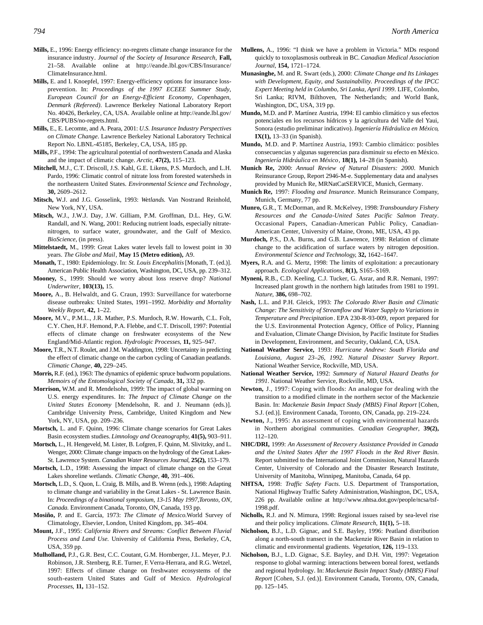- **Mills,** E., 1996: Energy efficiency: no-regrets climate change insurance for the insurance industry. *Journal of the Society of Insurance Research*, **Fall,** 21–58. Available online at http://eande.lbl.gov/CBS/Insurance/ ClimateInsurance.html.
- **Mills,** E. and I. Knoepfel, 1997: Energy-efficiency options for insurance lossprevention. In: Proceedings of the 1997 ECEEE Summer Study, *E u ropean Council for an Energy-Efficient Economy, Copenhagen, Denmark (Refereed)*. Lawrence Berkeley National Laboratory Report No. 40426, Berkeley, CA, USA. Available online at http://eande.lbl.gov/ CBS/PUBS/no-regrets.html.
- Mills, E., E. Lecomte, and A. Peara, 2001: *U.S. Insurance Industry Perspectives on Climate Change*. Lawrence Berkeley National Laboratory Technical Report No. LBNL-45185, Berkeley, CA, USA, 185 pp.
- **Mills,** P.F., 1994: The agricultural potential of northwestern Canada and Alaska and the impact of climatic change. *Arctic*, **47(2),** 115–123.
- **Mitchell,** M.J., C.T. Driscoll, J.S. Kahl, G.E. Likens, P.S. Murdoch, and L.H. Pardo, 1996: Climatic control of nitrate loss from forested watersheds in the northeastern United States. *Environmental Science and Technology* , **30,** 2609–2612.
- **Mitsch,** W.J. and J.G. Gosselink, 1993: *Wetlands.* Van Nostrand Reinhold, New York, NY, USA.
- **Mitsch,** W.J., J.W.J. Day, J.W. Gilliam, P.M. Groffman, D.L. Hey, G.W. Randall, and N. Wang, 2001: Reducing nutrient loads, especially nitratenitrogen, to surface water, groundwater, and the Gulf of Mexico. *BioScience*, (in press).
- **Mittelstaedt,** M., 1999: Great Lakes water levels fall to lowest point in 30 years. *The Globe and Mail*, **May 15 (Metro edition),** A9.
- Monath, T., 1980: Epidemiology. In: *St. Louis Encephalitis* [Monath, T. (ed.)]. American Public Health Association, Washington, DC, USA, pp. 239–312.
- **Mooney,** S., 1999: Should we worry about loss reserve drop? *National Underwriter*, **103(13),** 15.
- Moore, A., B. Helwaldt, and G. Craun, 1993: Surveillance for waterborne disease outbreaks: United States, 1991–1992. *Morbidity and Mortality Weekly Report*, **42,** 1–22.
- **Moore,** M.V., P.M.L., J.R. Mather, P.S. Murdoch, R.W. Howarth, C.L. Folt, C.Y. Chen, H.F. Hemond, P.A. Flebbe, and C.T. Driscoll, 1997: Potential e ffects of climate change on freshwater ecosystems of the New England/Mid-Atlantic region. *Hydrologic Processes*, **11,** 925–947.
- **Moore, T.R., N.T. Roulet, and J.M. Waddington, 1998: Uncertainty in predicting** the effect of climatic change on the carbon cycling of Canadian peatlands. *Climatic Change*, **40,** 229–245.
- Morris, R.F. (ed.), 1963: The dynamics of epidemic spruce budworm populations. *Memoirs of the Entomological Society of Canada,* **31,** 332 pp.
- **Morrison,** W.M. and R. Mendelsohn, 1999: The impact of global warming on U.S. energy expenditures. In: *The Impact of Climate Change on the United States Economy* [Mendelsohn, R. and J. Neumann (eds.)]. Cambridge University Press, Cambridge, United Kingdom and New York, NY, USA, pp. 209–236.
- **Mortsch,** L. and F. Quinn, 1996: Climate change scenarios for Great Lakes Basin ecosystem studies. *Limnology and Oceanography*, **41(5),** 903–911.
- Mortsch, L., H. Hengeveld, M. Lister, B. Lofgren, F. Quinn, M. Slivitzky, and L. Wenger, 2000: Climate change impacts on the hydrology of the Great Lakes-St. Lawrence System. *Canadian Water Resources Journal*, 25(2), 153-179.
- **Mortsch,** L.D., 1998: Assessing the impact of climate change on the Great Lakes shoreline wetlands. *Climatic Change*, **40,** 391–406.
- Mortsch, L.D., S. Quon, L. Craig, B. Mills, and B. Wrenn (eds.), 1998: Adapting to climate change and variability in the Great Lakes - St. Lawrence Basin. In: Proceedings of a binational symposium, 13-15 May 1997, Toronto, ON, *Canada*. Environment Canada, Toronto, ON, Canada, 193 pp.
- **Mosiño,** P. and E. García, 1973: *The Climate of Mexico.*World Survey of Climatology, Elsevier, London, United Kingdom, pp. 345–404.
- **Mount,** J.F., 1995: *California Rivers and Streams: Conflict Between Fluvial Process and Land Use.* University of California Press, Berkeley, CA, USA, 359 pp.
- **Mulholland,** P.J., G.R. Best, C.C. Coutant, G.M. Hornberger, J.L. Meyer, P.J. Robinson, J.R. Stenberg, R.E. Turner, F. Verra-Herrara, and R.G. Wetzel, 1997: Effects of climate change on freshwater ecosystems of the south-eastern United States and Gulf of Mexico. *Hydrological Processes*, **11,** 131–152.
- **Mullens,** A., 1996: "I think we have a problem in Victoria." MDs respond quickly to toxoplasmosis outbreak in BC. *Canadian Medical Association Journal*, **154,** 1721–1724.
- **Munasinghe,** M. and R. Swart (eds.), 2000: *Climate Change and Its Linkages with Development, Equity, and Sustainability. Proceedings of the IPCC Expert Meeting held in Columbo, Sri Lanka, April 1999*. LIFE, Colombo, Sri Lanka; RIVM, Bilthoven, The Netherlands; and World Bank, Washington, DC, USA, 319 pp.
- **Mundo, M.D.** and P. Martínez Austria, 1994: El cambio climático y sus efectos potenciales en los recursos hídricos y la agricultura del Valle del Yaui, Sonora (estudio preliminar indicativo). *Ingeniería Hidráulica en México*, **IX(1),** 13–33 (in Spanish).
- Mundo, M.D. and P. Martínez Austria, 1993: Cambio climático: posibles consecuencias y algunas sugerencias para disminuir su efecto en México. *Ingeniería Hidráulica en México*, **18(1),** 14–28 (in Spanish).
- **Munich Re,** 2000: *Annual Review of Natural Disasters: 2000*. Munich Reinsurance Group, Report 2946-M-e. Supplementary data and analyses provided by Munich Re, MRNatCatSERVICE, Munich, Germany.
- **Munich Re,** 1997: *Flooding and Insurance*. Munich Reinsurance Company, Munich, Germany, 77 pp.
- **Munro,** G.R., T. McDorman, and R. McKelvey, 1998: *Transboundary Fishery* Resources and the Canada-United Sates Pacific Salmon Treaty. Occasional Papers, Canadian-American Public Policy, Canadian-American Center, University of Maine, Orono, ME, USA, 43 pp.
- **Murdoch,** P.S., D.A. Burns, and G.B. Lawrence, 1998: Relation of climate change to the acidification of surface waters by nitrogen deposition. *Environmental Science and Technology*, **32,** 1642–1647.
- **Myers,** R.A. and G. Mertz, 1998: The limits of exploitation: a precautionary approach. *Ecological Applications*, **8(1),** S165–S169.
- **Myneni,** R.B., C.D. Keeling, C.J. Tucker, G. Asrar, and R.R. Nemani, 1997: Increased plant growth in the northern high latitudes from 1981 to 1991. *Nature*, **386,** 698–702.
- **Nash,** L.L. and P.H. Gleick, 1993: *The Colorado River Basin and Climatic Change: The Sensitivity of Streamflow and Water Supply to Variations in Temperature and Precipitation*. EPA 230-R-93-009, report prepared for the U.S. Environmental Protection Agency, Office of Policy, Planning and Evaluation, Climate Change Division, by Pacific Institute for Studies in Development, Environment, and Security, Oakland, CA, USA.
- **National Weather Service,** 1993: *Hurricane Andrew: South Florida and Louisiana, August 23–26, 1992. Natural Disaster Survey Report*. National Weather Service, Rockville, MD, USA.
- **National Weather Service,** 1992: *Summary of Natural Hazard Deaths for 1991*. National Weather Service, Rockville, MD, USA.
- Newton, J., 1997: Coping with floods: An analogue for dealing with the transition to a modified climate in the northern sector of the Mackenzie Basin. In: *Mackenzie Basin Impact Study (MBIS) Final Report* [Cohen, S.J. (ed.)]. Environment Canada, Toronto, ON, Canada, pp. 219–224.
- Newton, J., 1995: An assessment of coping with environmental hazards in Northern aboriginal communities. *Canadian Geographer*, **39(2),** 112–120.
- **NHC/DRI,** 1999: *An Assessment of Recovery Assistance Provided in Canada and the United States After the 1997 Floods in the Red River Basin*. Report submitted to the International Joint Commission, Natural Hazards Center, University of Colorado and the Disaster Research Institute, University of Manitoba, Winnipeg, Manitoba, Canada, 64 pp.
- **NHTSA,** 1998: *Traffic Safety Facts*. U.S. Department of Transportation, National Highway Traffic Safety Administration, Washington, DC, USA, 226 pp. Available online at http://www.nhtsa.dot.gov/people/ncsa/tsf-1998.pdf.
- **Nicholls,** R.J. and N. Mimura, 1998: Regional issues raised by sea-level rise and their policy implications. *Climate Research*, **11(1),** 5–18.
- **Nicholson,** B.J., L.D. Gignac, and S.E. Bayley, 1996: Peatland distribution along a north-south transect in the Mackenzie River Basin in relation to climatic and environmental gradients. *Vegetation*, **126,** 119–133.
- **Nicholson,** B.J., L.D. Gignac, S.E. Bayley, and D.H. Vitt, 1997: Vegetation response to global warming: interactions between boreal forest, wetlands and regional hydrology. In: *Mackenzie Basin Impact Study (MBIS) Final Report* [Cohen, S.J. (ed.)]. Environment Canada, Toronto, ON, Canada, pp. 125–145.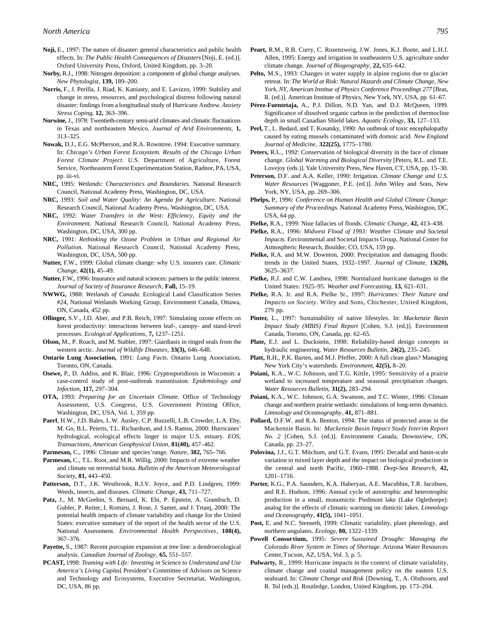- **Noji,** E., 1997: The nature of disaster: general characteristics and public health effects. In: *The Public Health Consequences of Disasters*[Noji, E. (ed.)]. Oxford University Press, Oxford, United Kingdom, pp. 3–20.
- Norby, R.J., 1998: Nitrogen deposition: a component of global change analyses. *New Phytologist*, **139,** 189–200.
- **Norris,** F., J. Perilla, J. Riad, K. Kaniasty, and E. Lavizzo, 1999: Stability and change in stress, resources, and psychological distress following natural disaster: findings from a longitudinal study of Hurricane Andrew. *Anxiety Stress Coping*, **12,** 363–396.
- Norwine, J., 1978: Twentieth-century semi-arid climates and climatic fluctuations in Texas and northeastern Mexico. *Journal of Arid Environments*, **1,** 313–325.
- Nowak, D.J., E.G. McPherson, and R.A. Rowntree, 1994: Executive summary. In: *Chicago's Urban Forest Ecosystem. Results of the Chicago Urban* Forest Climate Project. U.S. Department of Agriculture, Forest Service, Northeastern Forest Experimentation Station, Radnor, PA, USA, pp. iii-vi.
- **NRC,** 1995: *Wetlands: Characteristics and Boundaries.* National Research Council, National Academy Press, Washington, DC, USA.
- **NRC,** 1993: *Soil and Water Quality: An Agenda for Agriculture.* National Research Council, National Academy Press, Washington, DC, USA.
- **N R C ,** 1992: *Water Transfers in the West: Efficiency, Equity and the Environment.* National Research Council, National Academy Press, Washington, DC, USA, 300 pp.
- **NRC,** 1991: *Rethinking the Ozone Problem in Urban and Regional Air* Pollution. National Research Council, National Academy Press, Washington, DC, USA, 500 pp.
- **Nutter,** F.W., 1999: Global climate change: why U.S. insurers care. *Climatic Change*, **42(1),** 45–49.
- Nutter, F.W., 1996: Insurance and natural sciences: partners in the public interest. *Journal of Society of Insurance Research*, **Fall,** 15–19.
- **NWWG,** 1988: *Wetlands of Canada*. Ecological Land Classification Series #24, National Wetlands Working Group, Environment Canada, Ottawa, ON, Canada, 452 pp.
- **Ollinger,** S.V., J.D. Aber, and P.B. Reich, 1997: Simulating ozone effects on forest productivity: interactions between leaf-, canopy- and stand-level processes. *Ecological Applications*, **7,** 1237–1251.
- **Olson,** M., P. Roach, and M. Stabler, 1997: Giardiasis in ringed seals from the western arctic. *Journal of Wildlife Diseases*, **33(3),** 646–648.
- **Ontario Lung Association,** 1991: *Lung Facts*. Ontario Lung Association, Toronto, ON, Canada.
- **Osewe,** P., D. Addiss, and K. Blair, 1996: Cryptosporidiosis in Wisconsin: a case-control study of post-outbreak transmission. *Epidemiology and Infection*, **117,** 297–304.
- **OTA,** 1993: *Preparing for an Uncertain Climate*. Office of Technology Assessment, U.S. Congress, U.S. Government Printing Office, Washington, DC, USA, Vol. 1, 359 pp.
- **Paerl**, H.W., J.D. Bales, L.W. Ausley, C.P. Buzzelli, L.B. Crowder, L.A. Eby, M. Go, B.L. Peierts, T.L. Richardson, and J.S. Ramus, 2000: Hurricanes' hydrological, ecological effects linger in major U.S. estuary. *EOS, Transactions, American Geophysical Union*, **81(40),** 457–462.
- **Parmesan,** C., 1996: Climate and species'range. *Nature*, **382,** 765–766.
- **Parmesan,** C., T.L. Root, and M.R. Willig, 2000: Impacts of extreme weather and climate on terrestrial biota. *Bulletin of the American Meteorological Society*, **81,** 443–450.
- Patterson, D.T., J.K. Westbrook, R.J.V. Joyce, and P.D. Lindgren, 1999: Weeds, insects, and diseases. *Climatic Change*, **43,** 711–727.
- **Patz,** J., M. McGeehin, S. Bernard, K. Ebi, P. Epstein, A. Grambsch, D. Gubler, P. Reiter, I. Romieu, J. Rose, J. Samet, and J. Trtanj, 2000: The potential health impacts of climate variability and change for the United States: executive summary of the report of the health sector of the U.S. National Assessment. *Environmental Health Perspectives*, 108(4), 367–376.
- **Payette,** S., 1987: Recent porcupine expansion at tree line: a dendroecological analysis. *Canadian Journal of Zoology*, **65,** 551–557.
- **PCAST,** 1998: *Teaming with Life: Investing in Science to Understand and Use America's Living Capital*. President's Committee of Advisors on Science and Technology and Ecosystems, Executive Secretariat, Washington, DC, USA, 86 pp.
- **Peart,** R.M., R.B. Curry, C. Rozenzweig, J.W. Jones, K.J. Boote, and L.H.J. Allen, 1995: Energy and irrigation in southeastern U.S. agriculture under climate change. *Journal of Biogeography*, **22,** 635–642.
- Pelto, M.S., 1993: Changes in water supply in alpine regions due to glacier retreat. In: *The World at Risk: Natural Hazards and Climate Change, New York, NY, American Institue of Physics Conference Proceedings 277* [Bras, R. (ed.)]. American Institute of Physics, New York, NY, USA, pp. 61–67.
- **Pérez-Fuentetaja,** A., P.J. Dillon, N.D. Yan, and D.J. McQueen, 1999. Significance of dissolved organic carbon in the prediction of thermocline depth in small Canadian Shield lakes. *Aquatic Ecology*, **33,** 127–133.
- Perl, T., L. Bedard, and T. Kosatsky, 1990: An outbreak of toxic encephalopathy caused by eating mussels contaminated with domoic acid. *New England Journal of Medicine*, **322(25),** 1775–1780.
- **Peters,** R.L., 1992: Conservation of biological diversity in the face of climate change. *Global Warming and Biological Diversity* [Peters, R.L. and T.E. Lovejoy (eds.)]. Yale University Press, New Haven, CT, USA, pp. 15–30.
- **Peterson,** D.F. and A.A. Keller, 1990: Irrigation. *Climate Change and U.S. Water Resources* [Waggoner, P.E. (ed.)]. John Wiley and Sons, New York, NY, USA, pp. 269–306.
- **Phelps,** P., 1996: *Conference on Human Health and Global Climate Change: Summary of the Proceedings.* National Academy Press, Washington, DC, USA, 64 pp.
- **Pielke,** R.A., 1999: Nine fallacies of floods. *Climatic Change*, **42,** 413–438.
- **Pielke,** R.A., 1996: *Midwest Flood of 1993: Weather Climate and Societal Impacts*. Environmental and Societal Impacts Group, National Center for Atmospheric Research, Boulder, CO, USA, 159 pp.
- **Pielke,** R.A. and M.W. Downton, 2000: Precipitation and damaging floods: trends in the United States, 1932–1997. *Journal of Climate*, **13(20),** 3625–3637.
- **Pielke,** R.J. and C.W. Landsea, 1998: Normalized hurricane damages in the United States: 1925–95. *Weather and Forecasting*, **13,** 621–631.
- **Pielke,** R.A. Jr. and R.A. Pielke Sr., 1997: *Hurricanes: Their Nature and Impacts on Society*. Wiley and Sons, Chichester, United Kingdom, 279 pp.
- **Pinter,** L., 1997: Sustainability of native lifestyles. In: *Mackenzie Basin Impact Study (MBIS) Final Report* [Cohen, S.J. (ed.)]. Environment Canada, Toronto, ON, Canada, pp. 62–65.
- **Plate,** E.J. and L. Duckstein, 1998: Reliability-based design concepts in hydraulic engineering. *Water Resources Bulletin*, **24(2),** 235–245.
- **Platt,** R.H., P.K. Barten, and M.J. Pfeffer, 2000: A full clean glass? Managing New York City's watersheds. *Environment*, **42(5),** 8–20.
- Poiani, K.A., W.C. Johnson, and T.G. Kittle, 1995: Sensitivity of a prairie wetland to increased temperature and seasonal precipitation changes. *Water Resources Bulletin*, **31(2),** 283–294.
- **Poiani,** K.A., W.C. Johnson, G.A. Swanson, and T.C. Winter, 1996: Climate change and northern prairie wetlands: simulations of long-term dynamics. *Limnology and Oceanography*, **41,** 871–881.
- **Pollard,** D.F.W. and R.A. Benton, 1994: The status of protected areas in the Mackenzie Basin. In: *Mackenzie Basin Impact Study Interim Report No. 2* [Cohen, S.J. (ed.)]. Environment Canada, Downsview, ON, Canada, pp. 23–27.
- **Polovina,** J.J., G.T. Mitchum, and G.T. Evans, 1995: Decadal and basin-scale variation in mixed layer depth and the impact on biological production in the central and north Pacific, 1960–1988. *Deep-Sea Research*, **42,** 1201–1716.
- **Porter,** K.G., P.A. Saunders, K.A. Haberyan, A.E. Macubbin, T.R. Jacobsen, and R.E. Hodson, 1996: Annual cycle of autotrophic and heterotrophic production in a small, monomictic Piedmont lake (Lake Oglethorpe): analog for the effects of climatic warming on dimictic lakes. *Limnology and Oceanography*, **41(5),** 1041–1051.
- **Post,** E. and N.C. Stenseth, 1999: Climatic variability, plant phenology, and northern ungulates. *Ecology*, **80,** 1322–1339.
- **Powell Consortium,** 1995: *Severe Sustained Drought: Managing the Colorado River System in Times of Shortage*. Arizona Water Resources Center, Tucson, AZ, USA, Vol. 3, p. 5.
- Pulwarty, R., 1999: Hurricane impacts in the context of climate variability, climate change and coastal management policy on the eastern U.S. seaboard. In: *Climate Change and Risk* [Downing, T., A. Olsthoorn, and R. Tol (eds.)]. Routledge, London, United Kingdom, pp. 173–204.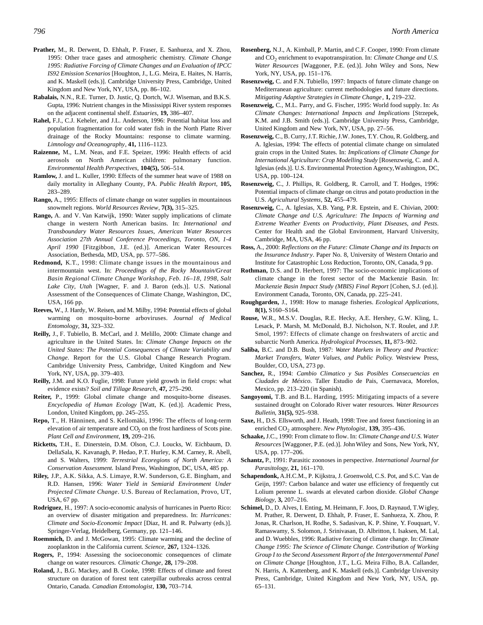- **Prather,** M., R. Derwent, D. Ehhalt, P. Fraser, E. Sanhueza, and X. Zhou, 1995: Other trace gases and atmospheric chemistry. *Climate Change 1995: Radiative Forcing of Climate Changes and an Evaluation of IPCC IS92 Emission Scenarios* [Houghton, J., L.G. Meira, E. Haites, N. Harris, and K. Maskell (eds.)]. Cambridge University Press, Cambridge, United Kingdom and New York, NY, USA, pp. 86–102.
- **Rabalais,** N.N., R.E. Turner, D. Justic, Q. Dortch, W.J. Wiseman, and B.K.S. Gupta, 1996: Nutrient changes in the Mississippi River system responses on the adjacent continental shelf. *Estuaries*, **19,** 386–407.
- **Rahel,** F.J., C.J. Keheler, and J.L. Anderson, 1996: Potential habitat loss and population fragmentation for cold water fish in the North Platte River drainage of the Rocky Mountains: response to climate warming. *Limnology and Oceanography*, **41,** 1116–1123.
- **Raizenne,** M., L.M. Neas, and F.E. Speizer, 1996: Health effects of acid aerosols on North American children: pulmonary function. *Environmental Health Perspectives*, **104(5),** 506–514.
- **Ramlow,** J. and L. Kuller, 1990: Effects of the summer heat wave of 1988 on daily mortality in Alleghany County, PA. *Public Health Report*, **105,** 283–289.
- **Rango,** A., 1995: Effects of climate change on water supplies in mountainous snowmelt regions. *World Resources Review*, **7(3),** 315–325.
- **Rango,** A. and V. Van Katwijk, 1990: Water supply implications of climate change in western North American basins. In: *International and Transboundary Water Resources Issues, American Water Resources Association 27th Annual Conference Proceedings, Toronto, ON, 1-4 April 1990* [Fitzgibbon, J.E. (ed.)]. American Water Resources Association, Bethesda, MD, USA, pp. 577–586.
- **Redmond, K.T., 1998: Climate change issues in the mountainous and** intermountain west. In: Proceedings of the Rocky Mountain/Great *Basin Regional Climate Change Workshop, Feb. 16–18, 1998, Salt* Lake City, Utah [Wagner, F. and J. Baron (eds.)]. U.S. National Assessment of the Consequences of Climate Change, Washington, DC, USA, 166 pp.
- **Reeves,** W., J. Hardy, W. Reisen, and M. Milby, 1994: Potential effects of global warming on mosquito-borne arboviruses. *Journal of Medical Entomology*, **31,** 323–332.
- **Reilly,** J., F. Tubiello, B. McCarl, and J. Melillo, 2000: Climate change and agriculture in the United States. In: *Climate Change Impacts on the United States: The Potential Consequences of Climate Variability and Change*. Report for the U.S. Global Change Research Program. Cambridge University Press, Cambridge, United Kingdom and New York, NY, USA, pp. 379–403.
- **Reilly,** J.M. and K.O. Fuglie, 1998: Future yield growth in field crops: what evidence exists? *Soil and Tillage Research*, **47,** 275–290.
- **Reiter, P., 1999:** Global climate change and mosquito-borne diseases. *Encyclopedia of Human Ecology* [Watt, K. (ed.)]. Academic Press, London, United Kingdom, pp. 245–255.
- Repo, T., H. Hänninen, and S. Kellomäki, 1996: The effects of long-term e levation of air temperature and  $CO<sub>2</sub>$  on the frost hardiness of Scots pine. *Plant Cell and Environment*, **19,** 209–216.
- **Ricketts,** T.H., E. Dinerstein, D.M. Olson, C.J. Loucks, W. Eichbaum, D. DellaSala, K. Kavanagh, P. Hedao, P.T. Hurley, K.M. Carney, R. Abell, and S. Walters, 1999: *Terrestrial Ecoregions of North America: A Conservation Assessment.* Island Press, Washington, DC, USA, 485 pp.
- Riley, J.P., A.K. Sikka, A.S. Limaye, R.W. Sunderson, G.E. Bingham, and R.D. Hansen, 1996: *Water Yield in Semiarid Environment Under P rojected Climate Change*. U.S. Bureau of Reclamation, Provo, UT, USA, 67 pp.
- **Rodriguez**, H., 1997: A socio-economic analysis of hurricanes in Puerto Rico: an overview of disaster mitigation and preparedness. In: *Hurricanes: Climate and Socio-Economic Impact* [Diaz, H. and R. Pulwarty (eds.)]. Springer-Verlag, Heidelberg, Germany, pp. 121–146.
- **Roemmich,** D. and J. McGowan, 1995: Climate warming and the decline of zooplankton in the California current. *Science*, **267,** 1324–1326.
- **Rogers,** P., 1994: Assessing the socioeconomic consequences of climate change on water resources. *Climatic Change*, **28,** 179–208.
- **Roland,** J., B.G. Mackey, and B. Cooke, 1998: Effects of climate and forest structure on duration of forest tent caterpillar outbreaks across central Ontario, Canada. *Canadian Entomologist*, **130,** 703–714.
- **Rosenberg,** N.J., A. Kimball, P. Martin, and C.F. Cooper, 1990: From climate and CO<sub>2</sub> enrichment to evapotranspiration. In: *Climate Change and U.S. Water Resources* [Waggoner, P.E. (ed.)]. John Wiley and Sons, New York, NY, USA, pp. 151–176.
- **Rosenzweig,** C. and F.N. Tubiello, 1997: Impacts of future climate change on Mediterranean agriculture: current methodologies and future directions. *Mitigating Adaptive Strategies in Climate Change*, **1,** 219–232.
- **Rosenzweig,** C., M.L. Parry, and G. Fischer, 1995: World food supply. In: *As Climate Changes: International Impacts and Implications* [Strzepek, K.M. and J.B. Smith (eds.)]. Cambridge University Press, Cambridge, United Kingdom and New York, NY, USA, pp. 27–56.
- **Rosenzweig,** C., B. Curry, J.T. Richie, J.W. Jones, T.Y. Chou, R. Goldberg, and A. Iglesias, 1994: The effects of potential climate change on simulated grain crops in the United States. In: *Implications of Climate Change for International Agriculture: Crop Modelling Study* [Rosenzweig, C. and A. Iglesias (eds.)]. U.S. Environmental Protection Agency,Washington, DC, USA, pp. 100–124.
- **Rosenzweig,** C., J. Phillips, R. Goldberg, R. Carroll, and T. Hodges, 1996: Potential impacts of climate change on citrus and potato production in the U.S. *Agricultural Systems*, **52,** 455–479.
- **Rosenzweig,** C., A. Iglesias, X.B. Yang, P.R. Epstein, and E. Chivian, 2000: *Climate Change and U.S. Agriculture: The Impacts of Warming and Extreme Weather Events on Productivity, Plant Diseases, and Pests*. Center for Health and the Global Environment, Harvard University, Cambridge, MA, USA, 46 pp.
- **Ross,** A., 2000: *Reflections on the Future: Climate Change and its Impacts on the Insurance Industry*. Paper No. 8, University of Western Ontario and Institute for Catastrophic Loss Reduction, Toronto, ON, Canada, 9 pp.
- **Rothman, D.S. and D. Herbert, 1997: The socio-economic implications of** climate change in the forest sector of the Mackenzie Basin. In: *Mackenzie Basin Impact Study (MBIS) Final Report* [Cohen, S.J. (ed.)]. Environment Canada, Toronto, ON, Canada, pp. 225–241.
- **Roughgarden,** J., 1998: How to manage fisheries. *Ecological Applications*, **8(1),** S160–S164.
- **Rouse,** W.R., M.S.V. Douglas, R.E. Hecky, A.E. Hershey, G.W. Kling, L. Lesack, P. Marsh, M. McDonald, B.J. Nicholson, N.T. Roulet, and J.P. Smol, 1997: Effects of climate change on freshwaters of arctic and subarctic North America. *Hydrological Processes*, 11, 873-902.
- **Saliba,** B.C. and D.B. Bush, 1987: *Water Markets in Theory and Practice: Market Transfers, Water Values, and Public Policy.* Westview Press, Boulder, CO, USA, 273 pp.
- **Sanchez,** R., 1994: *Cambio Climatico y Sus Posibles Consecuencias en Ciudades de México*. Taller Estudio de Pais, Cuernavaca, Morelos, Mexico, pp. 213–220 (in Spanish).
- Sangoyomi, T.B. and B.L. Harding, 1995: Mitigating impacts of a severe sustained drought on Colorado River water resources. Water Resources *Bulletin*, **31(5),** 925–938.
- **Saxe,** H., D.S. Ellsworth, and J. Heath, 1998: Tree and forest functioning in an enriched CO<sub>2</sub> atmosphere. *New Phytologist*, **139,** 395–436.
- **Schaake,** J.C., 1990: From climate to flow. In: *Climate Change and U.S. Water Resources* [Waggoner, P.E. (ed.)]. John Wiley and Sons, New York, NY, USA, pp. 177–206.
- **Schantz,** P., 1991: Parasitic zoonoses in perspective. *International Journal for Parasitology*, **21,** 161–170.
- **Schapendonk,** A.H.C.M., P. Kijkstra, J. Groenwold, C.S. Pot, and S.C. Van de Geijn, 1997: Carbon balance and water use efficiency of frequently cut Lolium perenne L. swards at elevated carbon dioxide. *Global Change Biology*, **3,** 207–216.
- **Schimel,** D., D. Alves, I. Enting, M. Heimann, F. Joos, D. Raynaud, T.Wigley, M. Prather, R. Derwent, D. Ehhalt, P. Fraser, E. Sanhueza, X. Zhou, P. Jonas, R. Charlson, H. Rodhe, S. Sadasivan, K. P. Shine, Y. Fouquart, V. Ramaswamy, S. Solomon, J. Srinivasan, D. Albritton, I. Isaksen, M. Lal, and D. Wuebbles, 1996: Radiative forcing of climate change. In: *Climate Change 1995: The Science of Climate Change. Contribution of Working Group I to the Second Assessment Report of the Intergovernmental Panel on Climate Change* [Houghton, J.T., L.G. Meira Filho, B.A. Callander, N. Harris, A. Kattenberg, and K. Maskell (eds.)]. Cambridge University Press, Cambridge, United Kingdom and New York, NY, USA, pp. 65–131.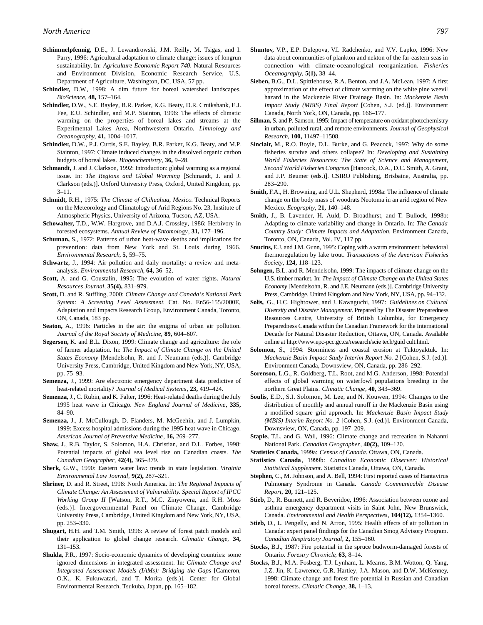- **Schimmelpfennig,** D.E., J. Lewandrowski, J.M. Reilly, M. Tsigas, and I. Parry, 1996: Agricultural adaptation to climate change: issues of longrun sustainability. In: *Agriculture Economic Report 740*. Natural Resources and Environment Division, Economic Research Service, U.S. Department of Agriculture, Washington, DC, USA, 57 pp.
- Schindler, D.W., 1998: A dim future for boreal watershed landscapes. *BioScience*, **48,** 157–164.
- **Schindler,** D.W., S.E. Bayley, B.R. Parker, K.G. Beaty, D.R. Cruikshank, E.J. Fee, E.U. Schindler, and M.P. Stainton, 1996: The effects of climatic warming on the properties of boreal lakes and streams at the Experimental Lakes Area, Northwestern Ontario. *Limnology and Oceanography*, **41,** 1004–1017.
- **Schindler,** D.W., P.J. Curtis, S.E. Bayley, B.R. Parker, K.G. Beaty, and M.P. Stainton, 1997: Climate induced changes in the dissolved organic carbon budgets of boreal lakes. *Biogeochemistry*, **36,** 9–28.
- Schmandt, J. and J. Clarkson, 1992: Introduction: global warming as a regional issue. In: *The Regions and Global Warming* [Schmandt, J. and J. Clarkson (eds.)]. Oxford University Press, Oxford, United Kingdom, pp. 3–11.
- **Schmidt,** R.H., 1975: *The Climate of Chihuahua, Mexico*. Technical Reports on the Meteorology and Climatology of Arid Regions No. 23, Institute of Atmospheric Physics, University of Arizona, Tucson, AZ, USA.
- **Schowalter,** T.D., W.W. Hargrove, and D.A.J. Crossley, 1986: Herbivory in forested ecosystems. *Annual Review of Entomology*, **31,** 177–196.
- **Schuman,** S., 1972: Patterns of urban heat-wave deaths and implications for prevention: data from New York and St. Louis during 1966. *Environmental Research*, **5,** 59–75.
- **Schwartz,** J., 1994: Air pollution and daily mortality: a review and metaanalysis. *Environmental Research*, **64,** 36–52.
- **Scott,** A. and G. Coustalin, 1995: The evolution of water rights. *Natural Resources Journal*, **35(4),** 831–979.
- **Scott,** D. and R. Suffling, 2000: *Climate Change and Canada's National Park System: A Screening Level Assessment*. Cat. No. En56-155/2000E, Adaptation and Impacts Research Group, Environment Canada, Toronto, ON, Canada, 183 pp.
- **Seaton,** A., 1996: Particles in the air: the enigma of urban air pollution. *Journal of the Royal Society of Medicine*, **89,** 604–607.
- **Segerson,** K. and B.L. Dixon, 1999: Climate change and agriculture: the role of farmer adaptation. In: *The Impact of Climate Change on the United States Economy* [Mendelsohn, R. and J. Neumann (eds.)]. Cambridge University Press, Cambridge, United Kingdom and New York, NY, USA, pp. 75–93.
- **Semenza,** J., 1999: Are electronic emergency department data predictive of heat-related mortality? *Journal of Medical Systems*, **23,** 419–424.
- **Semenza,** J., C. Rubin, and K. Falter, 1996: Heat-related deaths during the July 1995 heat wave in Chicago. *New England Journal of Medicine*, **335,** 84–90.
- **Semenza,** J., J. McCullough, D. Flanders, M. McGeehin, and J. Lumpkin, 1999: Excess hospital admissions during the 1995 heat wave in Chicago. *American Journal of Preventive Medicine*, **16,** 269–277.
- **Shaw,** J., R.B. Taylor, S. Solomon, H.A. Christian, and D.L. Forbes, 1998: Potential impacts of global sea level rise on Canadian coasts. *The Canadian Geographer*, **42(4),** 365–379.
- **Sherk,** G.W., 1990: Eastern water law: trends in state legislation. *Virginia Environmental Law Journal*, **9(2),** 287–321.
- **Shriner,** D. and R. Street, 1998: North America. In: *The Regional Impacts of Climate Change: An Assessment of Vulnerability. Special Report of IPCC Working Group II* [Watson, R.T., M.C. Zinyowera, and R.H. Moss (eds.)]. Intergovernmental Panel on Climate Change, Cambridge University Press, Cambridge, United Kingdom and New York, NY, USA, pp. 253–330.
- **Shugart,** H.H. and T.M. Smith, 1996: A review of forest patch models and their application to global change research. *Climatic Change*, 34, 131–153.
- **Shukla,** P.R., 1997: Socio-economic dynamics of developing countries: some ignored dimensions in integrated assessment. In: *Climate Change and Integrated Assessment Models (IAMs): Bridging the Gaps* [Cameron, O.K., K. Fukuwatari, and T. Morita (eds.)]. Center for Global Environmental Research, Tsukuba, Japan, pp. 165–182.
- **Shuntov,** V.P., E.P. Dulepova, V.I. Radchenko, and V.V. Lapko, 1996: New data about communities of plankton and nekton of the far-eastern seas in connection with climate-oceanological reorganization. Fisheries *Oceanography*, **5(1),** 38–44.
- **Sieben,** B.G., D.L. Spittlehouse, R.A. Benton, and J.A. McLean, 1997: A first approximation of the effect of climate warming on the white pine weevil hazard in the Mackenzie River Drainage Basin. In: *Mackenzie Basin Impact Study (MBIS) Final Report* [Cohen, S.J. (ed.)]. Environment Canada, North York, ON, Canada, pp. 166–177.
- Sillman, S. and P. Samson, 1995: Impact of temperature on oxidant photochemistry in urban, polluted rural, and remote environments. *Journal of Geophysical Research*, **100,** 11497–11508.
- **Sinclair,** M., R.O. Boyle, D.L. Burke, and G. Peacock, 1997: Why do some fisheries survive and others collapse? In: *Developing and Sustaining World Fisheries Resources: The State of Science and Management, Second World Fisheries Congress* [Hancock, D.A., D.C. Smith, A. Grant, and J.P. Beumer (eds.)]. CSIRO Publishing, Brisbaine, Australia, pp. 283–290.
- **Smith,** F.A., H. Browning, and U.L. Shepherd, 1998a: The influence of climate change on the body mass of woodrats Neotoma in an arid region of New Mexico. *Ecography*, **21,** 140–148.
- **Smith,** J., B. Lavender, H. Auld, D. Broadhurst, and T. Bullock, 1998b: Adapting to climate variability and change in Ontario. In: *The Canada Country Study: Climate Impacts and Adaptation*. Environment Canada, Toronto, ON, Canada, Vol. IV, 117 pp.
- **Snucins, E.J.** and J.M. Gunn, 1995: Coping with a warm environment: behavioral thermoregulation by lake trout. *Transactions of the American Fisheries Society*, **124,** 118–123.
- **Sohngen, B.L.** and R. Mendelsohn, 1999: The impacts of climate change on the U.S. timber market. In: *The Impact of Climate Change on the United States Economy* [Mendelsohn, R. and J.E. Neumann (eds.)]. Cambridge University Press, Cambridge, United Kingdom and New York, NY, USA, pp. 94–132.
- **Solis, G., H.C. Hightower, and J. Kawaguchi, 1997:** *Guidelines on Cultural Diversity and Disaster Management*. Prepared by The Disaster Preparedness Resources Centre, University of British Columbia, for Emergency Preparedness Canada within the Canadian Framework for the International Decade for Natural Disaster Reduction, Ottawa, ON, Canada. Available online at http://www.epc-pcc.gc.ca/research/scie tech/guid cult.html.
- **Solomon,** S., 1994: Storminess and coastal erosion at Tuktoyaktuk. In: *Mackenzie Basin Impact Study Interim Report No. 2* [Cohen, S.J. (ed.)]. Environment Canada, Downsview, ON, Canada, pp. 286–292.
- **Sorenson,** L.G., R. Goldberg, T.L. Root, and M.G. Anderson, 1998: Potential effects of global warming on waterfowl populations breeding in the northern Great Plains. *Climatic Change*, **40,** 343–369.
- **Soulis, E.D., S.I. Solomon, M. Lee, and N. Kouwen, 1994: Changes to the** distribution of monthly and annual runoff in the Mackenzie Basin using a modified square grid approach. In: *Mackenzie Basin Impact Study (MBIS) Interim Report No. 2* [Cohen, S.J. (ed.)]. Environment Canada, Downsview, ON, Canada, pp. 197–209.
- **Staple,** T.L. and G. Wall, 1996: Climate change and recreation in Nahanni National Park. *Canadian Geographer*, **40(2),** 109–120.
- **Statistics Canada,** 1999a: *Census of Canada*. Ottawa, ON, Canada.
- **Statistics Canada** , 1999b: *Canadian Economic Observer: Historical Statistical Supplement*. Statistics Canada, Ottawa, ON, Canada.
- **Stephen,** C., M. Johnson, and A. Bell, 1994: First reported cases of Hantavirus Pulmonary Syndrome in Canada. *Canada Communicable Disease Report*, **20,** 121–125.
- **Stieb,** D., R. Burnett, and R. Beveridoe, 1996: Association between ozone and asthma emergency department visits in Saint John, New Brunswick, Canada. *Environmental and Health Perspectives*, **104(12),** 1354–1360.
- **Stieb,** D., L. Pengelly, and N. Arron, 1995: Health effects of air pollution in Canada: expert panel findings for the Canadian Smog Advisory Program. *Canadian Respiratory Journal*, **2,** 155–160.
- **Stocks,** B.J., 1987: Fire potential in the spruce budworm-damaged forests of Ontario. *Forestry Chronicle*, **63,** 8–14.
- **Stocks,** B.J., M.A. Fosberg, T.J. Lynham, L. Mearns, B.M. Wotton, Q. Yang, J.Z. Jin, K. Lawrence, G.R. Hartley, J.A. Mason, and D.W. McKenney, 1998: Climate change and forest fire potential in Russian and Canadian boreal forests. *Climatic Change*, **38,** 1–13.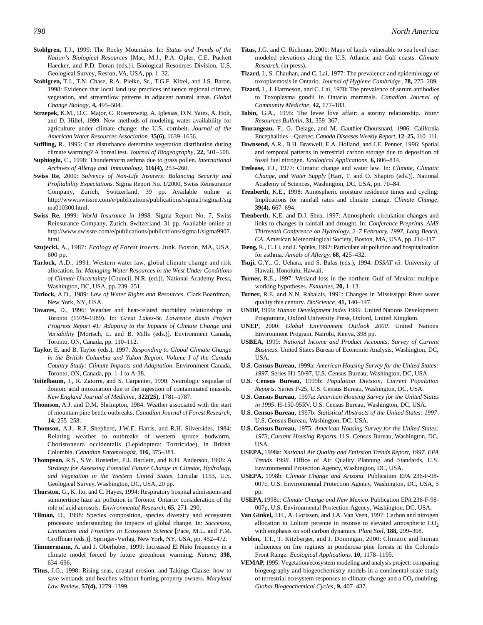- **Stohlgren,** T.J., 1999: The Rocky Mountains. In: *Status and Trends of the Nation's Biological Resources* [Mac, M.J., P.A. Opler, C.E. Puckett Haecker, and P.D. Doran (eds.)]. Biological Resources Division, U.S. Geological Survey, Reston, VA, USA, pp. 1–32.
- **Stohlgren,** T.J., T.N. Chase, R.A. Pielke, Sr., T.G.F. Kittel, and J.S. Baron, 1998: Evidence that local land use practices influence regional climate, vegetation, and streamflow patterns in adjacent natural areas. *Global Change Biology*, **4,** 495–504.
- **Strzepek,** K.M., D.C. Major, C. Rosenzweig, A. Iglesias, D.N. Yates, A. Holt, and D. Hillel, 1999: New methods of modeling water availability for agriculture under climate change: the U.S. cornbelt. *Journal of the American Water Resources Association*, **35(6),** 1639–1656.
- **Suffling,** R., 1995: Can disturbance determine vegetation distribution during climate warming? A boreal test. *Journal of Biogeography*, **22,** 501–508.
- **Suphioglu,** C., 1998: Thunderstorm asthma due to grass pollen. *International Archives of Allergy and Immunology*, **116(4),** 253–260.
- **Swiss Re**, 2000: *Solvency of Non-Life Insurers: Balancing Security and Profitability Expectations*. Sigma Report No. 1/2000, Swiss Reinsurance Company, Zurich, Switzerland, 39 pp. Available online at http://www.swissre.com/e/publications/publications/sigma1/sigma1/sig ma010300.html.
- **Swiss Re,** 1999: *World Insurance in 1998*. Sigma Report No. 7, Swiss Reinsurance Company, Zurich, Switzerland, 31 pp. Available online at http://www.swissre.com/e/publications/publications/sigma1/sigma9907. html.
- Szujecki, A., 1987: *Ecology of Forest Insects*. Junk, Boston, MA, USA, 600 pp.
- Tarlock, A.D., 1991: Western water law, global climate change and risk allocation. In: *Managing Water Resources in the West Under Conditions of Climate Uncertainty* [Council, N.R. (ed.)]. National Academy Press, Washington, DC, USA, pp. 239–251.
- **Tarlock,** A.D., 1989: *Law of Water Rights and Resources.* Clark Boardman, New York, NY, USA.
- Tavares, D., 1996: Weather and heat-related morbidity relationships in Toronto (1979–1989). In: *Great Lakes-St. Lawrence Basin Project Progress Report #1: Adapting to the Impacts of Climate Change and Variability* [Mortsch, L. and B. Mills (eds.)]. Environment Canada, Toronto, ON, Canada, pp. 110–112.
- **Taylor,** E. and B. Taylor (eds.), 1997: *Responding to Global Climate Change in the British Columbia and Yukon Region. Volume I of the Canada Country Study: Climate Impacts and Adaptation*. Environment Canada, Toronto, ON, Canada, pp. 1-1 to A-38.
- **Teitelbaum,** J., R. Zatorre, and S. Carpenter, 1990: Neurologic sequelae of domoic acid intoxication due to the ingestion of contaminated mussels. *New England Journal of Medicine*, **322(25),** 1781–1787.
- **Thomson,** A.J. and D.M. Shrimpton, 1984: Weather associated with the start of mountain pine beetle outbreaks. *Canadian Journal of Forest Research*, **14,** 255–258.
- **Thomson,** A.J., R.F. Shepherd, J.W.E. Harris, and R.H. Silversides, 1984: Relating weather to outbreaks of western spruce budworm, Choristoneura occidentalis (Lepidoptera: Tortricidae), in British Columbia. *Canadian Entomologist*, **116,** 375–381.
- **Thompson,** R.S., S.W. Hostetler, P.J. Bartlein, and K.H. Anderson, 1998: *A Strategy for Assessing Potential Future Change in Climate, Hydrology, and Vegetation in the Western United States*. Circular 1153, U.S. Geological Survey, Washington, DC, USA, 20 pp.
- **Thurston,** G., K. Ito, and C. Hayes, 1994: Respiratory hospital admissions and summertime haze air pollution in Toronto, Ontario: consideration of the role of acid aerosols. *Environmental Research*, **65,** 271–290.
- **Tilman,** D., 1998: Species composition, species diversity and ecosystem processes: understanding the impacts of global change. In: *Successes, Limitations and Frontiers in Ecosystem Science* [Pace, M.L. and P.M. Groffman (eds.)]. Springer-Verlag, New York, NY, USA, pp. 452–472.
- **Timmermann,** A. and J. Oberhuber, 1999: Increased El Niño frequency in a climate model forced by future greenhoue warming. Nature, 398, 634–696.
- **Titus,** J.G., 1998: Rising seas, coastal erosion, and Takings Clause: how to save wetlands and beaches without hurting property owners. *Maryland Law Review*, **57(4),** 1279–1399.
- **Titus,** J.G. and C. Richman, 2001: Maps of lands vulnerable to sea level rise: modeled elevations along the U.S. Atlantic and Gulf coasts. *Climate Research*, (in press).
- **Tizard,** I., S. Chauhan, and C. Lai, 1977: The prevalence and epidemiology of toxoplasmosis in Ontario. *Journal of Hygiene Cambridge*, **78,** 275–289.
- **Tizard,** I., J. Harmeson, and C. Lai, 1978: The prevalence of serum antibodies to Toxoplasma gondii in Ontario mammals. *Canadian Journal of Community Medicine*, **42,** 177–183.
- **Tobin,** G.A., 1995: The levee love affair: a stormy relationship. *Water Resources Bulletin*, **31,** 359–367.
- Tourangeau, F., G. Delage, and M. Gauthier-Chouisnard, 1986: California Encephalities—Quebec. *Canada Diseases Weekly Report*, 12-25, 110-111.
- **Townsend,** A.R., B.H. Braswell, E.A. Holland, and J.E. Penner, 1996: Spatial and temporal patterns in terrestrial carbon storage due to deposition of fossil fuel nitrogen. *Ecological Applications*, **6,** 806–814.
- **Trelease,** F.J., 1977: Climatic change and water law. In: *Climate, Climatic Change, and Water Supply* [Hart, T. and O. Shapiro (eds.)]. National Academy of Sciences, Washington, DC, USA, pp. 70–84.
- **Trenberth,** K.E., 1998: Atmospheric moisture residence times and cycling: Implications for rainfall rates and climate change. *Climate Change*, **39(4),** 667–694.
- **Trenberth,** K.E. and D.J. Shea, 1997: Atmospheric circulation changes and links to changes in rainfall and drought. In: *Conference Preprints, AMS Thirteenth Conference on Hydrology, 2–7 February, 1997, Long Beach, CA*. American Meteorological Society, Boston, MA, USA, pp. J14–J17
- Tseng, R., C. Li, and J. Spinks, 1992: Particulate air pollution and hospitalization for asthma. *Annals of Allergy*, **68,** 425–432.
- **Tsuji,** G.Y., G. Uehara, and S. Balas (eds.), 1994: *DSSAT v3*. University of Hawaii, Honolulu, Hawaii.
- **Turner,** R.E., 1997: Wetland loss in the northern Gulf of Mexico: multiple working hypotheses. *Estuaries*, **20,** 1–13.
- **Turner,** R.E. and N.N. Rabalais, 1991: Changes in Mississippi River water quality this century. *BioScience*, **41,** 140–147.
- **UNDP,** 1999: *Human Development Index 1999*. United Nations Development Programme, Oxford University Press, Oxford, United Kingdom.
- **U N E P**, 2000: *Global Environment Outlook 2000*. United Nations Environment Program, Nairobi, Kenya, 398 pp.
- **USBEA,** 1999: *National Income and Product Accounts, Survey of Current Business*. United States Bureau of Economic Analysis, Washington, DC, USA.
- **U.S. Census Bureau,** 1999a: *American Housing Survey for the United States: 1997*. Series H1 50/97, U.S. Census Bureau, Washington, DC, USA.
- **U.S. Census Bureau,** 1999b: *Population Division, Current Population Reports*. Series P-25, U.S. Census Bureau, Washington, DC, USA.
- **U.S. Census Bureau,** 1997a: *American Housing Survey for the United States in 1995*. H-150-95RV, U.S. Census Bureau, Washington, DC, USA.
- **U.S. Census Bureau,** 1997b: *Statistical Abstracts of the United States: 1997*. U.S. Census Bureau, Washington, DC, USA.
- **U.S. Census Bureau,** 1975: *American Housing Survey for the United States: 1973, Current Housing Reports*. U.S. Census Bureau, Washington, DC, USA.
- **USEPA,** 1998a: *National Air Quality and Emission Trends Report, 1997. EPA Trends 1998*. Office of Air Quality Planning and Standards, U.S. Environmental Protection Agency, Washington, DC, USA.
- **USEPA,** 1998b: *Climate Change and Arizona*. Publication EPA 236-F-98- 007c, U.S. Environmental Protection Agency, Washington, DC, USA, 5 pp.
- **USEPA,** 1998c: *Climate Change and New Mexico*. Publication EPA 236-F-98- 007p, U.S. Environmental Protection Agency, Washington, DC, USA.
- **Van Ginkel,** J.H., A. Gorissen, and J.A. Van Veen, 1997: Carbon and nitrogen allocation in Lolium perenne in resonse to elevated atmospheric  $CO<sub>2</sub>$ with emphasis on soil carbon dynamics. *Plant Soil*, **188,** 299–308.
- Veblen, T.T., T. Kitzberger, and J. Donnegan, 2000: Climatic and human influences on fire regimes in ponderosa pine forests in the Colorado Front Range. *Ecological Applications*, **10,** 1178–1195.
- **VEMAP,** 1995: Vegetation/ecosystem modeling and analysis project: comparing biogeography and biogeochemistry models in a continental-scale study of terrestrial ecosystem responses to climate change and a CO<sub>2</sub> doubling. *Global Biogeochemical Cycles*, **9,** 407–437.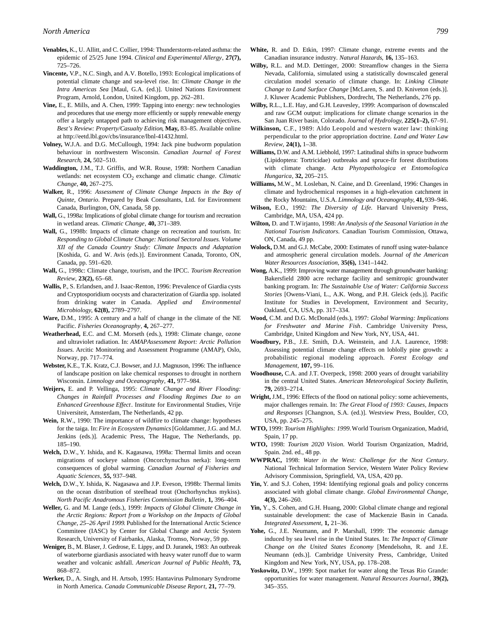- **Venables,** K., U. Allitt, and C. Collier, 1994: Thunderstorm-related asthma: the epidemic of 25/25 June 1994. *Clinical and Experimental Allergy*, **27(7),** 725–726.
- **Vincente,** V.P., N.C. Singh, and A.V. Botello, 1993: Ecological implications of potential climate change and sea-level rise. In: *Climate Change in the Intra Americas Sea* [Maul, G.A. (ed.)]. United Nations Environment Program, Arnold, London, United Kingdom, pp. 262–281.
- **Vine,** E., E. Mills, and A. Chen, 1999: Tapping into energy: new technologies and procedures that use energy more efficiently or supply renewable energy offer a largely untapped path to achieving risk management objectives. *Best's Review: Property/Casualty Edition*, **May,** 83–85. Available online at http://eetd.lbl.gov/cbs/insurance/lbnl-41432.html.
- **Volney,** W.J.A. and D.G. McCullough, 1994: Jack pine budworm population behaviour in northwestern Wisconsin. *Canadian Journal of Forest Research*, **24,** 502–510.
- **Waddington,** J.M., T.J. Griffis, and W.R. Rouse, 1998: Northern Canadian wetlands: net ecosystem CO<sub>2</sub> exchange and climatic change. *Climatic Change*, **40,** 267–275.
- **Walker,** R., 1996: *Assessment of Climate Change Impacts in the Bay of Quinte, Ontario*. Prepared by Beak Consultants, Ltd. for Environment Canada, Burlington, ON, Canada, 58 pp.
- Wall, G., 1998a: Implications of global climate change for tourism and recreation in wetland areas. *Climatic Change*, **40,** 371–389.
- **Wall,** G., 1998b: Impacts of climate change on recreation and tourism. In: *Responding to Global Climate Change: National Sectoral Issues. Volume XII of the Canada Country Study: Climate Impacts and Adaptation* [Koshida, G. and W. Avis (eds.)]. Environment Canada, Toronto, ON, Canada, pp. 591–620.
- **Wall,** G., 1998c: Climate change, tourism, and the IPCC. *Tourism Recreation Review*, **23(2),** 65–68.
- **Wallis,** P., S. Erlandsen, and J. Isaac-Renton, 1996: Prevalence of Giardia cysts and Cryptosporidium oocysts and characterization of Giardia spp. isolated from drinking water in Canada. *Applied and Environmental Microbiology*, **62(8),** 2789–2797.
- **Ware,** D.M., 1995: A century and a half of change in the climate of the NE Pacific. *Fisheries Oceanography*, **4,** 267–277.
- **Weatherhead,** E.C. and C.M. Morseth (eds.), 1998: Climate change, ozone and ultraviolet radiation. In: *AMAPAssessment Report: Arctic Pollution Issues*. Arcitic Monitoring and Assessment Programme (AMAP), Oslo, Norway, pp. 717–774.
- Webster, K.E., T.K. Kratz, C.J. Bowser, and J.J. Magnuson, 1996: The influence of landscape position on lake chemical responses to drought in northern Wisconsin. *Limnology and Oceanography*, **41,** 977–984.
- **Weijers,** E. and P. Vellinga, 1995: *Climate Change and River Flooding: Changes in Rainfall Processes and Flooding Regimes Due to an Enhanced Greenhouse Effect*. Institute for Environmental Studies, Vrije Universiteit, Amsterdam, The Netherlands, 42 pp.
- **Wein,** R.W., 1990: The importance of wildfire to climate change: hypotheses for the taiga. In: *Fire in Ecosystem Dynamics*[Goldammer, J.G. and M.J. Jenkins (eds.)]. Academic Press, The Hague, The Netherlands, pp. 185–190.
- **Welch,** D.W., Y. Ishida, and K. Kagasawa, 1998a: Thermal limits and ocean migrations of sockeye salmon (Oncorchynuchus nerka): long-term consequences of global warming. *Canadian Journal of Fisheries and Aquatic Sciences*, **55,** 937–948.
- **Welch,** D.W., Y. Ishida, K. Nagasawa and J.P. Eveson, 1998b: Thermal limits on the ocean distribution of steelhead trout (Onchorhynchus mykiss). *North Pacific Anadromous Fisheries Commission Bulletin*, **1,** 396–404.
- **Weller,** G. and M. Lange (eds.), 1999: *Impacts of Global Climate Change in the Arctic Regions: Report from a Workshop on the Impacts of Global Change, 25–26 April 1999*. Published for the International Arctic Science Commiteee (IASC) by Center for Global Change and Arctic System Research, University of Fairbanks, Alaska, Tromso, Norway, 59 pp.
- Weniger, B., M. Blaser, J. Gedrose, E. Lippy, and D. Juranek, 1983: An outbreak of waterborne giardiasis associated with heavy water runoff due to warm weather and volcanic ashfall. *American Journal of Public Health*, **73,** 868–872.
- **Werker,** D., A. Singh, and H. Artsob, 1995: Hantavirus Pulmonary Syndrome in North America. *Canada Communicable Disease Report*, **21,** 77–79.
- **White,** R. and D. Etkin, 1997: Climate change, extreme events and the Canadian insurance industry. *Natural Hazards*, **16,** 135–163.
- **Wilby,** R.L. and M.D. Dettinger, 2000: Streamflow changes in the Sierra Nevada, California, simulated using a statistically downscaled general circulation model scenario of climate change. In: *Linking Climate Change to Land Surface Change* [McLaren, S. and D. Kniveton (eds.)]. J. Kluwer Academic Publishers, Dordrecht, The Netherlands, 276 pp.
- Wilby, R.L., L.E. Hay, and G.H. Leavesley, 1999: Acomparison of downscaled and raw GCM output: implications for climate change scenarios in the San Juan River basin, Colorado. *Journal of Hydrology*, **225(1–2),** 67–91.
- Wilkinson, C.F., 1989: Aldo Leopold and western water law: thinking perpendicular to the prior appropriation doctrine. *Land and Water Law Review*, **24(1),** 1–38.
- Williams, D.W. and A.M. Liebhold, 1997: Latitudinal shifts in spruce budworm (Lipidoptera: Tortricidae) outbreaks and spruce-fir forest distributions with climate change. *Acta Phytopathologica et Entomologica Hungarica*, **32,** 205–215.
- **Williams,** M.W., M. Losleban, N. Caine, and D. Greenland, 1996: Changes in climate and hydrochemical responses in a high-elevation catchment in the Rocky Mountains, U.S.A. *Limnology and Oceanography*, 41, 939-946.
- Wilson, E.O., 1992: The Diversity of Life. Harvard University Press, Cambridge, MA, USA, 424 pp.
- **Wilton,** D. and T.Wirjanto, 1998: *An Analysis of the Seasonal Variation in the National Tourism Indicators*. Canadian Tourism Commission, Ottawa, ON, Canada, 49 pp.
- Wolock, D.M. and G.J. McCabe, 2000: Estimates of runoff using water-balance and atmospheric general circulation models. *Journal of the American Water Resources Association*, **35(6),** 1341–1442.
- **Wong, A.K., 1999: Improving water management through groundwater banking:** Bakersfield 2800 acre recharge facility and semitropic groundwater banking program. In: *The Sustainable Use of Water: California Success Stories* [Owens-Viani, L., A.K. Wong, and P.H. Gleick (eds.)]. Pacific Institute for Studies in Development, Environment and Security, Oakland, CA, USA, pp. 317–334.
- **Wood,** C.M. and D.G. McDonald (eds.), 1997: *Global Warming: Implications for Freshwater and Marine Fish*. Cambridge University Press, Cambridge, United Kingdom and New York, NY, USA, 441.
- **Woodbury,** P.B., J.E. Smith, D.A. Weinstein, and J.A. Laurence, 1998: Assessing potential climate change effects on loblolly pine growth: a probabilistic regional modeling approach. Forest Ecology and *Management*, **107,** 99–116.
- **Woodhouse,** C.A. and J.T. Overpeck, 1998: 2000 years of drought variability in the central United States. *American Meteorological Society Bulletin*, **79,** 2693–2714.
- **Wright, J.M., 1996:** Effects of the flood on national policy: some achievements, major challenges remain. In: *The Great Flood of 1993: Causes, Impacts and Responses* [Changnon, S.A. (ed.)]. Westview Press, Boulder, CO, USA, pp. 245–275.
- **WTO,** 1999: *Tourism Highlights: 1999*.World Tourism Organization, Madrid, Spain, 17 pp.
- **WTO,** 1998: *Tourism 2020 Vision*. World Tourism Organization, Madrid, Spain. 2nd. ed., 48 pp.
- **WWPRAC,** 1998: *Water in the West: Challenge for the Next Century*. National Technical Information Service, Western Water Policy Review Advisory Commission, Springfield, VA, USA, 420 pp.
- **Yin,** Y. and S.J. Cohen, 1994: Identifying regional goals and policy concerns associated with global climate change. *Global Environmental Change*, **4(3),** 246–260.
- Yin, Y., S. Cohen, and G.H. Huang, 2000: Global climate change and regional sustainable development: the case of Mackenzie Basin in Canada. *Integrated Assessment*, **1,** 21–36.
- **Yohe,** G., J.E. Neumann, and P. Marshall, 1999: The economic damage induced by sea level rise in the United States. In: *The Impact of Climate Change on the United States Economy* [Mendelsohn, R. and J.E. Neumann (eds.)]. Cambridge University Press, Cambridge, United Kingdom and New York, NY, USA, pp. 178–208.
- **Yoskowitz,** D.W., 1999: Spot market for water along the Texas Rio Grande: opportunities for water management. *Natural Resources Journal*, **39(2),** 345–355.